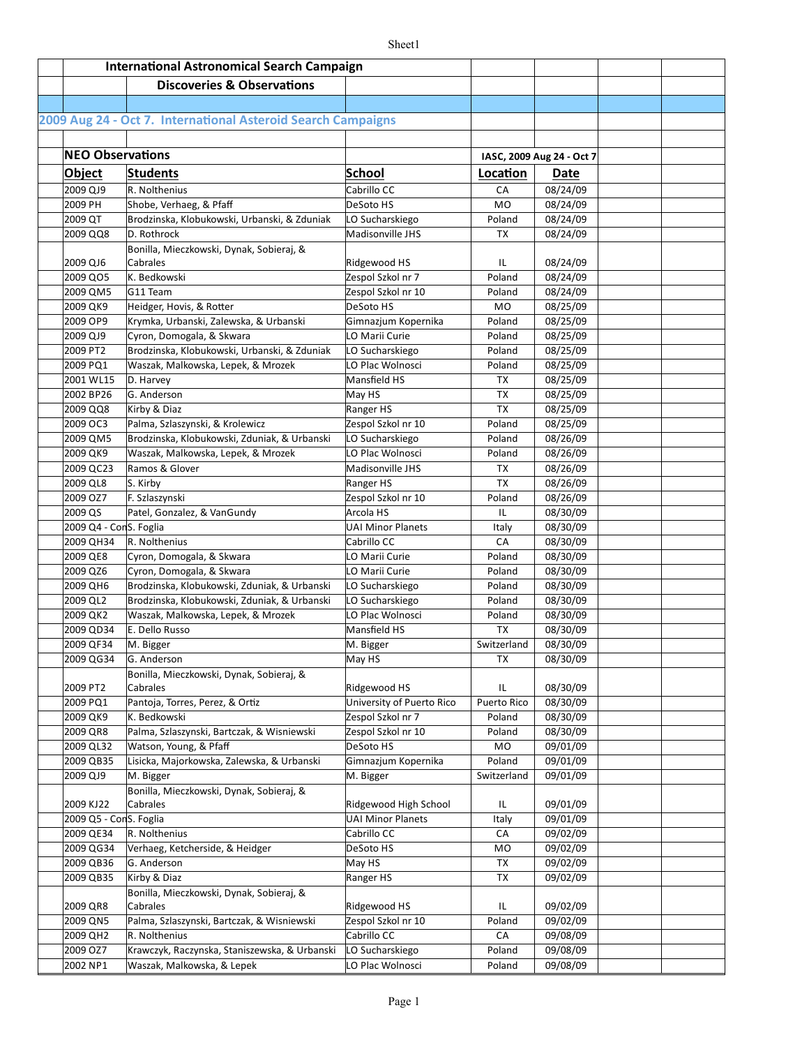| <b>International Astronomical Search Campaign</b> |                                                                           |                                     |                  |                                          |  |
|---------------------------------------------------|---------------------------------------------------------------------------|-------------------------------------|------------------|------------------------------------------|--|
|                                                   | <b>Discoveries &amp; Observations</b>                                     |                                     |                  |                                          |  |
|                                                   |                                                                           |                                     |                  |                                          |  |
|                                                   | 2009 Aug 24 - Oct 7. International Asteroid Search Campaigns              |                                     |                  |                                          |  |
|                                                   |                                                                           |                                     |                  |                                          |  |
|                                                   |                                                                           |                                     |                  |                                          |  |
| <b>NEO Observations</b>                           |                                                                           |                                     |                  | IASC, 2009 Aug 24 - Oct 7                |  |
| <b>Object</b>                                     | <b>Students</b>                                                           | <b>School</b>                       | Location         | Date                                     |  |
| 2009 QJ9                                          | R. Nolthenius                                                             | Cabrillo CC                         | CA               | 08/24/09                                 |  |
| 2009 PH                                           | Shobe, Verhaeg, & Pfaff                                                   | DeSoto HS                           | <b>MO</b>        | 08/24/09                                 |  |
| 2009 QT                                           | Brodzinska, Klobukowski, Urbanski, & Zduniak                              | LO Sucharskiego                     | Poland           | 08/24/09                                 |  |
| 2009 QQ8                                          | D. Rothrock                                                               | Madisonville JHS                    | TX               | 08/24/09                                 |  |
|                                                   | Bonilla, Mieczkowski, Dynak, Sobieraj, &                                  |                                     |                  |                                          |  |
| 2009 QJ6                                          | Cabrales<br>K. Bedkowski                                                  | Ridgewood HS                        | IL               | 08/24/09                                 |  |
| 2009 QO5                                          |                                                                           | Zespol Szkol nr 7                   | Poland           | 08/24/09                                 |  |
| 2009 QM5                                          | G11 Team                                                                  | Zespol Szkol nr 10                  | Poland           | 08/24/09                                 |  |
| 2009 QK9                                          | Heidger, Hovis, & Rotter                                                  | DeSoto HS                           | M <sub>O</sub>   | 08/25/09                                 |  |
| 2009 OP9                                          | Krymka, Urbanski, Zalewska, & Urbanski                                    | Gimnazjum Kopernika                 | Poland           | 08/25/09                                 |  |
| 2009 QJ9                                          | Cyron, Domogala, & Skwara<br>Brodzinska, Klobukowski, Urbanski, & Zduniak | LO Marii Curie                      | Poland           | 08/25/09                                 |  |
| 2009 PT2<br>2009 PQ1                              | Waszak, Malkowska, Lepek, & Mrozek                                        | LO Sucharskiego<br>LO Plac Wolnosci | Poland<br>Poland | 08/25/09<br>$\frac{1}{08}{\sqrt{25}/09}$ |  |
|                                                   |                                                                           | Mansfield HS                        | TX               | 08/25/09                                 |  |
| 2001 WL15<br>2002 BP26                            | D. Harvey<br>G. Anderson                                                  | May HS                              | TX               | 08/25/09                                 |  |
| 2009 QQ8                                          | Kirby & Diaz                                                              | Ranger HS                           | TX               | 08/25/09                                 |  |
| 2009 OC3                                          | Palma, Szlaszynski, & Krolewicz                                           | Zespol Szkol nr 10                  | Poland           | 08/25/09                                 |  |
| 2009 QM5                                          | Brodzinska, Klobukowski, Zduniak, & Urbanski                              | LO Sucharskiego                     | Poland           | 08/26/09                                 |  |
| 2009 QK9                                          | Waszak, Malkowska, Lepek, & Mrozek                                        | LO Plac Wolnosci                    | Poland           | 08/26/09                                 |  |
| 2009 QC23                                         | Ramos & Glover                                                            | Madisonville JHS                    | TX               | 08/26/09                                 |  |
| 2009 QL8                                          | S. Kirby                                                                  | Ranger HS                           | TX               | 08/26/09                                 |  |
| 2009 OZ7                                          | F. Szlaszynski                                                            | Zespol Szkol nr 10                  | Poland           | 08/26/09                                 |  |
| 2009 QS                                           | Patel, Gonzalez, & VanGundy                                               | Arcola HS                           | IL               | 08/30/09                                 |  |
| 2009 Q4 - ConS. Foglia                            |                                                                           | <b>UAI Minor Planets</b>            | Italy            | 08/30/09                                 |  |
| 2009 QH34                                         | R. Nolthenius                                                             | Cabrillo CC                         | CA               | 08/30/09                                 |  |
| 2009 QE8                                          | Cyron, Domogala, & Skwara                                                 | LO Marii Curie                      | Poland           | 08/30/09                                 |  |
| 2009 QZ6                                          | Cyron, Domogala, & Skwara                                                 | LO Marii Curie                      | Poland           | 08/30/09                                 |  |
| 2009 QH6                                          | Brodzinska, Klobukowski, Zduniak, & Urbanski                              | LO Sucharskiego                     | Poland           | 08/30/09                                 |  |
| 2009 QL2                                          | Brodzinska, Klobukowski, Zduniak, & Urbanski                              | LO Sucharskiego                     | Poland           | 08/30/09                                 |  |
| 2009 QK2                                          | Waszak, Malkowska, Lepek, & Mrozek                                        | LO Plac Wolnosci                    | Poland           | 08/30/09                                 |  |
| 2009 QD34                                         | E. Dello Russo                                                            | Mansfield HS                        | <b>TX</b>        | 08/30/09                                 |  |
| 2009 QF34                                         | M. Bigger                                                                 | M. Bigger                           | Switzerland      | 08/30/09                                 |  |
| 2009 QG34                                         | G. Anderson                                                               | May HS                              | TХ               | 08/30/09                                 |  |
|                                                   | Bonilla, Mieczkowski, Dynak, Sobieraj, &                                  |                                     |                  |                                          |  |
| 2009 PT2                                          | Cabrales                                                                  | Ridgewood HS                        | IL               | 08/30/09                                 |  |
| 2009 PQ1                                          | Pantoja, Torres, Perez, & Ortiz                                           | University of Puerto Rico           | Puerto Rico      | 08/30/09                                 |  |
| 2009 QK9                                          | K. Bedkowski                                                              | Zespol Szkol nr 7                   | Poland           | 08/30/09                                 |  |
| 2009 QR8                                          | Palma, Szlaszynski, Bartczak, & Wisniewski                                | Zespol Szkol nr 10                  | Poland           | 08/30/09                                 |  |
| 2009 QL32                                         | Watson, Young, & Pfaff                                                    | DeSoto HS                           | MO               | 09/01/09                                 |  |
| 2009 QB35                                         | Lisicka, Majorkowska, Zalewska, & Urbanski                                | Gimnazjum Kopernika                 | Poland           | 09/01/09                                 |  |
| 2009 QJ9                                          | M. Bigger                                                                 | M. Bigger                           | Switzerland      | 09/01/09                                 |  |
|                                                   | Bonilla, Mieczkowski, Dynak, Sobieraj, &                                  |                                     |                  |                                          |  |
| 2009 KJ22                                         | Cabrales                                                                  | Ridgewood High School               | IL               | 09/01/09                                 |  |
| 2009 Q5 - ConS. Foglia                            |                                                                           | <b>UAI Minor Planets</b>            | Italy            | 09/01/09                                 |  |
| 2009 QE34                                         | R. Nolthenius                                                             | Cabrillo CC                         | CA               | 09/02/09                                 |  |
| 2009 QG34                                         | Verhaeg, Ketcherside, & Heidger                                           | DeSoto HS                           | MO               | 09/02/09                                 |  |
| 2009 QB36                                         | G. Anderson                                                               | May HS                              | TX               | 09/02/09                                 |  |
| 2009 QB35                                         | Kirby & Diaz                                                              | Ranger HS                           | TX               | 09/02/09                                 |  |
| 2009 QR8                                          | Bonilla, Mieczkowski, Dynak, Sobieraj, &<br>Cabrales                      | Ridgewood HS                        | IL               | 09/02/09                                 |  |
| 2009 QN5                                          | Palma, Szlaszynski, Bartczak, & Wisniewski                                | Zespol Szkol nr 10                  | Poland           | 09/02/09                                 |  |
| 2009 QH2                                          | R. Nolthenius                                                             | Cabrillo CC                         | CA               | 09/08/09                                 |  |
| 2009 OZ7                                          | Krawczyk, Raczynska, Staniszewska, & Urbanski                             | LO Sucharskiego                     | Poland           | 09/08/09                                 |  |
| 2002 NP1                                          | Waszak, Malkowska, & Lepek                                                | LO Plac Wolnosci                    | Poland           | 09/08/09                                 |  |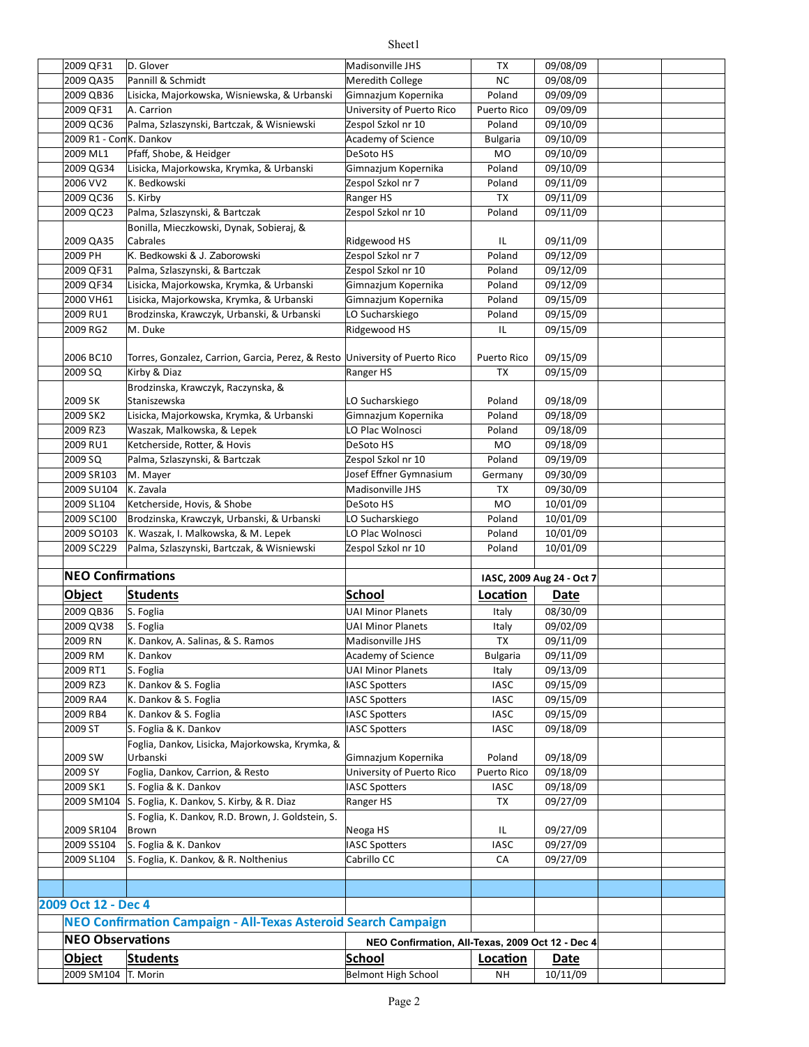| 2009 SM104 T. Morin      |                                                                             | Belmont High School                              | NΗ              | 10/11/09                  |  |
|--------------------------|-----------------------------------------------------------------------------|--------------------------------------------------|-----------------|---------------------------|--|
| <b>Object</b>            | <b>Students</b>                                                             | <b>School</b>                                    | Location        | Date                      |  |
| <b>NEO Observations</b>  |                                                                             | NEO Confirmation, All-Texas, 2009 Oct 12 - Dec 4 |                 |                           |  |
|                          | NEO Confirmation Campaign - All-Texas Asteroid Search Campaign              |                                                  |                 |                           |  |
|                          |                                                                             |                                                  |                 |                           |  |
| 2009 Oct 12 - Dec 4      |                                                                             |                                                  |                 |                           |  |
|                          |                                                                             |                                                  |                 |                           |  |
|                          | S. Foglia, K. Dankov, & R. Nolthenius                                       |                                                  | CA              |                           |  |
| 2009 SL104               |                                                                             | <b>IASC Spotters</b><br>Cabrillo CC              |                 | 09/27/09                  |  |
| 2009 SS104               | S. Foglia & K. Dankov                                                       |                                                  | <b>IASC</b>     | 09/27/09                  |  |
| 2009 SR104               | S. Foglia, K. Dankov, R.D. Brown, J. Goldstein, S.<br>Brown                 | Neoga HS                                         | IL              | 09/27/09                  |  |
| 2009 SM104               | S. Foglia, K. Dankov, S. Kirby, & R. Diaz                                   | Ranger HS                                        | TX              | 09/27/09                  |  |
|                          |                                                                             |                                                  | <b>IASC</b>     | 09/18/09                  |  |
| 2009 SK1                 | S. Foglia & K. Dankov                                                       | <b>IASC Spotters</b>                             |                 |                           |  |
| 2009 SY                  | Foglia, Dankov, Carrion, & Resto                                            | Gimnazjum Kopernika<br>University of Puerto Rico | Puerto Rico     | 09/18/09<br>09/18/09      |  |
| 2009 SW                  | Foglia, Dankov, Lisicka, Majorkowska, Krymka, &<br>Urbanski                 |                                                  | Poland          |                           |  |
| 2009 ST                  | S. Foglia & K. Dankov                                                       | <b>IASC Spotters</b>                             | <b>IASC</b>     | 09/18/09                  |  |
| 2009 RB4                 | K. Dankov & S. Foglia                                                       | <b>IASC Spotters</b>                             | <b>IASC</b>     | 09/15/09                  |  |
| 2009 RA4                 | K. Dankov & S. Foglia                                                       | <b>IASC Spotters</b>                             | <b>IASC</b>     | 09/15/09                  |  |
| 2009 RZ3                 | K. Dankov & S. Foglia                                                       | <b>IASC Spotters</b>                             | <b>IASC</b>     | 09/15/09                  |  |
| 2009 RT1                 | S. Foglia                                                                   | <b>UAI Minor Planets</b>                         | Italy           | 09/13/09                  |  |
| 2009 RM                  | K. Dankov                                                                   | Academy of Science                               | <b>Bulgaria</b> | 09/11/09                  |  |
| 2009 RN                  | K. Dankov, A. Salinas, & S. Ramos                                           | Madisonville JHS                                 | <b>TX</b>       | 09/11/09                  |  |
| 2009 QV38                | S. Foglia                                                                   | <b>UAI Minor Planets</b>                         | Italy           | 09/02/09                  |  |
| 2009 QB36                | S. Foglia                                                                   | <b>UAI Minor Planets</b>                         | Italy           | 08/30/09                  |  |
|                          |                                                                             |                                                  |                 |                           |  |
| Object                   | <b>Students</b>                                                             | School                                           | Location        | Date                      |  |
| <b>NEO Confirmations</b> |                                                                             |                                                  |                 | IASC, 2009 Aug 24 - Oct 7 |  |
|                          |                                                                             |                                                  |                 |                           |  |
| 2009 SC229               | Palma, Szlaszynski, Bartczak, & Wisniewski                                  | Zespol Szkol nr 10                               | Poland          | 10/01/09                  |  |
| 2009 SO103               | K. Waszak, I. Malkowska, & M. Lepek                                         | LO Plac Wolnosci                                 | Poland          | 10/01/09                  |  |
| 2009 SC100               | Brodzinska, Krawczyk, Urbanski, & Urbanski                                  | LO Sucharskiego                                  | Poland          | 10/01/09                  |  |
| 2009 SL104               | Ketcherside, Hovis, & Shobe                                                 | DeSoto HS                                        | <b>MO</b>       | 10/01/09                  |  |
| 2009 SU104               | K. Zavala                                                                   | Madisonville JHS                                 | TX              | 09/30/09                  |  |
| 2009 SR103               | M. Mayer                                                                    | Josef Effner Gymnasium                           | Germany         | 09/30/09                  |  |
| 2009 SQ                  | Palma, Szlaszynski, & Bartczak                                              | Zespol Szkol nr 10                               | Poland          | 09/19/09                  |  |
| 2009 RU1                 | Ketcherside, Rotter, & Hovis                                                | DeSoto HS                                        | MO              | 09/18/09                  |  |
| 2009 RZ3                 | Waszak, Malkowska, & Lepek                                                  | LO Plac Wolnosci                                 | Poland          | 09/18/09                  |  |
| 2009 SK2                 | Lisicka, Majorkowska, Krymka, & Urbanski                                    | Gimnazjum Kopernika                              | Poland          | 09/18/09                  |  |
| 2009 SK                  | Staniszewska                                                                | LO Sucharskiego                                  | Poland          | 09/18/09                  |  |
|                          | Brodzinska, Krawczyk, Raczynska, &                                          |                                                  |                 |                           |  |
| 2009 SQ                  | Kirby & Diaz                                                                | Ranger HS                                        | TX              | 09/15/09                  |  |
| 2006 BC10                | Torres, Gonzalez, Carrion, Garcia, Perez, & Resto University of Puerto Rico |                                                  | Puerto Rico     | 09/15/09                  |  |
|                          |                                                                             |                                                  |                 |                           |  |
| 2009 RG2                 | M. Duke                                                                     | Ridgewood HS                                     | ΙL              | 09/15/09                  |  |
| 2009 RU1                 | Brodzinska, Krawczyk, Urbanski, & Urbanski                                  | LO Sucharskiego                                  | Poland          | 09/15/09                  |  |
| 2000 VH61                | Lisicka, Majorkowska, Krymka, & Urbanski                                    | Gimnazjum Kopernika                              | Poland          | 09/15/09                  |  |
| 2009 QF34                | Lisicka, Majorkowska, Krymka, & Urbanski                                    | Gimnazjum Kopernika                              | Poland          | 09/12/09                  |  |
| 2009 QF31                | Palma, Szlaszynski, & Bartczak                                              | Zespol Szkol nr 10                               | Poland          | 09/12/09                  |  |
| 2009 PH                  | K. Bedkowski & J. Zaborowski                                                | Zespol Szkol nr 7                                | Poland          | 09/12/09                  |  |
| 2009 QA35                | Cabrales                                                                    | Ridgewood HS                                     | IL              | 09/11/09                  |  |
|                          | Bonilla, Mieczkowski, Dynak, Sobieraj, &                                    |                                                  |                 |                           |  |
| 2009 QC23                | Palma, Szlaszynski, & Bartczak                                              | Zespol Szkol nr 10                               | Poland          | 09/11/09                  |  |
| 2009 QC36                | S. Kirby                                                                    | Ranger HS                                        | TX              | 09/11/09                  |  |
| 2006 VV2                 | K. Bedkowski                                                                | Zespol Szkol nr 7                                | Poland          | 09/11/09                  |  |
| 2009 QG34                | Lisicka, Majorkowska, Krymka, & Urbanski                                    | Gimnazjum Kopernika                              | Poland          | 09/10/09                  |  |
| 2009 ML1                 | Pfaff, Shobe, & Heidger                                                     | DeSoto HS                                        | MO              | 09/10/09                  |  |
| 2009 R1 - ComK. Dankov   |                                                                             | Academy of Science                               | Bulgaria        | 09/10/09                  |  |
| 2009 QC36                | Palma, Szlaszynski, Bartczak, & Wisniewski                                  | Zespol Szkol nr 10                               | Poland          | 09/10/09                  |  |
| 2009 QF31                | A. Carrion                                                                  | University of Puerto Rico                        | Puerto Rico     | 09/09/09                  |  |
| 2009 QB36                | Lisicka, Majorkowska, Wisniewska, & Urbanski                                | Gimnazjum Kopernika                              | Poland          | 09/09/09                  |  |
| 2009 QA35                | Pannill & Schmidt                                                           | Meredith College                                 | <b>NC</b>       | 09/08/09                  |  |
| 2009 QF31                | D. Glover                                                                   | Madisonville JHS                                 | TX              | 09/08/09                  |  |
|                          |                                                                             |                                                  |                 |                           |  |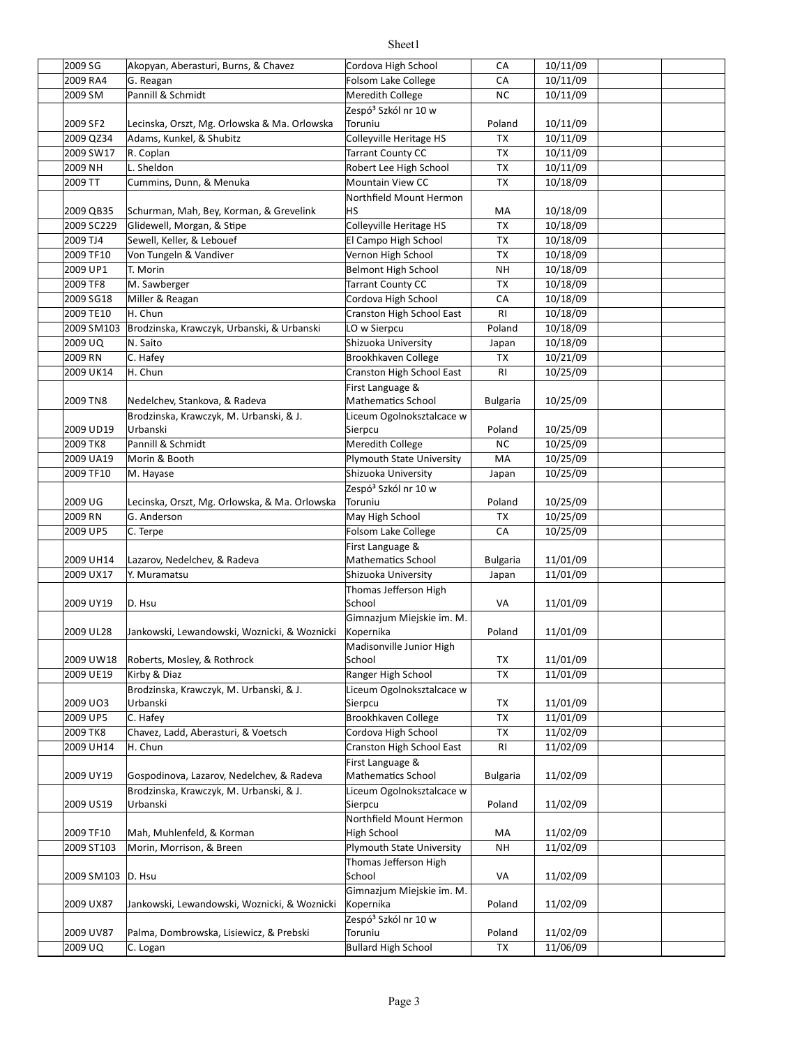| 2009 SG           | Akopyan, Aberasturi, Burns, & Chavez          | Cordova High School              | CA              | 10/11/09 |  |
|-------------------|-----------------------------------------------|----------------------------------|-----------------|----------|--|
| 2009 RA4          | $\overline{G}$ . Reagan                       | Folsom Lake College              | CA              | 10/11/09 |  |
| 2009 SM           | Pannill & Schmidt                             | Meredith College                 | <b>NC</b>       | 10/11/09 |  |
|                   |                                               | Zespó <sup>3</sup> Szkól nr 10 w |                 |          |  |
| 2009 SF2          | Lecinska, Orszt, Mg. Orlowska & Ma. Orlowska  | Toruniu                          | Poland          | 10/11/09 |  |
| 2009 QZ34         | Adams, Kunkel, & Shubitz                      | Colleyville Heritage HS          | <b>TX</b>       | 10/11/09 |  |
| 2009 SW17         | R. Coplan                                     | Tarrant County CC                | <b>TX</b>       | 10/11/09 |  |
| 2009 NH           | L. Sheldon                                    | Robert Lee High School           | <b>TX</b>       | 10/11/09 |  |
| 2009 TT           | Cummins, Dunn, & Menuka                       | <b>Mountain View CC</b>          | <b>TX</b>       | 10/18/09 |  |
|                   |                                               | Northfield Mount Hermon          |                 |          |  |
| 2009 QB35         | Schurman, Mah, Bey, Korman, & Grevelink       | ΗS                               | МA              | 10/18/09 |  |
| 2009 SC229        | Glidewell, Morgan, & Stipe                    | Colleyville Heritage HS          | <b>TX</b>       | 10/18/09 |  |
| 2009 TJ4          | Sewell, Keller, & Lebouef                     | El Campo High School             | TX              | 10/18/09 |  |
| 2009 TF10         | Von Tungeln & Vandiver                        | Vernon High School               | TX              | 10/18/09 |  |
| 2009 UP1          | T. Morin                                      | <b>Belmont High School</b>       | NΗ              | 10/18/09 |  |
| 2009 TF8          | M. Sawberger                                  | <b>Tarrant County CC</b>         | TX              | 10/18/09 |  |
| 2009 SG18         | Miller & Reagan                               | Cordova High School              | CA              | 10/18/09 |  |
| 2009 TE10         | H. Chun                                       | Cranston High School East        | RI.             | 10/18/09 |  |
| 2009 SM103        | Brodzinska, Krawczyk, Urbanski, & Urbanski    | LO w Sierpcu                     | Poland          | 10/18/09 |  |
| 2009 UQ           | N. Saito                                      | Shizuoka University              |                 | 10/18/09 |  |
|                   |                                               |                                  | Japan           |          |  |
| 2009 RN           | C. Hafey                                      | Brookhkaven College              | TX              | 10/21/09 |  |
| 2009 UK14         | H. Chun                                       | Cranston High School East        | RI.             | 10/25/09 |  |
|                   |                                               | First Language &                 |                 |          |  |
| 2009 TN8          | Nedelchev, Stankova, & Radeva                 | <b>Mathematics School</b>        | <b>Bulgaria</b> | 10/25/09 |  |
|                   | Brodzinska, Krawczyk, M. Urbanski, & J.       | Liceum Ogolnoksztalcace w        |                 |          |  |
| 2009 UD19         | Urbanski                                      | Sierpcu                          | Poland          | 10/25/09 |  |
| 2009 TK8          | Pannill & Schmidt                             | Meredith College                 | <b>NC</b>       | 10/25/09 |  |
| 2009 UA19         | Morin & Booth                                 | Plymouth State University        | MA              | 10/25/09 |  |
| 2009 TF10         | M. Hayase                                     | Shizuoka University              | Japan           | 10/25/09 |  |
|                   |                                               | Zespó <sup>3</sup> Szkól nr 10 w |                 |          |  |
| 2009 UG           | Lecinska, Orszt, Mg. Orlowska, & Ma. Orlowska | Toruniu                          | Poland          | 10/25/09 |  |
| 2009 RN           | G. Anderson                                   | May High School                  | TX              | 10/25/09 |  |
| 2009 UP5          | C. Terpe                                      | Folsom Lake College              | CA              | 10/25/09 |  |
|                   |                                               | First Language &                 |                 |          |  |
| 2009 UH14         | Lazarov, Nedelchev, & Radeva                  | <b>Mathematics School</b>        | <b>Bulgaria</b> | 11/01/09 |  |
| 2009 UX17         | Y. Muramatsu                                  | Shizuoka University              | Japan           | 11/01/09 |  |
|                   |                                               | Thomas Jefferson High            |                 |          |  |
| 2009 UY19         | D. Hsu                                        | School                           | VA              | 11/01/09 |  |
|                   |                                               | Gimnazjum Miejskie im. M.        |                 |          |  |
| 2009 UL28         | Jankowski, Lewandowski, Woznicki, & Woznicki  | Kopernika                        | Poland          | 11/01/09 |  |
|                   |                                               | Madisonville Junior High         |                 |          |  |
| 2009 UW18         | Roberts, Mosley, & Rothrock                   | School                           | TX              | 11/01/09 |  |
| 2009 UE19         | Kirby & Diaz                                  | Ranger High School               | TX              | 11/01/09 |  |
|                   | Brodzinska, Krawczyk, M. Urbanski, & J.       | Liceum Ogolnoksztalcace w        |                 |          |  |
| 2009 UO3          | Urbanski                                      | Sierpcu                          | TX              | 11/01/09 |  |
| 2009 UP5          | C. Hafey                                      | <b>Brookhkaven College</b>       | TX              | 11/01/09 |  |
| 2009 TK8          | Chavez, Ladd, Aberasturi, & Voetsch           | Cordova High School              | <b>TX</b>       | 11/02/09 |  |
| 2009 UH14         | H. Chun                                       | Cranston High School East        | RI              | 11/02/09 |  |
|                   |                                               | First Language &                 |                 |          |  |
| 2009 UY19         | Gospodinova, Lazarov, Nedelchev, & Radeva     | Mathematics School               | <b>Bulgaria</b> | 11/02/09 |  |
|                   | Brodzinska, Krawczyk, M. Urbanski, & J.       | Liceum Ogolnoksztalcace w        |                 |          |  |
| 2009 US19         | Urbanski                                      | Sierpcu                          | Poland          | 11/02/09 |  |
|                   |                                               | Northfield Mount Hermon          |                 |          |  |
| 2009 TF10         | Mah, Muhlenfeld, & Korman                     | High School                      | МA              | 11/02/09 |  |
| 2009 ST103        | Morin, Morrison, & Breen                      | Plymouth State University        | NΗ              | 11/02/09 |  |
|                   |                                               | Thomas Jefferson High            |                 |          |  |
| 2009 SM103 D. Hsu |                                               | School                           | VA              | 11/02/09 |  |
|                   |                                               | Gimnazjum Miejskie im. M.        |                 |          |  |
| 2009 UX87         | Jankowski, Lewandowski, Woznicki, & Woznicki  | Kopernika                        | Poland          | 11/02/09 |  |
|                   |                                               | Zespó <sup>3</sup> Szkól nr 10 w |                 |          |  |
| 2009 UV87         | Palma, Dombrowska, Lisiewicz, & Prebski       | Toruniu                          | Poland          | 11/02/09 |  |
| 2009 UQ           | C. Logan                                      | <b>Bullard High School</b>       | TX              | 11/06/09 |  |
|                   |                                               |                                  |                 |          |  |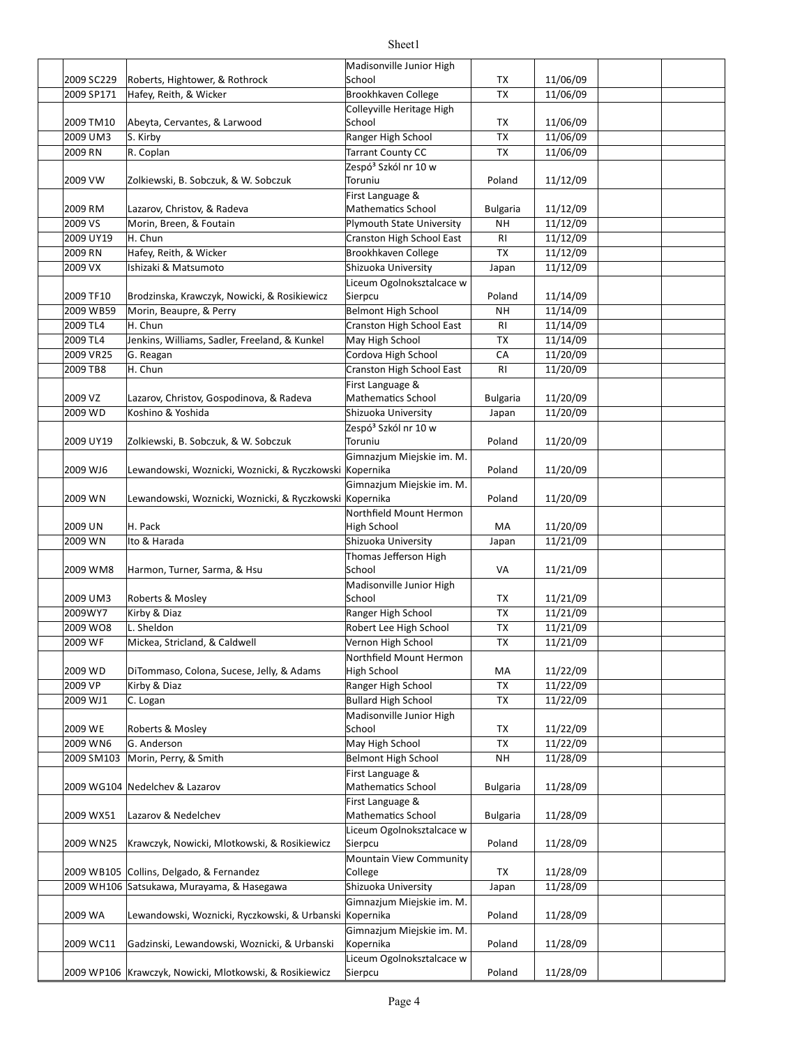#### 2009 SC229 TX 11/06/09 Roberts, Hightower, & Rothrock 2009 SP171 Hafey, Reith, & Wicker Brookhkaven College 11/06/09 2009 TM10 Rheyta, Cervantes, & Larwood School School School TX 11/06/09 2009 UM3 S. Kirby **Ranger High School TX 11/06/09** 2009 RN R. Coplan **Tarrant County CC** TX 11/06/09 2009 VW Xalkiewski, B. Sobczuk, & W. Sobczuk Toruniu National Poland 11/12/09 2009 RM Lazarov, Christov, & Radeva **Mullace Mathematics School** Bulgaria 11/12/09 2009 VS Morin, Breen, & Foutain **National State University** NH 11/12/09 2009 UY19 H. Chun Channel Cranston High School East RI 11/12/09 2009 RN TX 11/12/09 Hafey, Reith, & Wicker Brookhkaven College 2009 VX Shizuoka University Japan 11/12/09 Ishizaki & Matsumoto 2009 TF10 Brodzinska, Krawczyk, Nowicki, & Rosikiewicz Sierpcu and Poland 11/14/09 2009 WB59 Morin, Beaupre, & Perry Network High School NH 11/14/09 2009 TL4 H. Chun Chun Cranston High School East RI 11/14/09 2009 TL4 Sulliams, Williams, Sadler, Freeland, & Kunkel May High School TX 11/14/09 2009 VR25 G. Reagan Cordova High School CA 11/20/09 2009 TB8 H. Chun Channel Cranston High School East RI 11/20/09 2009 VZ Lazarov, Christov, Gospodinova, & Radeva Mathematics School | Bulgaria | 11/20/09 2009 WD Koshino & Yoshida Shizuoka University Japan 11/20/09 2009 UY19 | Zolkiewski, B. Sobczuk, & W. Sobczuk | Toruniu | Poland | 11/20/09 2009 WJ6 |Lewandowski, Woznicki, Woznicki, & Ryczkowski |Kopernika | Poland | 11/20/09 2009 WN Lewandowski, Woznicki, Woznicki, & Ryczkowski Kopernika Poland 11/20/09 2009 UN H. Pack MA 11/20/09 2009 WN Shizuoka University Japan 11/21/09 2009 WM8 Harmon, Turner, Sarma, & Hsu School School National Management of the USA 11/21/09 2009 UM3 Roberts & Mosley Notes and School School TX 11/21/09 2009WY7 Kirby & Diaz Ranger High School TX 11/21/09 2009 WO8 L. Sheldon **Robert Lee High School** TX 11/21/09 2009 WF Mickea, Stricland, & Caldwell North Vernon High School TX 11/21/09 2009 WD MA 11/22/09 DiTommaso, Colona, Sucese, Jelly, & Adams 2009 VP Kirby & Diaz Ranger High School TX 11/22/09 |2009 WJ1 || C. Logan || C. Logan || C. Logan || C. Logan || C. Logan || C. Logan || C. Logan || C. Logan || C. Logan || C. Logan || C. Logan || C. Logan || C. Logan || C. Logan || C. Logan || C. Logan || C. Logan || C. Lo 2009 WE Roberts & Mosley Contract Contract School Contract TX 11/22/09 2009 WN6 G. Anderson **May High School** TX 11/22/09 2009 SM103 Morin, Perry, & Smith Belmont High School NH 11/28/09 2009 WG104 |Nedelchev & Lazarov Mathematics School | Bulgaria | 11/28/09 2009 WX51 Lazarov & Nedelchev **Charlotter Mathematics School** Bulgaria 21/28/09 2009 WN25 Krawczyk, Nowicki, Mlotkowski, & Rosikiewicz Sierpcu and the Poland 11/28/09 2009 WB105 Collins, Delgado, & Fernandez College College TX 11/28/09 2009 WH106 |Satsukawa, Murayama, & Hasegawa Shizuoka University Japan 11/28/09 2009 WA Lewandowski, Woznicki, Ryczkowski, & Urbanski Kopernika Poland | 11/28/09 2009 WC11 Gadzinski, Lewandowski, Woznicki, & Urbanski Kopernika Narol (11/28/09) Madisonville Junior High **School** Colleyville Heritage High School Zespó<sup>3</sup> Szkól nr 10 w Toruniu First Language & Mathematics School Morin, Breen, & Foutain H. Chun Liceum Ogolnoksztalcace w **Sierpcu** H. Chun H. Chun First Language & Mathematics School Koshino & Yoshida Zespó<sup>3</sup> Szkól nr 10 w Toruniu Gimnazjum Miejskie im. M. Gimnazjum Miejskie im. M. Northfield Mount Hermon High School Ito & Harada Thomas Jefferson High School Madisonville Junior High School Northfield Mount Hermon High School Madisonville Junior High School First Language & Mathematics School First Language & Mathematics School Liceum Ogolnoksztalcace w Sierpcu Mountain View Community College Gimnazjum Miejskie im. M. Gimnazjum Miejskie im. M. Kopernika Liceum Ogolnoksztalcace w

Sheet1

2009 WP106 Krawczyk, Nowicki, Mlotkowski, & Rosikiewicz Sierpcu Stand | 11/28/09

**Sierpcu**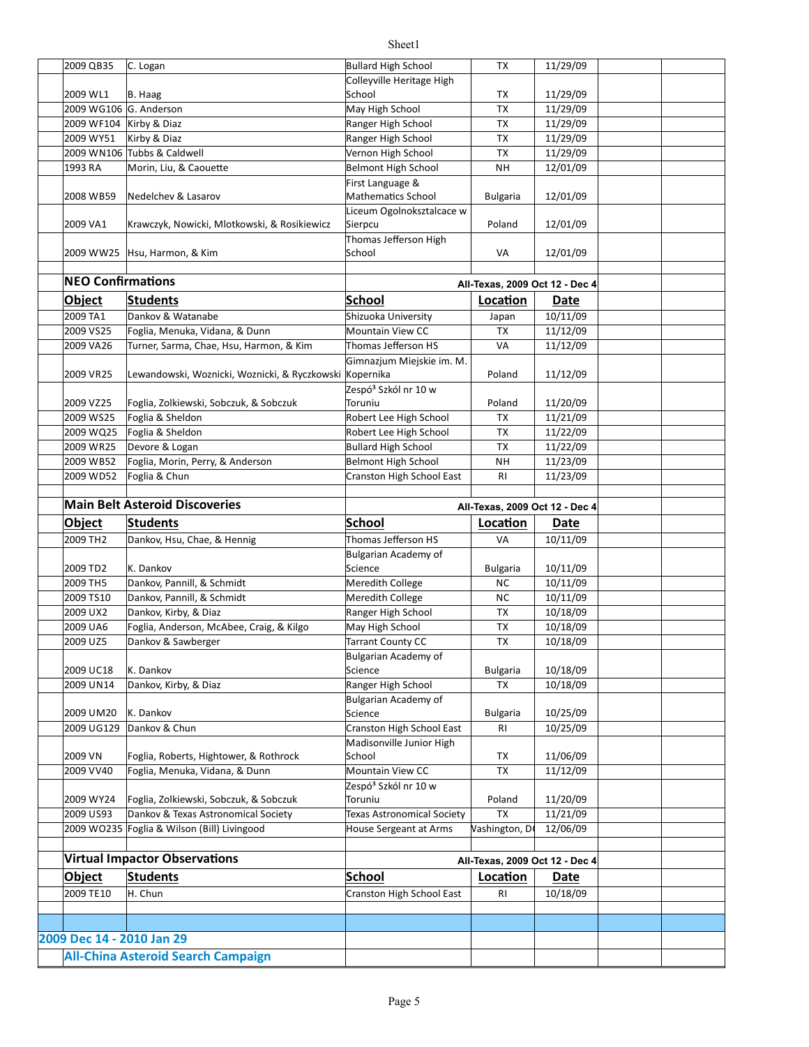| 2009 QB35                 | C. Logan                                                | <b>Bullard High School</b>                            | TX                             | 11/29/09    |  |
|---------------------------|---------------------------------------------------------|-------------------------------------------------------|--------------------------------|-------------|--|
|                           |                                                         | Colleyville Heritage High                             |                                |             |  |
| 2009 WL1                  | B. Haag                                                 | School                                                | TX                             | 11/29/09    |  |
| 2009 WG106 G. Anderson    |                                                         | May High School                                       | <b>TX</b>                      | 11/29/09    |  |
| 2009 WF104 Kirby & Diaz   |                                                         | Ranger High School                                    | TX                             | 11/29/09    |  |
| 2009 WY51                 | Kirby & Diaz                                            | Ranger High School                                    | TX                             | 11/29/09    |  |
|                           | 2009 WN106 Tubbs & Caldwell                             | Vernon High School                                    | TX                             | 11/29/09    |  |
| 1993 RA                   | Morin, Liu, & Caouette                                  | <b>Belmont High School</b>                            | NΗ                             | 12/01/09    |  |
|                           |                                                         | First Language &                                      |                                |             |  |
| 2008 WB59                 | Nedelchev & Lasarov                                     | <b>Mathematics School</b>                             | <b>Bulgaria</b>                | 12/01/09    |  |
| 2009 VA1                  | Krawczyk, Nowicki, Mlotkowski, & Rosikiewicz            | Liceum Ogolnoksztalcace w<br>Sierpcu                  | Poland                         | 12/01/09    |  |
| 2009 WW25                 | Hsu, Harmon, & Kim                                      | Thomas Jefferson High<br>School                       | VA                             | 12/01/09    |  |
|                           |                                                         |                                                       |                                |             |  |
| <b>NEO Confirmations</b>  |                                                         |                                                       | All-Texas, 2009 Oct 12 - Dec 4 |             |  |
| Object                    | Students                                                | School                                                | Location                       | Date        |  |
| 2009 TA1                  | Dankov & Watanabe                                       | Shizuoka University                                   | Japan                          | 10/11/09    |  |
| 2009 VS25                 | Foglia, Menuka, Vidana, & Dunn                          | <b>Mountain View CC</b>                               | TX                             | 11/12/09    |  |
| 2009 VA26                 | Turner, Sarma, Chae, Hsu, Harmon, & Kim                 | Thomas Jefferson HS                                   | VA                             | 11/12/09    |  |
|                           |                                                         | Gimnazjum Miejskie im. M.                             |                                |             |  |
| 2009 VR25                 | Lewandowski, Woznicki, Woznicki, & Ryczkowski Kopernika |                                                       | Poland                         | 11/12/09    |  |
|                           |                                                         | Zespó <sup>3</sup> Szkól nr 10 w                      |                                |             |  |
| 2009 VZ25                 | Foglia, Zolkiewski, Sobczuk, & Sobczuk                  | Toruniu                                               | Poland                         | 11/20/09    |  |
| 2009 WS25                 | Foglia & Sheldon                                        | Robert Lee High School                                | TX                             | 11/21/09    |  |
| 2009 WQ25                 | Foglia & Sheldon                                        | Robert Lee High School                                | TX                             | 11/22/09    |  |
| 2009 WR25                 | Devore & Logan                                          | <b>Bullard High School</b>                            | TX                             | 11/22/09    |  |
| 2009 WB52                 | Foglia, Morin, Perry, & Anderson                        | <b>Belmont High School</b>                            | NΗ                             | 11/23/09    |  |
| 2009 WD52                 | Foglia & Chun                                           | Cranston High School East                             | <b>RI</b>                      | 11/23/09    |  |
|                           |                                                         |                                                       |                                |             |  |
|                           | <b>Main Belt Asteroid Discoveries</b>                   |                                                       | All-Texas, 2009 Oct 12 - Dec 4 |             |  |
|                           |                                                         |                                                       |                                |             |  |
|                           |                                                         |                                                       |                                |             |  |
| Object                    | Students                                                | <b>School</b>                                         | Location                       | Date        |  |
| 2009 TH <sub>2</sub>      | Dankov, Hsu, Chae, & Hennig                             | Thomas Jefferson HS                                   | VA                             | 10/11/09    |  |
| 2009 TD2                  | K. Dankov                                               | Bulgarian Academy of<br>Science                       | <b>Bulgaria</b>                | 10/11/09    |  |
| 2009 TH5                  | Dankov, Pannill, & Schmidt                              | Meredith College                                      | ΝC                             | 10/11/09    |  |
| 2009 TS10                 |                                                         |                                                       | <b>NC</b>                      |             |  |
| 2009 UX2                  | Dankov, Pannill, & Schmidt<br>Dankov, Kirby, & Diaz     | Meredith College                                      |                                | 10/11/09    |  |
|                           |                                                         | Ranger High School                                    | TX                             | 10/18/09    |  |
| 2009 UA6                  | Foglia, Anderson, McAbee, Craig, & Kilgo                | May High School                                       | TX                             | 10/18/09    |  |
| 2009 UZ5                  | Dankov & Sawberger                                      | <b>Tarrant County CC</b>                              | <b>TX</b>                      | 10/18/09    |  |
|                           |                                                         | Bulgarian Academy of                                  |                                |             |  |
| 2009 UC18                 | K. Dankov                                               | Science                                               | <b>Bulgaria</b>                | 10/18/09    |  |
| 2009 UN14                 | Dankov, Kirby, & Diaz                                   | Ranger High School                                    | TX                             | 10/18/09    |  |
|                           |                                                         | Bulgarian Academy of                                  |                                |             |  |
| 2009 UM20                 | K. Dankov<br>Dankov & Chun                              | Science                                               | <b>Bulgaria</b>                | 10/25/09    |  |
| 2009 UG129                |                                                         | Cranston High School East<br>Madisonville Junior High | RI                             | 10/25/09    |  |
| 2009 VN                   | Foglia, Roberts, Hightower, & Rothrock                  | School                                                | TХ                             | 11/06/09    |  |
| 2009 VV40                 | Foglia, Menuka, Vidana, & Dunn                          | Mountain View CC                                      | TX                             | 11/12/09    |  |
|                           |                                                         | Zespó <sup>3</sup> Szkól nr 10 w                      |                                |             |  |
| 2009 WY24                 | Foglia, Zolkiewski, Sobczuk, & Sobczuk                  | Toruniu                                               | Poland                         | 11/20/09    |  |
| 2009 US93                 | Dankov & Texas Astronomical Society                     | <b>Texas Astronomical Society</b>                     | <b>TX</b>                      | 11/21/09    |  |
|                           | 2009 WO235 Foglia & Wilson (Bill) Livingood             | House Sergeant at Arms                                | Vashington, D                  | 12/06/09    |  |
|                           |                                                         |                                                       |                                |             |  |
|                           | <b>Virtual Impactor Observations</b>                    |                                                       |                                |             |  |
|                           |                                                         |                                                       | All-Texas, 2009 Oct 12 - Dec 4 |             |  |
| Object                    | <b>Students</b>                                         | <b>School</b>                                         | Location                       | <b>Date</b> |  |
| 2009 TE10                 | H. Chun                                                 | Cranston High School East                             | <b>RI</b>                      | 10/18/09    |  |
|                           |                                                         |                                                       |                                |             |  |
|                           |                                                         |                                                       |                                |             |  |
| 2009 Dec 14 - 2010 Jan 29 | <b>All-China Asteroid Search Campaign</b>               |                                                       |                                |             |  |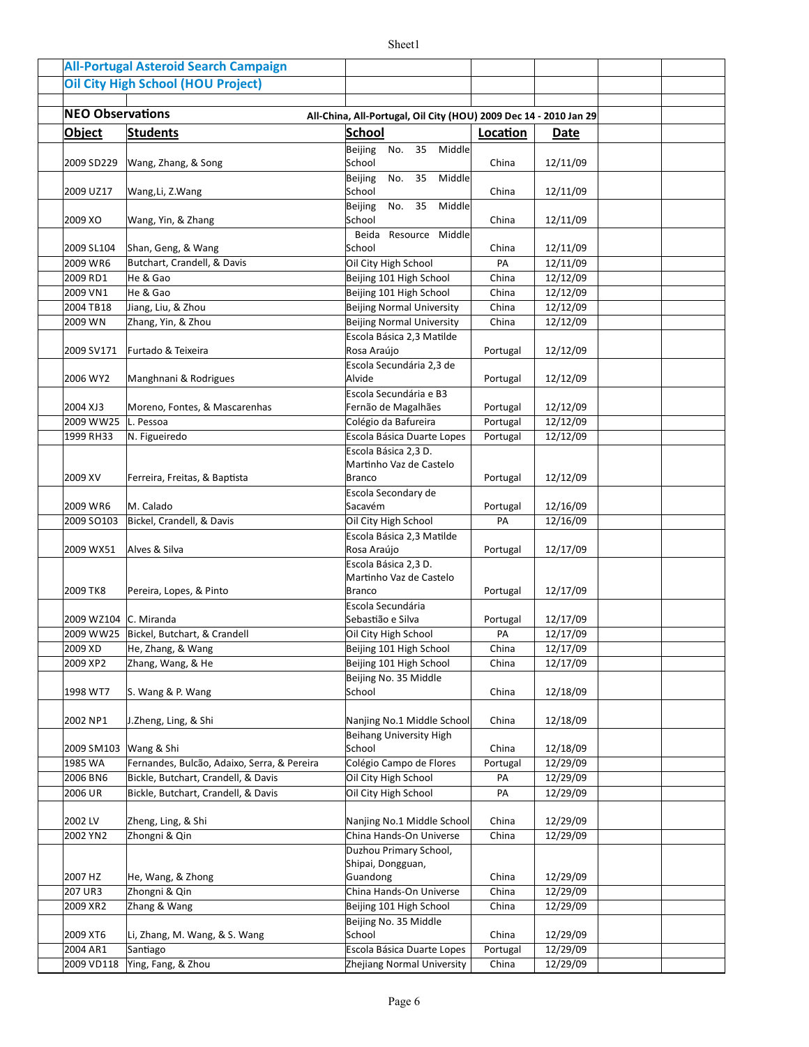|                         | <b>All-Portugal Asteroid Search Campaign</b> |                                                                   |          |          |  |
|-------------------------|----------------------------------------------|-------------------------------------------------------------------|----------|----------|--|
|                         | <b>Oil City High School (HOU Project)</b>    |                                                                   |          |          |  |
|                         |                                              |                                                                   |          |          |  |
| <b>NEO Observations</b> |                                              | All-China, All-Portugal, Oil City (HOU) 2009 Dec 14 - 2010 Jan 29 |          |          |  |
| <b>Object</b>           | <b>Students</b>                              | School                                                            | Location | Date     |  |
|                         |                                              | Beijing<br>No. 35<br>Middle                                       |          |          |  |
| 2009 SD229              | Wang, Zhang, & Song                          | School                                                            | China    | 12/11/09 |  |
| 2009 UZ17               | Wang, Li, Z.Wang                             | Middle<br><b>Beijing</b><br>No.<br>35<br>School                   | China    | 12/11/09 |  |
|                         |                                              | 35<br>Middle<br><b>Beijing</b><br>No.                             |          |          |  |
| 2009 XO                 | Wang, Yin, & Zhang                           | School<br>Beida Resource Middle                                   | China    | 12/11/09 |  |
| 2009 SL104              | Shan, Geng, & Wang                           | School                                                            | China    | 12/11/09 |  |
| 2009 WR6                | Butchart, Crandell, & Davis                  | Oil City High School                                              | PA       | 12/11/09 |  |
| 2009 RD1                | He & Gao                                     | Beijing 101 High School                                           | China    | 12/12/09 |  |
| 2009 VN1                | He & Gao                                     | Beijing 101 High School                                           | China    | 12/12/09 |  |
| 2004 TB18               | Jiang, Liu, & Zhou                           | <b>Beijing Normal University</b>                                  | China    | 12/12/09 |  |
| 2009 WN                 | Zhang, Yin, & Zhou                           | <b>Beijing Normal University</b>                                  | China    | 12/12/09 |  |
|                         |                                              | Escola Básica 2,3 Matilde                                         |          |          |  |
| 2009 SV171              | Furtado & Teixeira                           | Rosa Araújo                                                       | Portugal | 12/12/09 |  |
|                         |                                              | Escola Secundária 2,3 de                                          |          |          |  |
| 2006 WY2                | Manghnani & Rodrigues                        | Alvide                                                            | Portugal | 12/12/09 |  |
|                         |                                              | Escola Secundária e B3                                            |          |          |  |
| 2004 XJ3                | Moreno, Fontes, & Mascarenhas                | Fernão de Magalhães                                               | Portugal | 12/12/09 |  |
| 2009 WW25               | L. Pessoa                                    | Colégio da Bafureira                                              | Portugal | 12/12/09 |  |
| 1999 RH33               | N. Figueiredo                                | Escola Básica Duarte Lopes                                        | Portugal | 12/12/09 |  |
|                         |                                              | Escola Básica 2,3 D.                                              |          |          |  |
|                         |                                              | Martinho Vaz de Castelo                                           |          |          |  |
| 2009 XV                 | Ferreira, Freitas, & Baptista                | <b>Branco</b>                                                     | Portugal | 12/12/09 |  |
|                         |                                              | Escola Secondary de                                               |          |          |  |
| 2009 WR6                | M. Calado                                    | Sacavém                                                           | Portugal | 12/16/09 |  |
| 2009 SO103              | Bickel, Crandell, & Davis                    | Oil City High School                                              | PA       | 12/16/09 |  |
|                         |                                              | Escola Básica 2,3 Matilde                                         |          |          |  |
| 2009 WX51               | Alves & Silva                                | Rosa Araújo                                                       | Portugal | 12/17/09 |  |
|                         |                                              | Escola Básica 2,3 D.                                              |          |          |  |
|                         |                                              | Martinho Vaz de Castelo                                           |          |          |  |
| 2009 TK8                | Pereira, Lopes, & Pinto                      | <b>Branco</b>                                                     | Portugal | 12/17/09 |  |
|                         |                                              | Escola Secundária                                                 |          |          |  |
| 2009 WZ104 C. Miranda   |                                              | Sebastião e Silva                                                 | Portugal | 12/17/09 |  |
| 2009 WW25               | Bickel, Butchart, & Crandell                 | Oil City High School                                              | PA       | 12/17/09 |  |
| 2009 XD                 | He, Zhang, & Wang                            | Beijing 101 High School                                           | China    | 12/17/09 |  |
| 2009 XP2                | Zhang, Wang, & He                            | Beijing 101 High School                                           | China    | 12/17/09 |  |
|                         |                                              | Beijing No. 35 Middle                                             |          |          |  |
| 1998 WT7                | S. Wang & P. Wang                            | School                                                            | China    | 12/18/09 |  |
|                         |                                              |                                                                   |          |          |  |
| 2002 NP1                | J.Zheng, Ling, & Shi                         | Nanjing No.1 Middle School                                        | China    | 12/18/09 |  |
|                         |                                              | <b>Beihang University High</b>                                    |          |          |  |
| 2009 SM103              | Wang & Shi                                   | School                                                            | China    | 12/18/09 |  |
| 1985 WA                 | Fernandes, Bulcão, Adaixo, Serra, & Pereira  | Colégio Campo de Flores                                           | Portugal | 12/29/09 |  |
| 2006 BN6                | Bickle, Butchart, Crandell, & Davis          | Oil City High School                                              | PA       | 12/29/09 |  |
| 2006 UR                 | Bickle, Butchart, Crandell, & Davis          | Oil City High School                                              | PA       | 12/29/09 |  |
|                         |                                              |                                                                   |          |          |  |
| 2002 LV                 | Zheng, Ling, & Shi                           | Nanjing No.1 Middle School                                        | China    | 12/29/09 |  |
| 2002 YN2                | Zhongni & Qin                                | China Hands-On Universe                                           | China    | 12/29/09 |  |
|                         |                                              | Duzhou Primary School,                                            |          |          |  |
|                         |                                              | Shipai, Dongguan,                                                 |          |          |  |
| 2007 HZ                 | He, Wang, & Zhong                            | Guandong                                                          | China    | 12/29/09 |  |
| 207 UR3                 | Zhongni & Qin                                | China Hands-On Universe                                           | China    | 12/29/09 |  |
| 2009 XR2                | Zhang & Wang                                 | Beijing 101 High School                                           | China    | 12/29/09 |  |
|                         |                                              | Beijing No. 35 Middle                                             |          |          |  |
| 2009 XT6                | Li, Zhang, M. Wang, & S. Wang                | School                                                            | China    | 12/29/09 |  |
| 2004 AR1                | Santiago                                     | Escola Básica Duarte Lopes                                        | Portugal | 12/29/09 |  |
| 2009 VD118              | Ying, Fang, & Zhou                           | Zhejiang Normal University                                        | China    | 12/29/09 |  |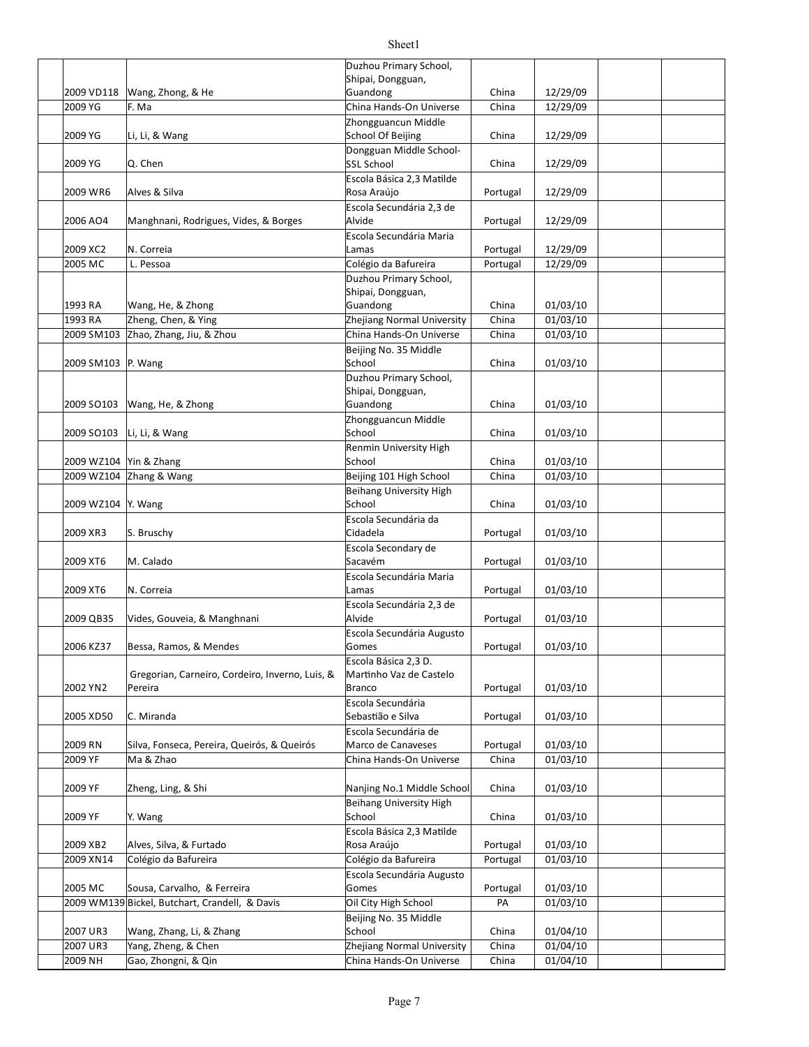| 2009 VD118             | Wang, Zhong, & He                               | Duzhou Primary School,<br>Shipai, Dongguan,<br>Guandong | China    | 12/29/09 |  |
|------------------------|-------------------------------------------------|---------------------------------------------------------|----------|----------|--|
| 2009 YG                | F. Ma                                           | China Hands-On Universe                                 | China    | 12/29/09 |  |
|                        |                                                 | Zhongguancun Middle                                     |          |          |  |
| 2009 YG                | Li, Li, & Wang                                  | School Of Beijing                                       | China    | 12/29/09 |  |
| 2009 YG                | Q. Chen                                         | Dongguan Middle School-<br>SSL School                   | China    | 12/29/09 |  |
| 2009 WR6               | Alves & Silva                                   | Escola Básica 2,3 Matilde<br>Rosa Araújo                | Portugal | 12/29/09 |  |
| 2006 AO4               | Manghnani, Rodrigues, Vides, & Borges           | Escola Secundária 2,3 de<br>Alvide                      | Portugal | 12/29/09 |  |
| 2009 XC2               | N. Correia                                      | Escola Secundária Maria<br>Lamas                        | Portugal | 12/29/09 |  |
| 2005 MC                | L. Pessoa                                       | Colégio da Bafureira                                    | Portugal | 12/29/09 |  |
|                        |                                                 | Duzhou Primary School,                                  |          |          |  |
|                        |                                                 | Shipai, Dongguan,                                       |          |          |  |
| 1993 RA                | Wang, He, & Zhong                               | Guandong                                                | China    | 01/03/10 |  |
| 1993 RA                | Zheng, Chen, & Ying                             | Zhejiang Normal University                              | China    | 01/03/10 |  |
| 2009 SM103             | Zhao, Zhang, Jiu, & Zhou                        | China Hands-On Universe                                 | China    | 01/03/10 |  |
|                        |                                                 | Beijing No. 35 Middle                                   |          |          |  |
| 2009 SM103 P. Wang     |                                                 | School                                                  | China    | 01/03/10 |  |
|                        |                                                 | Duzhou Primary School,                                  |          |          |  |
|                        |                                                 | Shipai, Dongguan,                                       |          |          |  |
| 2009 SO103             | Wang, He, & Zhong                               | Guandong                                                | China    | 01/03/10 |  |
| 2009 SO103             | Li, Li, & Wang                                  | Zhongguancun Middle<br>School                           | China    | 01/03/10 |  |
|                        |                                                 | Renmin University High                                  |          |          |  |
| 2009 WZ104 Yin & Zhang |                                                 | School                                                  | China    | 01/03/10 |  |
|                        | 2009 WZ104 Zhang & Wang                         | Beijing 101 High School                                 | China    | 01/03/10 |  |
|                        |                                                 | Beihang University High                                 |          |          |  |
| 2009 WZ104 Y. Wang     |                                                 | School                                                  | China    | 01/03/10 |  |
| 2009 XR3               | S. Bruschy                                      | Escola Secundária da<br>Cidadela                        | Portugal | 01/03/10 |  |
|                        |                                                 | Escola Secondary de                                     |          |          |  |
| 2009 XT6               | M. Calado                                       | Sacavém                                                 | Portugal | 01/03/10 |  |
|                        |                                                 | Escola Secundária Maria                                 |          |          |  |
| 2009 XT6               | N. Correia                                      | Lamas                                                   | Portugal | 01/03/10 |  |
| 2009 QB35              | Vides, Gouveia, & Manghnani                     | Escola Secundária 2,3 de<br>Alvide                      | Portugal | 01/03/10 |  |
|                        |                                                 | Escola Secundária Augusto                               |          |          |  |
| 2006 KZ37              | Bessa, Ramos, & Mendes                          | Gomes                                                   | Portugal | 01/03/10 |  |
|                        |                                                 | Escola Básica 2,3 D.                                    |          |          |  |
|                        | Gregorian, Carneiro, Cordeiro, Inverno, Luis, & | Martinho Vaz de Castelo                                 |          |          |  |
| 2002 YN2               | Pereira                                         | <b>Branco</b>                                           | Portugal | 01/03/10 |  |
| 2005 XD50              | C. Miranda                                      | Escola Secundária<br>Sebastião e Silva                  | Portugal | 01/03/10 |  |
|                        |                                                 | Escola Secundária de                                    |          |          |  |
| 2009 RN                | Silva, Fonseca, Pereira, Queirós, & Queirós     | Marco de Canaveses                                      | Portugal | 01/03/10 |  |
| 2009 YF                | Ma & Zhao                                       | China Hands-On Universe                                 | China    | 01/03/10 |  |
|                        |                                                 |                                                         |          |          |  |
| 2009 YF                | Zheng, Ling, & Shi                              | Nanjing No.1 Middle School                              | China    | 01/03/10 |  |
|                        |                                                 | Beihang University High                                 |          |          |  |
| 2009 YF                | Y. Wang                                         | School                                                  | China    | 01/03/10 |  |
|                        |                                                 | Escola Básica 2,3 Matilde                               |          |          |  |
| 2009 XB2               | Alves, Silva, & Furtado                         | Rosa Araújo                                             | Portugal | 01/03/10 |  |
| 2009 XN14              | Colégio da Bafureira                            | Colégio da Bafureira                                    | Portugal | 01/03/10 |  |
| 2005 MC                |                                                 | Escola Secundária Augusto                               |          |          |  |
|                        | Sousa, Carvalho, & Ferreira                     | Gomes                                                   | Portugal | 01/03/10 |  |
|                        | 2009 WM139 Bickel, Butchart, Crandell, & Davis  | Oil City High School                                    | PA       | 01/03/10 |  |
| 2007 UR3               | Wang, Zhang, Li, & Zhang                        | Beijing No. 35 Middle<br>School                         | China    | 01/04/10 |  |
| 2007 UR3               | Yang, Zheng, & Chen                             | Zhejiang Normal University                              | China    | 01/04/10 |  |
| 2009 NH                | Gao, Zhongni, & Qin                             | China Hands-On Universe                                 | China    | 01/04/10 |  |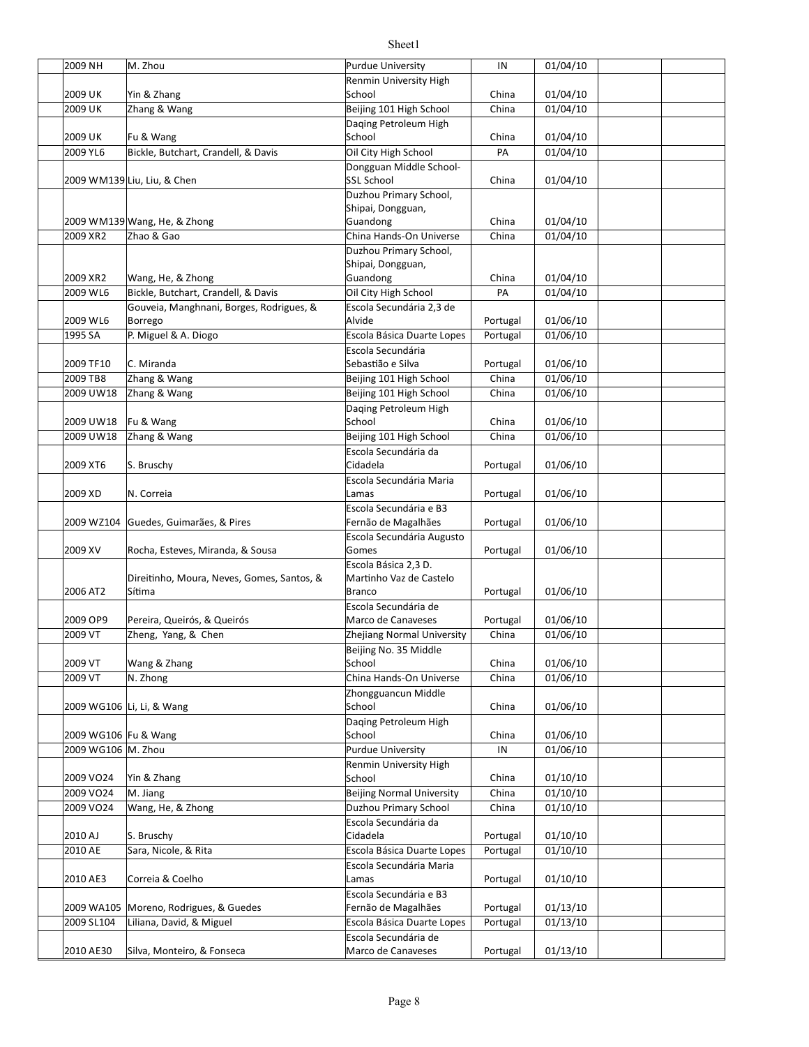| 2009 NH               | M. Zhou                                            | Purdue University                                | IN                | 01/04/10             |  |
|-----------------------|----------------------------------------------------|--------------------------------------------------|-------------------|----------------------|--|
|                       |                                                    | Renmin University High                           |                   |                      |  |
| 2009 UK               | Yin & Zhang                                        | School                                           | China             | 01/04/10             |  |
| 2009 UK               | Zhang & Wang                                       | Beijing 101 High School                          | China             | 01/04/10             |  |
|                       |                                                    | Daqing Petroleum High                            |                   |                      |  |
| 2009 UK               | Fu & Wang                                          | School                                           | China             | 01/04/10             |  |
| 2009 YL6              | Bickle, Butchart, Crandell, & Davis                | Oil City High School                             | PA                | 01/04/10             |  |
|                       |                                                    | Dongguan Middle School-<br><b>SSL School</b>     |                   |                      |  |
|                       | 2009 WM139 Liu, Liu, & Chen                        | Duzhou Primary School,                           | China             | 01/04/10             |  |
|                       |                                                    | Shipai, Dongguan,                                |                   |                      |  |
|                       | 2009 WM139 Wang, He, & Zhong                       | Guandong                                         | China             | 01/04/10             |  |
| 2009 XR2              | Zhao & Gao                                         | China Hands-On Universe                          | China             | 01/04/10             |  |
|                       |                                                    | Duzhou Primary School,                           |                   |                      |  |
|                       |                                                    | Shipai, Dongguan,                                |                   |                      |  |
| 2009 XR2              | Wang, He, & Zhong                                  | Guandong                                         | China             | 01/04/10             |  |
| 2009 WL6              | Bickle, Butchart, Crandell, & Davis                | Oil City High School                             | PA                | 01/04/10             |  |
|                       | Gouveia, Manghnani, Borges, Rodrigues, &           | Escola Secundária 2,3 de                         |                   |                      |  |
| 2009 WL6              | Borrego                                            | Alvide                                           | Portugal          | 01/06/10             |  |
| 1995 SA               | P. Miguel & A. Diogo                               | Escola Básica Duarte Lopes                       | Portugal          | 01/06/10             |  |
|                       |                                                    | Escola Secundária                                |                   |                      |  |
| 2009 TF10<br>2009 TB8 | C. Miranda                                         | Sebastião e Silva                                | Portugal          | 01/06/10             |  |
|                       | Zhang & Wang                                       | Beijing 101 High School                          | China<br>China    | 01/06/10             |  |
| 2009 UW18             | Zhang & Wang                                       | Beijing 101 High School<br>Daqing Petroleum High |                   | 01/06/10             |  |
| 2009 UW18             | Fu & Wang                                          | School                                           | China             | 01/06/10             |  |
| 2009 UW18             | Zhang & Wang                                       | Beijing 101 High School                          | China             | 01/06/10             |  |
|                       |                                                    | Escola Secundária da                             |                   |                      |  |
| 2009 XT6              | S. Bruschy                                         | Cidadela                                         | Portugal          | 01/06/10             |  |
|                       |                                                    | Escola Secundária Maria                          |                   |                      |  |
| 2009 XD               | N. Correia                                         | Lamas                                            | Portugal          | 01/06/10             |  |
|                       |                                                    | Escola Secundária e B3                           |                   |                      |  |
|                       | 2009 WZ104 Guedes, Guimarães, & Pires              | Fernão de Magalhães                              | Portugal          | 01/06/10             |  |
|                       |                                                    | Escola Secundária Augusto                        |                   |                      |  |
| 2009 XV               | Rocha, Esteves, Miranda, & Sousa                   | Gomes                                            | Portugal          | 01/06/10             |  |
|                       |                                                    | Escola Básica 2,3 D.                             |                   |                      |  |
|                       | Direitinho, Moura, Neves, Gomes, Santos, &         | Martinho Vaz de Castelo                          |                   |                      |  |
| 2006 AT2              | Sítima                                             | <b>Branco</b>                                    | Portugal          | 01/06/10             |  |
| 2009 OP9              |                                                    | Escola Secundária de<br>Marco de Canaveses       |                   |                      |  |
| 2009 VT               | Pereira, Queirós, & Queirós<br>Zheng, Yang, & Chen | Zhejiang Normal University                       | Portugal<br>China | 01/06/10<br>01/06/10 |  |
|                       |                                                    | Beijing No. 35 Middle                            |                   |                      |  |
| 2009 VT               | Wang & Zhang                                       | School                                           | China             | 01/06/10             |  |
| 2009 VT               | N. Zhong                                           | China Hands-On Universe                          | China             | 01/06/10             |  |
|                       |                                                    | Zhongguancun Middle                              |                   |                      |  |
|                       | 2009 WG106 Li, Li, & Wang                          | School                                           | China             | 01/06/10             |  |
|                       |                                                    | Daqing Petroleum High                            |                   |                      |  |
| 2009 WG106 Fu & Wang  |                                                    | School                                           | China             | 01/06/10             |  |
| 2009 WG106 M. Zhou    |                                                    | <b>Purdue University</b>                         | IN                | 01/06/10             |  |
|                       |                                                    | Renmin University High                           |                   |                      |  |
| 2009 VO24             | Yin & Zhang                                        | School                                           | China             | 01/10/10             |  |
| 2009 VO24             | M. Jiang                                           | <b>Beijing Normal University</b>                 | China             | 01/10/10             |  |
| 2009 VO24             | Wang, He, & Zhong                                  | Duzhou Primary School                            | China             | 01/10/10             |  |
|                       |                                                    | Escola Secundária da                             |                   |                      |  |
| 2010 AJ               | S. Bruschy                                         | Cidadela                                         | Portugal          | 01/10/10             |  |
| 2010 AE               | Sara, Nicole, & Rita                               | Escola Básica Duarte Lopes                       | Portugal          | 01/10/10             |  |
|                       |                                                    | Escola Secundária Maria                          |                   |                      |  |
| 2010 AE3              | Correia & Coelho                                   | Lamas                                            | Portugal          | 01/10/10             |  |
|                       |                                                    | Escola Secundária e B3                           |                   |                      |  |
|                       | 2009 WA105 Moreno, Rodrigues, & Guedes             | Fernão de Magalhães                              | Portugal          | 01/13/10             |  |
| 2009 SL104            | Liliana, David, & Miguel                           | Escola Básica Duarte Lopes                       | Portugal          | 01/13/10             |  |
|                       |                                                    | Escola Secundária de                             |                   |                      |  |
| 2010 AE30             | Silva, Monteiro, & Fonseca                         | Marco de Canaveses                               | Portugal          | 01/13/10             |  |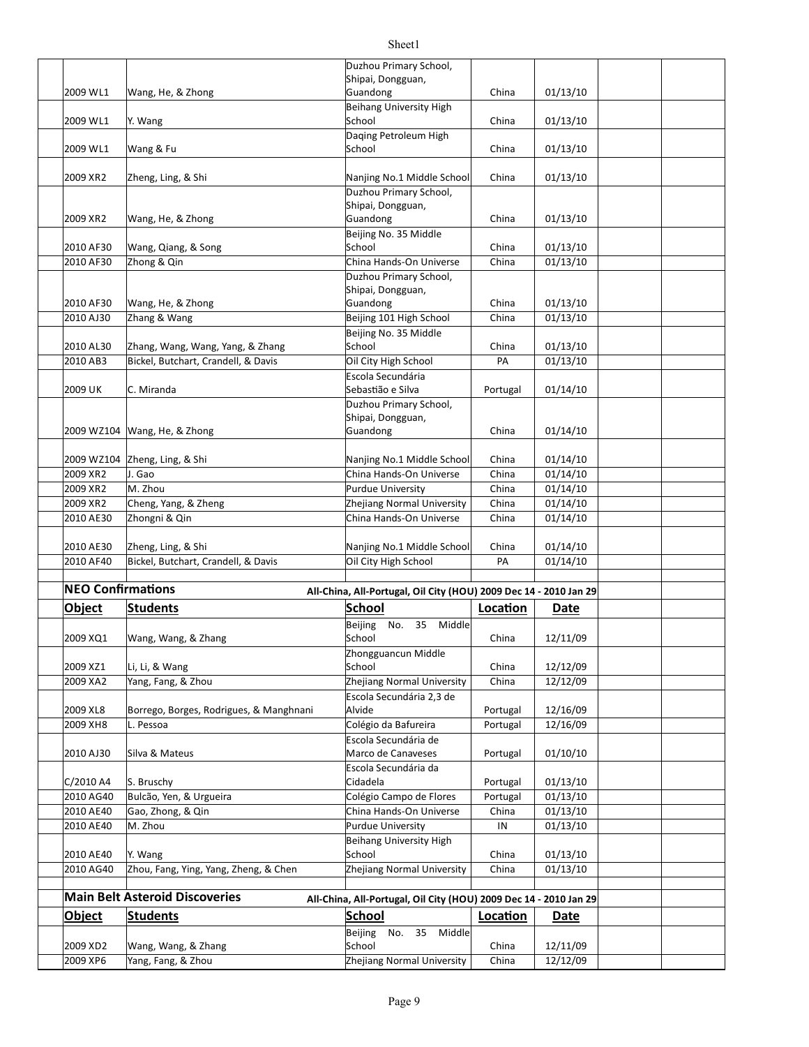| Object<br>2009 XD2       | <b>Main Belt Asteroid Discoveries</b><br><b>Students</b><br>Wang, Wang, & Zhang | All-China, All-Portugal, Oil City (HOU) 2009 Dec 14 - 2010 Jan 29<br><b>School</b><br>35<br>Beijing<br>No.<br>Middle<br>School | Location<br>China | Date<br>12/11/09     |  |
|--------------------------|---------------------------------------------------------------------------------|--------------------------------------------------------------------------------------------------------------------------------|-------------------|----------------------|--|
|                          |                                                                                 |                                                                                                                                |                   |                      |  |
|                          |                                                                                 |                                                                                                                                |                   |                      |  |
|                          |                                                                                 |                                                                                                                                |                   |                      |  |
|                          |                                                                                 |                                                                                                                                |                   |                      |  |
| 2010 AG40                | Zhou, Fang, Ying, Yang, Zheng, & Chen                                           | Zhejiang Normal University                                                                                                     | China             | 01/13/10             |  |
| 2010 AE40                | Y. Wang                                                                         | School                                                                                                                         | China             | 01/13/10             |  |
|                          |                                                                                 | Beihang University High                                                                                                        |                   |                      |  |
| 2010 AE40                | M. Zhou                                                                         | Purdue University                                                                                                              | IN                | 01/13/10             |  |
| 2010 AE40                | Gao, Zhong, & Qin                                                               | China Hands-On Universe                                                                                                        | China             | 01/13/10             |  |
| 2010 AG40                | Bulcão, Yen, & Urgueira                                                         | Colégio Campo de Flores                                                                                                        | Portugal          | 01/13/10             |  |
| C/2010 A4                | S. Bruschy                                                                      | Escola Secundária da<br>Cidadela                                                                                               | Portugal          | 01/13/10             |  |
| 2010 AJ30                | Silva & Mateus                                                                  | Marco de Canaveses                                                                                                             | Portugal          | 01/10/10             |  |
|                          |                                                                                 | Escola Secundária de                                                                                                           |                   |                      |  |
| 2009 XH8                 | L. Pessoa                                                                       | Colégio da Bafureira                                                                                                           | Portugal          | 12/16/09             |  |
| 2009 XL8                 | Borrego, Borges, Rodrigues, & Manghnani                                         | Alvide                                                                                                                         | Portugal          | 12/16/09             |  |
|                          |                                                                                 | Escola Secundária 2,3 de                                                                                                       |                   |                      |  |
| 2009 XA2                 | Yang, Fang, & Zhou                                                              | Zhejiang Normal University                                                                                                     | China             | 12/12/09             |  |
| 2009 XZ1                 | Li, Li, & Wang                                                                  | Zhongguancun Middle<br>School                                                                                                  | China             | 12/12/09             |  |
| 2009 XQ1                 | Wang, Wang, & Zhang                                                             | School                                                                                                                         | China             | 12/11/09             |  |
|                          |                                                                                 | Beijing<br>35 Middle<br>No.                                                                                                    |                   |                      |  |
| Object                   | <b>Students</b>                                                                 | <b>School</b>                                                                                                                  | Location          | Date                 |  |
| <b>NEO Confirmations</b> |                                                                                 | All-China, All-Portugal, Oil City (HOU) 2009 Dec 14 - 2010 Jan 29                                                              |                   |                      |  |
|                          |                                                                                 |                                                                                                                                |                   |                      |  |
| 2010 AF40                | Bickel, Butchart, Crandell, & Davis                                             | Oil City High School                                                                                                           | PA                | 01/14/10             |  |
| 2010 AE30                | Zheng, Ling, & Shi                                                              | Nanjing No.1 Middle School                                                                                                     | China             | 01/14/10             |  |
|                          |                                                                                 |                                                                                                                                |                   |                      |  |
| 2010 AE30                | Zhongni & Qin                                                                   | China Hands-On Universe                                                                                                        | China             | 01/14/10             |  |
| 2009 XR2                 | Cheng, Yang, & Zheng                                                            | <b>Purdue University</b><br>Zhejiang Normal University                                                                         | China             | 01/14/10             |  |
| 2009 XR2<br>2009 XR2     | J. Gao<br>M. Zhou                                                               |                                                                                                                                | China             | 01/14/10<br>01/14/10 |  |
|                          | 2009 WZ104 Zheng, Ling, & Shi                                                   | Nanjing No.1 Middle School<br>China Hands-On Universe                                                                          | China<br>China    | 01/14/10             |  |
|                          |                                                                                 |                                                                                                                                |                   |                      |  |
|                          | 2009 WZ104 Wang, He, & Zhong                                                    | Guandong                                                                                                                       | China             | 01/14/10             |  |
|                          |                                                                                 | Shipai, Dongguan,                                                                                                              |                   |                      |  |
| 2009 UK                  | C. Miranda                                                                      | Sebastião e Silva<br>Duzhou Primary School,                                                                                    | Portugal          | 01/14/10             |  |
|                          |                                                                                 | Escola Secundária                                                                                                              |                   |                      |  |
| 2010 AB3                 | Bickel, Butchart, Crandell, & Davis                                             | Oil City High School                                                                                                           | PA                | 01/13/10             |  |
| 2010 AL30                | Zhang, Wang, Wang, Yang, & Zhang                                                | School                                                                                                                         | China             | 01/13/10             |  |
|                          |                                                                                 | Beijing No. 35 Middle                                                                                                          |                   |                      |  |
| 2010 AJ30                | Zhang & Wang                                                                    | Beijing 101 High School                                                                                                        | China             | 01/13/10             |  |
| 2010 AF30                | Wang, He, & Zhong                                                               | Guandong                                                                                                                       | China             | 01/13/10             |  |
|                          |                                                                                 | Duzhou Primary School,<br>Shipai, Dongguan,                                                                                    |                   |                      |  |
| 2010 AF30                | Zhong & Qin                                                                     | China Hands-On Universe                                                                                                        | China             | 01/13/10             |  |
| 2010 AF30                | Wang, Qiang, & Song                                                             | School                                                                                                                         | China             | 01/13/10             |  |
|                          |                                                                                 | Beijing No. 35 Middle                                                                                                          |                   |                      |  |
| 2009 XR2                 | Wang, He, & Zhong                                                               | Guandong                                                                                                                       | China             | 01/13/10             |  |
|                          |                                                                                 | Shipai, Dongguan,                                                                                                              |                   |                      |  |
| 2009 XR2                 | Zheng, Ling, & Shi                                                              | Nanjing No.1 Middle School<br>Duzhou Primary School,                                                                           | China             | 01/13/10             |  |
|                          |                                                                                 |                                                                                                                                |                   |                      |  |
| 2009 WL1                 | Wang & Fu                                                                       | School                                                                                                                         | China             | 01/13/10             |  |
|                          |                                                                                 | Daqing Petroleum High                                                                                                          |                   |                      |  |
| 2009 WL1                 | Y. Wang                                                                         | School                                                                                                                         | China             | 01/13/10             |  |
| 2009 WL1                 | Wang, He, & Zhong                                                               | Guandong<br>Beihang University High                                                                                            | China             | 01/13/10             |  |
|                          |                                                                                 | Shipai, Dongguan,                                                                                                              |                   |                      |  |
|                          |                                                                                 | Duzhou Primary School,                                                                                                         |                   |                      |  |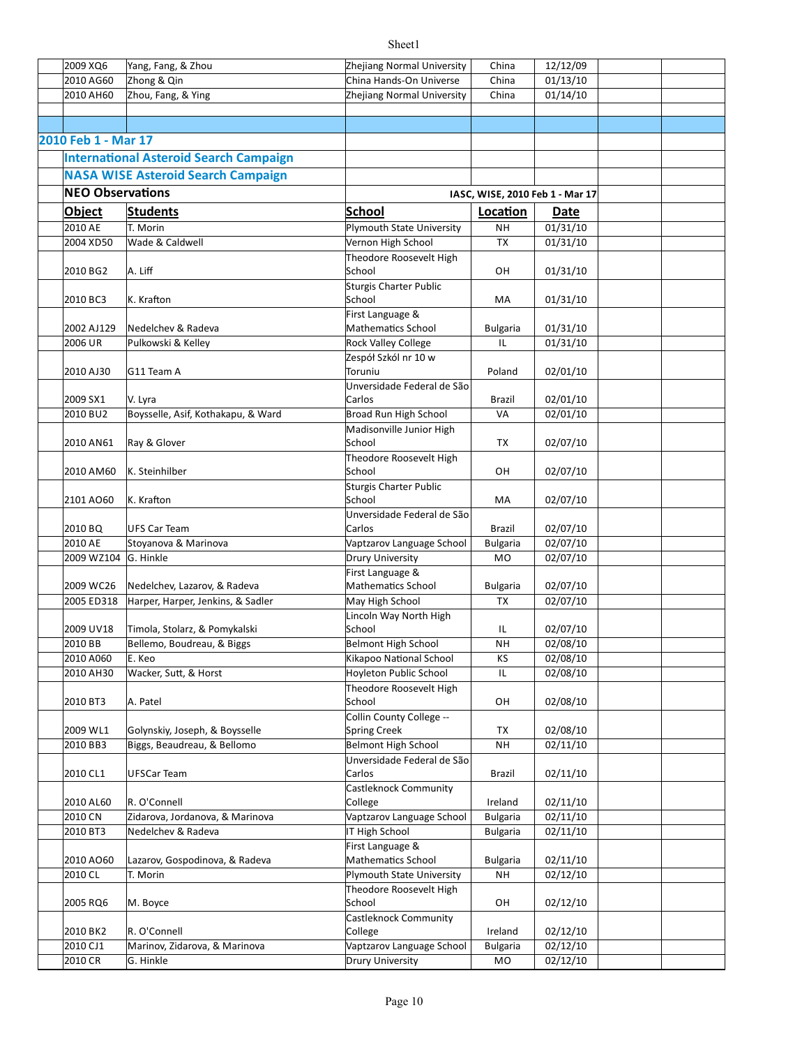| 2009 XQ6                | Yang, Fang, & Zhou                            | Zhejiang Normal University       | China                           | 12/12/09 |  |
|-------------------------|-----------------------------------------------|----------------------------------|---------------------------------|----------|--|
| 2010 AG60               | Zhong & Qin                                   | China Hands-On Universe          | China                           | 01/13/10 |  |
|                         |                                               |                                  |                                 |          |  |
| 2010 AH60               | Zhou, Fang, & Ying                            | Zhejiang Normal University       | China                           | 01/14/10 |  |
|                         |                                               |                                  |                                 |          |  |
|                         |                                               |                                  |                                 |          |  |
| 2010 Feb 1 - Mar 17     |                                               |                                  |                                 |          |  |
|                         | <b>International Asteroid Search Campaign</b> |                                  |                                 |          |  |
|                         | <b>NASA WISE Asteroid Search Campaign</b>     |                                  |                                 |          |  |
| <b>NEO Observations</b> |                                               |                                  | IASC, WISE, 2010 Feb 1 - Mar 17 |          |  |
|                         |                                               |                                  |                                 |          |  |
| <b>Object</b>           | <b>Students</b>                               | <b>School</b>                    | Location                        | Date     |  |
| 2010 AE                 | T. Morin                                      | <b>Plymouth State University</b> | <b>NH</b>                       | 01/31/10 |  |
| 2004 XD50               | Wade & Caldwell                               | Vernon High School               | <b>TX</b>                       | 01/31/10 |  |
|                         |                                               | Theodore Roosevelt High          |                                 |          |  |
| 2010 BG2                | A. Liff                                       | School                           | OН                              | 01/31/10 |  |
|                         |                                               | <b>Sturgis Charter Public</b>    |                                 |          |  |
| 2010 BC3                | K. Krafton                                    | School                           | МA                              | 01/31/10 |  |
|                         |                                               | First Language &                 |                                 |          |  |
| 2002 AJ129              | Nedelchev & Radeva                            | <b>Mathematics School</b>        | <b>Bulgaria</b>                 | 01/31/10 |  |
| 2006 UR                 | Pulkowski & Kelley                            | Rock Valley College              | IL                              | 01/31/10 |  |
|                         |                                               | Zespół Szkól nr 10 w             |                                 |          |  |
| 2010 AJ30               | G11 Team A                                    | Toruniu                          | Poland                          | 02/01/10 |  |
|                         |                                               | Unversidade Federal de São       |                                 |          |  |
| 2009 SX1                | V. Lyra                                       | Carlos                           | Brazil                          | 02/01/10 |  |
| 2010 BU2                | Boysselle, Asif, Kothakapu, & Ward            | Broad Run High School            | VA                              | 02/01/10 |  |
|                         |                                               | Madisonville Junior High         |                                 |          |  |
| 2010 AN61               | Ray & Glover                                  | School                           | ТX                              | 02/07/10 |  |
|                         |                                               | Theodore Roosevelt High          |                                 |          |  |
| 2010 AM60               | K. Steinhilber                                | School                           | OН                              | 02/07/10 |  |
|                         |                                               | <b>Sturgis Charter Public</b>    |                                 |          |  |
| 2101 AO60               | K. Krafton                                    | School                           | MA                              | 02/07/10 |  |
|                         |                                               | Unversidade Federal de São       |                                 |          |  |
| 2010 BQ                 | UFS Car Team                                  | Carlos                           | Brazil                          | 02/07/10 |  |
| 2010 AE                 | Stoyanova & Marinova                          | Vaptzarov Language School        | <b>Bulgaria</b>                 | 02/07/10 |  |
| 2009 WZ104 G. Hinkle    |                                               | Drury University                 | MO                              | 02/07/10 |  |
|                         |                                               | First Language &                 |                                 |          |  |
| 2009 WC26               | Nedelchev, Lazarov, & Radeva                  | Mathematics School               | <b>Bulgaria</b>                 | 02/07/10 |  |
| 2005 ED318              | Harper, Harper, Jenkins, & Sadler             | May High School                  | <b>TX</b>                       | 02/07/10 |  |
|                         |                                               | Lincoln Way North High           |                                 |          |  |
| 2009 UV18               | Timola, Stolarz, & Pomykalski                 | School                           | IL                              | 02/07/10 |  |
| 2010 BB                 | Bellemo, Boudreau, & Biggs                    | <b>Belmont High School</b>       | NΗ                              | 02/08/10 |  |
| 2010 A060               | E. Keo                                        | Kikapoo National School          | ΚS                              | 02/08/10 |  |
| 2010 AH30               | Wacker, Sutt, & Horst                         | Hoyleton Public School           | IL                              | 02/08/10 |  |
|                         |                                               | Theodore Roosevelt High          |                                 |          |  |
| 2010 BT3                | A. Patel                                      | School                           | OН                              | 02/08/10 |  |
|                         |                                               | Collin County College --         |                                 |          |  |
| 2009 WL1                | Golynskiy, Joseph, & Boysselle                | <b>Spring Creek</b>              | ТX                              | 02/08/10 |  |
| 2010 BB3                | Biggs, Beaudreau, & Bellomo                   | <b>Belmont High School</b>       | <b>NH</b>                       | 02/11/10 |  |
|                         |                                               | Unversidade Federal de São       |                                 |          |  |
| 2010 CL1                | UFSCar Team                                   | Carlos                           | Brazil                          | 02/11/10 |  |
|                         |                                               | Castleknock Community            |                                 |          |  |
| 2010 AL60               | R. O'Connell                                  | College                          | Ireland                         | 02/11/10 |  |
| 2010 CN                 | Zidarova, Jordanova, & Marinova               | Vaptzarov Language School        | <b>Bulgaria</b>                 | 02/11/10 |  |
| 2010 BT3                | Nedelchev & Radeva                            | IT High School                   | <b>Bulgaria</b>                 | 02/11/10 |  |
|                         |                                               | First Language &                 |                                 |          |  |
| 2010 AO60               | Lazarov, Gospodinova, & Radeva                | <b>Mathematics School</b>        | <b>Bulgaria</b>                 | 02/11/10 |  |
| 2010 CL                 | T. Morin                                      | Plymouth State University        | NΗ                              | 02/12/10 |  |
|                         |                                               | Theodore Roosevelt High          |                                 |          |  |
| 2005 RQ6                | M. Boyce                                      | School                           | OН                              | 02/12/10 |  |
|                         |                                               | Castleknock Community            |                                 |          |  |
| 2010 BK2                | R. O'Connell                                  | College                          | Ireland                         | 02/12/10 |  |
| 2010 CJ1                | Marinov, Zidarova, & Marinova                 | Vaptzarov Language School        | <b>Bulgaria</b>                 | 02/12/10 |  |
| 2010 CR                 | G. Hinkle                                     | Drury University                 | MO                              | 02/12/10 |  |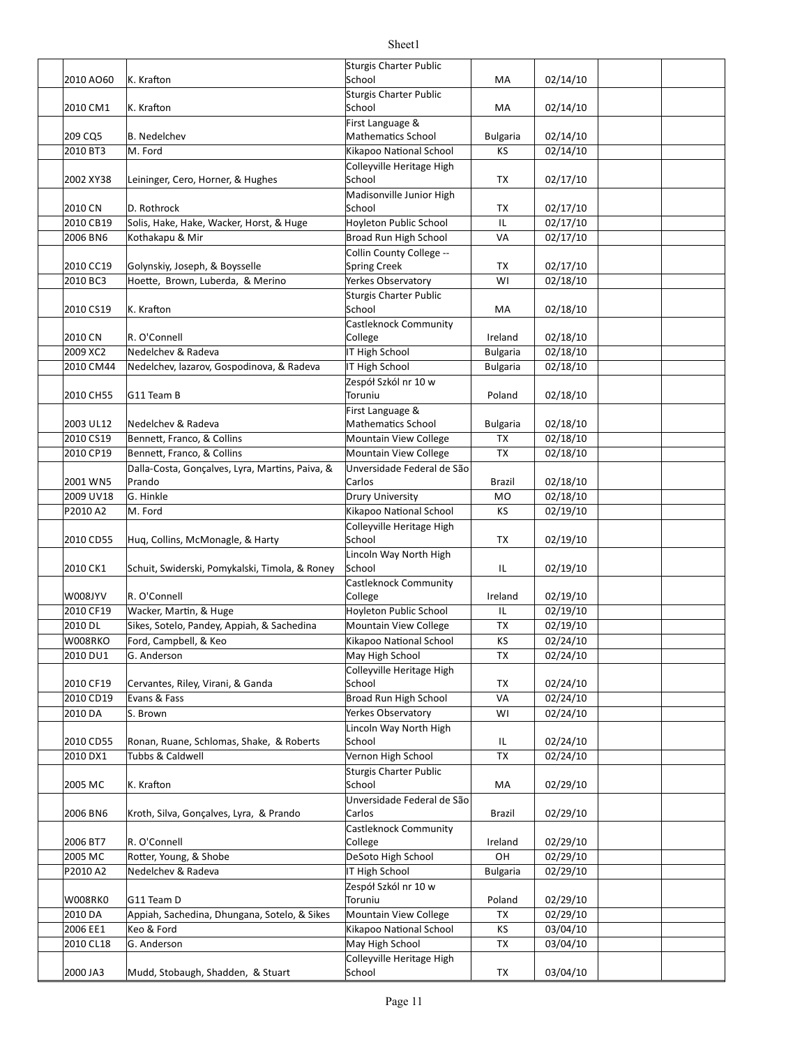| 2010 AO60              | K. Krafton                                                 | <b>Sturgis Charter Public</b><br>School            | МA                           | 02/14/10             |  |
|------------------------|------------------------------------------------------------|----------------------------------------------------|------------------------------|----------------------|--|
|                        |                                                            | Sturgis Charter Public                             |                              |                      |  |
| 2010 CM1               | K. Krafton                                                 | School<br>First Language &                         | MA                           | 02/14/10             |  |
| 209 CQ5                | <b>B.</b> Nedelchev                                        | <b>Mathematics School</b>                          | <b>Bulgaria</b>              | 02/14/10             |  |
| 2010 BT3               | M. Ford                                                    | Kikapoo National School                            | КS                           | 02/14/10             |  |
|                        |                                                            | Colleyville Heritage High                          |                              |                      |  |
| 2002 XY38              | Leininger, Cero, Horner, & Hughes                          | School                                             | TX                           | 02/17/10             |  |
|                        |                                                            | Madisonville Junior High                           |                              |                      |  |
| 2010 CN                | D. Rothrock                                                | School                                             | TX                           | 02/17/10             |  |
| 2010 CB19              | Solis, Hake, Hake, Wacker, Horst, & Huge                   | Hoyleton Public School                             | IL                           | 02/17/10             |  |
| 2006 BN6               | Kothakapu & Mir                                            | Broad Run High School                              | VA                           | 02/17/10             |  |
| 2010 CC19              | Golynskiy, Joseph, & Boysselle                             | Collin County College --<br><b>Spring Creek</b>    | TX                           | 02/17/10             |  |
| 2010 BC3               | Hoette, Brown, Luberda, & Merino                           | Yerkes Observatory                                 | WI                           | 02/18/10             |  |
|                        |                                                            | Sturgis Charter Public                             |                              |                      |  |
| 2010 CS19              | K. Krafton                                                 | School                                             | MA                           | 02/18/10             |  |
|                        |                                                            | Castleknock Community                              |                              |                      |  |
| 2010 CN                | R. O'Connell                                               | College                                            | Ireland                      | 02/18/10             |  |
| 2009 XC2               | Nedelchev & Radeva                                         | IT High School                                     | <b>Bulgaria</b>              | 02/18/10             |  |
| 2010 CM44              | Nedelchev, lazarov, Gospodinova, & Radeva                  | IT High School                                     | <b>Bulgaria</b>              | 02/18/10             |  |
|                        |                                                            | Zespół Szkól nr 10 w                               |                              |                      |  |
| 2010 CH55              | G11 Team B                                                 | Toruniu                                            | Poland                       | 02/18/10             |  |
|                        |                                                            | First Language &                                   |                              |                      |  |
| 2003 UL12<br>2010 CS19 | Nedelchev & Radeva<br>Bennett, Franco, & Collins           | <b>Mathematics School</b><br>Mountain View College | <b>Bulgaria</b><br><b>TX</b> | 02/18/10<br>02/18/10 |  |
| 2010 CP19              | Bennett, Franco, & Collins                                 | Mountain View College                              | TX                           | 02/18/10             |  |
|                        | Dalla-Costa, Gonçalves, Lyra, Martins, Paiva, &            | Unversidade Federal de São                         |                              |                      |  |
| 2001 WN5               | Prando                                                     | Carlos                                             | Brazil                       | 02/18/10             |  |
| 2009 UV18              | G. Hinkle                                                  | Drury University                                   | MO                           | 02/18/10             |  |
| P2010 A2               | M. Ford                                                    | Kikapoo National School                            | KS                           | 02/19/10             |  |
|                        |                                                            | Colleyville Heritage High                          |                              |                      |  |
| 2010 CD55              | Huq, Collins, McMonagle, & Harty                           | School                                             | TX                           | 02/19/10             |  |
|                        |                                                            | Lincoln Way North High                             |                              |                      |  |
| 2010 CK1               | Schuit, Swiderski, Pomykalski, Timola, & Roney             | School                                             | IL                           | 02/19/10             |  |
| W008JYV                | R. O'Connell                                               | Castleknock Community<br>College                   |                              |                      |  |
| 2010 CF19              | Wacker, Martin, & Huge                                     | Hoyleton Public School                             | Ireland<br>IL                | 02/19/10<br>02/19/10 |  |
| 2010 DL                | Sikes, Sotelo, Pandey, Appiah, & Sachedina                 | Mountain View College                              | <b>TX</b>                    | 02/19/10             |  |
| W008RKO                | Ford, Campbell, & Keo                                      | Kikapoo National School                            | KS                           | 02/24/10             |  |
| 2010 DU1               | G. Anderson                                                | May High School                                    | TX                           | 02/24/10             |  |
|                        |                                                            | Colleyville Heritage High                          |                              |                      |  |
| 2010 CF19              | Cervantes, Riley, Virani, & Ganda                          | School                                             | ТX                           | 02/24/10             |  |
| 2010 CD19              | Evans & Fass                                               | Broad Run High School                              | VA                           | 02/24/10             |  |
| 2010 DA                | S. Brown                                                   | Yerkes Observatory                                 | WI                           | 02/24/10             |  |
|                        |                                                            | Lincoln Way North High                             |                              |                      |  |
| 2010 CD55              | Ronan, Ruane, Schlomas, Shake, & Roberts                   | School                                             | IL                           | 02/24/10             |  |
| 2010 DX1               | Tubbs & Caldwell                                           | Vernon High School                                 | TX                           | 02/24/10             |  |
| 2005 MC                | K. Krafton                                                 | Sturgis Charter Public<br>School                   | MA                           | 02/29/10             |  |
|                        |                                                            | Unversidade Federal de São                         |                              |                      |  |
| 2006 BN6               | Kroth, Silva, Goncalves, Lyra, & Prando                    | Carlos                                             | Brazil                       | 02/29/10             |  |
|                        |                                                            | <b>Castleknock Community</b>                       |                              |                      |  |
| 2006 BT7               | R. O'Connell                                               | College                                            | Ireland                      | 02/29/10             |  |
| 2005 MC                | Rotter, Young, & Shobe                                     | DeSoto High School                                 | OH                           | 02/29/10             |  |
| P2010 A2               | Nedelchev & Radeva                                         | IT High School                                     | <b>Bulgaria</b>              | 02/29/10             |  |
|                        |                                                            | Zespół Szkól nr 10 w                               |                              |                      |  |
| <b>W008RK0</b>         | G11 Team D                                                 | Toruniu                                            | Poland                       | 02/29/10             |  |
| 2010 DA<br>2006 EE1    | Appiah, Sachedina, Dhungana, Sotelo, & Sikes<br>Keo & Ford | Mountain View College                              | TX<br>KS                     | 02/29/10             |  |
| 2010 CL18              | G. Anderson                                                | Kikapoo National School<br>May High School         | TX                           | 03/04/10<br>03/04/10 |  |
|                        |                                                            | Colleyville Heritage High                          |                              |                      |  |
| 2000 JA3               | Mudd, Stobaugh, Shadden, & Stuart                          | School                                             | TX                           | 03/04/10             |  |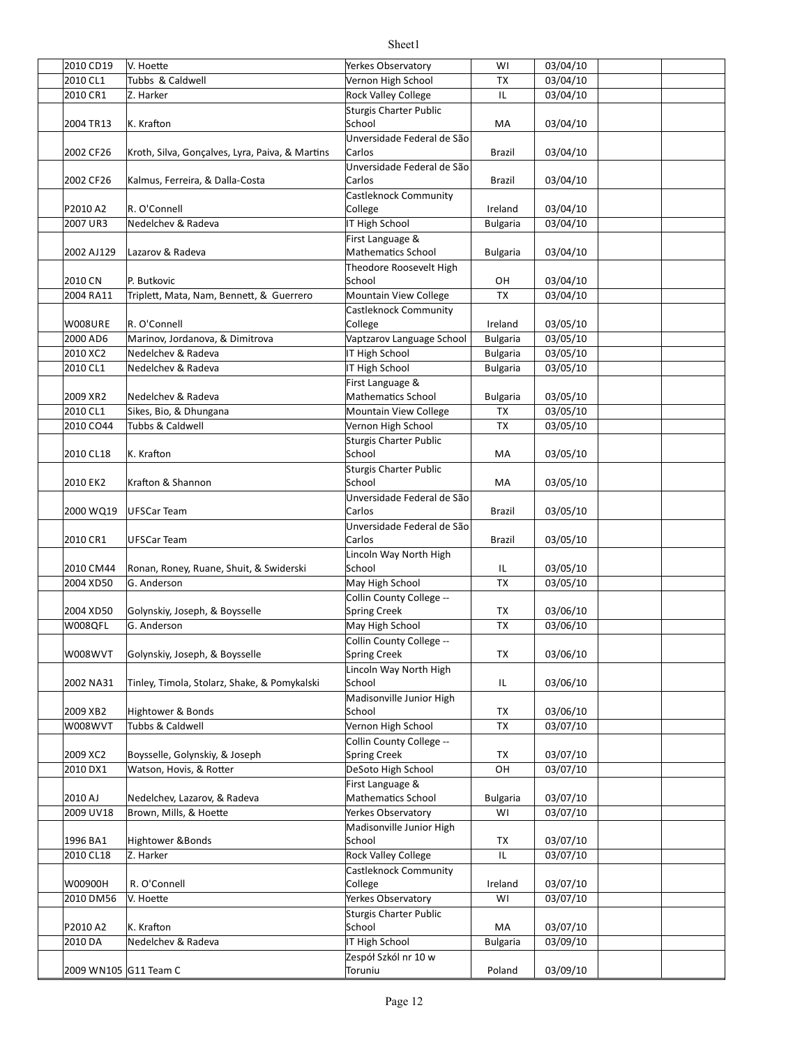| 2010 CD19  | V. Hoette                                       | Yerkes Observatory            | WI              | 03/04/10 |  |
|------------|-------------------------------------------------|-------------------------------|-----------------|----------|--|
| 2010 CL1   |                                                 | Vernon High School            |                 |          |  |
|            | Tubbs & Caldwell                                |                               | TX              | 03/04/10 |  |
| 2010 CR1   | Z. Harker                                       | <b>Rock Valley College</b>    | IL              | 03/04/10 |  |
|            |                                                 | <b>Sturgis Charter Public</b> |                 |          |  |
| 2004 TR13  | K. Krafton                                      | School                        | MA              | 03/04/10 |  |
|            |                                                 | Unversidade Federal de São    |                 |          |  |
| 2002 CF26  | Kroth, Silva, Gonçalves, Lyra, Paiva, & Martins | Carlos                        | <b>Brazil</b>   | 03/04/10 |  |
|            |                                                 | Unversidade Federal de São    |                 |          |  |
| 2002 CF26  |                                                 | Carlos                        | Brazil          |          |  |
|            | Kalmus, Ferreira, & Dalla-Costa                 |                               |                 | 03/04/10 |  |
|            |                                                 | <b>Castleknock Community</b>  |                 |          |  |
| P2010 A2   | R. O'Connell                                    | College                       | Ireland         | 03/04/10 |  |
| 2007 UR3   | Nedelchev & Radeva                              | IT High School                | <b>Bulgaria</b> | 03/04/10 |  |
|            |                                                 | First Language &              |                 |          |  |
| 2002 AJ129 | Lazarov & Radeva                                | Mathematics School            | <b>Bulgaria</b> | 03/04/10 |  |
|            |                                                 | Theodore Roosevelt High       |                 |          |  |
| 2010 CN    | P. Butkovic                                     | School                        | OН              | 03/04/10 |  |
| 2004 RA11  | Triplett, Mata, Nam, Bennett, & Guerrero        | Mountain View College         | <b>TX</b>       | 03/04/10 |  |
|            |                                                 | <b>Castleknock Community</b>  |                 |          |  |
| W008URE    | R. O'Connell                                    | College                       | Ireland         | 03/05/10 |  |
|            |                                                 |                               |                 |          |  |
| 2000 AD6   | Marinov, Jordanova, & Dimitrova                 | Vaptzarov Language School     | <b>Bulgaria</b> | 03/05/10 |  |
| 2010 XC2   | Nedelchev & Radeva                              | IT High School                | <b>Bulgaria</b> | 03/05/10 |  |
| 2010 CL1   | Nedelchev & Radeva                              | IT High School                | <b>Bulgaria</b> | 03/05/10 |  |
|            |                                                 | First Language &              |                 |          |  |
| 2009 XR2   | Nedelchev & Radeva                              | Mathematics School            | <b>Bulgaria</b> | 03/05/10 |  |
| 2010 CL1   | Sikes, Bio, & Dhungana                          | <b>Mountain View College</b>  | <b>TX</b>       | 03/05/10 |  |
| 2010 CO44  | Tubbs & Caldwell                                | Vernon High School            | <b>TX</b>       | 03/05/10 |  |
|            |                                                 | Sturgis Charter Public        |                 |          |  |
|            | K. Krafton                                      | School                        | MA              |          |  |
| 2010 CL18  |                                                 |                               |                 | 03/05/10 |  |
|            |                                                 | <b>Sturgis Charter Public</b> |                 |          |  |
| 2010 EK2   | Krafton & Shannon                               | School                        | MA              | 03/05/10 |  |
|            |                                                 | Unversidade Federal de São    |                 |          |  |
| 2000 WQ19  | <b>UFSCar Team</b>                              | Carlos                        | <b>Brazil</b>   | 03/05/10 |  |
|            |                                                 | Unversidade Federal de São    |                 |          |  |
| 2010 CR1   | UFSCar Team                                     | Carlos                        | Brazil          | 03/05/10 |  |
|            |                                                 | Lincoln Way North High        |                 |          |  |
| 2010 CM44  | Ronan, Roney, Ruane, Shuit, & Swiderski         | School                        | IL              | 03/05/10 |  |
| 2004 XD50  | G. Anderson                                     | May High School               | <b>TX</b>       | 03/05/10 |  |
|            |                                                 | Collin County College --      |                 |          |  |
|            |                                                 |                               |                 |          |  |
| 2004 XD50  | Golynskiy, Joseph, & Boysselle                  | <b>Spring Creek</b>           | TX              | 03/06/10 |  |
| W008QFL    | G. Anderson                                     | May High School               | <b>TX</b>       | 03/06/10 |  |
|            |                                                 | Collin County College --      |                 |          |  |
| W008WVT    | Golynskiy, Joseph, & Boysselle                  | <b>Spring Creek</b>           | TX              | 03/06/10 |  |
|            |                                                 | Lincoln Way North High        |                 |          |  |
| 2002 NA31  | Tinley, Timola, Stolarz, Shake, & Pomykalski    | School                        | IL              | 03/06/10 |  |
|            |                                                 | Madisonville Junior High      |                 |          |  |
| 2009 XB2   | Hightower & Bonds                               | School                        | TX              | 03/06/10 |  |
| W008WVT    | Tubbs & Caldwell                                | Vernon High School            | <b>TX</b>       | 03/07/10 |  |
|            |                                                 |                               |                 |          |  |
|            |                                                 | Collin County College --      |                 |          |  |
| 2009 XC2   | Boysselle, Golynskiy, & Joseph                  | <b>Spring Creek</b>           | TX              | 03/07/10 |  |
| 2010 DX1   | Watson, Hovis, & Rotter                         | DeSoto High School            | OH              | 03/07/10 |  |
|            |                                                 | First Language &              |                 |          |  |
| 2010 AJ    | Nedelchev, Lazarov, & Radeva                    | <b>Mathematics School</b>     | <b>Bulgaria</b> | 03/07/10 |  |
| 2009 UV18  | Brown, Mills, & Hoette                          | Yerkes Observatory            | WI              | 03/07/10 |  |
|            |                                                 | Madisonville Junior High      |                 |          |  |
| 1996 BA1   | <b>Hightower &amp; Bonds</b>                    | School                        | ТX              | 03/07/10 |  |
| 2010 CL18  | Z. Harker                                       | <b>Rock Valley College</b>    | IL              | 03/07/10 |  |
|            |                                                 | <b>Castleknock Community</b>  |                 |          |  |
| W00900H    | R. O'Connell                                    | College                       |                 | 03/07/10 |  |
|            |                                                 |                               | Ireland         |          |  |
| 2010 DM56  | V. Hoette                                       | Yerkes Observatory            | WI              | 03/07/10 |  |
|            |                                                 | <b>Sturgis Charter Public</b> |                 |          |  |
| P2010 A2   | K. Krafton                                      | School                        | МA              | 03/07/10 |  |
| 2010 DA    | Nedelchev & Radeva                              | IT High School                | <b>Bulgaria</b> | 03/09/10 |  |
|            |                                                 | Zespół Szkól nr 10 w          |                 |          |  |
|            | 2009 WN105 G11 Team C                           | Toruniu                       | Poland          | 03/09/10 |  |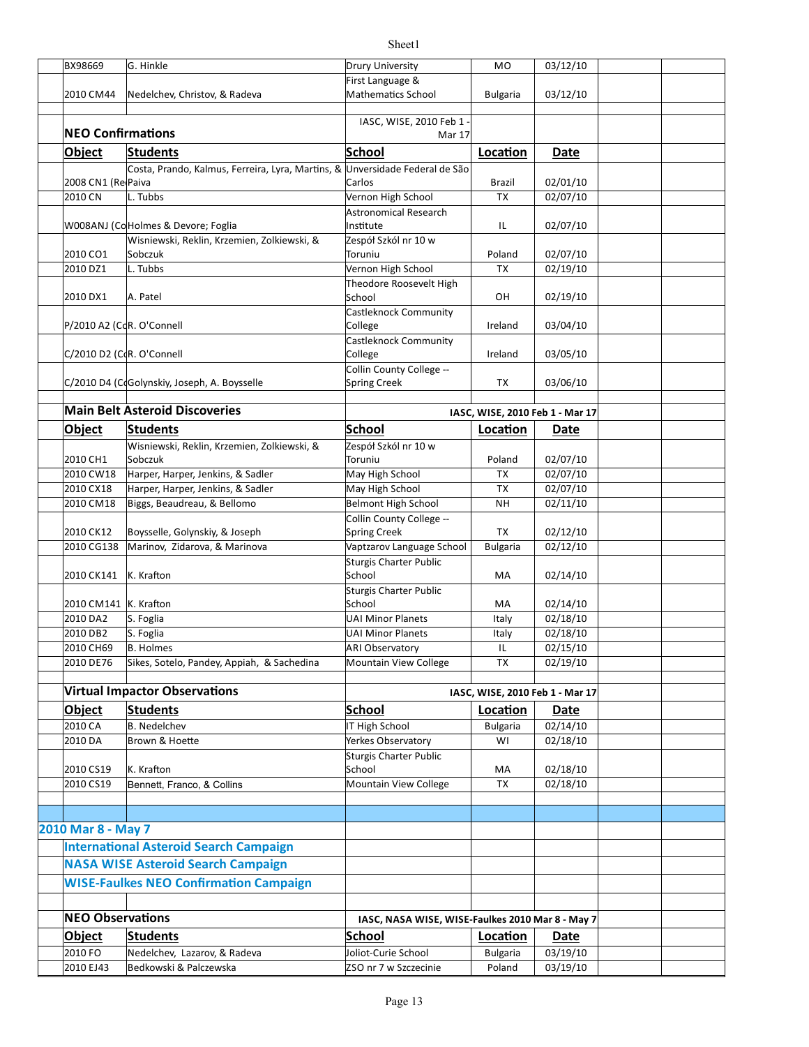|                           |                                                                              | Sheet1                                                 |                                 |                      |  |
|---------------------------|------------------------------------------------------------------------------|--------------------------------------------------------|---------------------------------|----------------------|--|
| BX98669                   | G. Hinkle                                                                    | <b>Drury University</b>                                | M <sub>O</sub>                  | 03/12/10             |  |
|                           |                                                                              | First Language &                                       |                                 |                      |  |
| 2010 CM44                 | Nedelchev, Christov, & Radeva                                                | Mathematics School                                     | <b>Bulgaria</b>                 | 03/12/10             |  |
|                           |                                                                              |                                                        |                                 |                      |  |
|                           |                                                                              | IASC, WISE, 2010 Feb 1 -                               |                                 |                      |  |
| <b>NEO Confirmations</b>  |                                                                              | <b>Mar 17</b>                                          |                                 |                      |  |
| Object                    | <b>Students</b>                                                              | School                                                 | Location                        | Date                 |  |
|                           | Costa, Prando, Kalmus, Ferreira, Lyra, Martins, & Unversidade Federal de São |                                                        |                                 |                      |  |
| 2008 CN1 (RelPaiva        |                                                                              | Carlos                                                 | Brazil                          | 02/01/10             |  |
| 2010 CN                   | L. Tubbs                                                                     | Vernon High School                                     | TX                              | 02/07/10             |  |
|                           |                                                                              | <b>Astronomical Research</b>                           |                                 |                      |  |
|                           | W008ANJ (CoHolmes & Devore; Foglia                                           | Institute                                              | IL                              | 02/07/10             |  |
|                           | Wisniewski, Reklin, Krzemien, Zolkiewski, &                                  | Zespół Szkól nr 10 w                                   |                                 |                      |  |
| 2010 CO1                  | Sobczuk                                                                      | Toruniu                                                | Poland                          | 02/07/10             |  |
| 2010 DZ1                  | L. Tubbs                                                                     | Vernon High School                                     | TX                              | 02/19/10             |  |
|                           |                                                                              | Theodore Roosevelt High                                |                                 |                      |  |
| 2010 DX1                  | A. Patel                                                                     | School                                                 | OН                              | 02/19/10             |  |
|                           |                                                                              | Castleknock Community                                  |                                 |                      |  |
| P/2010 A2 (CdR. O'Connell |                                                                              | College                                                | Ireland                         | 03/04/10             |  |
|                           |                                                                              | Castleknock Community                                  |                                 |                      |  |
| C/2010 D2 (CdR. O'Connell |                                                                              | College                                                | Ireland                         | 03/05/10             |  |
|                           | C/2010 D4 (CdGolynskiy, Joseph, A. Boysselle                                 | Collin County College --<br>Spring Creek               | TX                              | 03/06/10             |  |
|                           |                                                                              |                                                        |                                 |                      |  |
|                           | <b>Main Belt Asteroid Discoveries</b>                                        |                                                        | IASC, WISE, 2010 Feb 1 - Mar 17 |                      |  |
|                           |                                                                              |                                                        |                                 |                      |  |
| <b>Object</b>             | <b>Students</b>                                                              | School                                                 | Location                        | Date                 |  |
|                           | Wisniewski, Reklin, Krzemien, Zolkiewski, &                                  | Zespół Szkól nr 10 w                                   |                                 |                      |  |
| 2010 CH1                  | Sobczuk                                                                      | Toruniu                                                | Poland                          | 02/07/10             |  |
| 2010 CW18                 | Harper, Harper, Jenkins, & Sadler                                            | May High School                                        | TX                              | 02/07/10             |  |
| 2010 CX18<br>2010 CM18    | Harper, Harper, Jenkins, & Sadler                                            | May High School                                        | TX<br><b>NH</b>                 | 02/07/10<br>02/11/10 |  |
|                           | Biggs, Beaudreau, & Bellomo                                                  | <b>Belmont High School</b><br>Collin County College -- |                                 |                      |  |
| 2010 CK12                 | Boysselle, Golynskiy, & Joseph                                               | Spring Creek                                           | TX                              | 02/12/10             |  |
| 2010 CG138                | Marinov, Zidarova, & Marinova                                                | Vaptzarov Language School                              | <b>Bulgaria</b>                 | 02/12/10             |  |
|                           |                                                                              | Sturgis Charter Public                                 |                                 |                      |  |
| 2010 CK141                | K. Krafton                                                                   | School                                                 | МA                              | 02/14/10             |  |
|                           |                                                                              | Sturgis Charter Public                                 |                                 |                      |  |
| 2010 CM141   K. Krafton   |                                                                              | School                                                 | МA                              | 02/14/10             |  |
| 2010 DA2                  | S. Foglia                                                                    | <b>UAI Minor Planets</b>                               | Italy                           | 02/18/10             |  |
| 2010 DB2                  | S. Foglia                                                                    | <b>UAI Minor Planets</b>                               | Italy                           | 02/18/10             |  |
| 2010 CH69                 | <b>B.</b> Holmes                                                             | <b>ARI Observatory</b>                                 | IL                              | 02/15/10             |  |
| 2010 DE76                 | Sikes, Sotelo, Pandey, Appiah, & Sachedina                                   | Mountain View College                                  | <b>TX</b>                       | 02/19/10             |  |
|                           |                                                                              |                                                        |                                 |                      |  |
|                           | <b>Virtual Impactor Observations</b>                                         |                                                        | IASC, WISE, 2010 Feb 1 - Mar 17 |                      |  |
| Object                    | <b>Students</b>                                                              | <b>School</b>                                          | Location                        | Date                 |  |
| 2010 CA                   | <b>B.</b> Nedelchev                                                          | IT High School                                         | <b>Bulgaria</b>                 | 02/14/10             |  |
| 2010 DA                   | Brown & Hoette                                                               | Yerkes Observatory                                     | WI                              | $\frac{0}{2}$ /18/10 |  |
|                           |                                                                              | Sturgis Charter Public                                 |                                 |                      |  |
| 2010 CS19                 | K. Krafton                                                                   | School                                                 | МA                              | 02/18/10             |  |
| 2010 CS19                 | Bennett, Franco, & Collins                                                   | Mountain View College                                  | TX                              | 02/18/10             |  |
|                           |                                                                              |                                                        |                                 |                      |  |
|                           |                                                                              |                                                        |                                 |                      |  |
| 2010 Mar 8 - May 7        |                                                                              |                                                        |                                 |                      |  |
|                           | <b>International Asteroid Search Campaign</b>                                |                                                        |                                 |                      |  |
|                           | <b>NASA WISE Asteroid Search Campaign</b>                                    |                                                        |                                 |                      |  |
|                           | <b>WISE-Faulkes NEO Confirmation Campaign</b>                                |                                                        |                                 |                      |  |
|                           |                                                                              |                                                        |                                 |                      |  |
|                           |                                                                              |                                                        |                                 |                      |  |
| <b>NEO Observations</b>   |                                                                              | IASC, NASA WISE, WISE-Faulkes 2010 Mar 8 - May 7       |                                 |                      |  |
| Object                    | <b>Students</b>                                                              | School                                                 | Location                        | Date                 |  |
| 2010 FO                   | Nedelchev, Lazarov, & Radeva                                                 | Joliot-Curie School                                    | <b>Bulgaria</b>                 | 03/19/10             |  |
| 2010 EJ43                 | Bedkowski & Palczewska                                                       | ZSO nr 7 w Szczecinie                                  | Poland                          | 03/19/10             |  |

 $\overline{\phantom{a}}$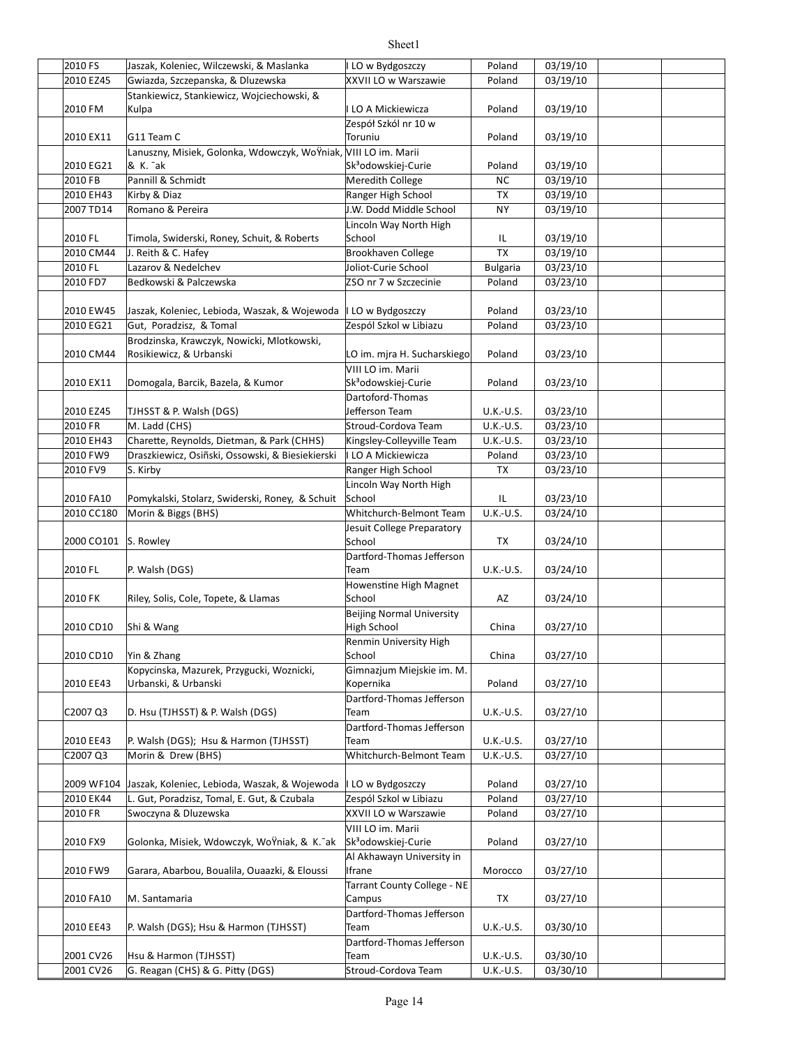| 2010 FS    | Jaszak, Koleniec, Wilczewski, & Maslanka                        | LO w Bydgoszczy                                 | Poland          | 03/19/10 |  |
|------------|-----------------------------------------------------------------|-------------------------------------------------|-----------------|----------|--|
| 2010 EZ45  | Gwiazda, Szczepanska, & Dluzewska                               | XXVII LO w Warszawie                            | Poland          | 03/19/10 |  |
|            | Stankiewicz, Stankiewicz, Wojciechowski, &                      |                                                 |                 |          |  |
| 2010 FM    | Kulpa                                                           | LO A Mickiewicza                                | Poland          | 03/19/10 |  |
|            |                                                                 | Zespół Szkól nr 10 w                            |                 |          |  |
| 2010 EX11  | G11 Team C                                                      | Toruniu                                         | Poland          | 03/19/10 |  |
|            | Lanuszny, Misiek, Golonka, Wdowczyk, WoŸniak, VIII LO im. Marii |                                                 |                 |          |  |
| 2010 EG21  | & K. <sup>-</sup> ak                                            | Sk <sup>3</sup> odowskiej-Curie                 | Poland          | 03/19/10 |  |
| 2010 FB    | Pannill & Schmidt                                               | Meredith College                                | NC              | 03/19/10 |  |
| 2010 EH43  | Kirby & Diaz                                                    | Ranger High School                              | <b>TX</b>       | 03/19/10 |  |
| 2007 TD14  | Romano & Pereira                                                | J.W. Dodd Middle School                         | <b>NY</b>       | 03/19/10 |  |
|            |                                                                 | Lincoln Way North High                          |                 |          |  |
| 2010 FL    | Timola, Swiderski, Roney, Schuit, & Roberts                     | School                                          | IL              | 03/19/10 |  |
| 2010 CM44  | J. Reith & C. Hafey                                             | Brookhaven College                              | TX              | 03/19/10 |  |
| 2010 FL    | Lazarov & Nedelchev                                             | Joliot-Curie School                             | <b>Bulgaria</b> | 03/23/10 |  |
| 2010 FD7   | Bedkowski & Palczewska                                          | ZSO nr 7 w Szczecinie                           | Poland          | 03/23/10 |  |
|            |                                                                 |                                                 |                 |          |  |
| 2010 EW45  | Jaszak, Koleniec, Lebioda, Waszak, & Wojewoda                   | I LO w Bydgoszczy                               | Poland          | 03/23/10 |  |
| 2010 EG21  | Gut, Poradzisz, & Tomal                                         | Zespól Szkol w Libiazu                          | Poland          | 03/23/10 |  |
|            | Brodzinska, Krawczyk, Nowicki, Mlotkowski,                      |                                                 |                 |          |  |
| 2010 CM44  | Rosikiewicz, & Urbanski                                         | LO im. mjra H. Sucharskiego                     | Poland          | 03/23/10 |  |
|            |                                                                 | VIII LO im. Marii                               |                 |          |  |
| 2010 EX11  | Domogala, Barcik, Bazela, & Kumor                               | Sk <sup>3</sup> odowskiej-Curie                 | Poland          | 03/23/10 |  |
|            |                                                                 | Dartoford-Thomas                                |                 |          |  |
| 2010 EZ45  | TJHSST & P. Walsh (DGS)                                         | Jefferson Team                                  | U.K.-U.S.       | 03/23/10 |  |
| 2010 FR    | M. Ladd (CHS)                                                   | Stroud-Cordova Team                             | U.K.-U.S.       | 03/23/10 |  |
| 2010 EH43  | Charette, Reynolds, Dietman, & Park (CHHS)                      |                                                 | U.K.-U.S.       | 03/23/10 |  |
| 2010 FW9   | Draszkiewicz, Osiñski, Ossowski, & Biesiekierski                | Kingsley-Colleyville Team<br>I LO A Mickiewicza |                 | 03/23/10 |  |
| 2010 FV9   | S. Kirby                                                        |                                                 | Poland          |          |  |
|            |                                                                 | Ranger High School                              | TX              | 03/23/10 |  |
|            |                                                                 | Lincoln Way North High                          |                 |          |  |
| 2010 FA10  | Pomykalski, Stolarz, Swiderski, Roney, & Schuit                 | School<br>Whitchurch-Belmont Team               | IL<br>U.K.-U.S. | 03/23/10 |  |
| 2010 CC180 | Morin & Biggs (BHS)                                             |                                                 |                 | 03/24/10 |  |
| 2000 CO101 | S. Rowley                                                       | Jesuit College Preparatory<br>School            | TX              | 03/24/10 |  |
|            |                                                                 | Dartford-Thomas Jefferson                       |                 |          |  |
| 2010 FL    | P. Walsh (DGS)                                                  | Team                                            | U.K.-U.S.       | 03/24/10 |  |
|            |                                                                 | Howenstine High Magnet                          |                 |          |  |
| 2010 FK    | Riley, Solis, Cole, Topete, & Llamas                            | School                                          | AZ              | 03/24/10 |  |
|            |                                                                 | Beijing Normal University                       |                 |          |  |
| 2010 CD10  | Shi & Wang                                                      | High School                                     | China           | 03/27/10 |  |
|            |                                                                 | Renmin University High                          |                 |          |  |
| 2010 CD10  | Yin & Zhang                                                     | School                                          | China           | 03/27/10 |  |
|            | Kopycinska, Mazurek, Przygucki, Woznicki,                       | Gimnazjum Miejskie im. M.                       |                 |          |  |
| 2010 EE43  | Urbanski, & Urbanski                                            | Kopernika                                       | Poland          | 03/27/10 |  |
|            |                                                                 | Dartford-Thomas Jefferson                       |                 |          |  |
| C2007 Q3   | D. Hsu (TJHSST) & P. Walsh (DGS)                                | Team                                            | U.K.-U.S.       | 03/27/10 |  |
|            |                                                                 | Dartford-Thomas Jefferson                       |                 |          |  |
| 2010 EE43  | P. Walsh (DGS); Hsu & Harmon (TJHSST)                           | Team                                            | U.K.-U.S.       | 03/27/10 |  |
| C2007 Q3   | Morin & Drew (BHS)                                              | Whitchurch-Belmont Team                         | U.K.-U.S.       | 03/27/10 |  |
|            |                                                                 |                                                 |                 |          |  |
| 2009 WF104 | Jaszak, Koleniec, Lebioda, Waszak, & Wojewoda                   | LO w Bydgoszczy                                 | Poland          | 03/27/10 |  |
| 2010 EK44  | L. Gut, Poradzisz, Tomal, E. Gut, & Czubala                     | Zespól Szkol w Libiazu                          | Poland          | 03/27/10 |  |
| 2010 FR    | Swoczyna & Dluzewska                                            | XXVII LO w Warszawie                            | Poland          | 03/27/10 |  |
|            |                                                                 | VIII LO im. Marii                               |                 |          |  |
| 2010 FX9   | Golonka, Misiek, Wdowczyk, WoŸniak, & K. ak                     | Sk <sup>3</sup> odowskiej-Curie                 | Poland          | 03/27/10 |  |
|            |                                                                 | Al Akhawayn University in                       |                 |          |  |
| 2010 FW9   | Garara, Abarbou, Boualila, Ouaazki, & Eloussi                   | Ifrane                                          | Morocco         | 03/27/10 |  |
|            |                                                                 | Tarrant County College - NE                     |                 |          |  |
| 2010 FA10  | M. Santamaria                                                   | Campus                                          | TX              | 03/27/10 |  |
|            |                                                                 | Dartford-Thomas Jefferson                       |                 |          |  |
| 2010 EE43  | P. Walsh (DGS); Hsu & Harmon (TJHSST)                           | Team                                            | U.K.-U.S.       | 03/30/10 |  |
|            |                                                                 | Dartford-Thomas Jefferson                       |                 |          |  |
| 2001 CV26  | Hsu & Harmon (TJHSST)                                           | Team                                            | U.K.-U.S.       | 03/30/10 |  |
| 2001 CV26  | G. Reagan (CHS) & G. Pitty (DGS)                                | Stroud-Cordova Team                             | U.K.-U.S.       | 03/30/10 |  |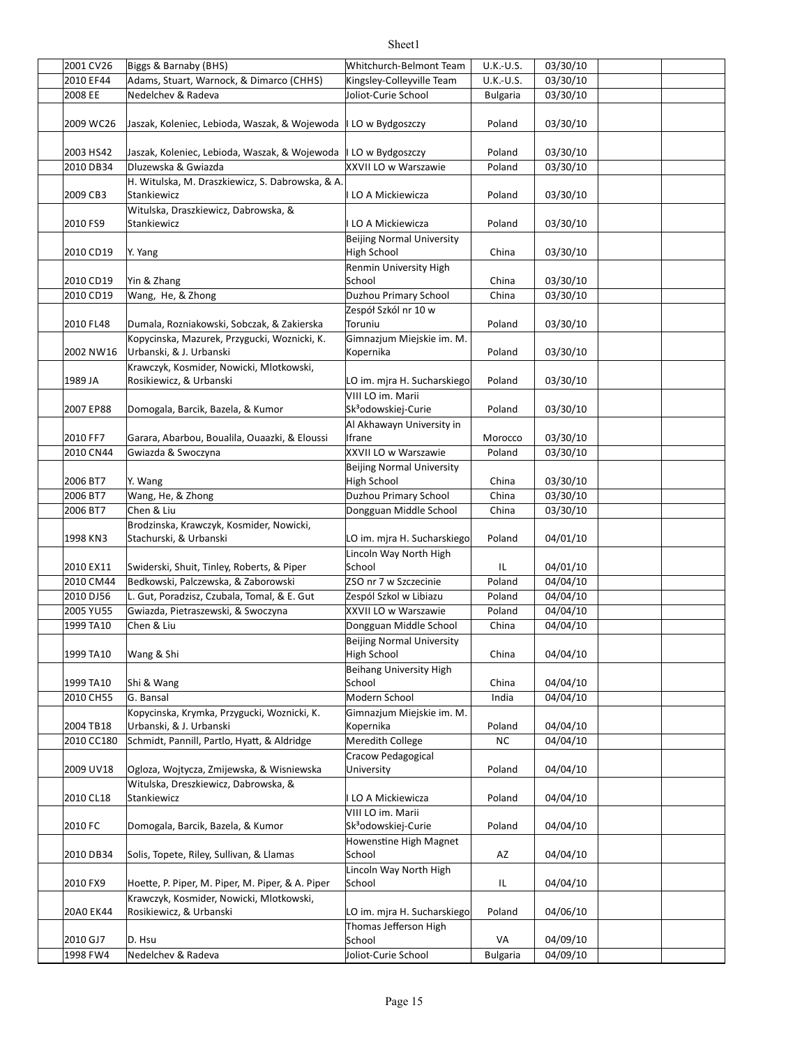| 2001 CV26  | Biggs & Barnaby (BHS)                                           | Whitchurch-Belmont Team          | U.K.-U.S.       | 03/30/10 |  |
|------------|-----------------------------------------------------------------|----------------------------------|-----------------|----------|--|
| 2010 EF44  | Adams, Stuart, Warnock, & Dimarco (CHHS)                        | Kingsley-Colleyville Team        |                 | 03/30/10 |  |
|            |                                                                 |                                  | U.K.-U.S.       |          |  |
| 2008 EE    | Nedelchev & Radeva                                              | Joliot-Curie School              | <b>Bulgaria</b> | 03/30/10 |  |
|            |                                                                 |                                  |                 |          |  |
| 2009 WC26  | Jaszak, Koleniec, Lebioda, Waszak, & Wojewoda   LO w Bydgoszczy |                                  | Poland          | 03/30/10 |  |
|            |                                                                 |                                  |                 |          |  |
| 2003 HS42  | Jaszak, Koleniec, Lebioda, Waszak, & Wojewoda   LO w Bydgoszczy |                                  | Poland          | 03/30/10 |  |
| 2010 DB34  | Dluzewska & Gwiazda                                             | XXVII LO w Warszawie             | Poland          | 03/30/10 |  |
|            | H. Witulska, M. Draszkiewicz, S. Dabrowska, & A.                |                                  |                 |          |  |
| 2009 CB3   | Stankiewicz                                                     | I LO A Mickiewicza               | Poland          | 03/30/10 |  |
|            | Witulska, Draszkiewicz, Dabrowska, &                            |                                  |                 |          |  |
| 2010 FS9   | Stankiewicz                                                     | I LO A Mickiewicza               | Poland          | 03/30/10 |  |
|            |                                                                 | Beijing Normal University        |                 |          |  |
| 2010 CD19  | Y. Yang                                                         | High School                      | China           | 03/30/10 |  |
|            |                                                                 | Renmin University High           |                 |          |  |
| 2010 CD19  | Yin & Zhang                                                     | School                           | China           | 03/30/10 |  |
| 2010 CD19  | Wang, He, & Zhong                                               | Duzhou Primary School            | China           | 03/30/10 |  |
|            |                                                                 | Zespół Szkól nr 10 w             |                 |          |  |
| 2010 FL48  | Dumala, Rozniakowski, Sobczak, & Zakierska                      | Toruniu                          | Poland          | 03/30/10 |  |
|            | Kopycinska, Mazurek, Przygucki, Woznicki, K.                    | Gimnazjum Miejskie im. M.        |                 |          |  |
| 2002 NW16  | Urbanski, & J. Urbanski                                         | Kopernika                        | Poland          | 03/30/10 |  |
|            | Krawczyk, Kosmider, Nowicki, Mlotkowski,                        |                                  |                 |          |  |
| 1989 JA    | Rosikiewicz, & Urbanski                                         | LO im. mjra H. Sucharskiego      | Poland          | 03/30/10 |  |
|            |                                                                 | VIII LO im. Marii                |                 |          |  |
| 2007 EP88  | Domogala, Barcik, Bazela, & Kumor                               | Sk <sup>3</sup> odowskiej-Curie  | Poland          | 03/30/10 |  |
|            |                                                                 | Al Akhawayn University in        |                 |          |  |
| 2010 FF7   | Garara, Abarbou, Boualila, Ouaazki, & Eloussi                   | Ifrane                           | Morocco         | 03/30/10 |  |
| 2010 CN44  | Gwiazda & Swoczyna                                              | XXVII LO w Warszawie             | Poland          | 03/30/10 |  |
|            |                                                                 |                                  |                 |          |  |
|            |                                                                 | <b>Beijing Normal University</b> |                 |          |  |
| 2006 BT7   | Y. Wang                                                         | High School                      | China           | 03/30/10 |  |
| 2006 BT7   | Wang, He, & Zhong                                               | Duzhou Primary School            | China           | 03/30/10 |  |
| 2006 BT7   | Chen & Liu                                                      | Dongguan Middle School           | China           | 03/30/10 |  |
|            | Brodzinska, Krawczyk, Kosmider, Nowicki,                        |                                  |                 |          |  |
| 1998 KN3   | Stachurski, & Urbanski                                          | LO im. mjra H. Sucharskiego      | Poland          | 04/01/10 |  |
|            |                                                                 | Lincoln Way North High           |                 |          |  |
| 2010 EX11  | Swiderski, Shuit, Tinley, Roberts, & Piper                      | School                           | IL              | 04/01/10 |  |
| 2010 CM44  | Bedkowski, Palczewska, & Zaborowski                             | ZSO nr 7 w Szczecinie            | Poland          | 04/04/10 |  |
| 2010 DJ56  | L. Gut, Poradzisz, Czubala, Tomal, & E. Gut                     | Zespól Szkol w Libiazu           | Poland          | 04/04/10 |  |
| 2005 YU55  | Gwiazda, Pietraszewski, & Swoczyna                              | XXVII LO w Warszawie             | Poland          | 04/04/10 |  |
| 1999 TA10  | Chen & Liu                                                      | Dongguan Middle School           | China           | 04/04/10 |  |
|            |                                                                 | <b>Beijing Normal University</b> |                 |          |  |
| 1999 TA10  | Wang & Shi                                                      | High School                      | China           | 04/04/10 |  |
|            |                                                                 | Beihang University High          |                 |          |  |
| 1999 TA10  | Shi & Wang                                                      | School                           | China           | 04/04/10 |  |
| 2010 CH55  | G. Bansal                                                       | Modern School                    | India           | 04/04/10 |  |
|            | Kopycinska, Krymka, Przygucki, Woznicki, K.                     | Gimnazjum Miejskie im. M.        |                 |          |  |
| 2004 TB18  | Urbanski, & J. Urbanski                                         |                                  |                 | 04/04/10 |  |
|            |                                                                 | Kopernika                        | Poland          |          |  |
| 2010 CC180 | Schmidt, Pannill, Partlo, Hyatt, & Aldridge                     | Meredith College                 | <b>NC</b>       | 04/04/10 |  |
|            |                                                                 | Cracow Pedagogical               |                 |          |  |
| 2009 UV18  | Ogloza, Wojtycza, Zmijewska, & Wisniewska                       | University                       | Poland          | 04/04/10 |  |
|            | Witulska, Dreszkiewicz, Dabrowska, &                            |                                  |                 |          |  |
| 2010 CL18  | Stankiewicz                                                     | I LO A Mickiewicza               | Poland          | 04/04/10 |  |
|            |                                                                 | VIII LO im. Marii                |                 |          |  |
| 2010 FC    | Domogala, Barcik, Bazela, & Kumor                               | Sk <sup>3</sup> odowskiej-Curie  | Poland          | 04/04/10 |  |
|            |                                                                 | Howenstine High Magnet           |                 |          |  |
| 2010 DB34  | Solis, Topete, Riley, Sullivan, & Llamas                        | School                           | AZ              | 04/04/10 |  |
|            |                                                                 | Lincoln Way North High           |                 |          |  |
| 2010 FX9   | Hoette, P. Piper, M. Piper, M. Piper, & A. Piper                | School                           | IL.             | 04/04/10 |  |
|            | Krawczyk, Kosmider, Nowicki, Mlotkowski,                        |                                  |                 |          |  |
| 20A0 EK44  | Rosikiewicz, & Urbanski                                         | LO im. mjra H. Sucharskiego      | Poland          | 04/06/10 |  |
|            |                                                                 | Thomas Jefferson High            |                 |          |  |
| 2010 GJ7   | D. Hsu                                                          | School                           | VA              | 04/09/10 |  |
| 1998 FW4   | Nedelchev & Radeva                                              | Joliot-Curie School              | <b>Bulgaria</b> | 04/09/10 |  |
|            |                                                                 |                                  |                 |          |  |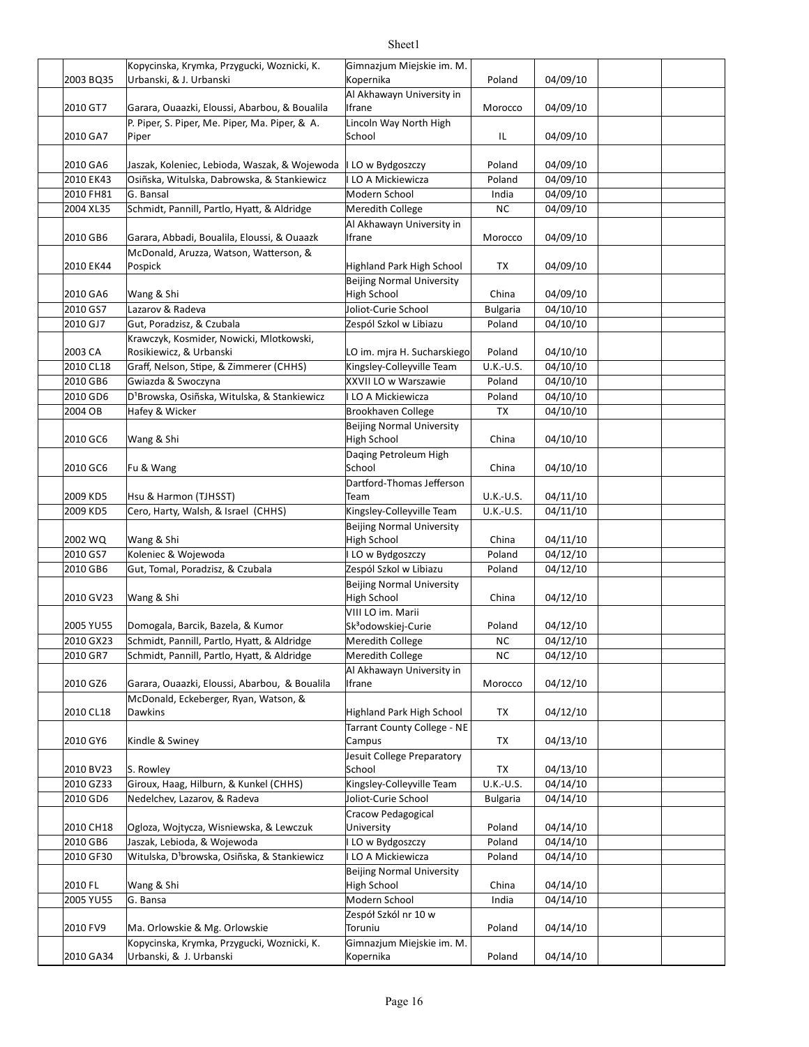|                       | Kopycinska, Krymka, Przygucki, Woznicki, K.                                            | Gimnazjum Miejskie im. M.                              |                  |                      |  |
|-----------------------|----------------------------------------------------------------------------------------|--------------------------------------------------------|------------------|----------------------|--|
| 2003 BQ35             | Urbanski, & J. Urbanski                                                                | Kopernika                                              | Poland           | 04/09/10             |  |
| 2010 GT7              | Garara, Ouaazki, Eloussi, Abarbou, & Boualila                                          | Al Akhawayn University in<br>Ifrane                    | Morocco          | 04/09/10             |  |
|                       | P. Piper, S. Piper, Me. Piper, Ma. Piper, & A.                                         | Lincoln Way North High                                 |                  |                      |  |
| 2010 GA7              | Piper                                                                                  | School                                                 | IL               | 04/09/10             |  |
| 2010 GA6              | Jaszak, Koleniec, Lebioda, Waszak, & Wojewoda                                          | I LO w Bydgoszczy                                      | Poland           | 04/09/10             |  |
| 2010 EK43             | Osiñska, Witulska, Dabrowska, & Stankiewicz                                            | I LO A Mickiewicza                                     | Poland           | 04/09/10             |  |
| 2010 FH81             | G. Bansal                                                                              | Modern School                                          | India            | 04/09/10             |  |
| 2004 XL35             | Schmidt, Pannill, Partlo, Hyatt, & Aldridge                                            | Meredith College                                       | NC               | 04/09/10             |  |
| 2010 GB6              | Garara, Abbadi, Boualila, Eloussi, & Ouaazk                                            | Al Akhawayn University in<br>Ifrane                    | Morocco          | 04/09/10             |  |
| 2010 EK44             | McDonald, Aruzza, Watson, Watterson, &<br>Pospick                                      | Highland Park High School                              | TX               | 04/09/10             |  |
| 2010 GA6              | Wang & Shi                                                                             | <b>Beijing Normal University</b><br><b>High School</b> | China            | 04/09/10             |  |
| 2010 GS7              | Lazarov & Radeva                                                                       | Joliot-Curie School                                    | <b>Bulgaria</b>  | 04/10/10             |  |
| 2010 GJ7              | Gut, Poradzisz, & Czubala                                                              | Zespól Szkol w Libiazu                                 | Poland           | 04/10/10             |  |
| 2003 CA               | Krawczyk, Kosmider, Nowicki, Mlotkowski,<br>Rosikiewicz, & Urbanski                    | LO im. mjra H. Sucharskiego                            | Poland           | 04/10/10             |  |
| 2010 CL18             | Graff, Nelson, Stipe, & Zimmerer (CHHS)                                                | Kingsley-Colleyville Team                              | U.K.-U.S.        | 04/10/10             |  |
| 2010 GB6              | Gwiazda & Swoczyna                                                                     | XXVII LO w Warszawie                                   | Poland           | 04/10/10             |  |
| 2010 GD6              | D <sup>1</sup> Browska, Osiñska, Witulska, & Stankiewicz                               | I LO A Mickiewicza                                     | Poland           | 04/10/10             |  |
| 2004 OB               | Hafey & Wicker                                                                         | Brookhaven College                                     | <b>TX</b>        | 04/10/10             |  |
|                       |                                                                                        | <b>Beijing Normal University</b>                       |                  |                      |  |
| 2010 GC6              | Wang & Shi                                                                             | High School<br>Daqing Petroleum High                   | China            | 04/10/10             |  |
| 2010 GC6              | Fu & Wang                                                                              | School<br>Dartford-Thomas Jefferson                    | China            | 04/10/10             |  |
| 2009 KD5              | Hsu & Harmon (TJHSST)                                                                  | Team                                                   | U.K.-U.S.        | 04/11/10             |  |
| 2009 KD5              | Cero, Harty, Walsh, & Israel (CHHS)                                                    | Kingsley-Colleyville Team                              | U.K.-U.S.        | $\frac{04}{11}{10}$  |  |
|                       |                                                                                        | <b>Beijing Normal University</b>                       |                  |                      |  |
| 2002 WQ               | Wang & Shi                                                                             | <b>High School</b>                                     | China            | 04/11/10             |  |
| 2010 GS7              | Koleniec & Wojewoda                                                                    | I LO w Bydgoszczy                                      | Poland           | 04/12/10             |  |
| 2010 GB6              | Gut, Tomal, Poradzisz, & Czubala                                                       | Zespól Szkol w Libiazu                                 | Poland           | 04/12/10             |  |
|                       |                                                                                        | <b>Beijing Normal University</b>                       |                  |                      |  |
| 2010 GV23             | Wang & Shi                                                                             | High School<br>VIII LO im. Marii                       | China            | 04/12/10             |  |
| 2005 YU55             | Domogala, Barcik, Bazela, & Kumor                                                      | Sk <sup>3</sup> odowskiej-Curie                        | Poland           | 04/12/10             |  |
| 2010 GX23             | Schmidt, Pannill, Partlo, Hyatt, & Aldridge                                            | Meredith College                                       | <b>NC</b>        | 04/12/10             |  |
| 2010 GR7              | Schmidt, Pannill, Partlo, Hyatt, & Aldridge                                            | Meredith College                                       | ΝC               | 04/12/10             |  |
|                       |                                                                                        | Al Akhawayn University in                              |                  |                      |  |
| 2010 GZ6              | Garara, Ouaazki, Eloussi, Abarbou, & Boualila<br>McDonald, Eckeberger, Ryan, Watson, & | Ifrane                                                 | Morocco          | 04/12/10             |  |
| 2010 CL18             | Dawkins                                                                                | Highland Park High School                              | TХ               | 04/12/10             |  |
| 2010 GY6              | Kindle & Swiney                                                                        | Tarrant County College - NE<br>Campus                  | TX               | 04/13/10             |  |
|                       | S. Rowley                                                                              | Jesuit College Preparatory<br>School                   |                  |                      |  |
| 2010 BV23             | Giroux, Haag, Hilburn, & Kunkel (CHHS)                                                 | Kingsley-Colleyville Team                              | TX               | 04/13/10<br>04/14/10 |  |
| 2010 GZ33<br>2010 GD6 | Nedelchev, Lazarov, & Radeva                                                           | Joliot-Curie School                                    | U.K.-U.S.        |                      |  |
|                       |                                                                                        | Cracow Pedagogical                                     | <b>Bulgaria</b>  | 04/14/10             |  |
|                       |                                                                                        |                                                        |                  |                      |  |
| 2010 CH18<br>2010 GB6 | Ogloza, Wojtycza, Wisniewska, & Lewczuk<br>Jaszak, Lebioda, & Wojewoda                 | University<br>I LO w Bydgoszczy                        | Poland<br>Poland | 04/14/10<br>04/14/10 |  |
| 2010 GF30             | Witulska, D <sup>1</sup> browska, Osiñska, & Stankiewicz                               | I LO A Mickiewicza                                     | Poland           | 04/14/10             |  |
|                       |                                                                                        |                                                        |                  |                      |  |
| 2010 FL               | Wang & Shi                                                                             | <b>Beijing Normal University</b><br>High School        | China            | 04/14/10             |  |
| 2005 YU55             | G. Bansa                                                                               | Modern School                                          | India            | 04/14/10             |  |
| 2010 FV9              | Ma. Orlowskie & Mg. Orlowskie                                                          | Zespół Szkól nr 10 w<br>Toruniu                        | Poland           | 04/14/10             |  |
|                       | Kopycinska, Krymka, Przygucki, Woznicki, K.                                            | Gimnazjum Miejskie im. M.                              |                  |                      |  |
| 2010 GA34             | Urbanski, & J. Urbanski                                                                | Kopernika                                              | Poland           | 04/14/10             |  |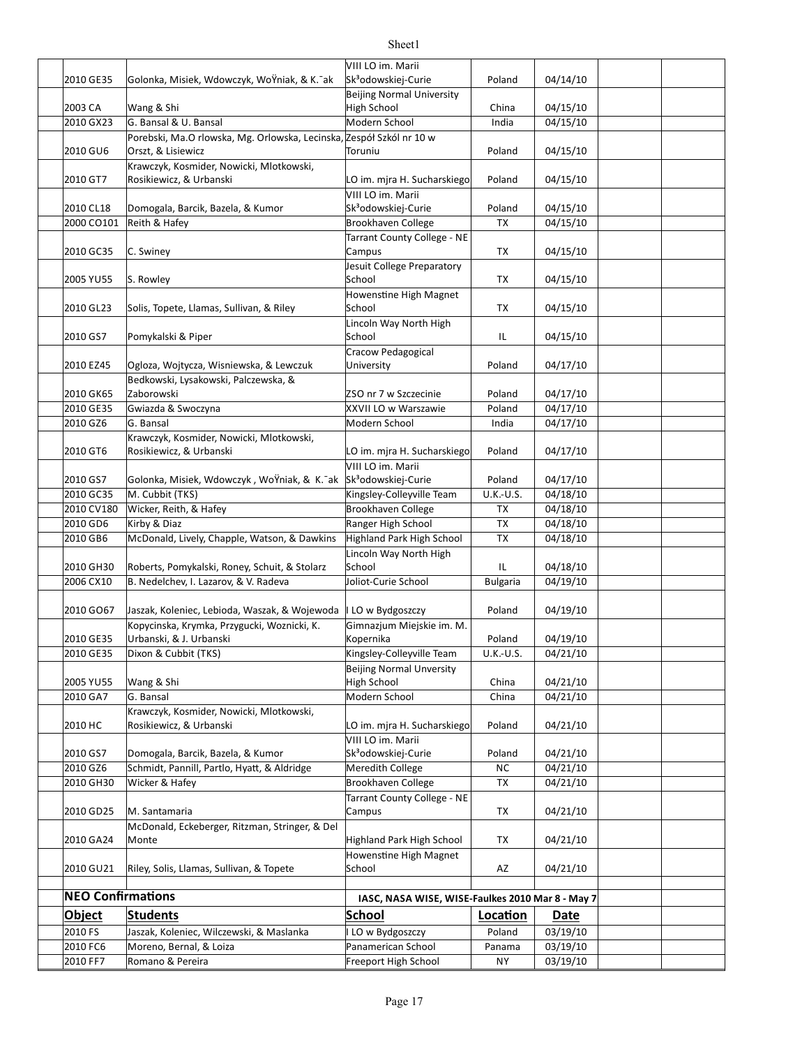| 2010 GE35                | Golonka, Misiek, Wdowczyk, WoYniak, & K. ak                          | VIII LO im. Marii<br>Sk <sup>3</sup> odowskiej-Curie | Poland          | 04/14/10 |  |
|--------------------------|----------------------------------------------------------------------|------------------------------------------------------|-----------------|----------|--|
|                          |                                                                      | <b>Beijing Normal University</b>                     |                 |          |  |
| 2003 CA                  | Wang & Shi                                                           | <b>High School</b>                                   | China           | 04/15/10 |  |
| 2010 GX23                | G. Bansal & U. Bansal                                                | Modern School                                        | India           | 04/15/10 |  |
|                          | Porebski, Ma.O rlowska, Mg. Orlowska, Lecinska, Zespół Szkól nr 10 w |                                                      |                 |          |  |
| 2010 GU6                 | Orszt, & Lisiewicz                                                   | Toruniu                                              | Poland          | 04/15/10 |  |
|                          | Krawczyk, Kosmider, Nowicki, Mlotkowski,                             |                                                      |                 |          |  |
| 2010 GT7                 | Rosikiewicz, & Urbanski                                              | LO im. mjra H. Sucharskiego                          | Poland          | 04/15/10 |  |
|                          |                                                                      | VIII LO im. Marii                                    |                 |          |  |
| 2010 CL18                | Domogala, Barcik, Bazela, & Kumor                                    | Sk <sup>3</sup> odowskiej-Curie                      | Poland          | 04/15/10 |  |
| 2000 CO101               | Reith & Hafey                                                        | Brookhaven College                                   | TX              | 04/15/10 |  |
|                          |                                                                      | Tarrant County College - NE                          |                 |          |  |
| 2010 GC35                | C. Swiney                                                            | Campus                                               | TX              | 04/15/10 |  |
|                          |                                                                      | Jesuit College Preparatory                           |                 |          |  |
| 2005 YU55                | S. Rowley                                                            | School                                               | TX              | 04/15/10 |  |
|                          |                                                                      | Howenstine High Magnet                               |                 |          |  |
| 2010 GL23                | Solis, Topete, Llamas, Sullivan, & Riley                             | School                                               | TX              | 04/15/10 |  |
|                          |                                                                      | Lincoln Way North High                               |                 |          |  |
| 2010 GS7                 | Pomykalski & Piper                                                   | School                                               | IL              | 04/15/10 |  |
|                          |                                                                      | Cracow Pedagogical                                   |                 |          |  |
| 2010 EZ45                | Ogloza, Wojtycza, Wisniewska, & Lewczuk                              | University                                           | Poland          | 04/17/10 |  |
|                          | Bedkowski, Lysakowski, Palczewska, &                                 |                                                      |                 |          |  |
| 2010 GK65                | Zaborowski                                                           | ZSO nr 7 w Szczecinie                                | Poland          | 04/17/10 |  |
| 2010 GE35                | Gwiazda & Swoczyna                                                   | XXVII LO w Warszawie                                 | Poland          | 04/17/10 |  |
| 2010 GZ6                 | G. Bansal                                                            | Modern School                                        | India           | 04/17/10 |  |
|                          | Krawczyk, Kosmider, Nowicki, Mlotkowski,                             |                                                      |                 |          |  |
| 2010 GT6                 | Rosikiewicz, & Urbanski                                              | LO im. mjra H. Sucharskiego                          | Poland          | 04/17/10 |  |
|                          |                                                                      | VIII LO im. Marii                                    |                 |          |  |
| 2010 GS7                 | Golonka, Misiek, Wdowczyk, WoŸniak, & K. ak                          | Sk <sup>3</sup> odowskiej-Curie                      | Poland          | 04/17/10 |  |
| 2010 GC35                | M. Cubbit (TKS)                                                      | Kingsley-Colleyville Team                            | U.K.-U.S.       | 04/18/10 |  |
| 2010 CV180               | Wicker, Reith, & Hafey                                               | Brookhaven College                                   | TX              | 04/18/10 |  |
| 2010 GD6                 | Kirby & Diaz                                                         | Ranger High School                                   | TX              | 04/18/10 |  |
| 2010 GB6                 | McDonald, Lively, Chapple, Watson, & Dawkins                         | Highland Park High School                            | TX              | 04/18/10 |  |
|                          |                                                                      | Lincoln Way North High                               |                 |          |  |
| 2010 GH30                | Roberts, Pomykalski, Roney, Schuit, & Stolarz                        | School                                               | IL              | 04/18/10 |  |
| 2006 CX10                | B. Nedelchev, I. Lazarov, & V. Radeva                                | Joliot-Curie School                                  | <b>Bulgaria</b> | 04/19/10 |  |
|                          |                                                                      |                                                      |                 |          |  |
| 2010 GO67                | Jaszak, Koleniec, Lebioda, Waszak, & Wojewoda                        | I LO w Bydgoszczy                                    | Poland          | 04/19/10 |  |
|                          | Kopycinska, Krymka, Przygucki, Woznicki, K.                          | Gimnazjum Miejskie im. M.                            |                 |          |  |
| 2010 GE35                | Urbanski, & J. Urbanski                                              | Kopernika                                            | Poland          | 04/19/10 |  |
| 2010 GE35                | Dixon & Cubbit (TKS)                                                 | Kingsley-Colleyville Team                            | U.K.-U.S.       | 04/21/10 |  |
|                          |                                                                      | <b>Beijing Normal Unversity</b>                      |                 |          |  |
| 2005 YU55                | Wang & Shi                                                           | <b>High School</b>                                   | China           | 04/21/10 |  |
| 2010 GA7                 | G. Bansal                                                            | Modern School                                        | China           | 04/21/10 |  |
|                          | Krawczyk, Kosmider, Nowicki, Mlotkowski,                             |                                                      |                 |          |  |
| 2010 HC                  | Rosikiewicz, & Urbanski                                              | LO im. mjra H. Sucharskiego                          | Poland          | 04/21/10 |  |
|                          |                                                                      | VIII LO im. Marii                                    |                 |          |  |
| 2010 GS7                 | Domogala, Barcik, Bazela, & Kumor                                    | Sk <sup>3</sup> odowskiej-Curie                      | Poland          | 04/21/10 |  |
| 2010 GZ6                 | Schmidt, Pannill, Partlo, Hyatt, & Aldridge                          | Meredith College                                     | <b>NC</b>       | 04/21/10 |  |
| 2010 GH30                | Wicker & Hafey                                                       | <b>Brookhaven College</b>                            | TX              | 04/21/10 |  |
|                          |                                                                      | Tarrant County College - NE                          |                 |          |  |
| 2010 GD25                | M. Santamaria                                                        | Campus                                               | ТX              | 04/21/10 |  |
|                          | McDonald, Eckeberger, Ritzman, Stringer, & Del                       |                                                      |                 |          |  |
| 2010 GA24                | Monte                                                                | Highland Park High School                            | TX              | 04/21/10 |  |
|                          |                                                                      | Howenstine High Magnet                               |                 |          |  |
| 2010 GU21                | Riley, Solis, Llamas, Sullivan, & Topete                             | School                                               | AZ              | 04/21/10 |  |
|                          |                                                                      |                                                      |                 |          |  |
| <b>NEO Confirmations</b> |                                                                      | IASC, NASA WISE, WISE-Faulkes 2010 Mar 8 - May 7     |                 |          |  |
| <b>Object</b>            | <b>Students</b>                                                      | <b>School</b>                                        | Location        | Date     |  |
| 2010 FS                  | Jaszak, Koleniec, Wilczewski, & Maslanka                             | LO w Bydgoszczy                                      | Poland          | 03/19/10 |  |
| 2010 FC6                 | Moreno, Bernal, & Loiza                                              | Panamerican School                                   | Panama          | 03/19/10 |  |
| 2010 FF7                 | Romano & Pereira                                                     | Freeport High School                                 | <b>NY</b>       | 03/19/10 |  |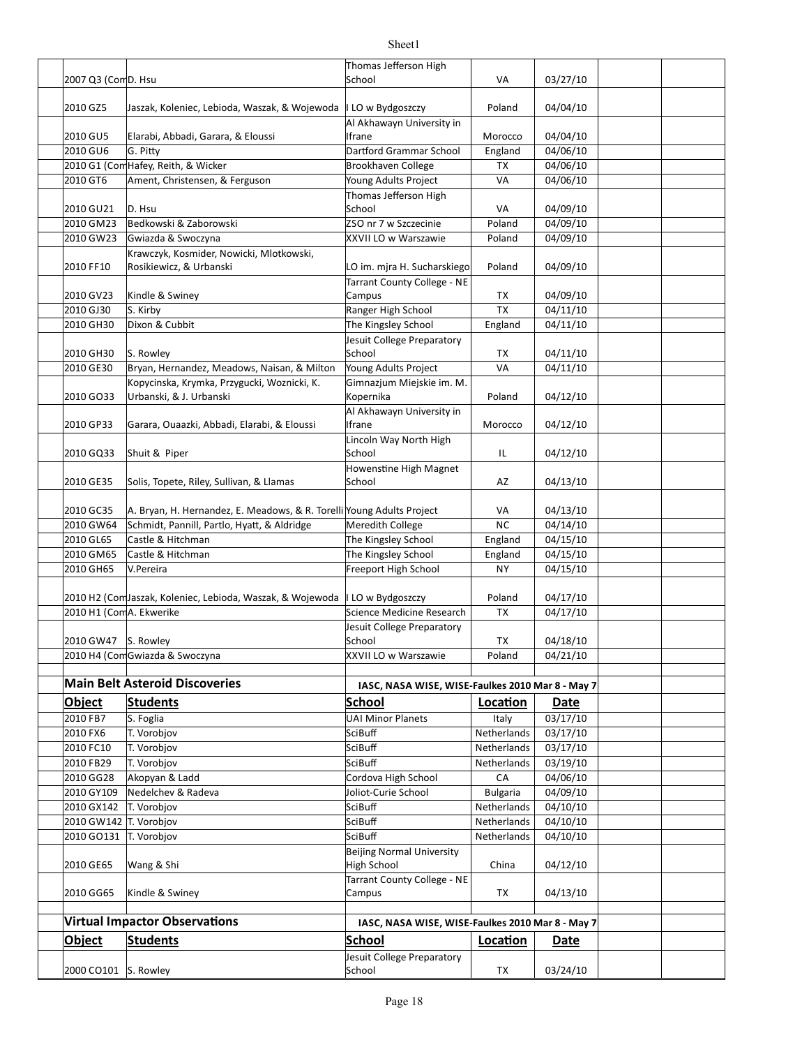|                         |                                                                             | Thomas Jefferson High                            |                 |                      |  |
|-------------------------|-----------------------------------------------------------------------------|--------------------------------------------------|-----------------|----------------------|--|
| 2007 Q3 (ComD. Hsu      |                                                                             | School                                           | VA              | 03/27/10             |  |
| 2010 GZ5                | Jaszak, Koleniec, Lebioda, Waszak, & Wojewoda                               | I LO w Bydgoszczy                                | Poland          | 04/04/10             |  |
|                         |                                                                             | Al Akhawayn University in                        |                 |                      |  |
| 2010 GU5                | Elarabi, Abbadi, Garara, & Eloussi                                          | Ifrane                                           | Morocco         | 04/04/10             |  |
| 2010 GU6                | G. Pitty                                                                    | Dartford Grammar School                          | England         | 04/06/10             |  |
|                         | 2010 G1 (Com Hafey, Reith, & Wicker                                         | Brookhaven College                               | TX              | 04/06/10             |  |
| 2010 GT6                | Ament, Christensen, & Ferguson                                              | Young Adults Project                             | VA              | 04/06/10             |  |
| 2010 GU21               | D. Hsu                                                                      | Thomas Jefferson High<br>School                  | VA              | 04/09/10             |  |
| 2010 GM23               | Bedkowski & Zaborowski                                                      | ZSO nr 7 w Szczecinie                            | Poland          | 04/09/10             |  |
| 2010 GW23               | Gwiazda & Swoczyna                                                          | XXVII LO w Warszawie                             | Poland          | 04/09/10             |  |
| 2010 FF10               | Krawczyk, Kosmider, Nowicki, Mlotkowski,<br>Rosikiewicz, & Urbanski         | LO im. mjra H. Sucharskiego                      | Poland          | 04/09/10             |  |
|                         |                                                                             | Tarrant County College - NE                      |                 |                      |  |
| 2010 GV23               | Kindle & Swiney                                                             | Campus                                           | TX              | 04/09/10             |  |
| 2010 GJ30               | S. Kirby                                                                    | Ranger High School                               | <b>TX</b>       | 04/11/10             |  |
| 2010 GH30               | Dixon & Cubbit                                                              | The Kingsley School                              | England         | 04/11/10             |  |
|                         |                                                                             | Jesuit College Preparatory                       |                 |                      |  |
| 2010 GH30               | S. Rowley                                                                   | School                                           | TX              | 04/11/10             |  |
| 2010 GE30               | Bryan, Hernandez, Meadows, Naisan, & Milton                                 | Young Adults Project                             | VA              | 04/11/10             |  |
| 2010 GO33               | Kopycinska, Krymka, Przygucki, Woznicki, K.<br>Urbanski, & J. Urbanski      | Gimnazjum Miejskie im. M.<br>Kopernika           | Poland          | 04/12/10             |  |
| 2010 GP33               | Garara, Ouaazki, Abbadi, Elarabi, & Eloussi                                 | Al Akhawayn University in<br>Ifrane              | Morocco         | 04/12/10             |  |
| 2010 GQ33               | Shuit & Piper                                                               | Lincoln Way North High<br>School                 | IL              | 04/12/10             |  |
| 2010 GE35               | Solis, Topete, Riley, Sullivan, & Llamas                                    | Howenstine High Magnet<br>School                 | AZ              | 04/13/10             |  |
|                         |                                                                             |                                                  |                 |                      |  |
| 2010 GC35               | A. Bryan, H. Hernandez, E. Meadows, & R. Torelli Young Adults Project       | Meredith College                                 | VA<br><b>NC</b> | 04/13/10             |  |
| 2010 GW64<br>2010 GL65  | Schmidt, Pannill, Partlo, Hyatt, & Aldridge<br>Castle & Hitchman            | The Kingsley School                              | England         | 04/14/10<br>04/15/10 |  |
| 2010 GM65               | Castle & Hitchman                                                           | The Kingsley School                              | England         | 04/15/10             |  |
| 2010 GH65               | V.Pereira                                                                   | Freeport High School                             | <b>NY</b>       | 04/15/10             |  |
|                         |                                                                             |                                                  |                 |                      |  |
|                         | 2010 H2 (ComJaszak, Koleniec, Lebioda, Waszak, & Wojewoda   LO w Bydgoszczy |                                                  | Poland          | 04/17/10             |  |
| 2010 H1 (ComA. Ekwerike |                                                                             | Science Medicine Research                        | TX              | 04/17/10             |  |
|                         |                                                                             | Jesuit College Preparatory                       |                 |                      |  |
| 2010 GW47 S. Rowley     |                                                                             | School                                           | TX              | 04/18/10             |  |
|                         | 2010 H4 (ComGwiazda & Swoczyna                                              | XXVII LO w Warszawie                             | Poland          | 04/21/10             |  |
|                         | <b>Main Belt Asteroid Discoveries</b>                                       | IASC, NASA WISE, WISE-Faulkes 2010 Mar 8 - May 7 |                 |                      |  |
| <b>Object</b>           | <b>Students</b>                                                             | School                                           | Location        | <b>Date</b>          |  |
| 2010 FB7                | S. Foglia                                                                   | <b>UAI Minor Planets</b>                         | Italy           | 03/17/10             |  |
| 2010 FX6                | T. Vorobjov                                                                 | SciBuff                                          | Netherlands     | 03/17/10             |  |
| 2010 FC10               | T. Vorobjov                                                                 | SciBuff                                          | Netherlands     | 03/17/10             |  |
| 2010 FB29               | T. Vorobjov                                                                 | SciBuff                                          | Netherlands     | 03/19/10             |  |
| 2010 GG28               | Akopyan & Ladd                                                              | Cordova High School                              | CA              | 04/06/10             |  |
| 2010 GY109              | Nedelchev & Radeva                                                          | Joliot-Curie School                              | <b>Bulgaria</b> | 04/09/10             |  |
| 2010 GX142              | T. Vorobjov                                                                 | SciBuff                                          | Netherlands     | 04/10/10             |  |
| 2010 GW142 T. Vorobjov  |                                                                             | SciBuff                                          | Netherlands     | 04/10/10             |  |
| 2010 GO131              | T. Vorobjov                                                                 | SciBuff                                          | Netherlands     | 04/10/10             |  |
| 2010 GE65               | Wang & Shi                                                                  | <b>Beijing Normal University</b><br>High School  | China           | 04/12/10             |  |
| 2010 GG65               | Kindle & Swiney                                                             | Tarrant County College - NE<br>Campus            | TX              | 04/13/10             |  |
|                         | <b>Virtual Impactor Observations</b>                                        | IASC, NASA WISE, WISE-Faulkes 2010 Mar 8 - May 7 |                 |                      |  |
| <b>Object</b>           | <b>Students</b>                                                             | <b>School</b>                                    | Location        | Date                 |  |
|                         |                                                                             | Jesuit College Preparatory                       |                 |                      |  |
| 2000 CO101 S. Rowley    |                                                                             | School                                           | TX              | 03/24/10             |  |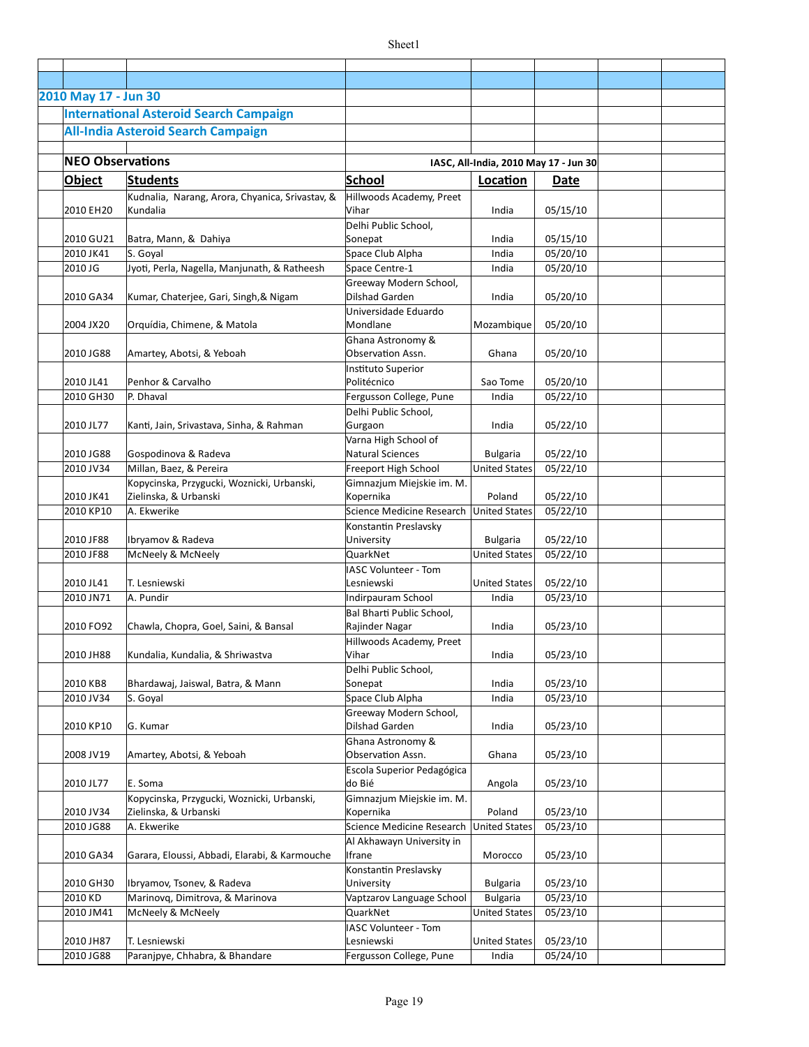| 2010 May 17 - Jun 30    |                                                 |                             |                                       |          |  |
|-------------------------|-------------------------------------------------|-----------------------------|---------------------------------------|----------|--|
|                         | <b>International Asteroid Search Campaign</b>   |                             |                                       |          |  |
|                         |                                                 |                             |                                       |          |  |
|                         | <b>All-India Asteroid Search Campaign</b>       |                             |                                       |          |  |
|                         |                                                 |                             |                                       |          |  |
| <b>NEO Observations</b> |                                                 |                             | IASC, All-India, 2010 May 17 - Jun 30 |          |  |
| Object                  | <b>Students</b>                                 | <b>School</b>               | Location                              | Date     |  |
|                         | Kudnalia, Narang, Arora, Chyanica, Srivastav, & | Hillwoods Academy, Preet    |                                       |          |  |
| 2010 EH20               | Kundalia                                        | Vihar                       | India                                 | 05/15/10 |  |
|                         |                                                 | Delhi Public School,        |                                       |          |  |
| 2010 GU21               | Batra, Mann, & Dahiya                           | Sonepat                     | India                                 | 05/15/10 |  |
| 2010 JK41               | S. Goyal                                        | Space Club Alpha            | India                                 | 05/20/10 |  |
| 2010 JG                 | Jyoti, Perla, Nagella, Manjunath, & Ratheesh    | Space Centre-1              | India                                 | 05/20/10 |  |
|                         |                                                 | Greeway Modern School,      |                                       |          |  |
| 2010 GA34               | Kumar, Chaterjee, Gari, Singh, & Nigam          | Dilshad Garden              | India                                 | 05/20/10 |  |
|                         |                                                 | Universidade Eduardo        |                                       |          |  |
| 2004 JX20               | Orquídia, Chimene, & Matola                     | Mondlane                    | Mozambique                            | 05/20/10 |  |
|                         |                                                 | Ghana Astronomy &           |                                       |          |  |
| 2010 JG88               | Amartey, Abotsi, & Yeboah                       | Observation Assn.           | Ghana                                 | 05/20/10 |  |
|                         |                                                 | Instituto Superior          |                                       |          |  |
| 2010 JL41               | Penhor & Carvalho                               | Politécnico                 | Sao Tome                              | 05/20/10 |  |
| 2010 GH30               | P. Dhaval                                       | Fergusson College, Pune     | India                                 | 05/22/10 |  |
|                         |                                                 | Delhi Public School,        |                                       |          |  |
| 2010 JL77               | Kanti, Jain, Srivastava, Sinha, & Rahman        | Gurgaon                     | India                                 | 05/22/10 |  |
|                         |                                                 | Varna High School of        |                                       |          |  |
| 2010 JG88               | Gospodinova & Radeva                            | <b>Natural Sciences</b>     | <b>Bulgaria</b>                       | 05/22/10 |  |
| 2010 JV34               | Millan, Baez, & Pereira                         | Freeport High School        | <b>United States</b>                  | 05/22/10 |  |
|                         | Kopycinska, Przygucki, Woznicki, Urbanski,      | Gimnazjum Miejskie im. M.   |                                       |          |  |
| 2010 JK41               | Zielinska, & Urbanski                           | Kopernika                   | Poland                                | 05/22/10 |  |
| 2010 KP10               | A. Ekwerike                                     | Science Medicine Research   | <b>United States</b>                  | 05/22/10 |  |
|                         |                                                 | Konstantin Preslavsky       |                                       |          |  |
| 2010 JF88               | Ibryamov & Radeva                               | University                  | <b>Bulgaria</b>                       | 05/22/10 |  |
| 2010 JF88               | McNeely & McNeely                               | QuarkNet                    | <b>United States</b>                  | 05/22/10 |  |
|                         |                                                 | <b>IASC Volunteer - Tom</b> |                                       |          |  |
| 2010 JL41               | T. Lesniewski                                   | Lesniewski                  | <b>United States</b>                  | 05/22/10 |  |
| 2010 JN71               | A. Pundir                                       | Indirpauram School          | India                                 | 05/23/10 |  |
|                         |                                                 | Bal Bharti Public School,   |                                       |          |  |
| 2010 FO92               | Chawla, Chopra, Goel, Saini, & Bansal           | Rajinder Nagar              | India                                 | 05/23/10 |  |
|                         |                                                 | Hillwoods Academy, Preet    |                                       |          |  |
| 2010 JH88               | Kundalia, Kundalia, & Shriwastva                | Vihar                       | India                                 | 05/23/10 |  |
|                         |                                                 | Delhi Public School,        |                                       |          |  |
| 2010 KB8                | Bhardawaj, Jaiswal, Batra, & Mann               | Sonepat                     | India                                 | 05/23/10 |  |
| 2010 JV34               | S. Goyal                                        | Space Club Alpha            | India                                 | 05/23/10 |  |
|                         |                                                 | Greeway Modern School,      |                                       |          |  |
| 2010 KP10               | G. Kumar                                        | Dilshad Garden              | India                                 | 05/23/10 |  |
|                         |                                                 | Ghana Astronomy &           |                                       |          |  |
| 2008 JV19               | Amartey, Abotsi, & Yeboah                       | Observation Assn.           | Ghana                                 | 05/23/10 |  |
|                         |                                                 | Escola Superior Pedagógica  |                                       |          |  |
| 2010 JL77               | E. Soma                                         | do Bié                      | Angola                                | 05/23/10 |  |
|                         | Kopycinska, Przygucki, Woznicki, Urbanski,      | Gimnazjum Miejskie im. M.   |                                       |          |  |
| 2010 JV34               | Zielinska, & Urbanski                           | Kopernika                   | Poland                                | 05/23/10 |  |
| 2010 JG88               | A. Ekwerike                                     | Science Medicine Research   | <b>United States</b>                  | 05/23/10 |  |
|                         |                                                 | Al Akhawayn University in   |                                       |          |  |
| 2010 GA34               | Garara, Eloussi, Abbadi, Elarabi, & Karmouche   | Ifrane                      | Morocco                               | 05/23/10 |  |
|                         |                                                 | Konstantin Preslavsky       |                                       |          |  |
| 2010 GH30               | Ibryamov, Tsonev, & Radeva                      | University                  | <b>Bulgaria</b>                       | 05/23/10 |  |
| 2010 KD                 | Marinovq, Dimitrova, & Marinova                 | Vaptzarov Language School   | <b>Bulgaria</b>                       | 05/23/10 |  |
| 2010 JM41               | McNeely & McNeely                               | QuarkNet                    | <b>United States</b>                  | 05/23/10 |  |
|                         |                                                 | <b>IASC Volunteer - Tom</b> |                                       |          |  |
| 2010 JH87               | T. Lesniewski                                   | Lesniewski                  | <b>United States</b>                  | 05/23/10 |  |
| 2010 JG88               | Paranjpye, Chhabra, & Bhandare                  | Fergusson College, Pune     | India                                 | 05/24/10 |  |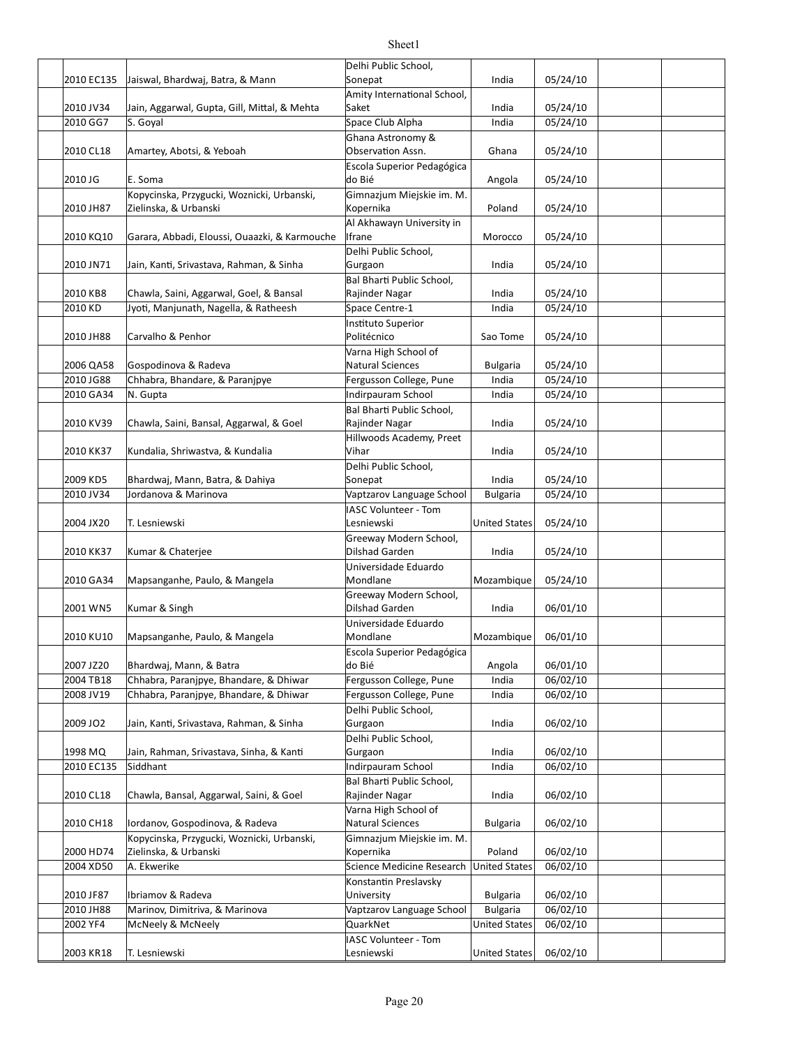|            |                                               | Delhi Public School,        |                      |          |  |
|------------|-----------------------------------------------|-----------------------------|----------------------|----------|--|
| 2010 EC135 | Jaiswal, Bhardwaj, Batra, & Mann              | Sonepat                     | India                | 05/24/10 |  |
|            |                                               | Amity International School, |                      |          |  |
| 2010 JV34  | Jain, Aggarwal, Gupta, Gill, Mittal, & Mehta  | Saket                       | India                | 05/24/10 |  |
| 2010 GG7   |                                               |                             |                      |          |  |
|            | S. Goyal                                      | Space Club Alpha            | India                | 05/24/10 |  |
|            |                                               | Ghana Astronomy &           |                      |          |  |
| 2010 CL18  | Amartey, Abotsi, & Yeboah                     | Observation Assn.           | Ghana                | 05/24/10 |  |
|            |                                               | Escola Superior Pedagógica  |                      |          |  |
| 2010 JG    | E. Soma                                       | do Bié                      | Angola               | 05/24/10 |  |
|            | Kopycinska, Przygucki, Woznicki, Urbanski,    | Gimnazjum Miejskie im. M.   |                      |          |  |
| 2010 JH87  | Zielinska, & Urbanski                         | Kopernika                   | Poland               | 05/24/10 |  |
|            |                                               | Al Akhawayn University in   |                      |          |  |
| 2010 KQ10  | Garara, Abbadi, Eloussi, Ouaazki, & Karmouche | Ifrane                      | Morocco              | 05/24/10 |  |
|            |                                               | Delhi Public School,        |                      |          |  |
| 2010 JN71  | Jain, Kanti, Srivastava, Rahman, & Sinha      | Gurgaon                     | India                | 05/24/10 |  |
|            |                                               | Bal Bharti Public School,   |                      |          |  |
| 2010 KB8   | Chawla, Saini, Aggarwal, Goel, & Bansal       | Rajinder Nagar              | India                | 05/24/10 |  |
| 2010 KD    | Jyoti, Manjunath, Nagella, & Ratheesh         | Space Centre-1              | India                | 05/24/10 |  |
|            |                                               | Instituto Superior          |                      |          |  |
| 2010 JH88  | Carvalho & Penhor                             | Politécnico                 | Sao Tome             | 05/24/10 |  |
|            |                                               |                             |                      |          |  |
|            |                                               | Varna High School of        |                      |          |  |
| 2006 QA58  | Gospodinova & Radeva                          | <b>Natural Sciences</b>     | <b>Bulgaria</b>      | 05/24/10 |  |
| 2010 JG88  | Chhabra, Bhandare, & Paranjpye                | Fergusson College, Pune     | India                | 05/24/10 |  |
| 2010 GA34  | N. Gupta                                      | Indirpauram School          | India                | 05/24/10 |  |
|            |                                               | Bal Bharti Public School,   |                      |          |  |
| 2010 KV39  | Chawla, Saini, Bansal, Aggarwal, & Goel       | Rajinder Nagar              | India                | 05/24/10 |  |
|            |                                               | Hillwoods Academy, Preet    |                      |          |  |
| 2010 KK37  | Kundalia, Shriwastva, & Kundalia              | Vihar                       | India                | 05/24/10 |  |
|            |                                               | Delhi Public School,        |                      |          |  |
| 2009 KD5   | Bhardwaj, Mann, Batra, & Dahiya               | Sonepat                     | India                | 05/24/10 |  |
| 2010 JV34  | Jordanova & Marinova                          | Vaptzarov Language School   | <b>Bulgaria</b>      | 05/24/10 |  |
|            |                                               | IASC Volunteer - Tom        |                      |          |  |
| 2004 JX20  | T. Lesniewski                                 | Lesniewski                  | <b>United States</b> | 05/24/10 |  |
|            |                                               | Greeway Modern School,      |                      |          |  |
| 2010 KK37  | Kumar & Chaterjee                             | <b>Dilshad Garden</b>       | India                | 05/24/10 |  |
|            |                                               |                             |                      |          |  |
|            |                                               | Universidade Eduardo        |                      |          |  |
| 2010 GA34  | Mapsanganhe, Paulo, & Mangela                 | Mondlane                    | Mozambique           | 05/24/10 |  |
|            |                                               | Greeway Modern School,      |                      |          |  |
| 2001 WN5   | Kumar & Singh                                 | Dilshad Garden              | India                | 06/01/10 |  |
|            |                                               | Universidade Eduardo        |                      |          |  |
| 2010 KU10  | Mapsanganhe, Paulo, & Mangela                 | Mondlane                    | Mozambique           | 06/01/10 |  |
|            |                                               | Escola Superior Pedagógica  |                      |          |  |
| 2007 JZ20  | Bhardwaj, Mann, & Batra                       | do Bié                      | Angola               | 06/01/10 |  |
| 2004 TB18  | Chhabra, Paranjpye, Bhandare, & Dhiwar        | Fergusson College, Pune     | India                | 06/02/10 |  |
| 2008 JV19  | Chhabra, Paranjpye, Bhandare, & Dhiwar        | Fergusson College, Pune     | India                | 06/02/10 |  |
|            |                                               | Delhi Public School,        |                      |          |  |
| 2009 JO2   | Jain, Kanti, Srivastava, Rahman, & Sinha      | Gurgaon                     | India                | 06/02/10 |  |
|            |                                               | Delhi Public School,        |                      |          |  |
| 1998 MQ    | Jain, Rahman, Srivastava, Sinha, & Kanti      | Gurgaon                     | India                | 06/02/10 |  |
| 2010 EC135 | Siddhant                                      | Indirpauram School          | India                | 06/02/10 |  |
|            |                                               | Bal Bharti Public School,   |                      |          |  |
|            |                                               |                             |                      |          |  |
| 2010 CL18  | Chawla, Bansal, Aggarwal, Saini, & Goel       | Rajinder Nagar              | India                | 06/02/10 |  |
|            |                                               | Varna High School of        |                      |          |  |
| 2010 CH18  | Iordanov, Gospodinova, & Radeva               | <b>Natural Sciences</b>     | <b>Bulgaria</b>      | 06/02/10 |  |
|            | Kopycinska, Przygucki, Woznicki, Urbanski,    | Gimnazjum Miejskie im. M.   |                      |          |  |
| 2000 HD74  | Zielinska, & Urbanski                         | Kopernika                   | Poland               | 06/02/10 |  |
| 2004 XD50  | A. Ekwerike                                   | Science Medicine Research   | <b>United States</b> | 06/02/10 |  |
|            |                                               | Konstantin Preslavsky       |                      |          |  |
| 2010 JF87  | Ibriamov & Radeva                             | University                  | <b>Bulgaria</b>      | 06/02/10 |  |
| 2010 JH88  | Marinov, Dimitriva, & Marinova                | Vaptzarov Language School   | <b>Bulgaria</b>      | 06/02/10 |  |
| 2002 YF4   | McNeely & McNeely                             | QuarkNet                    | <b>United States</b> | 06/02/10 |  |
|            |                                               | IASC Volunteer - Tom        |                      |          |  |
| 2003 KR18  | T. Lesniewski                                 | Lesniewski                  | <b>United States</b> | 06/02/10 |  |
|            |                                               |                             |                      |          |  |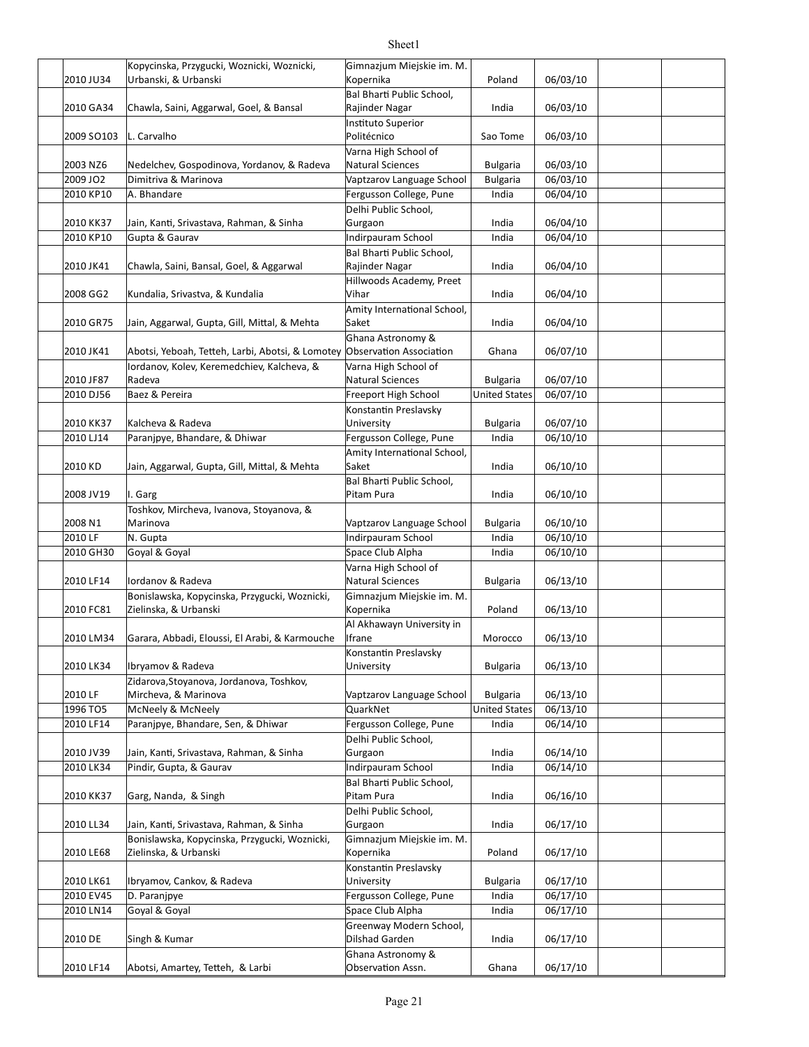|            | Kopycinska, Przygucki, Woznicki, Woznicki,                               | Gimnazjum Miejskie im. M.                   |                      |          |  |
|------------|--------------------------------------------------------------------------|---------------------------------------------|----------------------|----------|--|
| 2010 JU34  | Urbanski, & Urbanski                                                     | Kopernika                                   | Poland               | 06/03/10 |  |
| 2010 GA34  | Chawla, Saini, Aggarwal, Goel, & Bansal                                  | Bal Bharti Public School,<br>Rajinder Nagar | India                | 06/03/10 |  |
|            |                                                                          | Instituto Superior                          |                      |          |  |
| 2009 SO103 | L. Carvalho                                                              | Politécnico                                 | Sao Tome             | 06/03/10 |  |
|            |                                                                          | Varna High School of                        |                      |          |  |
| 2003 NZ6   | Nedelchev, Gospodinova, Yordanov, & Radeva                               | Natural Sciences                            | <b>Bulgaria</b>      | 06/03/10 |  |
| 2009 JO2   | Dimitriva & Marinova                                                     | Vaptzarov Language School                   | <b>Bulgaria</b>      | 06/03/10 |  |
| 2010 KP10  | A. Bhandare                                                              | Fergusson College, Pune                     | India                | 06/04/10 |  |
|            |                                                                          | Delhi Public School,                        |                      |          |  |
| 2010 KK37  | Jain, Kanti, Srivastava, Rahman, & Sinha                                 | Gurgaon                                     | India                | 06/04/10 |  |
| 2010 KP10  | Gupta & Gaurav                                                           | Indirpauram School                          | India                | 06/04/10 |  |
|            |                                                                          | Bal Bharti Public School,                   |                      |          |  |
| 2010 JK41  | Chawla, Saini, Bansal, Goel, & Aggarwal                                  | Rajinder Nagar                              | India                | 06/04/10 |  |
|            |                                                                          | Hillwoods Academy, Preet                    |                      |          |  |
| 2008 GG2   | Kundalia, Srivastva, & Kundalia                                          | Vihar                                       | India                | 06/04/10 |  |
|            |                                                                          | Amity International School,                 |                      |          |  |
|            | Jain, Aggarwal, Gupta, Gill, Mittal, & Mehta                             |                                             |                      |          |  |
| 2010 GR75  |                                                                          | Saket                                       | India                | 06/04/10 |  |
| 2010 JK41  | Abotsi, Yeboah, Tetteh, Larbi, Abotsi, & Lomotey Observation Association | Ghana Astronomy &                           |                      | 06/07/10 |  |
|            |                                                                          |                                             | Ghana                |          |  |
|            | lordanov, Kolev, Keremedchiev, Kalcheva, &<br>Radeva                     | Varna High School of<br>Natural Sciences    |                      | 06/07/10 |  |
| 2010 JF87  |                                                                          |                                             | <b>Bulgaria</b>      |          |  |
| 2010 DJ56  | Baez & Pereira                                                           | Freeport High School                        | <b>United States</b> | 06/07/10 |  |
|            |                                                                          | Konstantin Preslavsky                       |                      |          |  |
| 2010 KK37  | Kalcheva & Radeva                                                        | University                                  | <b>Bulgaria</b>      | 06/07/10 |  |
| 2010 LJ14  | Paranjpye, Bhandare, & Dhiwar                                            | Fergusson College, Pune                     | India                | 06/10/10 |  |
|            |                                                                          | Amity International School,                 |                      |          |  |
| 2010 KD    | Jain, Aggarwal, Gupta, Gill, Mittal, & Mehta                             | Saket                                       | India                | 06/10/10 |  |
|            |                                                                          | Bal Bharti Public School,                   |                      |          |  |
| 2008 JV19  | I. Garg                                                                  | Pitam Pura                                  | India                | 06/10/10 |  |
|            | Toshkov, Mircheva, Ivanova, Stoyanova, &                                 |                                             |                      |          |  |
| 2008 N1    | Marinova                                                                 | Vaptzarov Language School                   | <b>Bulgaria</b>      | 06/10/10 |  |
| 2010 LF    | N. Gupta                                                                 | Indirpauram School                          | India                | 06/10/10 |  |
| 2010 GH30  | Goyal & Goyal                                                            | Space Club Alpha                            | India                | 06/10/10 |  |
|            |                                                                          | Varna High School of                        |                      |          |  |
| 2010 LF14  | lordanov & Radeva                                                        | Natural Sciences                            | <b>Bulgaria</b>      | 06/13/10 |  |
|            | Bonislawska, Kopycinska, Przygucki, Woznicki,                            | Gimnazjum Miejskie im. M.                   |                      |          |  |
| 2010 FC81  | Zielinska, & Urbanski                                                    | Kopernika                                   | Poland               | 06/13/10 |  |
|            |                                                                          | Al Akhawayn University in                   |                      |          |  |
| 2010 LM34  | Garara, Abbadi, Eloussi, El Arabi, & Karmouche                           | Ifrane                                      | Morocco              | 06/13/10 |  |
|            |                                                                          | Konstantin Preslavsky                       |                      |          |  |
| 2010 LK34  | Ibryamov & Radeva                                                        | University                                  | <b>Bulgaria</b>      | 06/13/10 |  |
|            | Zidarova, Stoyanova, Jordanova, Toshkov,                                 |                                             |                      |          |  |
| 2010 LF    | Mircheva, & Marinova                                                     | Vaptzarov Language School                   | <b>Bulgaria</b>      | 06/13/10 |  |
| 1996 TO5   | McNeely & McNeely                                                        | QuarkNet                                    | <b>United States</b> | 06/13/10 |  |
| 2010 LF14  | Paranjpye, Bhandare, Sen, & Dhiwar                                       | Fergusson College, Pune                     | India                | 06/14/10 |  |
|            |                                                                          | Delhi Public School,                        |                      |          |  |
| 2010 JV39  | Jain, Kanti, Srivastava, Rahman, & Sinha                                 | Gurgaon                                     | India                | 06/14/10 |  |
| 2010 LK34  | Pindir, Gupta, & Gaurav                                                  | Indirpauram School                          | India                | 06/14/10 |  |
|            |                                                                          | Bal Bharti Public School,                   |                      |          |  |
| 2010 KK37  | Garg, Nanda, & Singh                                                     | Pitam Pura                                  | India                | 06/16/10 |  |
|            |                                                                          | Delhi Public School,                        |                      |          |  |
| 2010 LL34  | Jain, Kanti, Srivastava, Rahman, & Sinha                                 | Gurgaon                                     | India                | 06/17/10 |  |
|            | Bonislawska, Kopycinska, Przygucki, Woznicki,                            | Gimnazjum Miejskie im. M.                   |                      |          |  |
| 2010 LE68  | Zielinska, & Urbanski                                                    | Kopernika                                   | Poland               | 06/17/10 |  |
|            |                                                                          |                                             |                      |          |  |
|            | Ibryamov, Cankov, & Radeva                                               | Konstantin Preslavsky                       |                      |          |  |
| 2010 LK61  |                                                                          | University                                  | <b>Bulgaria</b>      | 06/17/10 |  |
| 2010 EV45  | D. Paranjpye                                                             | Fergusson College, Pune                     | India                | 06/17/10 |  |
| 2010 LN14  | Goyal & Goyal                                                            | Space Club Alpha                            | India                | 06/17/10 |  |
|            |                                                                          | Greenway Modern School,                     |                      |          |  |
| 2010 DE    | Singh & Kumar                                                            | <b>Dilshad Garden</b>                       | India                | 06/17/10 |  |
|            |                                                                          | Ghana Astronomy &                           |                      |          |  |
| 2010 LF14  | Abotsi, Amartey, Tetteh, & Larbi                                         | Observation Assn.                           | Ghana                | 06/17/10 |  |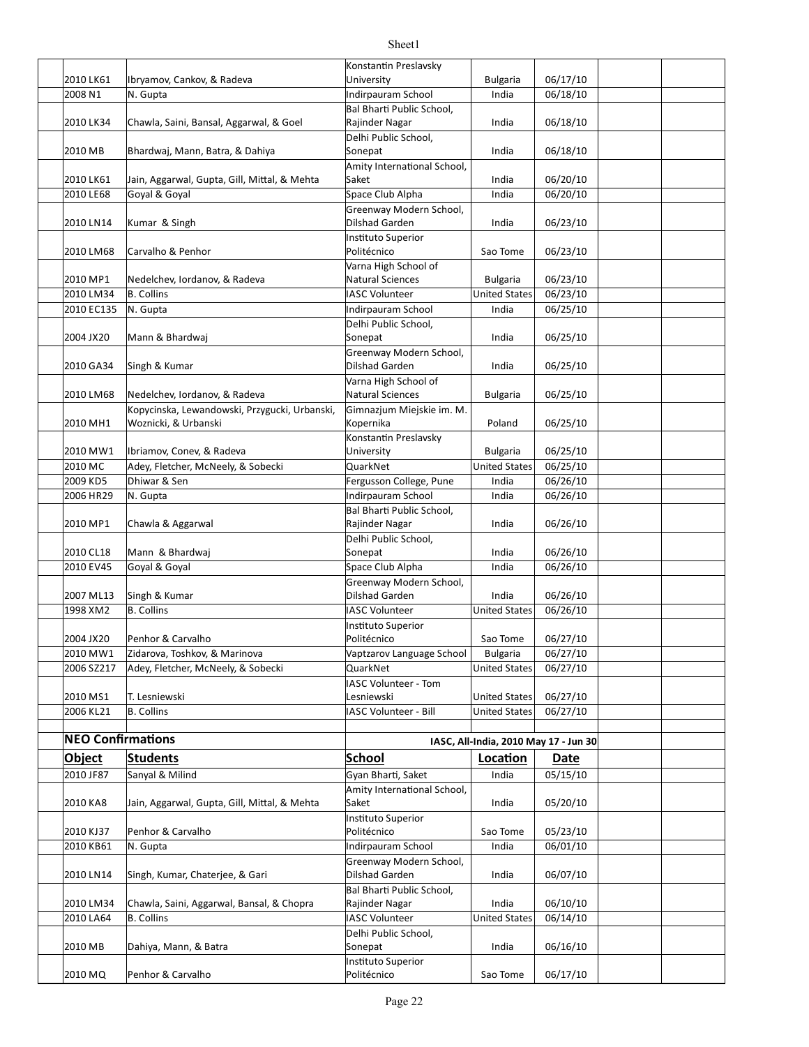|                          |                                               | Konstantin Preslavsky       |                                       |          |  |
|--------------------------|-----------------------------------------------|-----------------------------|---------------------------------------|----------|--|
| 2010 LK61                | Ibryamov, Cankov, & Radeva                    | University                  | <b>Bulgaria</b>                       | 06/17/10 |  |
| 2008 N1                  | N. Gupta                                      | Indirpauram School          | India                                 | 06/18/10 |  |
|                          |                                               | Bal Bharti Public School,   |                                       |          |  |
| 2010 LK34                | Chawla, Saini, Bansal, Aggarwal, & Goel       | Rajinder Nagar              | India                                 | 06/18/10 |  |
|                          |                                               | Delhi Public School.        |                                       |          |  |
|                          |                                               |                             | India                                 |          |  |
| 2010 MB                  | Bhardwaj, Mann, Batra, & Dahiya               | Sonepat                     |                                       | 06/18/10 |  |
|                          |                                               | Amity International School, |                                       |          |  |
| 2010 LK61                | Jain, Aggarwal, Gupta, Gill, Mittal, & Mehta  | Saket                       | India                                 | 06/20/10 |  |
| 2010 LE68                | Goyal & Goyal                                 | Space Club Alpha            | India                                 | 06/20/10 |  |
|                          |                                               | Greenway Modern School,     |                                       |          |  |
| 2010 LN14                | Kumar & Singh                                 | Dilshad Garden              | India                                 | 06/23/10 |  |
|                          |                                               | Instituto Superior          |                                       |          |  |
| 2010 LM68                | Carvalho & Penhor                             | Politécnico                 | Sao Tome                              | 06/23/10 |  |
|                          |                                               | Varna High School of        |                                       |          |  |
| 2010 MP1                 | Nedelchev, Iordanov, & Radeva                 | <b>Natural Sciences</b>     | <b>Bulgaria</b>                       | 06/23/10 |  |
| 2010 LM34                | <b>B.</b> Collins                             | <b>IASC Volunteer</b>       | <b>United States</b>                  | 06/23/10 |  |
| 2010 EC135               | N. Gupta                                      | Indirpauram School          | India                                 | 06/25/10 |  |
|                          |                                               | Delhi Public School,        |                                       |          |  |
| 2004 JX20                | Mann & Bhardwaj                               | Sonepat                     | India                                 | 06/25/10 |  |
|                          |                                               | Greenway Modern School,     |                                       |          |  |
| 2010 GA34                | Singh & Kumar                                 | Dilshad Garden              | India                                 | 06/25/10 |  |
|                          |                                               | Varna High School of        |                                       |          |  |
| 2010 LM68                | Nedelchev, Iordanov, & Radeva                 | Natural Sciences            | <b>Bulgaria</b>                       | 06/25/10 |  |
|                          | Kopycinska, Lewandowski, Przygucki, Urbanski, | Gimnazjum Miejskie im. M.   |                                       |          |  |
| 2010 MH1                 | Woznicki, & Urbanski                          | Kopernika                   | Poland                                | 06/25/10 |  |
|                          |                                               | Konstantin Preslavsky       |                                       |          |  |
| 2010 MW1                 | Ibriamov, Conev, & Radeva                     | University                  | <b>Bulgaria</b>                       | 06/25/10 |  |
| 2010 MC                  | Adey, Fletcher, McNeely, & Sobecki            | QuarkNet                    | <b>United States</b>                  | 06/25/10 |  |
|                          | Dhiwar & Sen                                  |                             |                                       |          |  |
| 2009 KD5                 |                                               | Fergusson College, Pune     | India                                 | 06/26/10 |  |
| 2006 HR29                | N. Gupta                                      | Indirpauram School          | India                                 | 06/26/10 |  |
|                          |                                               | Bal Bharti Public School,   |                                       |          |  |
| 2010 MP1                 | Chawla & Aggarwal                             | Rajinder Nagar              | India                                 | 06/26/10 |  |
|                          |                                               | Delhi Public School,        |                                       |          |  |
| 2010 CL18                | Mann & Bhardwaj                               | Sonepat                     | India                                 | 06/26/10 |  |
| 2010 EV45                | Goyal & Goyal                                 | Space Club Alpha            | India                                 | 06/26/10 |  |
|                          |                                               | Greenway Modern School,     |                                       |          |  |
| 2007 ML13                | Singh & Kumar                                 | Dilshad Garden              | India                                 | 06/26/10 |  |
| 1998 XM2                 | <b>B.</b> Collins                             | <b>IASC Volunteer</b>       | <b>United States</b>                  | 06/26/10 |  |
|                          |                                               | Instituto Superior          |                                       |          |  |
| 2004 JX20                | Penhor & Carvalho                             | Politécnico                 | Sao Tome                              | 06/27/10 |  |
| 2010 MW1                 | Zidarova, Toshkov, & Marinova                 | Vaptzarov Language School   | <b>Bulgaria</b>                       | 06/27/10 |  |
| 2006 SZ217               | Adey, Fletcher, McNeely, & Sobecki            | QuarkNet                    | <b>United States</b>                  | 06/27/10 |  |
|                          |                                               | IASC Volunteer - Tom        |                                       |          |  |
| 2010 MS1                 | T. Lesniewski                                 | Lesniewski                  | <b>United States</b>                  | 06/27/10 |  |
| 2006 KL21                | <b>B.</b> Collins                             | IASC Volunteer - Bill       | <b>United States</b>                  | 06/27/10 |  |
|                          |                                               |                             |                                       |          |  |
| <b>NEO Confirmations</b> |                                               |                             |                                       |          |  |
|                          |                                               |                             | IASC, All-India, 2010 May 17 - Jun 30 |          |  |
| <b>Object</b>            | <b>Students</b>                               | <b>School</b>               | Location                              | Date     |  |
| 2010 JF87                | Sanyal & Milind                               | Gyan Bharti, Saket          | India                                 | 05/15/10 |  |
|                          |                                               | Amity International School, |                                       |          |  |
| 2010 KA8                 | Jain, Aggarwal, Gupta, Gill, Mittal, & Mehta  | Saket                       | India                                 | 05/20/10 |  |
|                          |                                               | <b>Instituto Superior</b>   |                                       |          |  |
| 2010 KJ37                | Penhor & Carvalho                             | Politécnico                 | Sao Tome                              | 05/23/10 |  |
| 2010 KB61                | N. Gupta                                      | Indirpauram School          | India                                 | 06/01/10 |  |
|                          |                                               | Greenway Modern School,     |                                       |          |  |
| 2010 LN14                | Singh, Kumar, Chaterjee, & Gari               | Dilshad Garden              | India                                 | 06/07/10 |  |
|                          |                                               | Bal Bharti Public School,   |                                       |          |  |
| 2010 LM34                | Chawla, Saini, Aggarwal, Bansal, & Chopra     |                             | India                                 | 06/10/10 |  |
|                          |                                               | Rajinder Nagar              |                                       |          |  |
| 2010 LA64                | <b>B.</b> Collins                             | <b>IASC Volunteer</b>       | <b>United States</b>                  | 06/14/10 |  |
|                          |                                               | Delhi Public School,        |                                       |          |  |
| 2010 MB                  | Dahiya, Mann, & Batra                         | Sonepat                     | India                                 | 06/16/10 |  |
|                          |                                               | Instituto Superior          |                                       |          |  |
| 2010 MQ                  | Penhor & Carvalho                             | Politécnico                 | Sao Tome                              | 06/17/10 |  |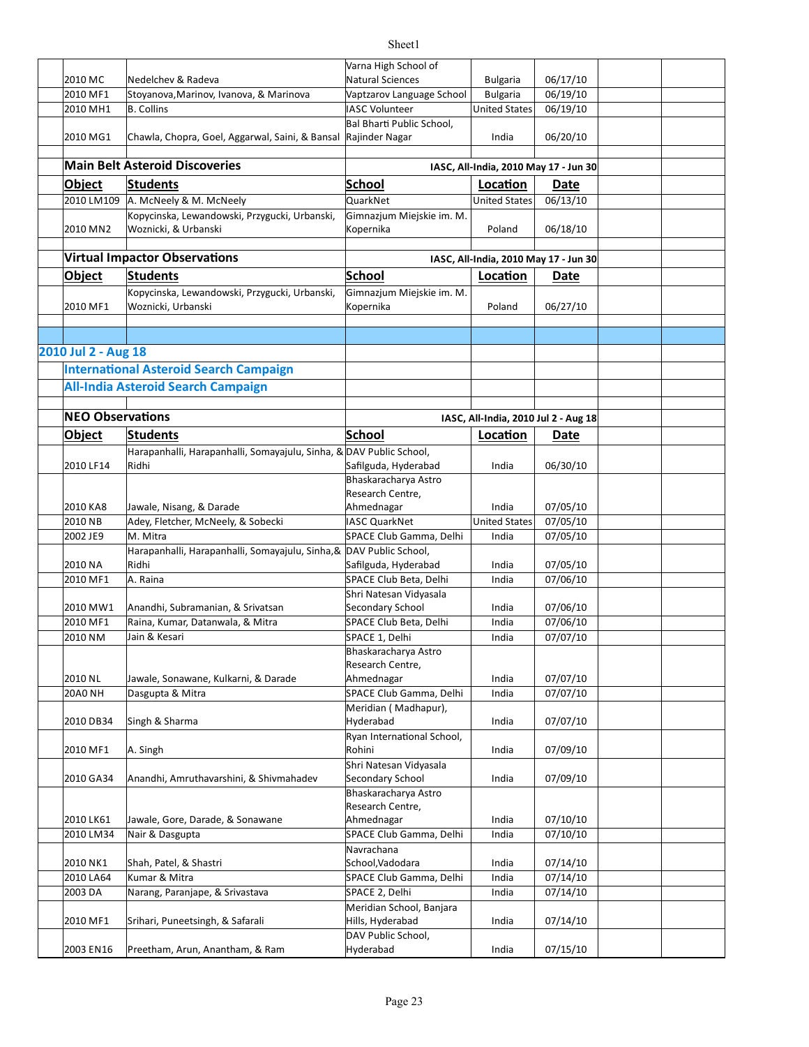|                         |                                                  | Varna High School of       |                                       |             |  |
|-------------------------|--------------------------------------------------|----------------------------|---------------------------------------|-------------|--|
| 2010 MC                 | Nedelchev & Radeva                               | <b>Natural Sciences</b>    | <b>Bulgaria</b>                       | 06/17/10    |  |
| 2010 MF1                | Stoyanova, Marinov, Ivanova, & Marinova          | Vaptzarov Language School  | <b>Bulgaria</b>                       | 06/19/10    |  |
| 2010 MH1                | <b>B. Collins</b>                                | <b>IASC Volunteer</b>      | <b>United States</b>                  | 06/19/10    |  |
|                         |                                                  | Bal Bharti Public School,  |                                       |             |  |
| 2010 MG1                | Chawla, Chopra, Goel, Aggarwal, Saini, & Bansal  | Rajinder Nagar             | India                                 | 06/20/10    |  |
|                         |                                                  |                            |                                       |             |  |
|                         | <b>Main Belt Asteroid Discoveries</b>            |                            | IASC, All-India, 2010 May 17 - Jun 30 |             |  |
| <b>Object</b>           | <b>Students</b>                                  | School                     | Location                              | <b>Date</b> |  |
| 2010 LM109              | A. McNeely & M. McNeely                          | QuarkNet                   | <b>United States</b>                  | 06/13/10    |  |
|                         | Kopycinska, Lewandowski, Przygucki, Urbanski,    | Gimnazjum Miejskie im. M.  |                                       |             |  |
| 2010 MN2                | Woznicki, & Urbanski                             | Kopernika                  | Poland                                | 06/18/10    |  |
|                         |                                                  |                            |                                       |             |  |
|                         | <b>Virtual Impactor Observations</b>             |                            | IASC, All-India, 2010 May 17 - Jun 30 |             |  |
|                         |                                                  |                            |                                       |             |  |
| <b>Object</b>           | <b>Students</b>                                  | School                     | Location                              | Date        |  |
|                         | Kopycinska, Lewandowski, Przygucki, Urbanski,    | Gimnazjum Miejskie im. M.  |                                       |             |  |
| 2010 MF1                | Woznicki, Urbanski                               | Kopernika                  | Poland                                | 06/27/10    |  |
|                         |                                                  |                            |                                       |             |  |
|                         |                                                  |                            |                                       |             |  |
| 2010 Jul 2 - Aug 18     |                                                  |                            |                                       |             |  |
|                         | <b>International Asteroid Search Campaign</b>    |                            |                                       |             |  |
|                         | <b>All-India Asteroid Search Campaign</b>        |                            |                                       |             |  |
|                         |                                                  |                            |                                       |             |  |
| <b>NEO Observations</b> |                                                  |                            |                                       |             |  |
|                         |                                                  |                            | IASC, All-India, 2010 Jul 2 - Aug 18  |             |  |
| <b>Object</b>           | <b>Students</b>                                  | School                     | Location                              | Date        |  |
|                         | Harapanhalli, Harapanhalli, Somayajulu, Sinha, & | DAV Public School,         |                                       |             |  |
| 2010 LF14               | Ridhi                                            | Safilguda, Hyderabad       | India                                 | 06/30/10    |  |
|                         |                                                  | Bhaskaracharya Astro       |                                       |             |  |
|                         |                                                  | Research Centre,           |                                       |             |  |
| 2010 KA8                | Jawale, Nisang, & Darade                         | Ahmednagar                 | India                                 | 07/05/10    |  |
| 2010 NB                 | Adey, Fletcher, McNeely, & Sobecki               | IASC QuarkNet              | <b>United States</b>                  | 07/05/10    |  |
| 2002 JE9                | M. Mitra                                         | SPACE Club Gamma, Delhi    | India                                 | 07/05/10    |  |
|                         | Harapanhalli, Harapanhalli, Somayajulu, Sinha, & | DAV Public School,         |                                       |             |  |
| 2010 NA                 | Ridhi                                            | Safilguda, Hyderabad       | India                                 | 07/05/10    |  |
| 2010 MF1                | A. Raina                                         | SPACE Club Beta, Delhi     | India                                 | 07/06/10    |  |
|                         |                                                  | Shri Natesan Vidyasala     |                                       |             |  |
| 2010 MW1                | Anandhi, Subramanian, & Srivatsan                | Secondary School           | India                                 | 07/06/10    |  |
| 2010 MF1                | Raina, Kumar, Datanwala, & Mitra                 | SPACE Club Beta, Delhi     | India                                 | 07/06/10    |  |
| 2010 NM                 | Jain & Kesari                                    | SPACE 1, Delhi             | India                                 | 07/07/10    |  |
|                         |                                                  | Bhaskaracharya Astro       |                                       |             |  |
|                         |                                                  | Research Centre,           |                                       |             |  |
| 2010 NL                 | Jawale, Sonawane, Kulkarni, & Darade             | Ahmednagar                 | India                                 | 07/07/10    |  |
| <b>20A0 NH</b>          | Dasgupta & Mitra                                 | SPACE Club Gamma, Delhi    | India                                 | 07/07/10    |  |
|                         |                                                  | Meridian (Madhapur),       |                                       |             |  |
| 2010 DB34               | Singh & Sharma                                   | Hyderabad                  | India                                 | 07/07/10    |  |
|                         |                                                  | Ryan International School, |                                       |             |  |
| 2010 MF1                | A. Singh                                         | Rohini                     | India                                 | 07/09/10    |  |
|                         |                                                  | Shri Natesan Vidyasala     |                                       |             |  |
| 2010 GA34               | Anandhi, Amruthavarshini, & Shivmahadev          | Secondary School           | India                                 | 07/09/10    |  |
|                         |                                                  | Bhaskaracharya Astro       |                                       |             |  |
|                         |                                                  | Research Centre,           |                                       |             |  |
| 2010 LK61               | Jawale, Gore, Darade, & Sonawane                 | Ahmednagar                 | India                                 | 07/10/10    |  |
| 2010 LM34               | Nair & Dasgupta                                  | SPACE Club Gamma, Delhi    | India                                 | 07/10/10    |  |
|                         |                                                  | Navrachana                 |                                       |             |  |
| 2010 NK1                | Shah, Patel, & Shastri                           | School, Vadodara           | India                                 | 07/14/10    |  |
|                         |                                                  |                            |                                       | 07/14/10    |  |
| 2010 LA64               | Kumar & Mitra                                    | SPACE Club Gamma, Delhi    | India                                 |             |  |
| 2003 DA                 | Narang, Paranjape, & Srivastava                  | SPACE 2, Delhi             | India                                 | 07/14/10    |  |
|                         |                                                  | Meridian School, Banjara   |                                       |             |  |
| 2010 MF1                | Srihari, Puneetsingh, & Safarali                 | Hills, Hyderabad           | India                                 | 07/14/10    |  |
|                         |                                                  | DAV Public School,         |                                       |             |  |
| 2003 EN16               | Preetham, Arun, Anantham, & Ram                  | Hyderabad                  | India                                 | 07/15/10    |  |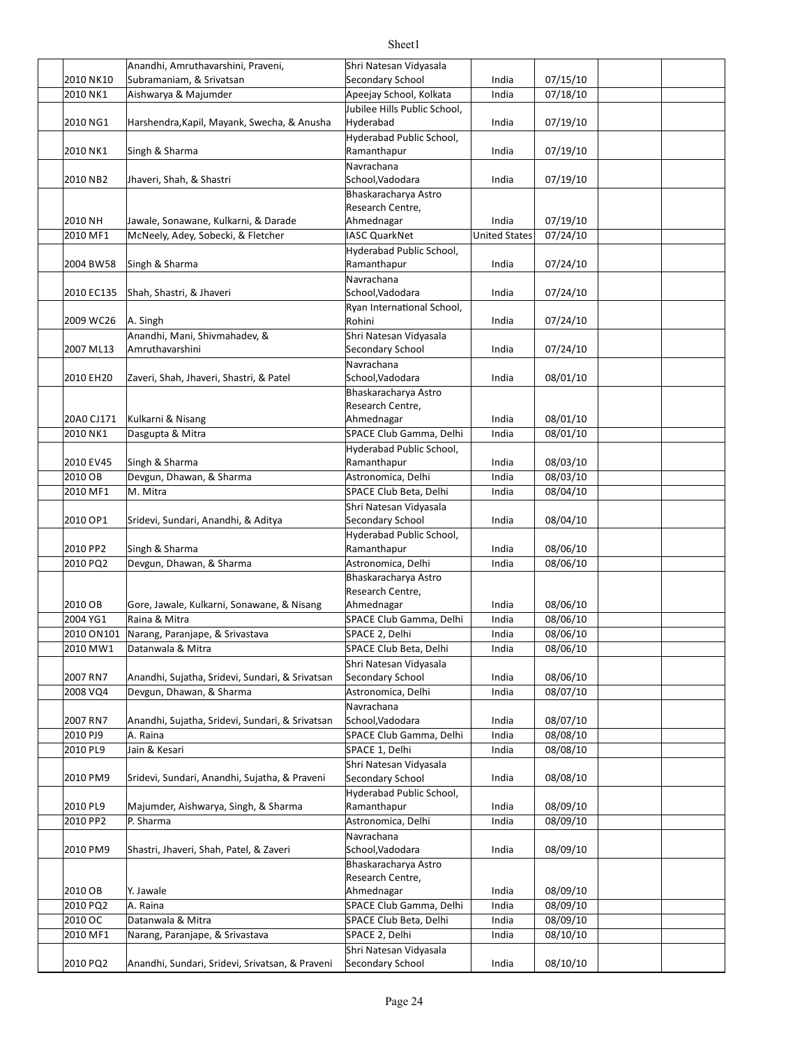|            | Anandhi, Amruthavarshini, Praveni,              | Shri Natesan Vidyasala       |                      |          |  |
|------------|-------------------------------------------------|------------------------------|----------------------|----------|--|
| 2010 NK10  | Subramaniam, & Srivatsan                        | Secondary School             | India                | 07/15/10 |  |
| 2010 NK1   | Aishwarya & Majumder                            | Apeejay School, Kolkata      | India                | 07/18/10 |  |
|            |                                                 | Jubilee Hills Public School, |                      |          |  |
| 2010 NG1   | Harshendra, Kapil, Mayank, Swecha, & Anusha     | Hyderabad                    | India                | 07/19/10 |  |
|            |                                                 | Hyderabad Public School,     |                      |          |  |
| 2010 NK1   | Singh & Sharma                                  | Ramanthapur                  | India                | 07/19/10 |  |
|            |                                                 |                              |                      |          |  |
|            |                                                 | Navrachana                   |                      |          |  |
| 2010 NB2   | Jhaveri, Shah, & Shastri                        | School, Vadodara             | India                | 07/19/10 |  |
|            |                                                 | Bhaskaracharya Astro         |                      |          |  |
|            |                                                 | Research Centre,             |                      |          |  |
| 2010 NH    | Jawale, Sonawane, Kulkarni, & Darade            | Ahmednagar                   | India                | 07/19/10 |  |
| 2010 MF1   | McNeely, Adey, Sobecki, & Fletcher              | <b>IASC QuarkNet</b>         | <b>United States</b> | 07/24/10 |  |
|            |                                                 | Hyderabad Public School,     |                      |          |  |
| 2004 BW58  | Singh & Sharma                                  | Ramanthapur                  | India                | 07/24/10 |  |
|            |                                                 | Navrachana                   |                      |          |  |
| 2010 EC135 | Shah, Shastri, & Jhaveri                        | School, Vadodara             | India                | 07/24/10 |  |
|            |                                                 | Ryan International School,   |                      |          |  |
| 2009 WC26  | A. Singh                                        | Rohini                       | India                | 07/24/10 |  |
|            | Anandhi, Mani, Shivmahadev, &                   | Shri Natesan Vidyasala       |                      |          |  |
| 2007 ML13  | Amruthavarshini                                 | Secondary School             | India                | 07/24/10 |  |
|            |                                                 | Navrachana                   |                      |          |  |
| 2010 EH20  | Zaveri, Shah, Jhaveri, Shastri, & Patel         | School, Vadodara             | India                | 08/01/10 |  |
|            |                                                 | Bhaskaracharya Astro         |                      |          |  |
|            |                                                 | Research Centre,             |                      |          |  |
| 20A0 CJ171 | Kulkarni & Nisang                               | Ahmednagar                   | India                | 08/01/10 |  |
| 2010 NK1   | Dasgupta & Mitra                                | SPACE Club Gamma, Delhi      | India                | 08/01/10 |  |
|            |                                                 | Hyderabad Public School,     |                      |          |  |
| 2010 EV45  | Singh & Sharma                                  | Ramanthapur                  | India                | 08/03/10 |  |
| 2010 OB    | Devgun, Dhawan, & Sharma                        | Astronomica, Delhi           | India                | 08/03/10 |  |
| 2010 MF1   | M. Mitra                                        | SPACE Club Beta, Delhi       | India                | 08/04/10 |  |
|            |                                                 | Shri Natesan Vidyasala       |                      |          |  |
|            |                                                 | Secondary School             |                      |          |  |
| 2010 OP1   | Sridevi, Sundari, Anandhi, & Aditya             |                              | India                | 08/04/10 |  |
|            |                                                 | Hyderabad Public School,     |                      |          |  |
| 2010 PP2   | Singh & Sharma                                  | Ramanthapur                  | India                | 08/06/10 |  |
| 2010 PQ2   | Devgun, Dhawan, & Sharma                        | Astronomica, Delhi           | India                | 08/06/10 |  |
|            |                                                 | Bhaskaracharya Astro         |                      |          |  |
|            |                                                 | Research Centre,             |                      |          |  |
| 2010 OB    | Gore, Jawale, Kulkarni, Sonawane, & Nisang      | Ahmednagar                   | India                | 08/06/10 |  |
| 2004 YG1   | Raina & Mitra                                   | SPACE Club Gamma, Delhi      | India                | 08/06/10 |  |
| 2010 ON101 | Narang, Paranjape, & Srivastava                 | SPACE 2, Delhi               | India                | 08/06/10 |  |
|            | 2010 MW1 Datanwala & Mitra                      | SPACE Club Beta, Delhi       | India                | 08/06/10 |  |
|            |                                                 | Shri Natesan Vidyasala       |                      |          |  |
| 2007 RN7   | Anandhi, Sujatha, Sridevi, Sundari, & Srivatsan | Secondary School             | India                | 08/06/10 |  |
| 2008 VQ4   | Devgun, Dhawan, & Sharma                        | Astronomica, Delhi           | India                | 08/07/10 |  |
|            |                                                 | Navrachana                   |                      |          |  |
| 2007 RN7   | Anandhi, Sujatha, Sridevi, Sundari, & Srivatsan | School, Vadodara             | India                | 08/07/10 |  |
| 2010 PJ9   | A. Raina                                        | SPACE Club Gamma, Delhi      | India                | 08/08/10 |  |
| 2010 PL9   | Jain & Kesari                                   | SPACE 1, Delhi               | India                | 08/08/10 |  |
|            |                                                 | Shri Natesan Vidyasala       |                      |          |  |
| 2010 PM9   | Sridevi, Sundari, Anandhi, Sujatha, & Praveni   | Secondary School             | India                | 08/08/10 |  |
|            |                                                 | Hyderabad Public School,     |                      |          |  |
|            |                                                 | Ramanthapur                  |                      | 08/09/10 |  |
| 2010 PL9   | Majumder, Aishwarya, Singh, & Sharma            |                              | India                |          |  |
| 2010 PP2   | P. Sharma                                       | Astronomica, Delhi           | India                | 08/09/10 |  |
|            |                                                 | Navrachana                   |                      |          |  |
| 2010 PM9   | Shastri, Jhaveri, Shah, Patel, & Zaveri         | School, Vadodara             | India                | 08/09/10 |  |
|            |                                                 | Bhaskaracharya Astro         |                      |          |  |
|            |                                                 | Research Centre,             |                      |          |  |
| 2010 OB    | Y. Jawale                                       | Ahmednagar                   | India                | 08/09/10 |  |
| 2010 PQ2   | A. Raina                                        | SPACE Club Gamma, Delhi      | India                | 08/09/10 |  |
| 2010 OC    | Datanwala & Mitra                               | SPACE Club Beta, Delhi       | India                | 08/09/10 |  |
| 2010 MF1   | Narang, Paranjape, & Srivastava                 | SPACE 2, Delhi               | India                | 08/10/10 |  |
|            |                                                 | Shri Natesan Vidyasala       |                      |          |  |
| 2010 PQ2   | Anandhi, Sundari, Sridevi, Srivatsan, & Praveni | Secondary School             | India                | 08/10/10 |  |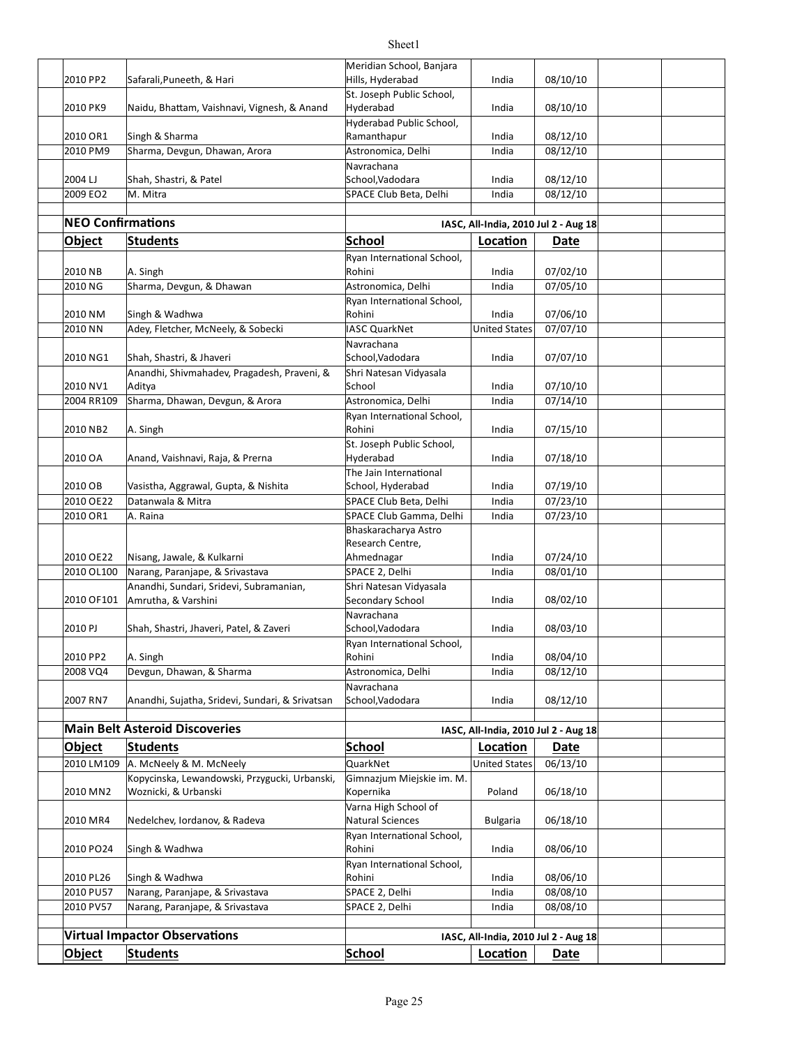|                          |                                                                          | Meridian School, Banjara                          |                                      |                      |  |
|--------------------------|--------------------------------------------------------------------------|---------------------------------------------------|--------------------------------------|----------------------|--|
| 2010 PP2                 | Safarali, Puneeth, & Hari                                                | Hills, Hyderabad                                  | India                                | 08/10/10             |  |
| 2010 PK9                 | Naidu, Bhattam, Vaishnavi, Vignesh, & Anand                              | St. Joseph Public School,<br>Hyderabad            | India                                | 08/10/10             |  |
| 2010 OR1                 | Singh & Sharma                                                           | Hyderabad Public School,<br>Ramanthapur           | India                                | 08/12/10             |  |
| 2010 PM9                 | Sharma, Devgun, Dhawan, Arora                                            | Astronomica, Delhi                                | India                                | 08/12/10             |  |
|                          |                                                                          | Navrachana                                        |                                      |                      |  |
| 2004 LJ                  | Shah, Shastri, & Patel                                                   | School, Vadodara                                  | India                                | 08/12/10             |  |
| 2009 EO2                 | M. Mitra                                                                 | SPACE Club Beta, Delhi                            | India                                | 08/12/10             |  |
| <b>NEO Confirmations</b> |                                                                          |                                                   |                                      |                      |  |
|                          |                                                                          | <b>School</b>                                     | IASC, All-India, 2010 Jul 2 - Aug 18 |                      |  |
| <b>Object</b>            | <b>Students</b>                                                          | Ryan International School,                        | Location                             | Date                 |  |
| 2010 NB                  | A. Singh                                                                 | Rohini                                            | India                                | 07/02/10             |  |
| 2010 NG                  | Sharma, Devgun, & Dhawan                                                 | Astronomica, Delhi                                | India                                | 07/05/10             |  |
|                          |                                                                          | Ryan International School,                        |                                      |                      |  |
| 2010 NM                  | Singh & Wadhwa                                                           | Rohini                                            | India                                | 07/06/10             |  |
| 2010 NN                  | Adey, Fletcher, McNeely, & Sobecki                                       | <b>IASC QuarkNet</b>                              | <b>United States</b>                 | 07/07/10             |  |
| 2010 NG1                 | Shah, Shastri, & Jhaveri                                                 | Navrachana<br>School, Vadodara                    | India                                | 07/07/10             |  |
| 2010 NV1                 | Anandhi, Shivmahadev, Pragadesh, Praveni, &<br>Aditya                    | Shri Natesan Vidyasala<br>School                  | India                                | 07/10/10             |  |
| 2004 RR109               | Sharma, Dhawan, Devgun, & Arora                                          | Astronomica, Delhi                                | India                                | 07/14/10             |  |
|                          |                                                                          | Ryan International School,                        |                                      |                      |  |
| 2010 NB2                 | A. Singh                                                                 | Rohini                                            | India                                | 07/15/10             |  |
| 2010 OA                  | Anand, Vaishnavi, Raja, & Prerna                                         | St. Joseph Public School,<br>Hyderabad            | India                                | 07/18/10             |  |
|                          |                                                                          | The Jain International                            |                                      |                      |  |
| 2010 OB                  | Vasistha, Aggrawal, Gupta, & Nishita                                     | School, Hyderabad                                 | India                                | 07/19/10             |  |
| 2010 OE22<br>2010 OR1    | Datanwala & Mitra<br>A. Raina                                            | SPACE Club Beta, Delhi<br>SPACE Club Gamma, Delhi | India<br>India                       | 07/23/10<br>07/23/10 |  |
|                          |                                                                          | Bhaskaracharya Astro                              |                                      |                      |  |
|                          |                                                                          | Research Centre,                                  |                                      |                      |  |
| 2010 OE22                | Nisang, Jawale, & Kulkarni                                               | Ahmednagar                                        | India                                | 07/24/10             |  |
| 2010 OL100               | Narang, Paranjape, & Srivastava                                          | SPACE 2, Delhi                                    | India                                | 08/01/10             |  |
| 2010 OF101               | Anandhi, Sundari, Sridevi, Subramanian,<br>Amrutha, & Varshini           | Shri Natesan Vidyasala<br>Secondary School        | India                                | 08/02/10             |  |
| 2010 PJ                  | Shah, Shastri, Jhaveri, Patel, & Zaveri                                  | Navrachana<br>School, Vadodara                    | India                                | 08/03/10             |  |
|                          |                                                                          | Ryan International School,                        |                                      |                      |  |
| 2010 PP2                 | A. Singh                                                                 | Rohini                                            | India                                | 08/04/10             |  |
| 2008 VQ4                 | Devgun, Dhawan, & Sharma                                                 | Astronomica, Delhi                                | India                                | 08/12/10             |  |
| 2007 RN7                 | Anandhi, Sujatha, Sridevi, Sundari, & Srivatsan                          | Navrachana<br>School, Vadodara                    | India                                | 08/12/10             |  |
|                          | <b>Main Belt Asteroid Discoveries</b>                                    |                                                   |                                      |                      |  |
|                          |                                                                          |                                                   | IASC, All-India, 2010 Jul 2 - Aug 18 |                      |  |
| <b>Object</b>            | <b>Students</b>                                                          | <b>School</b>                                     | Location                             | Date                 |  |
| 2010 LM109               | A. McNeely & M. McNeely<br>Kopycinska, Lewandowski, Przygucki, Urbanski, | QuarkNet<br>Gimnazjum Miejskie im. M.             | <b>United States</b>                 | 06/13/10             |  |
| 2010 MN2                 | Woznicki, & Urbanski                                                     | Kopernika<br>Varna High School of                 | Poland                               | 06/18/10             |  |
| 2010 MR4                 | Nedelchev, Iordanov, & Radeva                                            | <b>Natural Sciences</b>                           | <b>Bulgaria</b>                      | 06/18/10             |  |
| 2010 PO24                | Singh & Wadhwa                                                           | Ryan International School,<br>Rohini              | India                                | 08/06/10             |  |
|                          |                                                                          | Ryan International School,                        |                                      |                      |  |
| 2010 PL26                | Singh & Wadhwa                                                           | Rohini                                            | India                                | 08/06/10             |  |
| 2010 PU57                | Narang, Paranjape, & Srivastava                                          | SPACE 2, Delhi                                    | India                                | 08/08/10             |  |
| 2010 PV57                | Narang, Paranjape, & Srivastava                                          | SPACE 2, Delhi                                    | India                                | 08/08/10             |  |
|                          | <b>Virtual Impactor Observations</b>                                     |                                                   | IASC, All-India, 2010 Jul 2 - Aug 18 |                      |  |
| <b>Object</b>            | <b>Students</b>                                                          | <b>School</b>                                     | Location                             | <b>Date</b>          |  |
|                          |                                                                          |                                                   |                                      |                      |  |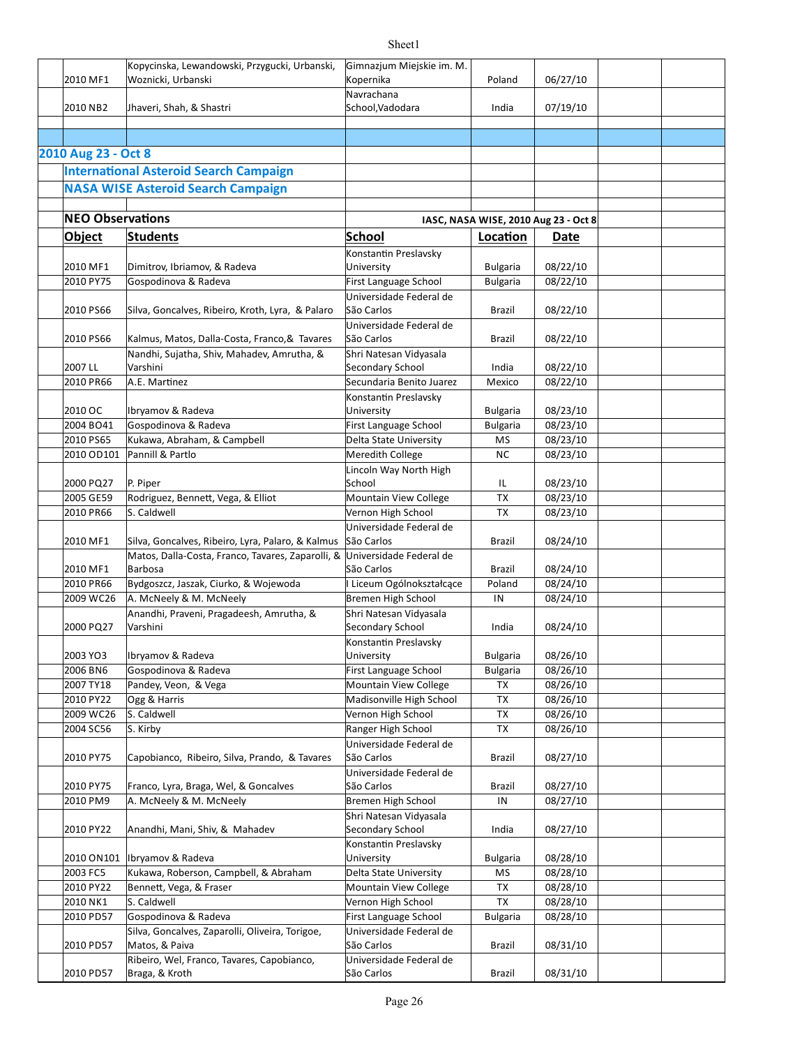| 2010 MF1                | Kopycinska, Lewandowski, Przygucki, Urbanski,<br>Woznicki, Urbanski     | Gimnazjum Miejskie im. M.<br>Kopernika            | Poland                               | 06/27/10             |  |
|-------------------------|-------------------------------------------------------------------------|---------------------------------------------------|--------------------------------------|----------------------|--|
| 2010 NB2                | Jhaveri, Shah, & Shastri                                                | Navrachana<br>School, Vadodara                    | India                                | 07/19/10             |  |
|                         |                                                                         |                                                   |                                      |                      |  |
| 2010 Aug 23 - Oct 8     |                                                                         |                                                   |                                      |                      |  |
|                         | <b>International Asteroid Search Campaign</b>                           |                                                   |                                      |                      |  |
|                         | <b>NASA WISE Asteroid Search Campaign</b>                               |                                                   |                                      |                      |  |
|                         |                                                                         |                                                   |                                      |                      |  |
| <b>NEO Observations</b> |                                                                         |                                                   | IASC, NASA WISE, 2010 Aug 23 - Oct 8 |                      |  |
| <b>Object</b>           | Students                                                                | School                                            | Location                             | Date                 |  |
| 2010 MF1                | Dimitrov, Ibriamov, & Radeva                                            | Konstantin Preslavsky<br>University               | <b>Bulgaria</b>                      | 08/22/10             |  |
| 2010 PY75               | Gospodinova & Radeva                                                    | First Language School                             | <b>Bulgaria</b>                      | 08/22/10             |  |
| 2010 PS66               | Silva, Goncalves, Ribeiro, Kroth, Lyra, & Palaro                        | Universidade Federal de<br>São Carlos             | Brazil                               | 08/22/10             |  |
| 2010 PS66               | Kalmus, Matos, Dalla-Costa, Franco, & Tavares                           | Universidade Federal de<br>São Carlos             | Brazil                               | 08/22/10             |  |
|                         | Nandhi, Sujatha, Shiv, Mahadev, Amrutha, &                              | Shri Natesan Vidyasala                            |                                      |                      |  |
| 2007 LL                 | Varshini                                                                | Secondary School                                  | India                                | 08/22/10             |  |
| 2010 PR66               | A.E. Martinez                                                           | Secundaria Benito Juarez<br>Konstantin Preslavsky | Mexico                               | 08/22/10             |  |
| 2010 OC                 | Ibryamov & Radeva                                                       | University                                        | <b>Bulgaria</b>                      | 08/23/10             |  |
| 2004 BO41               | Gospodinova & Radeva                                                    | First Language School                             | <b>Bulgaria</b>                      | 08/23/10             |  |
| 2010 PS65               | Kukawa, Abraham, & Campbell                                             | Delta State University                            | MS                                   | 08/23/10             |  |
| 2010 OD101              | Pannill & Partlo                                                        | Meredith College                                  | <b>NC</b>                            | 08/23/10             |  |
|                         |                                                                         | Lincoln Way North High                            |                                      |                      |  |
| 2000 PQ27<br>2005 GE59  | P. Piper<br>Rodriguez, Bennett, Vega, & Elliot                          | School                                            | IL<br>TX                             | 08/23/10<br>08/23/10 |  |
| 2010 PR66               | S. Caldwell                                                             | Mountain View College<br>Vernon High School       | ТX                                   | 08/23/10             |  |
|                         |                                                                         | Universidade Federal de                           |                                      |                      |  |
| 2010 MF1                | Silva, Goncalves, Ribeiro, Lyra, Palaro, & Kalmus                       | São Carlos                                        | Brazil                               | 08/24/10             |  |
| 2010 MF1                | Matos, Dalla-Costa, Franco, Tavares, Zaparolli, &<br><b>Barbosa</b>     | Universidade Federal de<br>São Carlos             | Brazil                               | 08/24/10             |  |
| 2010 PR66               | Bydgoszcz, Jaszak, Ciurko, & Wojewoda                                   | Liceum Ogólnokształcące                           | Poland                               | 08/24/10             |  |
| 2009 WC26               | A. McNeely & M. McNeely                                                 | Bremen High School                                | IN                                   | 08/24/10             |  |
| 2000 PQ27               | Anandhi, Praveni, Pragadeesh, Amrutha, &<br>Varshini                    | Shri Natesan Vidyasala<br>Secondary School        | India                                | 08/24/10             |  |
| 2003 YO3                | Ibryamov & Radeva                                                       | Konstantin Preslavsky<br>University               | <b>Bulgaria</b>                      | 08/26/10             |  |
| 2006 BN6                | Gospodinova & Radeva                                                    | First Language School                             | <b>Bulgaria</b>                      | 08/26/10             |  |
| 2007 TY18               | Pandey, Veon, & Vega                                                    | Mountain View College                             | TX                                   | 08/26/10             |  |
| 2010 PY22               | Ogg & Harris                                                            | Madisonville High School                          | TX                                   | 08/26/10             |  |
| 2009 WC26               | S. Caldwell                                                             | Vernon High School                                | TX                                   | 08/26/10             |  |
| 2004 SC56               | S. Kirby                                                                | Ranger High School<br>Universidade Federal de     | TX                                   | 08/26/10             |  |
| 2010 PY75               | Capobianco, Ribeiro, Silva, Prando, & Tavares                           | São Carlos                                        | Brazil                               | 08/27/10             |  |
| 2010 PY75               | Franco, Lyra, Braga, Wel, & Goncalves                                   | Universidade Federal de<br>São Carlos             | Brazil                               | 08/27/10             |  |
| 2010 PM9                | A. McNeely & M. McNeely                                                 | Bremen High School                                | IN                                   | 08/27/10             |  |
| 2010 PY22               | Anandhi, Mani, Shiv, & Mahadev                                          | Shri Natesan Vidyasala<br>Secondary School        | India                                | 08/27/10             |  |
| 2010 ON101              | Ibryamov & Radeva                                                       | Konstantin Preslavsky<br>University               | <b>Bulgaria</b>                      | 08/28/10             |  |
| 2003 FC5                | Kukawa, Roberson, Campbell, & Abraham                                   | Delta State University                            | ΜS                                   | 08/28/10             |  |
| 2010 PY22               | Bennett, Vega, & Fraser                                                 | Mountain View College                             | TX                                   | 08/28/10             |  |
| 2010 NK1                | S. Caldwell                                                             | Vernon High School                                | TX                                   | 08/28/10             |  |
| 2010 PD57               | Gospodinova & Radeva<br>Silva, Goncalves, Zaparolli, Oliveira, Torigoe, | First Language School<br>Universidade Federal de  | <b>Bulgaria</b>                      | 08/28/10             |  |
| 2010 PD57               | Matos, & Paiva<br>Ribeiro, Wel, Franco, Tavares, Capobianco,            | São Carlos<br>Universidade Federal de             | Brazil                               | 08/31/10             |  |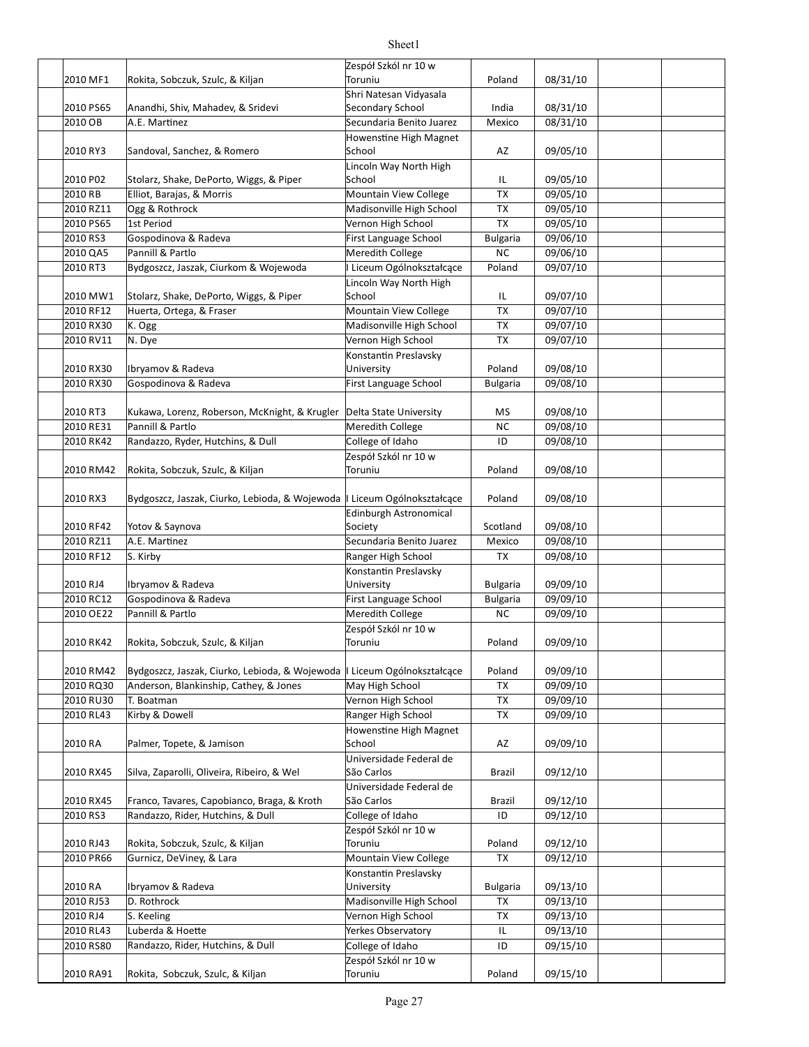#### 2010 MF1 | Rokita, Sobczuk, Szulc, & Kiljan | Toruniu | Toruniu | Poland | 08/31/10 2010 PS65 Banandhi, Shiv, Mahadev, & Sridevi Statem Secondary School Show and a Research 108/31/10 2010 OB A.E. Mar[nez Mexico 08/31/10 Secundaria Benito Juarez 2010 RY3 Sandoval, Sanchez, & Romero School School AZ 09/05/10 2010 P02 Stolarz, Shake, DePorto, Wiggs, & Piper School Stolar School II (199/05/10 2010 RB Elliot, Barajas, & Morris Mountain View College TX 09/05/10 2010 RZ11 Ogg & Rothrock Madisonville High School TX 09/05/10 2010 PS65 1st Period **Demonity Community Properties Accord Properties Community Properties Accord Properties Co** 2010 RS3 Gospodinova & Radeva **First Language School** Bulgaria 09/06/10 2010 QA5 Pannill & Partlo Neredith College NC 09/06/10 2010 RT3 Bydgoszcz, Jaszak, Ciurkom & Wojewoda |I Liceum Ogólnokształcące | Poland | 09/07/10 2010 MW1 Stolarz, Shake, DePorto, Wiggs, & Piper School Stolar School Stolar (199/07/10 2010 RF12 Huerta, Ortega, & Fraser Mountain View College TX 09/07/10 2010 RX30 K. Ogg **COMEN COMEN COMEN COMEN COMEN COMEN COMEN COMEN COMEN COMEN COMEN COMEN COMEN COMEN COMEN COMEN COMEN COMEN COMEN COMEN COMEN COMEN COMEN COMEN COMEN COMEN COMEN COMEN COMEN COMEN COMEN COMEN COMEN COMEN** 2010 RV11 N. Dye Vernon High School TX 09/07/10 2010 RX30 Poland 09/08/10 Ibryamov & Radeva 2010 RX30 Gospodinova & Radeva **First Language School** Bulgaria 09/08/10 2010 RT3 Kukawa, Lorenz, Roberson, McKnight, & Krugler |Delta State University | MS | 09/08/10 2010 RE31 Pannill & Partlo **Network College** NC 09/08/10 2010 RK42 Randazzo, Ryder, Hutchins, & Dull College of Idaho College of International College of Idaho College of Idaho 2010 RM42 Rokita, Sobczuk, Szulc, & Kiljan Marthur Mortoniu all Poland | 09/08/10 2010 RX3 Bydgoszcz, Jaszak, Ciurko, Lebioda, & Wojewoda |I Liceum Ogólnokształcące | Poland | 09/08/10 2010 RF42 Yotov & Saynova Notel Society Society Scotland | 09/08/10 2010 RZ11 | A.E. Martinez Mexico 1 | Mexico | Mexico | 09/08/10 2010 RF12 S. Kirby **Cannet Communist Communist Communist Ranger High School TX** 09/08/10 2010 RJ4 | Ibryamov & Radeva University Bulgaria 09/09/10 2010 RC12 Gospodinova & Radeva First Language School Bulgaria 09/09/10 2010 OE22 Pannill & Partlo **Network College** NC 09/09/10 2010 RK42 Poland 09/09/10 Rokita, Sobczuk, Szulc, & Kiljan 2010 RM42 Bydgoszcz, Jaszak, Ciurko, Lebioda, & Wojewoda |I Liceum Ogólnokształcące | Poland | 09/09/10 2010 RQ30 SAnderson, Blankinship, Cathey, & Jones May High School TX 7 09/09/10 2010 RU30 T. Boatman Vernon High School TX 09/09/10 2010 RL43 Kirby & Dowell **Example 2010** Ranger High School TX 109/09/10 2010 RA AZ 09/09/10 Palmer, Topete, & Jamison 2010 RX45 Brazil 09/12/10 Silva, Zaparolli, Oliveira, Ribeiro, & Wel 2010 RX45 Franco, Tavares, Capobianco, Braga, & Kroth São Carlos Santos Razil | 09/12/10 2010 RS3 Randazzo, Rider, Hutchins, & Dull College of Idaho | ID | 09/12/10 2010 RJ43 Poland 09/12/10 Rokita, Sobczuk, Szulc, & Kiljan 2010 PR66 Gurnicz, DeViney, & Lara Mountain View College | TX | 09/12/10 2010 RA | Ibryamov & Radeva University Bulgaria 09/13/10 2010 RJ53 D. Rothrock Madisonville High School TX 09/13/10 2010 RJ4 S. Keeling Same Section Contract Community School TX 109/13/10 2010 RL43 IL 09/13/10 Luberda & Hoefe Yerkes Observatory 2010 RS80 Randazzo, Rider, Hutchins, & Dull College of Idaho 1D | 09/15/10 2010 RA91 | Rokita, Sobczuk, Szulc, & Kiljan | Toruniu | Toruniu | Poland | 09/15/10 Zespół Szkól nr 10 w Toruniu Shri Natesan Vidyasala Secondary School Howenstine High Magnet School Lincoln Way North High School Ogg & Rothrock Gospodinova & Radeva Pannill & Partlo Lincoln Way North High School Konstantin Preslavsky University Gospodinova & Radeva Pannill & Partlo Zespół Szkól nr 10 w Toruniu Edinburgh Astronomical Society Konstantin Preslavsky University Pannill & Partlo Zespół Szkól nr 10 w Toruniu Kirby & Dowell Howenstine High Magnet School Universidade Federal de São Carlos Universidade Federal de São Carlos Zespół Szkól nr 10 w Toruniu Konstantin Preslavsky University D. Rothrock Zespół Szkól nr 10 w Toruniu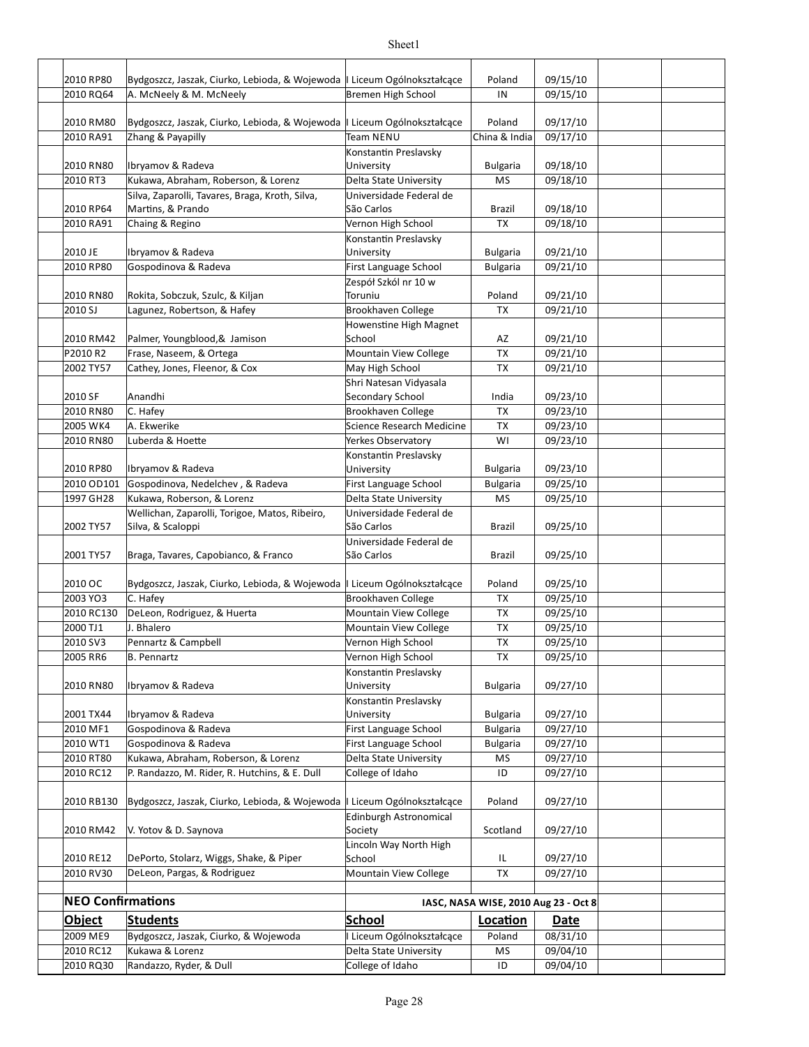| 2010 RP80                | Bydgoszcz, Jaszak, Ciurko, Lebioda, & Wojewoda   Liceum Ogólnokształcące |                                       | Poland                               | 09/15/10 |  |
|--------------------------|--------------------------------------------------------------------------|---------------------------------------|--------------------------------------|----------|--|
| 2010 RQ64                | A. McNeely & M. McNeely                                                  | Bremen High School                    | IN                                   | 09/15/10 |  |
|                          |                                                                          |                                       |                                      |          |  |
| 2010 RM80                | Bydgoszcz, Jaszak, Ciurko, Lebioda, & Wojewoda   Liceum Ogólnokształcące |                                       | Poland                               | 09/17/10 |  |
| 2010 RA91                | Zhang & Payapilly                                                        | Team NENU                             | China & India                        | 09/17/10 |  |
|                          |                                                                          | Konstantin Preslavsky                 |                                      |          |  |
| 2010 RN80                | Ibryamov & Radeva                                                        | University                            | <b>Bulgaria</b>                      | 09/18/10 |  |
| 2010 RT3                 | Kukawa, Abraham, Roberson, & Lorenz                                      | Delta State University                | MS                                   | 09/18/10 |  |
| 2010 RP64                | Silva, Zaparolli, Tavares, Braga, Kroth, Silva,<br>Martins, & Prando     | Universidade Federal de<br>São Carlos | Brazil                               | 09/18/10 |  |
| 2010 RA91                | Chaing & Regino                                                          | Vernon High School                    | <b>TX</b>                            | 09/18/10 |  |
|                          |                                                                          | Konstantin Preslavsky                 |                                      |          |  |
| 2010 JE                  | Ibryamov & Radeva                                                        | University                            | <b>Bulgaria</b>                      | 09/21/10 |  |
| 2010 RP80                | Gospodinova & Radeva                                                     | First Language School                 | <b>Bulgaria</b>                      | 09/21/10 |  |
|                          |                                                                          | Zespół Szkól nr 10 w                  |                                      |          |  |
| 2010 RN80                | Rokita, Sobczuk, Szulc, & Kiljan                                         | Toruniu                               | Poland                               | 09/21/10 |  |
| 2010 SJ                  | Lagunez, Robertson, & Hafey                                              | Brookhaven College                    | TX                                   | 09/21/10 |  |
|                          |                                                                          | Howenstine High Magnet                |                                      |          |  |
| 2010 RM42                | Palmer, Youngblood, & Jamison                                            | School                                | AZ                                   | 09/21/10 |  |
| P2010R2                  | Frase, Naseem, & Ortega                                                  | Mountain View College                 | <b>TX</b>                            | 09/21/10 |  |
| 2002 TY57                | Cathey, Jones, Fleenor, & Cox                                            | May High School                       | <b>TX</b>                            | 09/21/10 |  |
|                          |                                                                          | Shri Natesan Vidyasala                |                                      |          |  |
| 2010 SF                  | Anandhi                                                                  | Secondary School                      | India                                | 09/23/10 |  |
| 2010 RN80                | C. Hafey                                                                 | Brookhaven College                    | <b>TX</b>                            | 09/23/10 |  |
| 2005 WK4                 | A. Ekwerike                                                              | Science Research Medicine             | TX                                   | 09/23/10 |  |
| 2010 RN80                | Luberda & Hoette                                                         | Yerkes Observatory                    | WI                                   | 09/23/10 |  |
|                          |                                                                          | Konstantin Preslavsky                 |                                      |          |  |
| 2010 RP80                | Ibryamov & Radeva                                                        | University                            | <b>Bulgaria</b>                      | 09/23/10 |  |
| 2010 OD101               | Gospodinova, Nedelchev, & Radeva                                         | First Language School                 | <b>Bulgaria</b>                      | 09/25/10 |  |
| 1997 GH28                | Kukawa, Roberson, & Lorenz                                               | Delta State University                | MS                                   | 09/25/10 |  |
|                          | Wellichan, Zaparolli, Torigoe, Matos, Ribeiro,                           | Universidade Federal de               |                                      |          |  |
| 2002 TY57                | Silva, & Scaloppi                                                        | São Carlos                            | Brazil                               | 09/25/10 |  |
|                          |                                                                          | Universidade Federal de               |                                      |          |  |
| 2001 TY57                | Braga, Tavares, Capobianco, & Franco                                     | São Carlos                            | Brazil                               | 09/25/10 |  |
| 2010 OC                  | Bydgoszcz, Jaszak, Ciurko, Lebioda, & Wojewoda   Liceum Ogólnokształcące |                                       | Poland                               | 09/25/10 |  |
| 2003 YO3                 | C. Hafey                                                                 | Brookhaven College                    | <b>TX</b>                            | 09/25/10 |  |
| 2010 RC130               | DeLeon, Rodriguez, & Huerta                                              | Mountain View College                 | <b>TX</b>                            | 09/25/10 |  |
| 2000 TJ1                 | J. Bhalero                                                               | Mountain View College                 | TX                                   | 09/25/10 |  |
| 2010 SV3                 | Pennartz & Campbell                                                      | Vernon High School                    | <b>TX</b>                            | 09/25/10 |  |
| 2005 RR6                 | B. Pennartz                                                              | Vernon High School                    | ТX                                   | 09/25/10 |  |
|                          |                                                                          | Konstantin Preslavsky                 |                                      |          |  |
| 2010 RN80                | Ibryamov & Radeva                                                        | University                            | <b>Bulgaria</b>                      | 09/27/10 |  |
|                          |                                                                          | Konstantin Preslavsky                 |                                      |          |  |
| 2001 TX44                | Ibryamov & Radeva                                                        | University                            | <b>Bulgaria</b>                      | 09/27/10 |  |
| 2010 MF1                 | Gospodinova & Radeva                                                     | First Language School                 | <b>Bulgaria</b>                      | 09/27/10 |  |
| 2010 WT1                 | Gospodinova & Radeva                                                     | First Language School                 | <b>Bulgaria</b>                      | 09/27/10 |  |
| 2010 RT80                | Kukawa, Abraham, Roberson, & Lorenz                                      | Delta State University                | ΜS                                   | 09/27/10 |  |
| 2010 RC12                | P. Randazzo, M. Rider, R. Hutchins, & E. Dull                            | College of Idaho                      | ID                                   | 09/27/10 |  |
|                          |                                                                          |                                       |                                      |          |  |
| 2010 RB130               | Bydgoszcz, Jaszak, Ciurko, Lebioda, & Wojewoda                           | I Liceum Ogólnokształcące             | Poland                               | 09/27/10 |  |
|                          |                                                                          | <b>Edinburgh Astronomical</b>         |                                      |          |  |
| 2010 RM42                | V. Yotov & D. Saynova                                                    | Society                               | Scotland                             | 09/27/10 |  |
|                          |                                                                          | Lincoln Way North High                |                                      |          |  |
| 2010 RE12                | DePorto, Stolarz, Wiggs, Shake, & Piper                                  | School                                | IL.                                  | 09/27/10 |  |
| 2010 RV30                | DeLeon, Pargas, & Rodriguez                                              | Mountain View College                 | TX                                   | 09/27/10 |  |
| <b>NEO Confirmations</b> |                                                                          |                                       |                                      |          |  |
|                          |                                                                          |                                       | IASC, NASA WISE, 2010 Aug 23 - Oct 8 |          |  |
| <b>Object</b>            | <b>Students</b>                                                          | <b>School</b>                         | Location                             | Date     |  |
| 2009 ME9                 | Bydgoszcz, Jaszak, Ciurko, & Wojewoda                                    | Liceum Ogólnokształcące               | Poland                               | 08/31/10 |  |
| 2010 RC12                | Kukawa & Lorenz                                                          | Delta State University                | ΜS                                   | 09/04/10 |  |
| 2010 RQ30                | Randazzo, Ryder, & Dull                                                  | College of Idaho                      | ID                                   | 09/04/10 |  |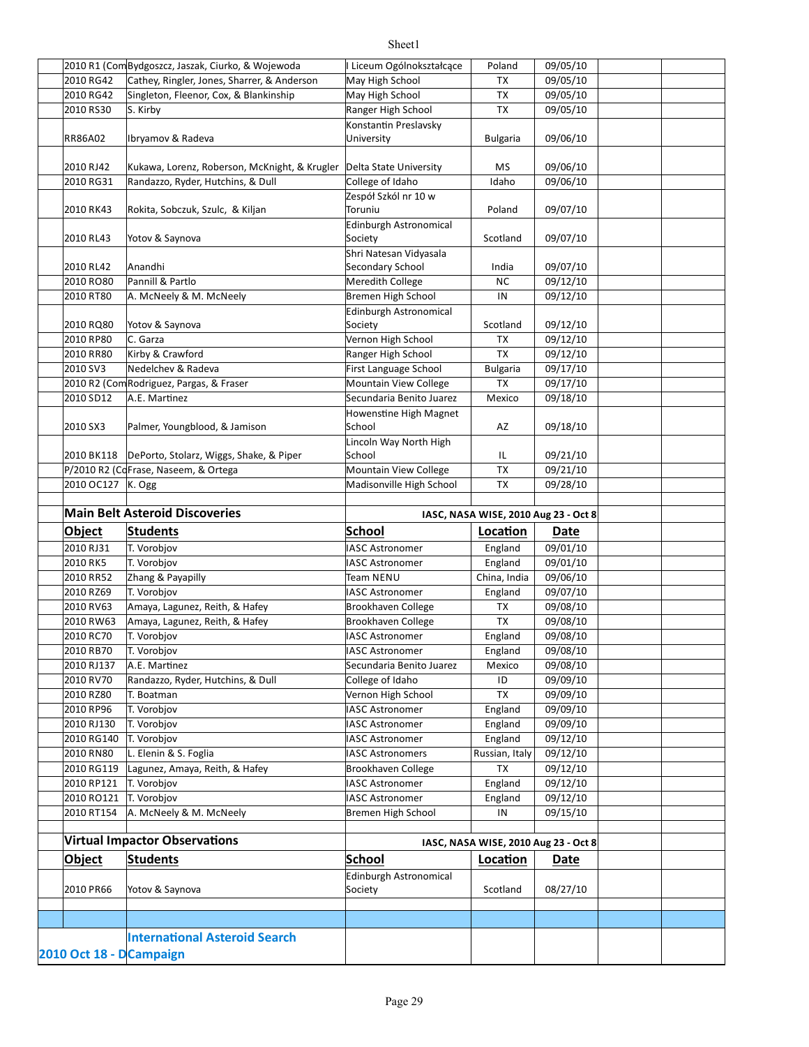|                         | 2010 R1 (Com Bydgoszcz, Jaszak, Ciurko, & Wojewoda   | Liceum Ogólnokształcące       | Poland                               | 09/05/10 |  |
|-------------------------|------------------------------------------------------|-------------------------------|--------------------------------------|----------|--|
| 2010 RG42               | Cathey, Ringler, Jones, Sharrer, & Anderson          | May High School               | TX                                   | 09/05/10 |  |
| 2010 RG42               | Singleton, Fleenor, Cox, & Blankinship               | May High School               | TX                                   | 09/05/10 |  |
| 2010 RS30               | S. Kirby                                             | Ranger High School            | <b>TX</b>                            | 09/05/10 |  |
|                         |                                                      | Konstantin Preslavsky         |                                      |          |  |
| RR86A02                 | Ibryamov & Radeva                                    | University                    | <b>Bulgaria</b>                      | 09/06/10 |  |
|                         |                                                      |                               |                                      |          |  |
|                         |                                                      |                               |                                      |          |  |
| 2010 RJ42               | Kukawa, Lorenz, Roberson, McKnight, & Krugler        | Delta State University        | ΜS                                   | 09/06/10 |  |
| 2010 RG31               | Randazzo, Ryder, Hutchins, & Dull                    | College of Idaho              | Idaho                                | 09/06/10 |  |
|                         |                                                      | Zespół Szkól nr 10 w          |                                      |          |  |
| 2010 RK43               | Rokita, Sobczuk, Szulc, & Kiljan                     | Toruniu                       | Poland                               | 09/07/10 |  |
|                         |                                                      | Edinburgh Astronomical        |                                      |          |  |
| 2010 RL43               | Yotov & Saynova                                      | Society                       | Scotland                             | 09/07/10 |  |
|                         |                                                      | Shri Natesan Vidyasala        |                                      |          |  |
| 2010 RL42               | Anandhi                                              | Secondary School              | India                                | 09/07/10 |  |
| 2010 RO80               | Pannill & Partlo                                     | Meredith College              | <b>NC</b>                            | 09/12/10 |  |
| 2010 RT80               | A. McNeely & M. McNeely                              | Bremen High School            | IN                                   | 09/12/10 |  |
|                         |                                                      | Edinburgh Astronomical        |                                      |          |  |
| 2010 RQ80               | Yotov & Saynova                                      | Society                       | Scotland                             | 09/12/10 |  |
| 2010 RP80               | C. Garza                                             | Vernon High School            | TX                                   | 09/12/10 |  |
| 2010 RR80               | Kirby & Crawford                                     | Ranger High School            | <b>TX</b>                            | 09/12/10 |  |
| 2010 SV3                | Nedelchev & Radeva                                   | First Language School         | <b>Bulgaria</b>                      | 09/17/10 |  |
|                         | 2010 R2 (Com Rodriguez, Pargas, & Fraser             | Mountain View College         | TX                                   | 09/17/10 |  |
| 2010 SD12               | A.E. Martinez                                        | Secundaria Benito Juarez      | Mexico                               | 09/18/10 |  |
|                         |                                                      | Howenstine High Magnet        |                                      |          |  |
| 2010 SX3                | Palmer, Youngblood, & Jamison                        | School                        | AZ                                   | 09/18/10 |  |
|                         |                                                      | Lincoln Way North High        |                                      |          |  |
|                         | 2010 BK118   DePorto, Stolarz, Wiggs, Shake, & Piper | School                        | IL                                   | 09/21/10 |  |
|                         | P/2010 R2 (CoFrase, Naseem, & Ortega                 | Mountain View College         | TX                                   | 09/21/10 |  |
| 2010 OC127 K. Ogg       |                                                      | Madisonville High School      | TX                                   | 09/28/10 |  |
|                         |                                                      |                               |                                      |          |  |
|                         |                                                      |                               |                                      |          |  |
|                         | <b>Main Belt Asteroid Discoveries</b>                |                               | IASC, NASA WISE, 2010 Aug 23 - Oct 8 |          |  |
|                         |                                                      |                               |                                      |          |  |
| Object                  | <b>Students</b>                                      | <b>School</b>                 | Location                             | Date     |  |
| 2010 RJ31               | T. Vorobjov                                          | <b>IASC Astronomer</b>        | England                              | 09/01/10 |  |
| 2010 RK5                | T. Vorobjov                                          | <b>IASC Astronomer</b>        | England                              | 09/01/10 |  |
| 2010 RR52               | Zhang & Payapilly                                    | Team NENU                     | China, India                         | 09/06/10 |  |
| 2010 RZ69               | T. Vorobjov                                          | <b>IASC Astronomer</b>        | England                              | 09/07/10 |  |
| 2010 RV63               | Amaya, Lagunez, Reith, & Hafey                       | Brookhaven College            | TX                                   | 09/08/10 |  |
| 2010 RW63               | Amaya, Lagunez, Reith, & Hafey                       | Brookhaven College            | TX                                   | 09/08/10 |  |
| 2010 RC70               | T. Vorobjov                                          | <b>IASC Astronomer</b>        | England                              | 09/08/10 |  |
| 2010 RB70               | T. Vorobjov                                          | IASC Astronomer               | England                              | 09/08/10 |  |
| 2010 RJ137              | A.E. Martinez                                        | Secundaria Benito Juarez      | Mexico                               | 09/08/10 |  |
| 2010 RV70               | Randazzo, Ryder, Hutchins, & Dull                    | College of Idaho              | ID                                   | 09/09/10 |  |
| 2010 RZ80               | T. Boatman                                           | Vernon High School            | TX                                   | 09/09/10 |  |
| 2010 RP96               | T. Vorobjov                                          | <b>IASC Astronomer</b>        | England                              | 09/09/10 |  |
| 2010 RJ130              | T. Vorobjov                                          | <b>IASC Astronomer</b>        | England                              | 09/09/10 |  |
| 2010 RG140              | T. Vorobjov                                          | <b>IASC Astronomer</b>        | England                              | 09/12/10 |  |
| 2010 RN80               | L. Elenin & S. Foglia                                | <b>IASC Astronomers</b>       | Russian, Italy                       | 09/12/10 |  |
| 2010 RG119              | Lagunez, Amaya, Reith, & Hafey                       | Brookhaven College            | <b>TX</b>                            | 09/12/10 |  |
| 2010 RP121              | T. Vorobiov                                          | <b>IASC Astronomer</b>        | England                              | 09/12/10 |  |
| 2010 RO121              | T. Vorobjov                                          | <b>IASC Astronomer</b>        | England                              | 09/12/10 |  |
| 2010 RT154              | A. McNeely & M. McNeely                              | Bremen High School            | IN                                   | 09/15/10 |  |
|                         |                                                      |                               |                                      |          |  |
|                         | <b>Virtual Impactor Observations</b>                 |                               | IASC, NASA WISE, 2010 Aug 23 - Oct 8 |          |  |
|                         |                                                      |                               |                                      |          |  |
| <b>Object</b>           | <b>Students</b>                                      | School                        | Location                             | Date     |  |
|                         |                                                      | <b>Edinburgh Astronomical</b> |                                      |          |  |
| 2010 PR66               | Yotov & Saynova                                      | Society                       | Scotland                             | 08/27/10 |  |
|                         |                                                      |                               |                                      |          |  |
|                         |                                                      |                               |                                      |          |  |
| 2010 Oct 18 - DCampaign | <b>International Asteroid Search</b>                 |                               |                                      |          |  |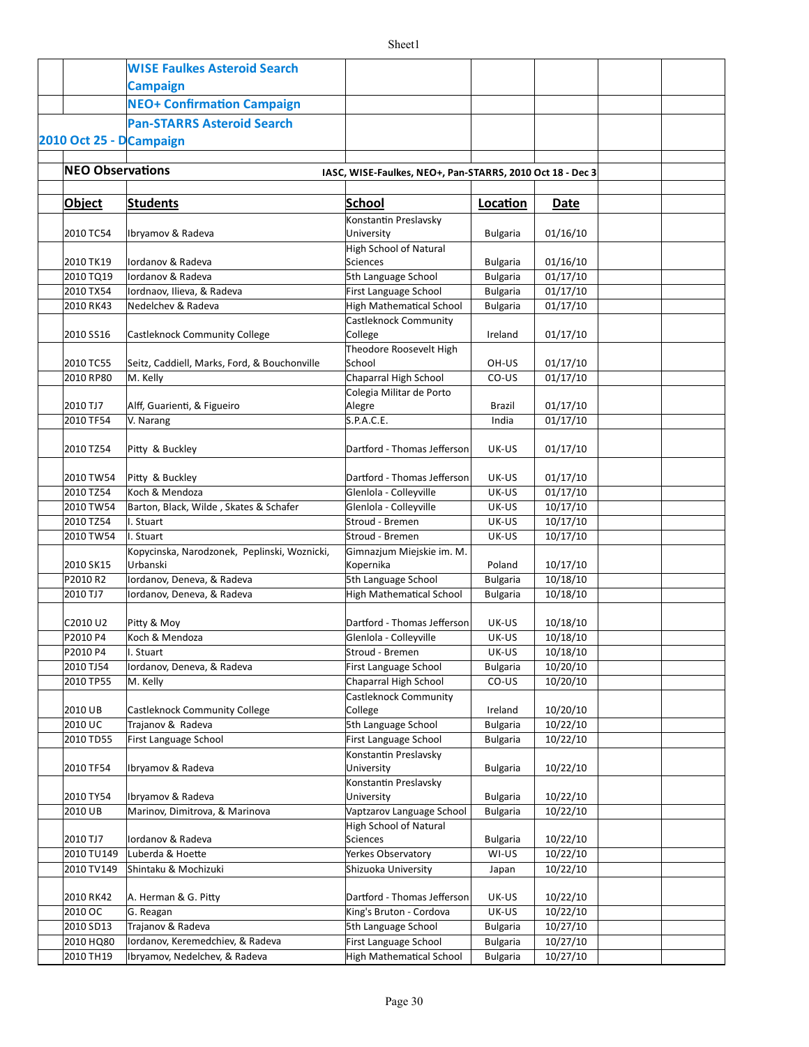|                         | <b>WISE Faulkes Asteroid Search</b>                      |                                                           |                 |          |  |
|-------------------------|----------------------------------------------------------|-----------------------------------------------------------|-----------------|----------|--|
|                         | <b>Campaign</b>                                          |                                                           |                 |          |  |
|                         | <b>NEO+ Confirmation Campaign</b>                        |                                                           |                 |          |  |
|                         | <b>Pan-STARRS Asteroid Search</b>                        |                                                           |                 |          |  |
|                         |                                                          |                                                           |                 |          |  |
| 2010 Oct 25 - DCampaign |                                                          |                                                           |                 |          |  |
| <b>NEO Observations</b> |                                                          |                                                           |                 |          |  |
|                         |                                                          | IASC, WISE-Faulkes, NEO+, Pan-STARRS, 2010 Oct 18 - Dec 3 |                 |          |  |
| Object                  | <b>Students</b>                                          | School                                                    | Location        | Date     |  |
|                         |                                                          | Konstantin Preslavsky                                     |                 |          |  |
| 2010 TC54               | Ibryamov & Radeva                                        | University                                                | <b>Bulgaria</b> | 01/16/10 |  |
|                         |                                                          | High School of Natural                                    |                 |          |  |
| 2010 TK19               | Iordanov & Radeva                                        | <b>Sciences</b>                                           | <b>Bulgaria</b> | 01/16/10 |  |
| 2010 TQ19               | Iordanov & Radeva                                        | 5th Language School                                       | <b>Bulgaria</b> | 01/17/10 |  |
| 2010 TX54               | Iordnaov, Ilieva, & Radeva                               | First Language School                                     | <b>Bulgaria</b> | 01/17/10 |  |
| 2010 RK43               | Nedelchev & Radeva                                       | <b>High Mathematical School</b>                           | <b>Bulgaria</b> | 01/17/10 |  |
|                         |                                                          | Castleknock Community                                     |                 |          |  |
| 2010 SS16               | Castleknock Community College                            | College                                                   | Ireland         | 01/17/10 |  |
|                         |                                                          | Theodore Roosevelt High                                   |                 |          |  |
| 2010 TC55               | Seitz, Caddiell, Marks, Ford, & Bouchonville             | School                                                    | OH-US           | 01/17/10 |  |
| 2010 RP80               | M. Kelly                                                 | Chaparral High School                                     | CO-US           | 01/17/10 |  |
| 2010 TJ7                | Alff, Guarienti, & Figueiro                              | Colegia Militar de Porto<br>Alegre                        | Brazil          | 01/17/10 |  |
| 2010 TF54               | V. Narang                                                | S.P.A.C.E.                                                | India           | 01/17/10 |  |
|                         |                                                          |                                                           |                 |          |  |
| 2010 TZ54               | Pitty & Buckley                                          | Dartford - Thomas Jefferson                               | UK-US           | 01/17/10 |  |
|                         |                                                          |                                                           |                 |          |  |
| 2010 TW54               | Pitty & Buckley                                          | Dartford - Thomas Jefferson                               | UK-US           | 01/17/10 |  |
| 2010 TZ54               | Koch & Mendoza                                           | Glenlola - Colleyville                                    | UK-US           | 01/17/10 |  |
| 2010 TW54               | Barton, Black, Wilde, Skates & Schafer                   | Glenlola - Colleyville                                    | UK-US           | 10/17/10 |  |
| 2010 TZ54               | I. Stuart                                                | Stroud - Bremen                                           | UK-US           | 10/17/10 |  |
| 2010 TW54               | I. Stuart                                                | Stroud - Bremen                                           | UK-US           | 10/17/10 |  |
|                         | Kopycinska, Narodzonek, Peplinski, Woznicki,             | Gimnazjum Miejskie im. M.                                 |                 |          |  |
| 2010 SK15               | Urbanski                                                 | Kopernika                                                 | Poland          | 10/17/10 |  |
| P2010R2<br>2010 TJ7     | Iordanov, Deneva, & Radeva<br>Iordanov, Deneva, & Radeva | 5th Language School<br>High Mathematical School           | <b>Bulgaria</b> | 10/18/10 |  |
|                         |                                                          |                                                           | <b>Bulgaria</b> | 10/18/10 |  |
| C2010 U2                | Pitty & Moy                                              | Dartford - Thomas Jefferson                               | UK-US           | 10/18/10 |  |
| P2010 P4                | Koch & Mendoza                                           | Glenlola - Colleyville                                    | UK-US           | 10/18/10 |  |
| P2010 P4                | I. Stuart                                                | Stroud - Bremen                                           | UK-US           | 10/18/10 |  |
| 2010 TJ54               | Iordanov, Deneva, & Radeva                               | First Language School                                     | <b>Bulgaria</b> | 10/20/10 |  |
| 2010 TP55               | M. Kelly                                                 | Chaparral High School                                     | CO-US           | 10/20/10 |  |
|                         |                                                          | Castleknock Community                                     |                 |          |  |
| 2010 UB                 | Castleknock Community College                            | College                                                   | Ireland         | 10/20/10 |  |
| 2010 UC                 | Trajanov & Radeva                                        | 5th Language School                                       | <b>Bulgaria</b> | 10/22/10 |  |
| 2010 TD55               | First Language School                                    | First Language School                                     | Bulgaria        | 10/22/10 |  |
|                         |                                                          | Konstantin Preslavsky                                     |                 |          |  |
| 2010 TF54               | Ibryamov & Radeva                                        | University                                                | <b>Bulgaria</b> | 10/22/10 |  |
|                         |                                                          | Konstantin Preslavsky                                     |                 |          |  |
| 2010 TY54               | Ibryamov & Radeva                                        | University                                                | <b>Bulgaria</b> | 10/22/10 |  |
| 2010 UB                 | Marinov, Dimitrova, & Marinova                           | Vaptzarov Language School                                 | <b>Bulgaria</b> | 10/22/10 |  |
| 2010 TJ7                | Iordanov & Radeva                                        | High School of Natural<br>Sciences                        | <b>Bulgaria</b> | 10/22/10 |  |
| 2010 TU149              | Luberda & Hoette                                         | Yerkes Observatory                                        | WI-US           | 10/22/10 |  |
| 2010 TV149              | Shintaku & Mochizuki                                     | Shizuoka University                                       | Japan           | 10/22/10 |  |
|                         |                                                          |                                                           |                 |          |  |
| 2010 RK42               | A. Herman & G. Pitty                                     | Dartford - Thomas Jefferson                               | UK-US           | 10/22/10 |  |
| 2010 OC                 | G. Reagan                                                | King's Bruton - Cordova                                   | UK-US           | 10/22/10 |  |
| 2010 SD13               | Trajanov & Radeva                                        | 5th Language School                                       | <b>Bulgaria</b> | 10/27/10 |  |
| 2010 HQ80               | Iordanov, Keremedchiev, & Radeva                         | First Language School                                     | <b>Bulgaria</b> | 10/27/10 |  |
| 2010 TH19               | Ibryamov, Nedelchev, & Radeva                            | High Mathematical School                                  | <b>Bulgaria</b> | 10/27/10 |  |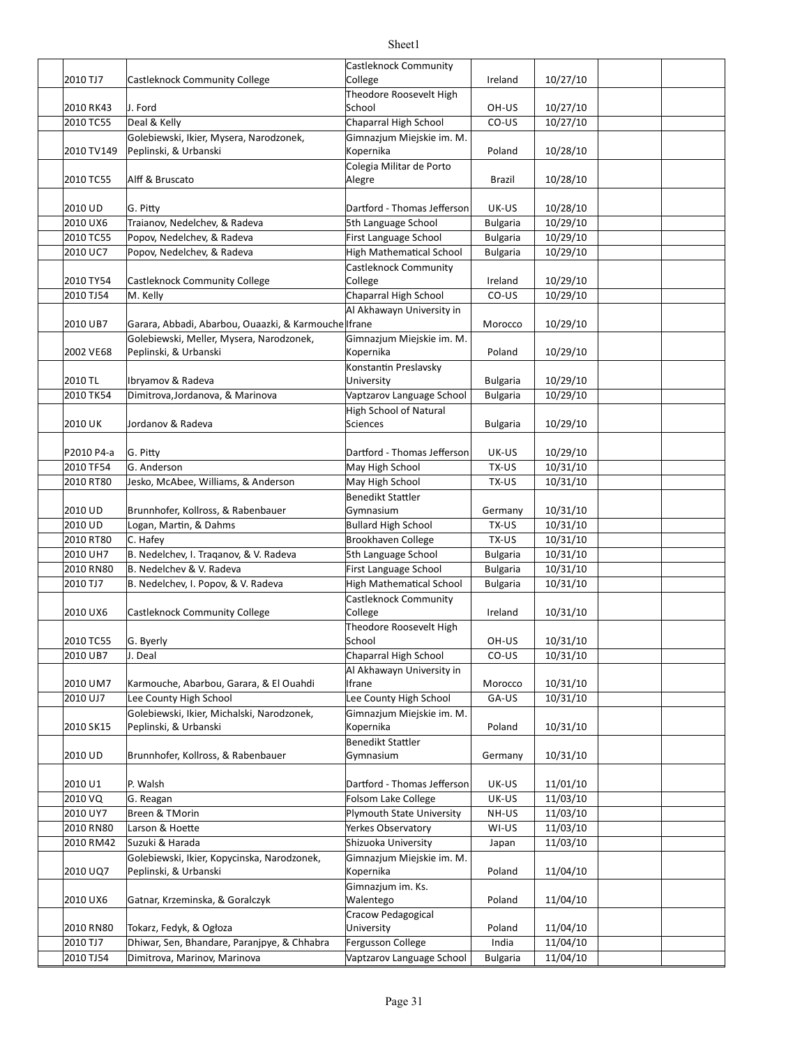|            |                                                      | Castleknock Community           |                 |          |  |
|------------|------------------------------------------------------|---------------------------------|-----------------|----------|--|
| 2010 TJ7   | Castleknock Community College                        | College                         | Ireland         | 10/27/10 |  |
|            |                                                      | Theodore Roosevelt High         |                 |          |  |
| 2010 RK43  | J. Ford                                              | School                          | OH-US           | 10/27/10 |  |
| 2010 TC55  | Deal & Kelly                                         | Chaparral High School           | CO-US           | 10/27/10 |  |
|            | Golebiewski, Ikier, Mysera, Narodzonek,              | Gimnazjum Miejskie im. M.       |                 |          |  |
| 2010 TV149 | Peplinski, & Urbanski                                | Kopernika                       | Poland          | 10/28/10 |  |
|            |                                                      | Colegia Militar de Porto        |                 |          |  |
| 2010 TC55  | Alff & Bruscato                                      | Alegre                          | Brazil          | 10/28/10 |  |
|            |                                                      |                                 |                 |          |  |
| 2010 UD    | G. Pitty                                             | Dartford - Thomas Jefferson     | UK-US           | 10/28/10 |  |
| 2010 UX6   | Traianov, Nedelchev, & Radeva                        | 5th Language School             | <b>Bulgaria</b> | 10/29/10 |  |
| 2010 TC55  | Popov, Nedelchev, & Radeva                           | First Language School           | <b>Bulgaria</b> | 10/29/10 |  |
| 2010 UC7   | Popov, Nedelchev, & Radeva                           | <b>High Mathematical School</b> | <b>Bulgaria</b> | 10/29/10 |  |
|            |                                                      | <b>Castleknock Community</b>    |                 |          |  |
| 2010 TY54  | Castleknock Community College                        | College                         | Ireland         | 10/29/10 |  |
| 2010 TJ54  | M. Kelly                                             | Chaparral High School           | CO-US           | 10/29/10 |  |
|            |                                                      | Al Akhawayn University in       |                 |          |  |
| 2010 UB7   | Garara, Abbadi, Abarbou, Ouaazki, & Karmouche Ifrane |                                 | Morocco         | 10/29/10 |  |
|            | Golebiewski, Meller, Mysera, Narodzonek,             | Gimnazjum Miejskie im. M.       |                 |          |  |
| 2002 VE68  | Peplinski, & Urbanski                                | Kopernika                       | Poland          | 10/29/10 |  |
|            |                                                      | Konstantin Preslavsky           |                 |          |  |
| 2010 TL    | Ibryamov & Radeva                                    | University                      | <b>Bulgaria</b> | 10/29/10 |  |
| 2010 TK54  | Dimitrova, Jordanova, & Marinova                     | Vaptzarov Language School       | <b>Bulgaria</b> | 10/29/10 |  |
|            |                                                      | <b>High School of Natural</b>   |                 |          |  |
| 2010 UK    | Jordanov & Radeva                                    | <b>Sciences</b>                 | <b>Bulgaria</b> | 10/29/10 |  |
|            |                                                      |                                 |                 |          |  |
| P2010 P4-a | G. Pitty                                             | Dartford - Thomas Jefferson     | UK-US           | 10/29/10 |  |
| 2010 TF54  | G. Anderson                                          | May High School                 | TX-US           | 10/31/10 |  |
| 2010 RT80  | Jesko, McAbee, Williams, & Anderson                  | May High School                 | TX-US           | 10/31/10 |  |
|            |                                                      | Benedikt Stattler               |                 |          |  |
| 2010 UD    | Brunnhofer, Kollross, & Rabenbauer                   | Gymnasium                       | Germany         | 10/31/10 |  |
| 2010 UD    | Logan, Martin, & Dahms                               | <b>Bullard High School</b>      | TX-US           | 10/31/10 |  |
| 2010 RT80  | C. Hafey                                             | Brookhaven College              | TX-US           | 10/31/10 |  |
| 2010 UH7   | B. Nedelchev, I. Traganov, & V. Radeva               | 5th Language School             | <b>Bulgaria</b> | 10/31/10 |  |
| 2010 RN80  | B. Nedelchev & V. Radeva                             | First Language School           | <b>Bulgaria</b> | 10/31/10 |  |
| 2010 TJ7   | B. Nedelchev, I. Popov, & V. Radeva                  | <b>High Mathematical School</b> | <b>Bulgaria</b> | 10/31/10 |  |
|            |                                                      | <b>Castleknock Community</b>    |                 |          |  |
| 2010 UX6   | Castleknock Community College                        | College                         | Ireland         | 10/31/10 |  |
|            |                                                      | Theodore Roosevelt High         |                 |          |  |
| 2010 TC55  | G. Byerly                                            | School                          | OH-US           | 10/31/10 |  |
| 2010 UB7   | J. Deal                                              | Chaparral High School           | CO-US           | 10/31/10 |  |
|            |                                                      | Al Akhawayn University in       |                 |          |  |
| 2010 UM7   | Karmouche, Abarbou, Garara, & El Ouahdi              | Ifrane                          | Morocco         | 10/31/10 |  |
| 2010 UJ7   | Lee County High School                               | Lee County High School          | GA-US           | 10/31/10 |  |
|            | Golebiewski, Ikier, Michalski, Narodzonek,           | Gimnazjum Miejskie im. M.       |                 |          |  |
| 2010 SK15  | Peplinski, & Urbanski                                | Kopernika                       | Poland          | 10/31/10 |  |
|            |                                                      | <b>Benedikt Stattler</b>        |                 |          |  |
| 2010 UD    | Brunnhofer, Kollross, & Rabenbauer                   | Gymnasium                       | Germany         | 10/31/10 |  |
|            |                                                      |                                 |                 |          |  |
| 2010 U1    | P. Walsh                                             | Dartford - Thomas Jefferson     | UK-US           | 11/01/10 |  |
| 2010 VQ    | G. Reagan                                            | Folsom Lake College             | UK-US           | 11/03/10 |  |
| 2010 UY7   | Breen & TMorin                                       | Plymouth State University       | NH-US           | 11/03/10 |  |
| 2010 RN80  | Larson & Hoette                                      | Yerkes Observatory              | WI-US           | 11/03/10 |  |
| 2010 RM42  | Suzuki & Harada                                      | Shizuoka University             | Japan           | 11/03/10 |  |
|            | Golebiewski, Ikier, Kopycinska, Narodzonek,          | Gimnazjum Miejskie im. M.       |                 |          |  |
| 2010 UQ7   | Peplinski, & Urbanski                                | Kopernika                       | Poland          | 11/04/10 |  |
|            |                                                      | Gimnazjum im. Ks.               |                 |          |  |
| 2010 UX6   | Gatnar, Krzeminska, & Goralczyk                      | Walentego                       | Poland          | 11/04/10 |  |
|            |                                                      | Cracow Pedagogical              |                 |          |  |
| 2010 RN80  | Tokarz, Fedyk, & Ogłoza                              | University                      | Poland          | 11/04/10 |  |
| 2010 TJ7   | Dhiwar, Sen, Bhandare, Paranjpye, & Chhabra          | Fergusson College               | India           | 11/04/10 |  |
| 2010 TJ54  | Dimitrova, Marinov, Marinova                         | Vaptzarov Language School       | <b>Bulgaria</b> | 11/04/10 |  |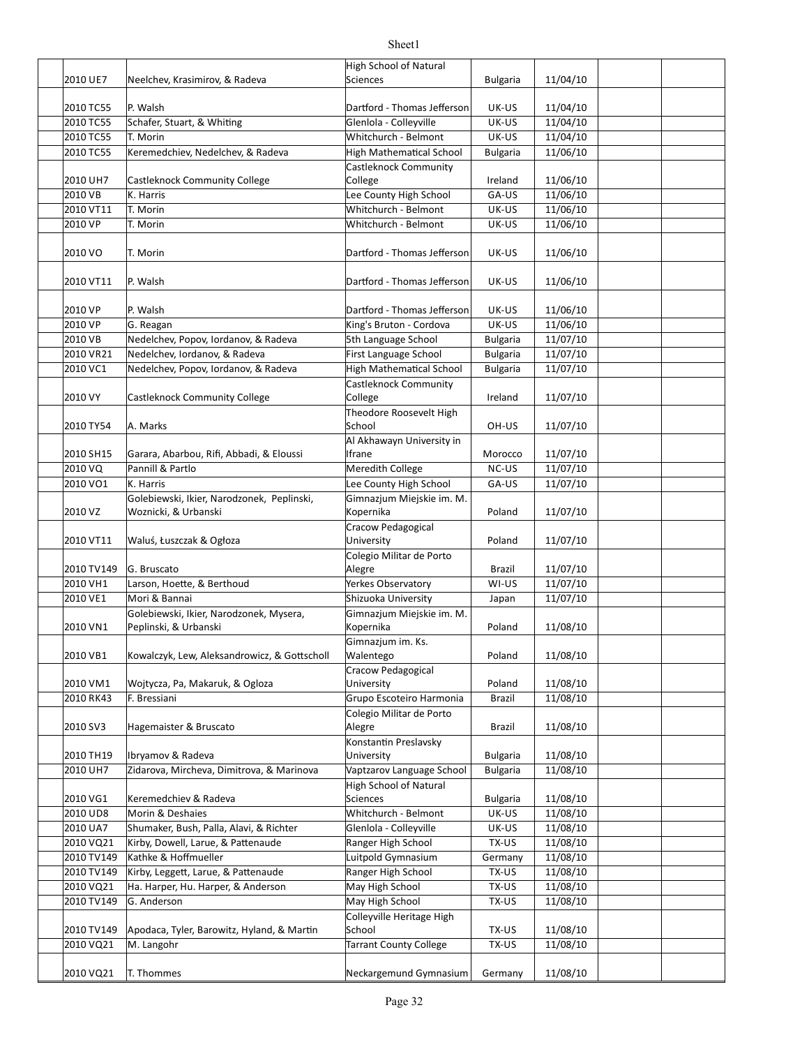|            |                                              | High School of Natural        |                 |          |  |
|------------|----------------------------------------------|-------------------------------|-----------------|----------|--|
| 2010 UE7   | Neelchev, Krasimirov, & Radeva               | <b>Sciences</b>               | <b>Bulgaria</b> | 11/04/10 |  |
| 2010 TC55  | P. Walsh                                     | Dartford - Thomas Jefferson   | UK-US           | 11/04/10 |  |
| 2010 TC55  | Schafer, Stuart, & Whiting                   | Glenlola - Colleyville        | UK-US           | 11/04/10 |  |
| 2010 TC55  | T. Morin                                     | Whitchurch - Belmont          | UK-US           | 11/04/10 |  |
| 2010 TC55  | Keremedchiev, Nedelchev, & Radeva            | High Mathematical School      | <b>Bulgaria</b> | 11/06/10 |  |
|            |                                              | <b>Castleknock Community</b>  |                 |          |  |
| 2010 UH7   | Castleknock Community College                | College                       | Ireland         | 11/06/10 |  |
| 2010 VB    | K. Harris                                    | Lee County High School        | GA-US           | 11/06/10 |  |
| 2010 VT11  | T. Morin                                     | Whitchurch - Belmont          | UK-US           | 11/06/10 |  |
| 2010 VP    | T. Morin                                     | Whitchurch - Belmont          | UK-US           | 11/06/10 |  |
| 2010 VO    | T. Morin                                     | Dartford - Thomas Jefferson   | UK-US           | 11/06/10 |  |
|            |                                              |                               |                 |          |  |
| 2010 VT11  | P. Walsh                                     | Dartford - Thomas Jefferson   | UK-US           | 11/06/10 |  |
| 2010 VP    | P. Walsh                                     | Dartford - Thomas Jefferson   | UK-US           | 11/06/10 |  |
| 2010 VP    | G. Reagan                                    | King's Bruton - Cordova       | UK-US           | 11/06/10 |  |
| 2010 VB    | Nedelchev, Popov, Iordanov, & Radeva         | 5th Language School           | <b>Bulgaria</b> | 11/07/10 |  |
| 2010 VR21  | Nedelchev, Iordanov, & Radeva                | First Language School         | <b>Bulgaria</b> | 11/07/10 |  |
| 2010 VC1   | Nedelchev, Popov, Iordanov, & Radeva         | High Mathematical School      | <b>Bulgaria</b> | 11/07/10 |  |
|            |                                              | Castleknock Community         |                 |          |  |
| 2010 VY    | Castleknock Community College                | College                       | Ireland         | 11/07/10 |  |
|            |                                              | Theodore Roosevelt High       |                 |          |  |
| 2010 TY54  | A. Marks                                     | School                        | OH-US           | 11/07/10 |  |
|            |                                              | Al Akhawayn University in     |                 |          |  |
| 2010 SH15  | Garara, Abarbou, Rifi, Abbadi, & Eloussi     | Ifrane                        | Morocco         | 11/07/10 |  |
| 2010 VQ    | Pannill & Partlo                             | Meredith College              | NC-US           | 11/07/10 |  |
| 2010 VO1   | K. Harris                                    | Lee County High School        | GA-US           | 11/07/10 |  |
|            | Golebiewski, Ikier, Narodzonek, Peplinski,   | Gimnazjum Miejskie im. M.     |                 |          |  |
| 2010 VZ    | Woznicki, & Urbanski                         | Kopernika                     | Poland          | 11/07/10 |  |
|            |                                              | Cracow Pedagogical            |                 |          |  |
| 2010 VT11  | Waluś, Łuszczak & Ogłoza                     | University                    | Poland          | 11/07/10 |  |
|            |                                              | Colegio Militar de Porto      |                 |          |  |
| 2010 TV149 | G. Bruscato                                  | Alegre                        | Brazil          | 11/07/10 |  |
| 2010 VH1   | Larson, Hoette, & Berthoud                   | Yerkes Observatory            | WI-US           | 11/07/10 |  |
| 2010 VE1   | Mori & Bannai                                | Shizuoka University           | Japan           | 11/07/10 |  |
|            | Golebiewski, Ikier, Narodzonek, Mysera,      | Gimnazjum Miejskie im. M.     |                 |          |  |
| 2010 VN1   | Peplinski, & Urbanski                        | Kopernika                     | Poland          | 11/08/10 |  |
|            |                                              | Gimnazjum im. Ks.             |                 |          |  |
| 2010 VB1   | Kowalczyk, Lew, Aleksandrowicz, & Gottscholl | Walentego                     | Poland          | 11/08/10 |  |
|            |                                              | Cracow Pedagogical            |                 |          |  |
| 2010 VM1   | Wojtycza, Pa, Makaruk, & Ogloza              | University                    | Poland          | 11/08/10 |  |
| 2010 RK43  | F. Bressiani                                 | Grupo Escoteiro Harmonia      | <b>Brazil</b>   | 11/08/10 |  |
|            |                                              | Colegio Militar de Porto      |                 |          |  |
| 2010 SV3   | Hagemaister & Bruscato                       | Alegre                        | Brazil          | 11/08/10 |  |
|            |                                              | Konstantin Preslavsky         |                 |          |  |
| 2010 TH19  | Ibryamov & Radeva                            | University                    | <b>Bulgaria</b> | 11/08/10 |  |
| 2010 UH7   | Zidarova, Mircheva, Dimitrova, & Marinova    | Vaptzarov Language School     | <b>Bulgaria</b> | 11/08/10 |  |
|            |                                              | High School of Natural        |                 |          |  |
| 2010 VG1   | Keremedchiev & Radeva                        | Sciences                      | <b>Bulgaria</b> | 11/08/10 |  |
| 2010 UD8   | Morin & Deshaies                             | Whitchurch - Belmont          | UK-US           | 11/08/10 |  |
| 2010 UA7   | Shumaker, Bush, Palla, Alavi, & Richter      | Glenlola - Colleyville        | UK-US           | 11/08/10 |  |
| 2010 VQ21  | Kirby, Dowell, Larue, & Pattenaude           | Ranger High School            | TX-US           | 11/08/10 |  |
| 2010 TV149 | Kathke & Hoffmueller                         | Luitpold Gymnasium            | Germany         | 11/08/10 |  |
| 2010 TV149 | Kirby, Leggett, Larue, & Pattenaude          | Ranger High School            | TX-US           | 11/08/10 |  |
| 2010 VQ21  | Ha. Harper, Hu. Harper, & Anderson           | May High School               | TX-US           | 11/08/10 |  |
| 2010 TV149 | G. Anderson                                  | May High School               | TX-US           | 11/08/10 |  |
|            |                                              | Colleyville Heritage High     |                 |          |  |
| 2010 TV149 | Apodaca, Tyler, Barowitz, Hyland, & Martin   | School                        | TX-US           | 11/08/10 |  |
| 2010 VQ21  | M. Langohr                                   | <b>Tarrant County College</b> | TX-US           | 11/08/10 |  |
| 2010 VQ21  | T. Thommes                                   | Neckargemund Gymnasium        | Germany         | 11/08/10 |  |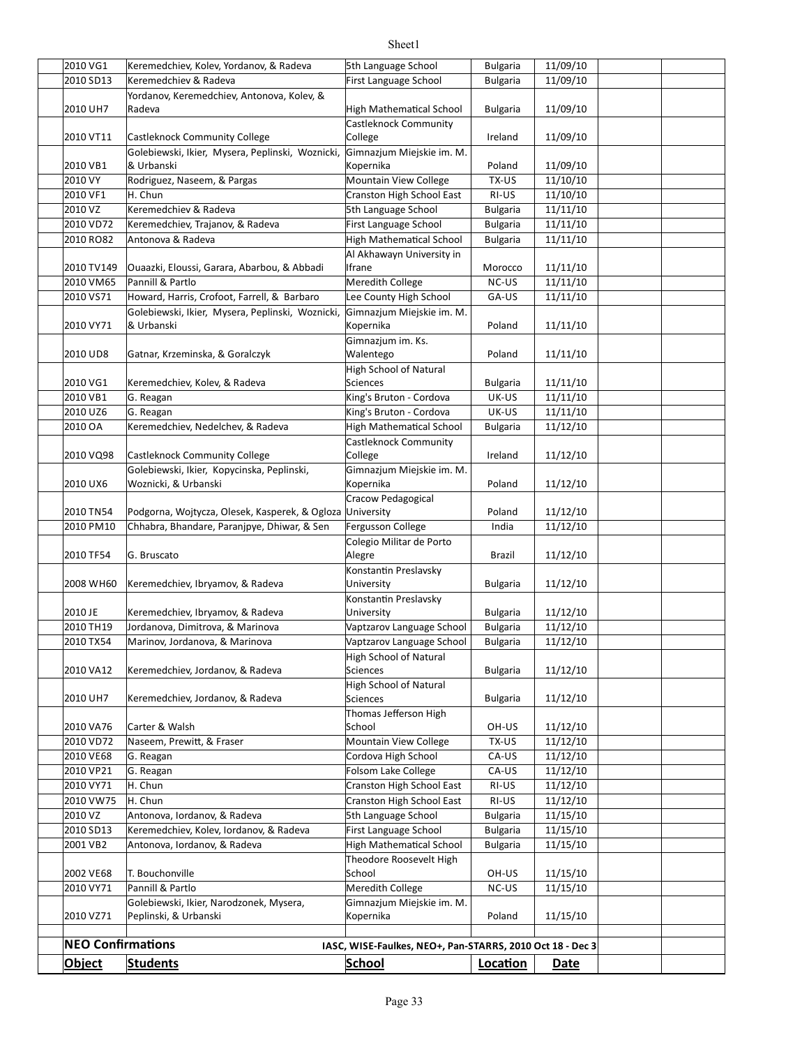| 2010 VG1                 | Keremedchiev, Kolev, Yordanov, & Radeva                                 | 5th Language School                                       | <b>Bulgaria</b>                    | 11/09/10             |  |
|--------------------------|-------------------------------------------------------------------------|-----------------------------------------------------------|------------------------------------|----------------------|--|
| 2010 SD13                | Keremedchiev & Radeva                                                   | First Language School                                     | <b>Bulgaria</b>                    | 11/09/10             |  |
|                          | Yordanov, Keremedchiev, Antonova, Kolev, &                              |                                                           |                                    |                      |  |
| 2010 UH7                 | Radeva                                                                  | <b>High Mathematical School</b>                           | <b>Bulgaria</b>                    | 11/09/10             |  |
|                          |                                                                         | Castleknock Community                                     |                                    |                      |  |
| 2010 VT11                | Castleknock Community College                                           | College                                                   | Ireland                            | 11/09/10             |  |
| 2010 VB1                 | Golebiewski, Ikier, Mysera, Peplinski, Woznicki,<br>& Urbanski          | Gimnazjum Miejskie im. M.<br>Kopernika                    | Poland                             | 11/09/10             |  |
| 2010 VY                  | Rodriguez, Naseem, & Pargas                                             | Mountain View College                                     | TX-US                              | 11/10/10             |  |
| 2010 VF1                 | H. Chun                                                                 | Cranston High School East                                 | RI-US                              | 11/10/10             |  |
| 2010 VZ                  | Keremedchiev & Radeva                                                   | 5th Language School                                       | <b>Bulgaria</b>                    | 11/11/10             |  |
| 2010 VD72                | Keremedchiev, Trajanov, & Radeva                                        | First Language School                                     | <b>Bulgaria</b>                    | 11/11/10             |  |
| 2010 RO82                | Antonova & Radeva                                                       | <b>High Mathematical School</b>                           | <b>Bulgaria</b>                    | 11/11/10             |  |
|                          |                                                                         | Al Akhawayn University in                                 |                                    |                      |  |
| 2010 TV149               | Quaazki, Eloussi, Garara, Abarbou, & Abbadi                             | Ifrane                                                    | Morocco                            | 11/11/10             |  |
| 2010 VM65                | Pannill & Partlo                                                        | Meredith College                                          | NC-US                              | 11/11/10             |  |
| 2010 VS71                | Howard, Harris, Crofoot, Farrell, & Barbaro                             | Lee County High School                                    | GA-US                              | 11/11/10             |  |
|                          | Golebiewski, Ikier, Mysera, Peplinski, Woznicki,                        | Gimnazjum Miejskie im. M.                                 |                                    |                      |  |
| 2010 VY71                | & Urbanski                                                              | Kopernika                                                 | Poland                             | 11/11/10             |  |
| 2010 UD8                 | Gatnar, Krzeminska, & Goralczyk                                         | Gimnazjum im. Ks.<br>Walentego                            | Poland                             | 11/11/10             |  |
|                          |                                                                         | <b>High School of Natural</b>                             |                                    |                      |  |
| 2010 VG1                 | Keremedchiev, Kolev, & Radeva                                           | <b>Sciences</b>                                           | <b>Bulgaria</b>                    | 11/11/10             |  |
| 2010 VB1                 | G. Reagan                                                               | King's Bruton - Cordova                                   | UK-US                              | 11/11/10             |  |
| 2010 UZ6                 | G. Reagan                                                               | King's Bruton - Cordova                                   | UK-US                              | 11/11/10             |  |
| 2010 OA                  | Keremedchiev, Nedelchev, & Radeva                                       | <b>High Mathematical School</b>                           | <b>Bulgaria</b>                    | 11/12/10             |  |
|                          |                                                                         | <b>Castleknock Community</b>                              |                                    |                      |  |
| 2010 VQ98                | Castleknock Community College                                           | College                                                   | Ireland                            | 11/12/10             |  |
|                          | Golebiewski, Ikier, Kopycinska, Peplinski,                              | Gimnazjum Miejskie im. M.                                 |                                    |                      |  |
| 2010 UX6                 | Woznicki, & Urbanski                                                    | Kopernika                                                 | Poland                             | 11/12/10             |  |
|                          |                                                                         | Cracow Pedagogical                                        |                                    |                      |  |
| 2010 TN54                | Podgorna, Wojtycza, Olesek, Kasperek, & Ogloza University               |                                                           | Poland                             | 11/12/10             |  |
| 2010 PM10                | Chhabra, Bhandare, Paranjpye, Dhiwar, & Sen                             | Fergusson College                                         | India                              | 11/12/10             |  |
|                          |                                                                         | Colegio Militar de Porto                                  |                                    |                      |  |
| 2010 TF54                | G. Bruscato                                                             | Alegre                                                    | Brazil                             | 11/12/10             |  |
| 2008 WH60                | Keremedchiev, Ibryamov, & Radeva                                        | Konstantin Preslavsky<br>University                       | <b>Bulgaria</b>                    | 11/12/10             |  |
|                          |                                                                         | Konstantin Preslavsky                                     |                                    |                      |  |
| 2010 JE                  | Keremedchiev, Ibryamov, & Radeva                                        | University                                                | <b>Bulgaria</b>                    | 11/12/10             |  |
| 2010 TH19                | Jordanova, Dimitrova, & Marinova                                        | Vaptzarov Language School                                 | <b>Bulgaria</b>                    | 11/12/10             |  |
| 2010 TX54                | Marinov, Jordanova, & Marinova                                          | Vaptzarov Language School                                 | <b>Bulgaria</b>                    | 11/12/10             |  |
|                          |                                                                         | High School of Natural                                    |                                    |                      |  |
| 2010 VA12                | Keremedchiev, Jordanov, & Radeva                                        | Sciences                                                  | <b>Bulgaria</b>                    | 11/12/10             |  |
|                          |                                                                         | <b>High School of Natural</b>                             |                                    |                      |  |
| 2010 UH7                 | Keremedchiev, Jordanov, & Radeva                                        | <b>Sciences</b>                                           | <b>Bulgaria</b>                    | 11/12/10             |  |
|                          |                                                                         | Thomas Jefferson High                                     |                                    |                      |  |
| 2010 VA76                | Carter & Walsh                                                          | School                                                    | OH-US                              | 11/12/10             |  |
| 2010 VD72                | Naseem, Prewitt, & Fraser                                               | Mountain View College                                     | TX-US                              | 11/12/10             |  |
| 2010 VE68                | G. Reagan                                                               | Cordova High School                                       | CA-US                              | 11/12/10             |  |
| 2010 VP21                | G. Reagan                                                               | Folsom Lake College                                       | CA-US                              | 11/12/10             |  |
| 2010 VY71                | H. Chun                                                                 | Cranston High School East                                 | RI-US                              | 11/12/10             |  |
| 2010 VW75                | H. Chun                                                                 | Cranston High School East                                 | RI-US                              | 11/12/10             |  |
| 2010 VZ<br>2010 SD13     | Antonova, Iordanov, & Radeva<br>Keremedchiev, Kolev, Iordanov, & Radeva | 5th Language School                                       | <b>Bulgaria</b>                    | 11/15/10<br>11/15/10 |  |
| 2001 VB2                 | Antonova, Iordanov, & Radeva                                            | First Language School<br><b>High Mathematical School</b>  | <b>Bulgaria</b><br><b>Bulgaria</b> | 11/15/10             |  |
|                          |                                                                         | Theodore Roosevelt High                                   |                                    |                      |  |
| 2002 VE68                | T. Bouchonville                                                         | School                                                    | OH-US                              | 11/15/10             |  |
| 2010 VY71                | Pannill & Partlo                                                        | Meredith College                                          | NC-US                              | 11/15/10             |  |
|                          | Golebiewski, Ikier, Narodzonek, Mysera,                                 | Gimnazjum Miejskie im. M.                                 |                                    |                      |  |
| 2010 VZ71                | Peplinski, & Urbanski                                                   | Kopernika                                                 | Poland                             | 11/15/10             |  |
|                          |                                                                         |                                                           |                                    |                      |  |
| <b>NEO Confirmations</b> |                                                                         | IASC, WISE-Faulkes, NEO+, Pan-STARRS, 2010 Oct 18 - Dec 3 |                                    |                      |  |
| <b>Object</b>            | <b>Students</b>                                                         | <b>School</b>                                             | Location                           | <b>Date</b>          |  |
|                          |                                                                         |                                                           |                                    |                      |  |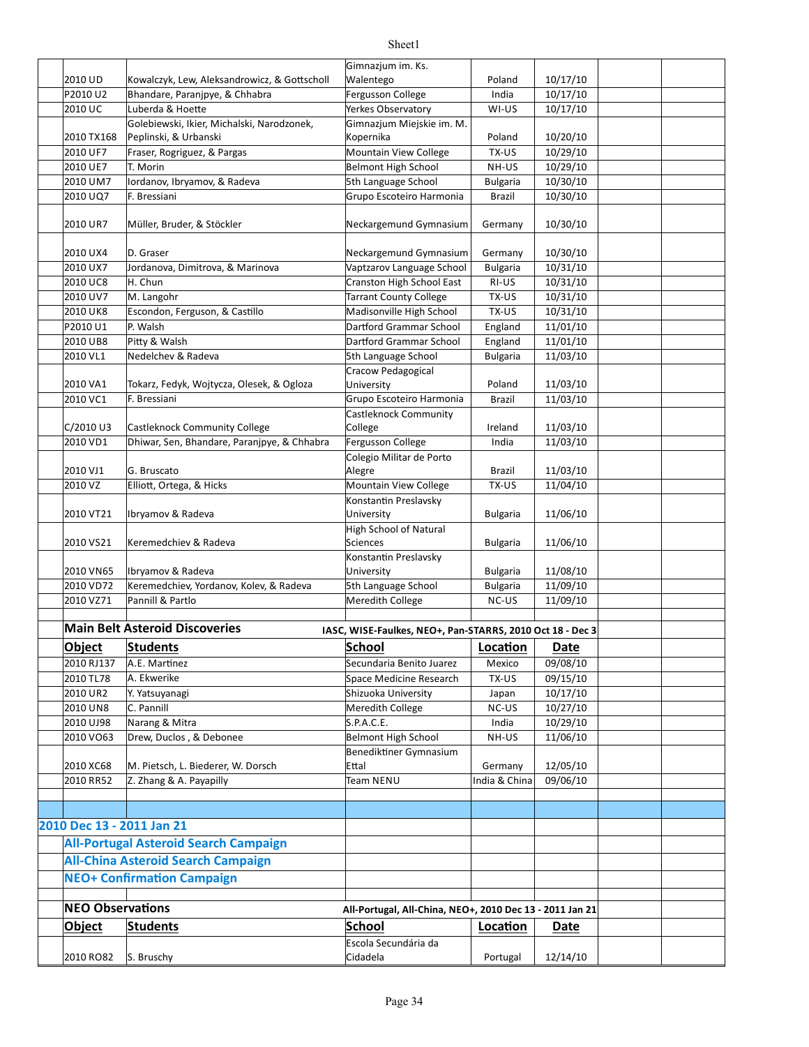#### 2010 UD Kowalczyk, Lew, Aleksandrowicz, & Gottscholl Walentego and Poland 10/17/10 P2010 U2 Bhandare, Paranjpye, & Chhabra Fergusson College | India | 10/17/10 2010 UC WI-US 10/17/10 Luberda & Hoefe Yerkes Observatory 2010 TX168 Peplinski, & Urbanski Kopernika Poland 10/20/10 2010 UF7 Fraser, Rogriguez, & Pargas Manual Mountain View College TX-US 10/29/10 2010 UE7 T. Morin **Definition Community Community** Belmont High School NH-US 10/29/10 2010 UM7 5th Language School Bulgaria 10/30/10 Iordanov, Ibryamov, & Radeva 2010 UQ7 F. Bressiani Santonia (Grupo Escoteiro Harmonia | Brazil | 10/30/10 2010 UR7 Müller, Bruder, & Stöckler Neckargemund Gymnasium | Germany | 10/30/10 2010 UX4 D. Graser Carries Connection Connection (Neckargemund Gymnasium | Germany | 10/30/10 2010 UX7 Jordanova, Dimitrova, & Marinova Vaptzarov Language School | Bulgaria | 10/31/10 2010 UC8 H. Chun **Cranston High School East RI-US** 10/31/10 2010 UV7 M. Langohr **Tarrant County College** TX-US 10/31/10 2010 UK8 Escondon, Ferguson, & Castillo Madisonville High School TX-US 10/31/10 P2010 U1 P. Walsh Dartford Grammar School England 11/01/10 2010 UB8 Pitty & Walsh **Dartford Grammar School** England 11/01/10 2010 VL1 Nedelchev & Radeva Sth Language School Bulgaria 11/03/10 2010 VA1 Tokarz, Fedyk, Wojtycza, Olesek, & Ogloza University Poland 11/03/10 2010 VC1 Brazil 11/03/10 F. Bressiani Grupo Escoteiro Harmonia C/2010 U3 Castleknock Community College College College COLL Treland 11/03/10 2010 VD1 Dhiwar, Sen, Bhandare, Paranjpye, & Chhabra Fergusson College | 11/03/10 2010 VJ1 Brazil 11/03/10 2010 VZ Elliott, Ortega, & Hicks Mountain View College TX-US 11/04/10 2010 VT21 Ibryamov & Radeva University Bulgaria 11/06/10 2010 VS21 Keremedchiev & Radeva **Bulgaria** Sciences **Research State State State 11/06/10** 2010 VN65 |lbryamov & Radeva University Bulgaria 11/08/10 2010 VD72 Keremedchiev, Yordanov, Kolev, & Radeva Sthanguage School Bulgaria 11/09/10 2010 VZ71 Pannill & Partlo **Network College** NC-US 11/09/10 **Main Belt Asteroid Discoveries Object Students School Loca'on Date** 2010 RJ137 | A.E. Martinez Mexico 1 | Mexico | C9/08/10 2010 TL78 A. Ekwerike **Space Medicine Research TX-US** 09/15/10 2010 UR2 Y. Yatsuyanagi Nashiyati Shizuoka University Japan 10/17/10 2010 UN8 C. Pannill **Example 2010** UNE-US NC-US 10/27/10 2010 UJ98 Narang & Mitra 10/29 S.P.A.C.E. 10 | India | 10/29/10 2010 VO63 Belmont High School NH-US 11/06/10 Drew, Duclos , & Debonee 2010 XC68 M. Pietsch, L. Biederer, W. Dorsch Ettal Ettal Stermany 12/05/10 2010 RR52 Team NENU India & China 09/06/10 Z. Zhang & A. Payapilly **2010 Dec 13 - 2011 Jan 21 All-Portugal Asteroid Search Campaign All-China Asteroid Search Campaign NEO+ Confirmation Campaign NEO Observations All-Portugal, All-China, NEO+, 2010 Dec 13 - 2011 Jan 21 Object Students School Loca'on Date** 2010 RO82 Portugal 12/14/10 Gimnazjum im. Ks. Walentego Golebiewski, Ikier, Michalski, Narodzonek, Gimnazjum Miejskie im. M. Kopernika H. Chun Pitty & Walsh Nedelchev & Radeva Cracow Pedagogical University Castleknock Community College G. Bruscato Colegio Militar de Porto Alegre Konstantin Preslavsky University **High School of Natural Sciences** Konstantin Preslavsky University Pannill & Partlo IASC, WISE-Faulkes, NEO+, Pan-STARRS, 2010 Oct 18 - Dec 3 A. Ekwerike Y. Yatsuyanagi C. Pannill Benediktiner Gymnasium **F**ttal S. Bruschy Escola Secundária da Cidadela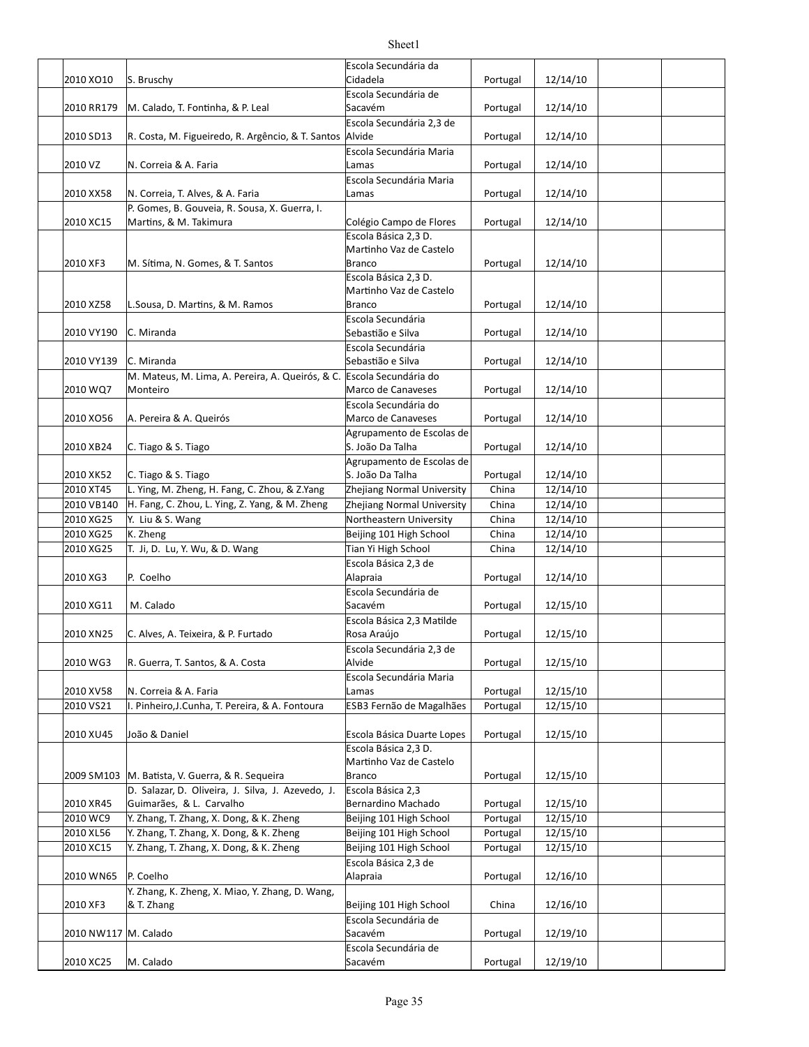|                        |                                                                       | Escola Secundária da            |          |          |  |
|------------------------|-----------------------------------------------------------------------|---------------------------------|----------|----------|--|
| 2010 XO10              | S. Bruschy                                                            | Cidadela                        | Portugal | 12/14/10 |  |
|                        |                                                                       | Escola Secundária de            |          |          |  |
| 2010 RR179             | M. Calado, T. Fontinha, & P. Leal                                     | Sacavém                         | Portugal | 12/14/10 |  |
|                        |                                                                       | Escola Secundária 2,3 de        |          |          |  |
| 2010 SD13              | R. Costa, M. Figueiredo, R. Argêncio, & T. Santos                     | Alvide                          | Portugal | 12/14/10 |  |
|                        |                                                                       | Escola Secundária Maria         |          |          |  |
| 2010 VZ                | N. Correia & A. Faria                                                 | Lamas                           | Portugal | 12/14/10 |  |
|                        |                                                                       | Escola Secundária Maria         |          |          |  |
| 2010 XX58              | N. Correia, T. Alves, & A. Faria                                      | Lamas                           | Portugal | 12/14/10 |  |
|                        | P. Gomes, B. Gouveia, R. Sousa, X. Guerra, I.                         |                                 |          |          |  |
| 2010 XC15              | Martins, & M. Takimura                                                | Colégio Campo de Flores         | Portugal | 12/14/10 |  |
|                        |                                                                       | Escola Básica 2,3 D.            |          |          |  |
|                        |                                                                       | Martinho Vaz de Castelo         |          |          |  |
| 2010 XF3               | M. Sítima, N. Gomes, & T. Santos                                      | <b>Branco</b>                   | Portugal | 12/14/10 |  |
|                        |                                                                       | Escola Básica 2,3 D.            |          |          |  |
|                        |                                                                       | Martinho Vaz de Castelo         |          |          |  |
| 2010 XZ58              | L.Sousa, D. Martins, & M. Ramos                                       | <b>Branco</b>                   | Portugal | 12/14/10 |  |
|                        |                                                                       | Escola Secundária               |          |          |  |
|                        |                                                                       |                                 |          |          |  |
| 2010 VY190             | C. Miranda                                                            | Sebastião e Silva               | Portugal | 12/14/10 |  |
|                        |                                                                       | Escola Secundária               |          |          |  |
| 2010 VY139             | C. Miranda                                                            | Sebastião e Silva               | Portugal | 12/14/10 |  |
|                        | M. Mateus, M. Lima, A. Pereira, A. Queirós, & C. Escola Secundária do |                                 |          |          |  |
| 2010 WQ7               | Monteiro                                                              | Marco de Canaveses              | Portugal | 12/14/10 |  |
|                        |                                                                       | Escola Secundária do            |          |          |  |
| 2010 XO56              | A. Pereira & A. Queirós                                               | Marco de Canaveses              | Portugal | 12/14/10 |  |
|                        |                                                                       | Agrupamento de Escolas de       |          |          |  |
| 2010 XB24              | C. Tiago & S. Tiago                                                   | S. João Da Talha                | Portugal | 12/14/10 |  |
|                        |                                                                       |                                 |          |          |  |
|                        |                                                                       | Agrupamento de Escolas de       |          |          |  |
| 2010 XK52              | C. Tiago & S. Tiago                                                   | S. João Da Talha                | Portugal | 12/14/10 |  |
| 2010 XT45              | L. Ying, M. Zheng, H. Fang, C. Zhou, & Z.Yang                         | Zhejiang Normal University      | China    | 12/14/10 |  |
| 2010 VB140             | H. Fang, C. Zhou, L. Ying, Z. Yang, & M. Zheng                        | Zhejiang Normal University      | China    | 12/14/10 |  |
| 2010 XG25              | Y. Liu & S. Wang                                                      | Northeastern University         | China    | 12/14/10 |  |
| 2010 XG25              | K. Zheng                                                              | Beijing 101 High School         | China    | 12/14/10 |  |
|                        |                                                                       |                                 |          |          |  |
| 2010 XG25              | T. Ji, D. Lu, Y. Wu, & D. Wang                                        | Tian Yi High School             | China    |          |  |
|                        |                                                                       |                                 |          | 12/14/10 |  |
|                        |                                                                       | Escola Básica 2,3 de            |          |          |  |
| 2010 XG3               | P. Coelho                                                             | Alapraia                        | Portugal | 12/14/10 |  |
|                        |                                                                       | Escola Secundária de            |          |          |  |
| 2010 XG11              | M. Calado                                                             | Sacavém                         | Portugal | 12/15/10 |  |
|                        |                                                                       | Escola Básica 2,3 Matilde       |          |          |  |
| 2010 XN25              | C. Alves, A. Teixeira, & P. Furtado                                   | Rosa Araújo                     | Portugal | 12/15/10 |  |
|                        |                                                                       | Escola Secundária 2,3 de        |          |          |  |
| 2010 WG3               | R. Guerra, T. Santos, & A. Costa                                      | Alvide                          | Portugal | 12/15/10 |  |
|                        |                                                                       | Escola Secundária Maria         |          |          |  |
| 2010 XV58              | N. Correia & A. Faria                                                 | Lamas                           | Portugal | 12/15/10 |  |
| 2010 VS21              | I. Pinheiro, J. Cunha, T. Pereira, & A. Fontoura                      | ESB3 Fernão de Magalhães        | Portugal | 12/15/10 |  |
|                        |                                                                       |                                 |          |          |  |
|                        |                                                                       |                                 |          |          |  |
| 2010 XU45              | João & Daniel                                                         | Escola Básica Duarte Lopes      | Portugal | 12/15/10 |  |
|                        |                                                                       | Escola Básica 2,3 D.            |          |          |  |
|                        |                                                                       | Martinho Vaz de Castelo         |          |          |  |
| 2009 SM103             | M. Batista, V. Guerra, & R. Sequeira                                  | <b>Branco</b>                   | Portugal | 12/15/10 |  |
|                        | D. Salazar, D. Oliveira, J. Silva, J. Azevedo, J.                     | Escola Básica 2,3               |          |          |  |
| 2010 XR45              | Guimarães, & L. Carvalho                                              | Bernardino Machado              | Portugal | 12/15/10 |  |
| 2010 WC9               | Y. Zhang, T. Zhang, X. Dong, & K. Zheng                               | Beijing 101 High School         | Portugal | 12/15/10 |  |
| 2010 XL56              | Y. Zhang, T. Zhang, X. Dong, & K. Zheng                               | Beijing 101 High School         | Portugal | 12/15/10 |  |
| 2010 XC15              | Y. Zhang, T. Zhang, X. Dong, & K. Zheng                               | Beijing 101 High School         | Portugal | 12/15/10 |  |
|                        |                                                                       | Escola Básica 2,3 de            |          |          |  |
| 2010 WN65              | P. Coelho                                                             | Alapraia                        | Portugal |          |  |
|                        |                                                                       |                                 |          | 12/16/10 |  |
|                        | Y. Zhang, K. Zheng, X. Miao, Y. Zhang, D. Wang,                       |                                 |          |          |  |
| 2010 XF3               | & T. Zhang                                                            | Beijing 101 High School         | China    | 12/16/10 |  |
|                        |                                                                       | Escola Secundária de            |          |          |  |
| 2010 NW117   M. Calado |                                                                       | Sacavém                         | Portugal | 12/19/10 |  |
| 2010 XC25              | M. Calado                                                             | Escola Secundária de<br>Sacavém | Portugal | 12/19/10 |  |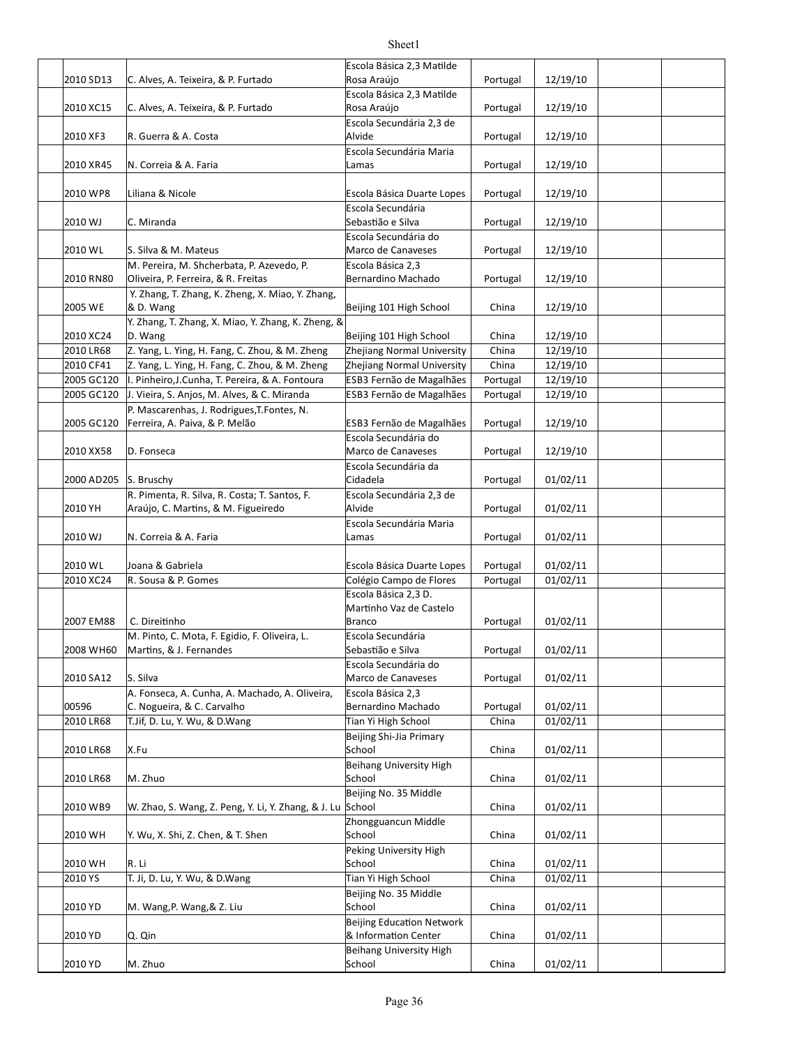|            |                                                            | Escola Básica 2,3 Matilde  |          |          |  |
|------------|------------------------------------------------------------|----------------------------|----------|----------|--|
| 2010 SD13  | C. Alves, A. Teixeira, & P. Furtado                        | Rosa Araújo                | Portugal | 12/19/10 |  |
|            |                                                            | Escola Básica 2,3 Matilde  |          |          |  |
| 2010 XC15  | C. Alves, A. Teixeira, & P. Furtado                        | Rosa Araújo                | Portugal | 12/19/10 |  |
|            |                                                            | Escola Secundária 2,3 de   |          |          |  |
| 2010 XF3   | R. Guerra & A. Costa                                       | Alvide                     | Portugal | 12/19/10 |  |
|            |                                                            | Escola Secundária Maria    |          |          |  |
| 2010 XR45  | N. Correia & A. Faria                                      | Lamas                      | Portugal | 12/19/10 |  |
|            |                                                            |                            |          |          |  |
| 2010 WP8   | Liliana & Nicole                                           | Escola Básica Duarte Lopes | Portugal | 12/19/10 |  |
|            |                                                            | Escola Secundária          |          |          |  |
| 2010 WJ    | C. Miranda                                                 | Sebastião e Silva          | Portugal | 12/19/10 |  |
|            |                                                            | Escola Secundária do       |          |          |  |
| 2010 WL    | S. Silva & M. Mateus                                       | Marco de Canaveses         | Portugal | 12/19/10 |  |
|            | M. Pereira, M. Shcherbata, P. Azevedo, P.                  | Escola Básica 2,3          |          |          |  |
| 2010 RN80  | Oliveira, P. Ferreira, & R. Freitas                        | Bernardino Machado         | Portugal | 12/19/10 |  |
|            | Y. Zhang, T. Zhang, K. Zheng, X. Miao, Y. Zhang,           |                            |          |          |  |
| 2005 WE    | & D. Wang                                                  | Beijing 101 High School    | China    | 12/19/10 |  |
|            | Y. Zhang, T. Zhang, X. Miao, Y. Zhang, K. Zheng, &         |                            |          |          |  |
| 2010 XC24  | D. Wang                                                    | Beijing 101 High School    | China    | 12/19/10 |  |
| 2010 LR68  | Z. Yang, L. Ying, H. Fang, C. Zhou, & M. Zheng             | Zhejiang Normal University | China    | 12/19/10 |  |
| 2010 CF41  | Z. Yang, L. Ying, H. Fang, C. Zhou, & M. Zheng             | Zhejiang Normal University | China    | 12/19/10 |  |
| 2005 GC120 | I. Pinheiro, J. Cunha, T. Pereira, & A. Fontoura           | ESB3 Fernão de Magalhães   | Portugal | 12/19/10 |  |
| 2005 GC120 | J. Vieira, S. Anjos, M. Alves, & C. Miranda                | ESB3 Fernão de Magalhães   | Portugal | 12/19/10 |  |
|            | P. Mascarenhas, J. Rodrigues, T. Fontes, N.                |                            |          |          |  |
| 2005 GC120 | Ferreira, A. Paiva, & P. Melão                             | ESB3 Fernão de Magalhães   | Portugal | 12/19/10 |  |
|            |                                                            | Escola Secundária do       |          |          |  |
| 2010 XX58  | D. Fonseca                                                 | Marco de Canaveses         | Portugal | 12/19/10 |  |
|            |                                                            | Escola Secundária da       |          |          |  |
| 2000 AD205 | S. Bruschy                                                 | Cidadela                   | Portugal | 01/02/11 |  |
|            | R. Pimenta, R. Silva, R. Costa; T. Santos, F.              | Escola Secundária 2,3 de   |          |          |  |
| 2010 YH    | Araújo, C. Martins, & M. Figueiredo                        | Alvide                     | Portugal | 01/02/11 |  |
|            |                                                            | Escola Secundária Maria    |          |          |  |
| 2010 WJ    | N. Correia & A. Faria                                      | Lamas                      | Portugal | 01/02/11 |  |
|            |                                                            |                            |          |          |  |
| 2010 WL    | Joana & Gabriela                                           | Escola Básica Duarte Lopes | Portugal | 01/02/11 |  |
| 2010 XC24  | R. Sousa & P. Gomes                                        | Colégio Campo de Flores    | Portugal | 01/02/11 |  |
|            |                                                            | Escola Básica 2,3 D.       |          |          |  |
|            |                                                            | Martinho Vaz de Castelo    |          |          |  |
| 2007 EM88  | C. Direitinho                                              | Branco                     | Portugal | 01/02/11 |  |
|            | M. Pinto, C. Mota, F. Egidio, F. Oliveira, L.              | Escola Secundária          |          |          |  |
| 2008 WH60  | Martins, & J. Fernandes                                    | Sebastião e Silva          | Portugal | 01/02/11 |  |
|            |                                                            | Escola Secundária do       |          |          |  |
| 2010 SA12  | S. Silva                                                   | Marco de Canaveses         | Portugal | 01/02/11 |  |
|            | A. Fonseca, A. Cunha, A. Machado, A. Oliveira,             | Escola Básica 2,3          |          |          |  |
| 00596      | C. Nogueira, & C. Carvalho                                 | Bernardino Machado         | Portugal | 01/02/11 |  |
| 2010 LR68  | T. Jif, D. Lu, Y. Wu, & D. Wang                            | Tian Yi High School        | China    | 01/02/11 |  |
|            |                                                            | Beijing Shi-Jia Primary    |          |          |  |
| 2010 LR68  | X.Fu                                                       | School                     | China    | 01/02/11 |  |
|            |                                                            | Beihang University High    |          |          |  |
| 2010 LR68  | M. Zhuo                                                    | School                     | China    | 01/02/11 |  |
|            |                                                            | Beijing No. 35 Middle      |          |          |  |
| 2010 WB9   | W. Zhao, S. Wang, Z. Peng, Y. Li, Y. Zhang, & J. Lu School |                            | China    | 01/02/11 |  |
|            |                                                            | Zhongguancun Middle        |          |          |  |
| 2010 WH    | Y. Wu, X. Shi, Z. Chen, & T. Shen                          | School                     | China    | 01/02/11 |  |
|            |                                                            | Peking University High     |          |          |  |
| 2010 WH    | R. Li                                                      | School                     | China    | 01/02/11 |  |
| 2010 YS    | T. Ji, D. Lu, Y. Wu, & D. Wang                             | Tian Yi High School        | China    | 01/02/11 |  |
|            |                                                            | Beijing No. 35 Middle      |          |          |  |
| 2010 YD    | M. Wang, P. Wang, & Z. Liu                                 | School                     | China    | 01/02/11 |  |
|            |                                                            | Beijing Education Network  |          |          |  |
| 2010 YD    | Q. Qin                                                     | & Information Center       | China    | 01/02/11 |  |
|            |                                                            | Beihang University High    |          |          |  |
| 2010 YD    | M. Zhuo                                                    | School                     | China    | 01/02/11 |  |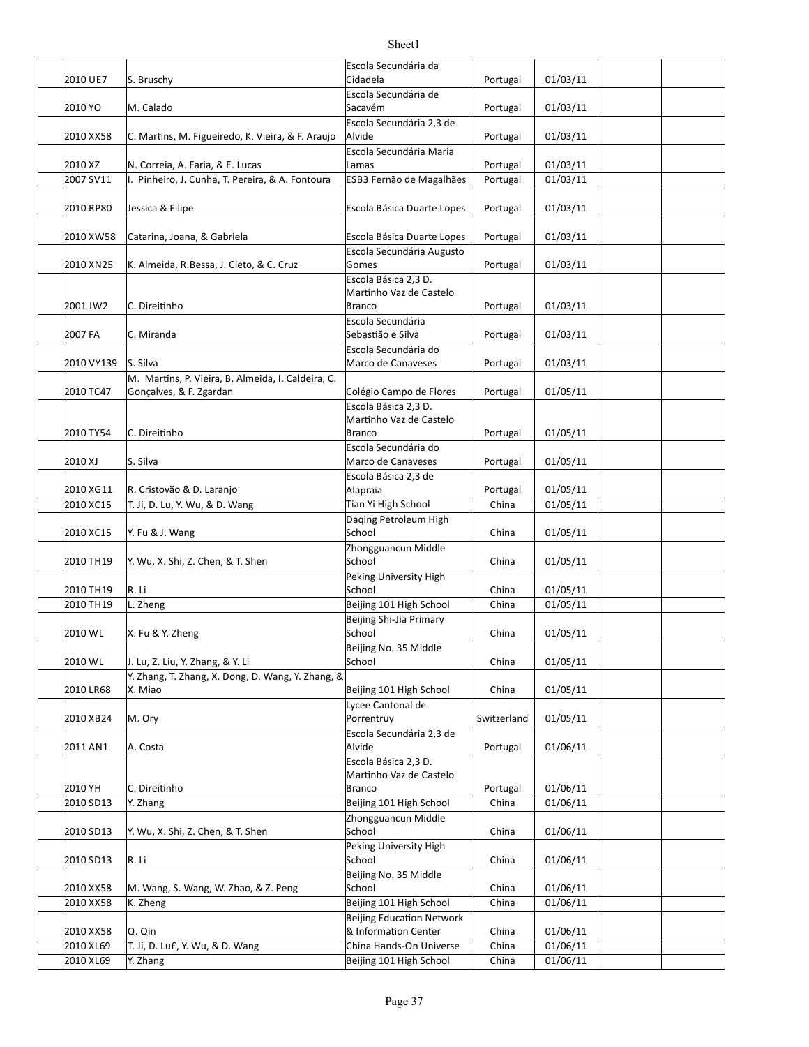|            |                                                                               | Escola Secundária da                            |             |          |  |
|------------|-------------------------------------------------------------------------------|-------------------------------------------------|-------------|----------|--|
| 2010 UE7   | S. Bruschy                                                                    | Cidadela                                        | Portugal    | 01/03/11 |  |
|            |                                                                               | Escola Secundária de                            |             |          |  |
| 2010 YO    | M. Calado                                                                     | Sacavém                                         | Portugal    | 01/03/11 |  |
|            |                                                                               | Escola Secundária 2,3 de                        |             |          |  |
| 2010 XX58  | C. Martins, M. Figueiredo, K. Vieira, & F. Araujo                             | Alvide                                          | Portugal    | 01/03/11 |  |
|            |                                                                               | Escola Secundária Maria                         |             |          |  |
| 2010 XZ    | N. Correia, A. Faria, & E. Lucas                                              | Lamas                                           | Portugal    | 01/03/11 |  |
| 2007 SV11  | I. Pinheiro, J. Cunha, T. Pereira, & A. Fontoura                              | ESB3 Fernão de Magalhães                        | Portugal    | 01/03/11 |  |
|            |                                                                               |                                                 |             |          |  |
| 2010 RP80  | Jessica & Filipe                                                              | Escola Básica Duarte Lopes                      | Portugal    | 01/03/11 |  |
|            |                                                                               |                                                 |             |          |  |
| 2010 XW58  | Catarina, Joana, & Gabriela                                                   | Escola Básica Duarte Lopes                      | Portugal    | 01/03/11 |  |
|            |                                                                               | Escola Secundária Augusto                       |             |          |  |
| 2010 XN25  | K. Almeida, R.Bessa, J. Cleto, & C. Cruz                                      | Gomes                                           | Portugal    | 01/03/11 |  |
|            |                                                                               | Escola Básica 2,3 D.                            |             |          |  |
|            |                                                                               | Martinho Vaz de Castelo                         |             |          |  |
| 2001 JW2   | C. Direitinho                                                                 | <b>Branco</b>                                   | Portugal    | 01/03/11 |  |
|            |                                                                               | Escola Secundária                               |             |          |  |
| 2007 FA    | C. Miranda                                                                    | Sebastião e Silva                               | Portugal    | 01/03/11 |  |
|            | S. Silva                                                                      | Escola Secundária do<br>Marco de Canaveses      |             |          |  |
| 2010 VY139 |                                                                               |                                                 | Portugal    | 01/03/11 |  |
| 2010 TC47  | M. Martins, P. Vieira, B. Almeida, I. Caldeira, C.<br>Gonçalves, & F. Zgardan | Colégio Campo de Flores                         | Portugal    | 01/05/11 |  |
|            |                                                                               | Escola Básica 2,3 D.                            |             |          |  |
|            |                                                                               | Martinho Vaz de Castelo                         |             |          |  |
| 2010 TY54  | C. Direitinho                                                                 | <b>Branco</b>                                   | Portugal    | 01/05/11 |  |
|            |                                                                               | Escola Secundária do                            |             |          |  |
| 2010 XJ    | S. Silva                                                                      | Marco de Canaveses                              | Portugal    | 01/05/11 |  |
|            |                                                                               | Escola Básica 2,3 de                            |             |          |  |
| 2010 XG11  | R. Cristovão & D. Laranjo                                                     | Alapraia                                        | Portugal    | 01/05/11 |  |
| 2010 XC15  | T. Ji, D. Lu, Y. Wu, & D. Wang                                                | Tian Yi High School                             | China       | 01/05/11 |  |
|            |                                                                               | Daging Petroleum High                           |             |          |  |
| 2010 XC15  | Y. Fu & J. Wang                                                               | School                                          | China       | 01/05/11 |  |
|            |                                                                               | Zhongguancun Middle                             |             |          |  |
| 2010 TH19  | Y. Wu, X. Shi, Z. Chen, & T. Shen                                             | School                                          | China       | 01/05/11 |  |
|            |                                                                               | Peking University High                          |             |          |  |
| 2010 TH19  | R. Li                                                                         | School                                          | China       | 01/05/11 |  |
| 2010 TH19  | L. Zheng                                                                      | Beijing 101 High School                         | China       | 01/05/11 |  |
|            |                                                                               | Beijing Shi-Jia Primary                         |             |          |  |
| 2010 WL    | X. Fu & Y. Zheng                                                              | School                                          | China       | 01/05/11 |  |
|            |                                                                               | Beijing No. 35 Middle                           |             |          |  |
| 2010 WL    | J. Lu, Z. Liu, Y. Zhang, & Y. Li                                              | School                                          | China       | 01/05/11 |  |
|            | Y. Zhang, T. Zhang, X. Dong, D. Wang, Y. Zhang, &                             |                                                 |             |          |  |
| 2010 LR68  | X. Miao                                                                       | Beijing 101 High School                         | China       | 01/05/11 |  |
|            |                                                                               | Lycee Cantonal de                               |             |          |  |
| 2010 XB24  | M. Ory                                                                        | Porrentruy                                      | Switzerland | 01/05/11 |  |
|            |                                                                               | Escola Secundária 2,3 de                        |             |          |  |
| 2011 AN1   | A. Costa                                                                      | Alvide                                          | Portugal    | 01/06/11 |  |
|            |                                                                               | Escola Básica 2,3 D.<br>Martinho Vaz de Castelo |             |          |  |
| 2010 YH    | C. Direitinho                                                                 | <b>Branco</b>                                   | Portugal    | 01/06/11 |  |
| 2010 SD13  | Y. Zhang                                                                      | Beijing 101 High School                         | China       | 01/06/11 |  |
|            |                                                                               | Zhongguancun Middle                             |             |          |  |
| 2010 SD13  | Y. Wu, X. Shi, Z. Chen, & T. Shen                                             | School                                          | China       | 01/06/11 |  |
|            |                                                                               | Peking University High                          |             |          |  |
| 2010 SD13  | R. Li                                                                         | School                                          | China       | 01/06/11 |  |
|            |                                                                               | Beijing No. 35 Middle                           |             |          |  |
| 2010 XX58  | M. Wang, S. Wang, W. Zhao, & Z. Peng                                          | School                                          | China       | 01/06/11 |  |
| 2010 XX58  | K. Zheng                                                                      | Beijing 101 High School                         | China       | 01/06/11 |  |
|            |                                                                               | <b>Beijing Education Network</b>                |             |          |  |
| 2010 XX58  | Q. Qin                                                                        | & Information Center                            | China       | 01/06/11 |  |
| 2010 XL69  | T. Ji, D. Lu£, Y. Wu, & D. Wang                                               | China Hands-On Universe                         | China       | 01/06/11 |  |
| 2010 XL69  | Y. Zhang                                                                      | Beijing 101 High School                         | China       | 01/06/11 |  |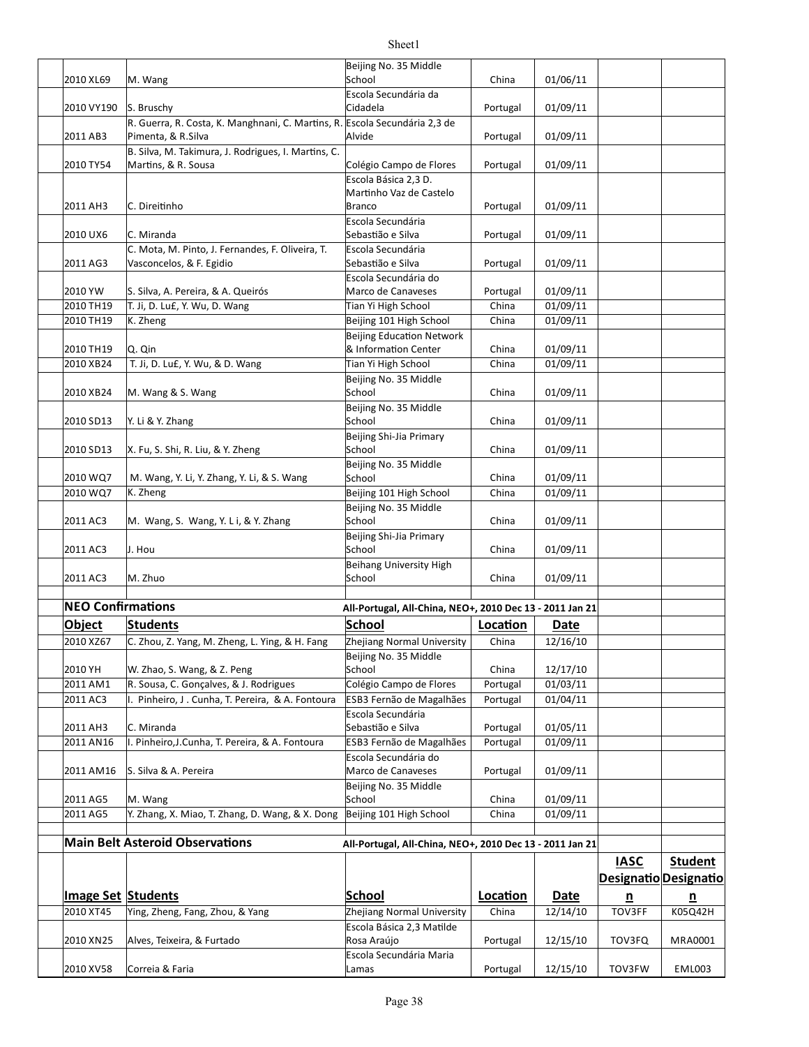|                           |                                                                                            | Beijing No. 35 Middle                                    |                      |                      |                         |                          |
|---------------------------|--------------------------------------------------------------------------------------------|----------------------------------------------------------|----------------------|----------------------|-------------------------|--------------------------|
| 2010 XL69                 | M. Wang                                                                                    | School<br>Escola Secundária da                           | China                | 01/06/11             |                         |                          |
| 2010 VY190                | S. Bruschy                                                                                 | Cidadela                                                 | Portugal             | 01/09/11             |                         |                          |
|                           | R. Guerra, R. Costa, K. Manghnani, C. Martins, R. Escola Secundária 2,3 de                 |                                                          |                      |                      |                         |                          |
| 2011 AB3                  | Pimenta, & R.Silva<br>B. Silva, M. Takimura, J. Rodrigues, I. Martins, C.                  | Alvide                                                   | Portugal             | 01/09/11             |                         |                          |
| 2010 TY54                 | Martins, & R. Sousa                                                                        | Colégio Campo de Flores                                  | Portugal             | 01/09/11             |                         |                          |
|                           |                                                                                            | Escola Básica 2,3 D.                                     |                      |                      |                         |                          |
| 2011 AH3                  | C. Direitinho                                                                              | Martinho Vaz de Castelo<br><b>Branco</b>                 | Portugal             | 01/09/11             |                         |                          |
|                           |                                                                                            | Escola Secundária                                        |                      |                      |                         |                          |
| 2010 UX6                  | C. Miranda                                                                                 | Sebastião e Silva                                        | Portugal             | 01/09/11             |                         |                          |
| 2011 AG3                  | C. Mota, M. Pinto, J. Fernandes, F. Oliveira, T.<br>Vasconcelos, & F. Egidio               | Escola Secundária<br>Sebastião e Silva                   | Portugal             | 01/09/11             |                         |                          |
|                           |                                                                                            | Escola Secundária do                                     |                      |                      |                         |                          |
| 2010 YW<br>2010 TH19      | S. Silva, A. Pereira, & A. Queirós<br>T. Ji, D. Lu£, Y. Wu, D. Wang                        | Marco de Canaveses<br>Tian Yi High School                | Portugal<br>China    | 01/09/11<br>01/09/11 |                         |                          |
| 2010 TH19                 | K. Zheng                                                                                   | Beijing 101 High School                                  | China                | 01/09/11             |                         |                          |
|                           |                                                                                            | <b>Beijing Education Network</b>                         |                      |                      |                         |                          |
| 2010 TH19                 | Q. Qin                                                                                     | & Information Center                                     | China                | 01/09/11             |                         |                          |
| 2010 XB24                 | T. Ji, D. Luf, Y. Wu, & D. Wang                                                            | Tian Yi High School                                      | China                | 01/09/11             |                         |                          |
|                           |                                                                                            | Beijing No. 35 Middle<br>School                          |                      | 01/09/11             |                         |                          |
| 2010 XB24                 | M. Wang & S. Wang                                                                          | Beijing No. 35 Middle                                    | China                |                      |                         |                          |
| 2010 SD13                 | Y. Li & Y. Zhang                                                                           | School                                                   | China                | 01/09/11             |                         |                          |
| 2010 SD13                 | X. Fu, S. Shi, R. Liu, & Y. Zheng                                                          | Beijing Shi-Jia Primary<br>School                        | China                | 01/09/11             |                         |                          |
|                           |                                                                                            | Beijing No. 35 Middle                                    |                      |                      |                         |                          |
| 2010 WQ7<br>2010 WQ7      | M. Wang, Y. Li, Y. Zhang, Y. Li, & S. Wang<br>K. Zheng                                     | School<br>Beijing 101 High School                        | China<br>China       | 01/09/11<br>01/09/11 |                         |                          |
|                           |                                                                                            | Beijing No. 35 Middle                                    |                      |                      |                         |                          |
| 2011 AC3                  | M. Wang, S. Wang, Y. L i, & Y. Zhang                                                       | School                                                   | China                | 01/09/11             |                         |                          |
| 2011 AC3                  | J. Hou                                                                                     | Beijing Shi-Jia Primary<br>School                        | China                | 01/09/11             |                         |                          |
|                           |                                                                                            | <b>Beihang University High</b>                           |                      |                      |                         |                          |
| 2011 AC3                  | M. Zhuo                                                                                    | School                                                   | China                | 01/09/11             |                         |                          |
| <b>NEO Confirmations</b>  |                                                                                            | All-Portugal, All-China, NEO+, 2010 Dec 13 - 2011 Jan 21 |                      |                      |                         |                          |
| <b>Object</b>             | <b>Students</b>                                                                            | School                                                   | Location             | <b>Date</b>          |                         |                          |
| 2010 XZ67                 | C. Zhou, Z. Yang, M. Zheng, L. Ying, & H. Fang                                             | Zhejiang Normal University                               | China                | 12/16/10             |                         |                          |
|                           |                                                                                            | Beijing No. 35 Middle                                    |                      |                      |                         |                          |
| 2010 YH                   | W. Zhao, S. Wang, & Z. Peng                                                                | School                                                   | China                | 12/17/10             |                         |                          |
| 2011 AM1<br>2011 AC3      | R. Sousa, C. Gonçalves, & J. Rodrigues<br>I. Pinheiro, J. Cunha, T. Pereira, & A. Fontoura | Colégio Campo de Flores<br>ESB3 Fernão de Magalhães      | Portugal<br>Portugal | 01/03/11<br>01/04/11 |                         |                          |
|                           |                                                                                            | Escola Secundária                                        |                      |                      |                         |                          |
| 2011 AH3                  | C. Miranda                                                                                 | Sebastião e Silva                                        | Portugal             | 01/05/11             |                         |                          |
| 2011 AN16                 | I. Pinheiro, J. Cunha, T. Pereira, & A. Fontoura                                           | ESB3 Fernão de Magalhães                                 | Portugal             | 01/09/11             |                         |                          |
|                           |                                                                                            | Escola Secundária do                                     |                      |                      |                         |                          |
| 2011 AM16                 | S. Silva & A. Pereira                                                                      | Marco de Canaveses<br>Beijing No. 35 Middle              | Portugal             | 01/09/11             |                         |                          |
| 2011 AG5                  | M. Wang                                                                                    | School                                                   | China                | 01/09/11             |                         |                          |
| 2011 AG5                  | Y. Zhang, X. Miao, T. Zhang, D. Wang, & X. Dong                                            | Beijing 101 High School                                  | China                | 01/09/11             |                         |                          |
|                           | <b>Main Belt Asteroid Observations</b>                                                     | All-Portugal, All-China, NEO+, 2010 Dec 13 - 2011 Jan 21 |                      |                      |                         |                          |
|                           |                                                                                            |                                                          |                      |                      | <b>IASC</b>             | <b>Student</b>           |
|                           |                                                                                            |                                                          |                      |                      | Designatio Designatio   |                          |
| <b>Image Set Students</b> |                                                                                            | <b>School</b>                                            | Location             | <b>Date</b>          | $\overline{\mathbf{n}}$ | $\underline{\mathsf{n}}$ |
| 2010 XT45                 | Ying, Zheng, Fang, Zhou, & Yang                                                            | Zhejiang Normal University                               | China                | 12/14/10             | TOV3FF                  | K05Q42H                  |
| 2010 XN25                 | Alves, Teixeira, & Furtado                                                                 | Escola Básica 2,3 Matilde<br>Rosa Araújo                 | Portugal             | 12/15/10             | TOV3FQ                  | MRA0001                  |
|                           |                                                                                            | Escola Secundária Maria                                  |                      |                      |                         |                          |
| 2010 XV58                 | Correia & Faria                                                                            | Lamas                                                    | Portugal             | 12/15/10             | TOV3FW                  | <b>EML003</b>            |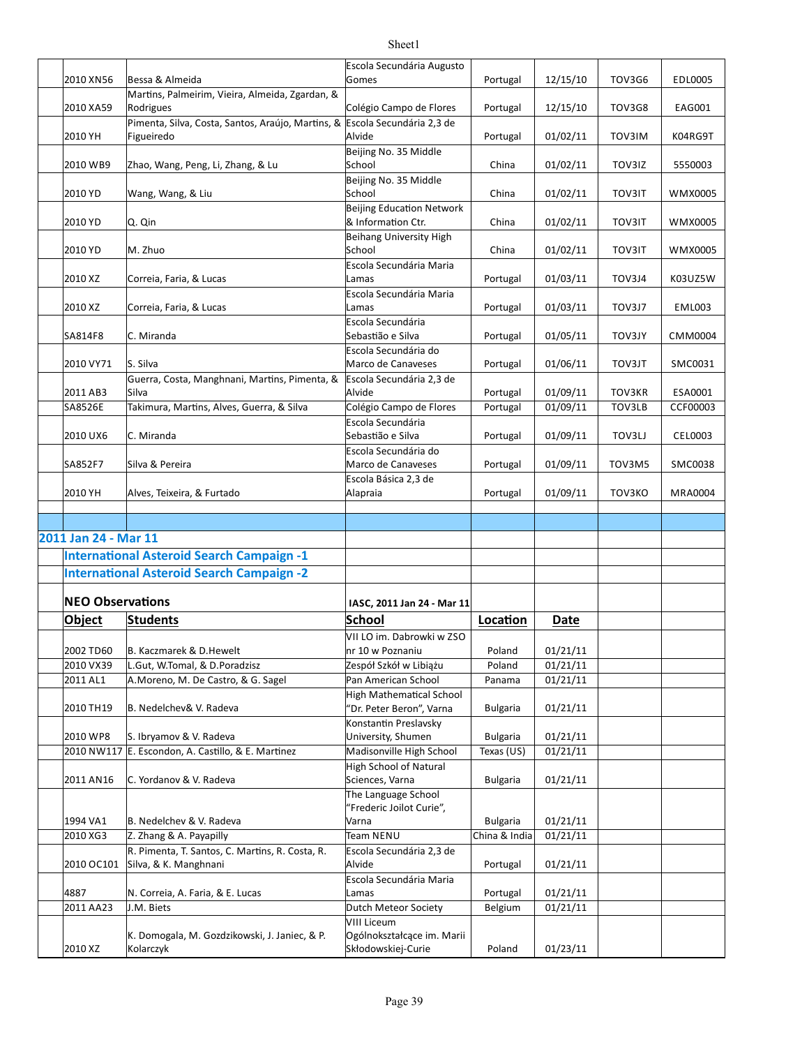|                         |                                                              | Escola Secundária Augusto                              |                                  |                      |               |                |
|-------------------------|--------------------------------------------------------------|--------------------------------------------------------|----------------------------------|----------------------|---------------|----------------|
| 2010 XN56               | Bessa & Almeida                                              | Gomes                                                  | Portugal                         | 12/15/10             | TOV3G6        | EDL0005        |
| 2010 XA59               | Martins, Palmeirim, Vieira, Almeida, Zgardan, &<br>Rodrigues | Colégio Campo de Flores                                | Portugal                         | 12/15/10             | <b>TOV3G8</b> | EAG001         |
|                         | Pimenta, Silva, Costa, Santos, Araújo, Martins, &            | Escola Secundária 2,3 de                               |                                  |                      |               |                |
| 2010 YH                 | Figueiredo                                                   | Alvide                                                 | Portugal                         | 01/02/11             | TOV3IM        | K04RG9T        |
|                         |                                                              | Beijing No. 35 Middle                                  |                                  |                      |               |                |
| 2010 WB9                | Zhao, Wang, Peng, Li, Zhang, & Lu                            | School                                                 | China                            | 01/02/11             | TOV3IZ        | 5550003        |
|                         |                                                              | Beijing No. 35 Middle                                  |                                  |                      |               |                |
| 2010 YD                 | Wang, Wang, & Liu                                            | School                                                 | China                            | 01/02/11             | <b>TOV3IT</b> | WMX0005        |
| 2010 YD                 | Q. Qin                                                       | <b>Beijing Education Network</b><br>& Information Ctr. | China                            | 01/02/11             | <b>TOV3IT</b> | WMX0005        |
|                         |                                                              | <b>Beihang University High</b>                         |                                  |                      |               |                |
| 2010 YD                 | M. Zhuo                                                      | School                                                 | China                            | 01/02/11             | <b>TOV3IT</b> | WMX0005        |
| 2010 XZ                 | Correia, Faria, & Lucas                                      | Escola Secundária Maria<br>Lamas                       | Portugal                         | 01/03/11             | TOV3J4        | K03UZ5W        |
| 2010 XZ                 | Correia, Faria, & Lucas                                      | Escola Secundária Maria<br>Lamas                       | Portugal                         | 01/03/11             | TOV3J7        | <b>EML003</b>  |
|                         |                                                              | Escola Secundária                                      |                                  |                      |               |                |
| SA814F8                 | C. Miranda                                                   | Sebastião e Silva                                      | Portugal                         | 01/05/11             | <b>TOV3JY</b> | CMM0004        |
|                         |                                                              | Escola Secundária do                                   |                                  |                      |               |                |
| 2010 VY71               | S. Silva<br>Guerra, Costa, Manghnani, Martins, Pimenta, &    | Marco de Canaveses                                     | Portugal                         | 01/06/11             | TOV3JT        | SMC0031        |
| 2011 AB3                | Silva                                                        | Escola Secundária 2,3 de<br>Alvide                     | Portugal                         | 01/09/11             | TOV3KR        | ESA0001        |
| SA8526E                 | Takimura, Martins, Alves, Guerra, & Silva                    | Colégio Campo de Flores                                | Portugal                         | 01/09/11             | TOV3LB        | CCF00003       |
|                         |                                                              | Escola Secundária                                      |                                  |                      |               |                |
| 2010 UX6                | C. Miranda                                                   | Sebastião e Silva                                      | Portugal                         | 01/09/11             | TOV3LJ        | CEL0003        |
|                         |                                                              | Escola Secundária do                                   |                                  |                      |               |                |
| SA852F7                 | Silva & Pereira                                              | Marco de Canaveses                                     | Portugal                         | 01/09/11             | TOV3M5        | SMC0038        |
|                         |                                                              | Escola Básica 2,3 de                                   |                                  |                      |               |                |
| 2010 YH                 | Alves, Teixeira, & Furtado                                   | Alapraia                                               | Portugal                         | 01/09/11             | TOV3KO        | <b>MRA0004</b> |
|                         |                                                              |                                                        |                                  |                      |               |                |
|                         |                                                              |                                                        |                                  |                      |               |                |
| 2011 Jan 24 - Mar 11    |                                                              |                                                        |                                  |                      |               |                |
|                         | <b>International Asteroid Search Campaign -1</b>             |                                                        |                                  |                      |               |                |
|                         | <b>International Asteroid Search Campaign -2</b>             |                                                        |                                  |                      |               |                |
| <b>NEO Observations</b> |                                                              | IASC, 2011 Jan 24 - Mar 11                             |                                  |                      |               |                |
| Object                  | <b>Students</b>                                              | <b>School</b>                                          | Location                         | Date                 |               |                |
|                         |                                                              | VII LO im. Dabrowki w ZSO                              |                                  |                      |               |                |
| 2002 TD60               | B. Kaczmarek & D. Hewelt                                     | nr 10 w Poznaniu                                       | Poland                           | 01/21/11             |               |                |
| 2010 VX39               | L.Gut, W.Tomal, & D.Poradzisz                                | Zespół Szkół w Libiążu                                 | Poland                           | 01/21/11             |               |                |
| 2011 AL1                | A.Moreno, M. De Castro, & G. Sagel                           | Pan American School                                    | Panama                           | 01/21/11             |               |                |
|                         |                                                              | <b>High Mathematical School</b>                        |                                  |                      |               |                |
| 2010 TH19               | B. Nedelchev& V. Radeva                                      | 'Dr. Peter Beron", Varna                               | <b>Bulgaria</b>                  | 01/21/11             |               |                |
|                         |                                                              | Konstantin Preslavsky                                  |                                  |                      |               |                |
| 2010 WP8                | S. Ibryamov & V. Radeva                                      | University, Shumen                                     | <b>Bulgaria</b>                  | 01/21/11             |               |                |
|                         | 2010 NW117 E. Escondon, A. Castillo, & E. Martinez           | Madisonville High School                               | Texas (US)                       | 01/21/11             |               |                |
|                         |                                                              | <b>High School of Natural</b>                          |                                  |                      |               |                |
| 2011 AN16               | C. Yordanov & V. Radeva                                      | Sciences, Varna                                        | <b>Bulgaria</b>                  | 01/21/11             |               |                |
|                         |                                                              | The Language School                                    |                                  |                      |               |                |
|                         |                                                              | "Frederic Joilot Curie",                               |                                  |                      |               |                |
| 1994 VA1<br>2010 XG3    | B. Nedelchev & V. Radeva<br>Z. Zhang & A. Payapilly          | Varna<br>Team NENU                                     | <b>Bulgaria</b><br>China & India | 01/21/11<br>01/21/11 |               |                |
|                         | R. Pimenta, T. Santos, C. Martins, R. Costa, R.              | Escola Secundária 2,3 de                               |                                  |                      |               |                |
| 2010 OC101              | Silva, & K. Manghnani                                        | Alvide                                                 | Portugal                         | 01/21/11             |               |                |
|                         |                                                              | Escola Secundária Maria                                |                                  |                      |               |                |
| 4887                    | N. Correia, A. Faria, & E. Lucas                             | Lamas                                                  | Portugal                         | 01/21/11             |               |                |
| 2011 AA23               | J.M. Biets                                                   | Dutch Meteor Society                                   | Belgium                          | 01/21/11             |               |                |
|                         |                                                              |                                                        |                                  |                      |               |                |
|                         |                                                              | <b>VIII Liceum</b>                                     |                                  |                      |               |                |
| 2010 XZ                 | K. Domogala, M. Gozdzikowski, J. Janiec, & P.<br>Kolarczyk   | Ogólnokształcące im. Marii<br>Skłodowskiej-Curie       |                                  | 01/23/11             |               |                |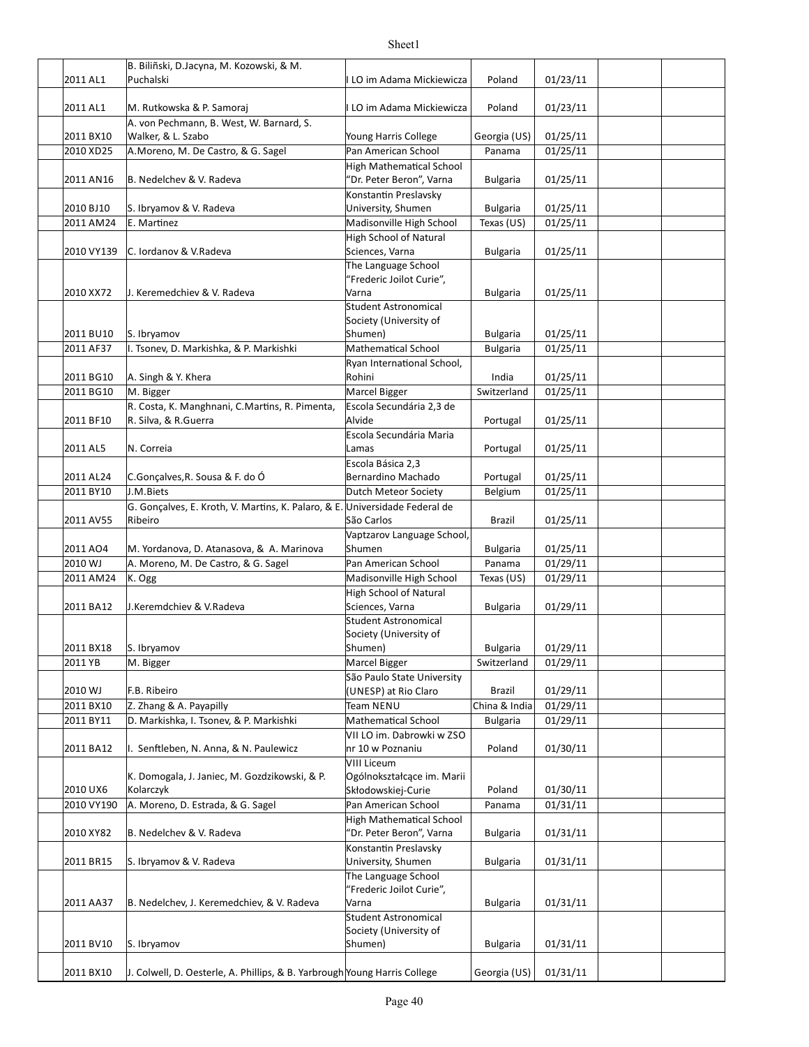|            | B. Biliñski, D.Jacyna, M. Kozowski, & M.                                    |                                                       |                 |          |  |
|------------|-----------------------------------------------------------------------------|-------------------------------------------------------|-----------------|----------|--|
| 2011 AL1   | Puchalski                                                                   | LO im Adama Mickiewicza                               | Poland          | 01/23/11 |  |
|            |                                                                             |                                                       |                 |          |  |
| 2011 AL1   | M. Rutkowska & P. Samoraj                                                   | LO im Adama Mickiewicza                               | Poland          | 01/23/11 |  |
|            | A. von Pechmann, B. West, W. Barnard, S.                                    |                                                       |                 |          |  |
| 2011 BX10  | Walker, & L. Szabo                                                          | Young Harris College                                  | Georgia (US)    | 01/25/11 |  |
| 2010 XD25  | A.Moreno, M. De Castro, & G. Sagel                                          | Pan American School                                   | Panama          | 01/25/11 |  |
|            |                                                                             | <b>High Mathematical School</b>                       |                 |          |  |
| 2011 AN16  | B. Nedelchev & V. Radeva                                                    | "Dr. Peter Beron", Varna                              | <b>Bulgaria</b> | 01/25/11 |  |
|            |                                                                             | Konstantin Preslavsky                                 |                 |          |  |
| 2010 BJ10  | S. Ibryamov & V. Radeva                                                     | University, Shumen                                    | <b>Bulgaria</b> | 01/25/11 |  |
| 2011 AM24  | E. Martinez                                                                 | Madisonville High School                              | Texas (US)      | 01/25/11 |  |
|            |                                                                             | <b>High School of Natural</b>                         |                 |          |  |
| 2010 VY139 | C. Iordanov & V.Radeva                                                      | Sciences, Varna                                       | <b>Bulgaria</b> | 01/25/11 |  |
|            |                                                                             | The Language School                                   |                 |          |  |
|            |                                                                             | "Frederic Joilot Curie",                              |                 |          |  |
| 2010 XX72  | J. Keremedchiev & V. Radeva                                                 | Varna                                                 | <b>Bulgaria</b> | 01/25/11 |  |
|            |                                                                             | <b>Student Astronomical</b><br>Society (University of |                 |          |  |
| 2011 BU10  | S. Ibryamov                                                                 | Shumen)                                               | <b>Bulgaria</b> | 01/25/11 |  |
| 2011 AF37  | I. Tsonev, D. Markishka, & P. Markishki                                     | Mathematical School                                   | <b>Bulgaria</b> | 01/25/11 |  |
|            |                                                                             | Ryan International School,                            |                 |          |  |
| 2011 BG10  | A. Singh & Y. Khera                                                         | Rohini                                                | India           | 01/25/11 |  |
| 2011 BG10  | M. Bigger                                                                   | Marcel Bigger                                         | Switzerland     | 01/25/11 |  |
|            | R. Costa, K. Manghnani, C.Martins, R. Pimenta,                              | Escola Secundária 2,3 de                              |                 |          |  |
| 2011 BF10  | R. Silva, & R. Guerra                                                       | Alvide                                                | Portugal        | 01/25/11 |  |
|            |                                                                             | Escola Secundária Maria                               |                 |          |  |
| 2011 AL5   | N. Correia                                                                  | Lamas                                                 | Portugal        | 01/25/11 |  |
|            |                                                                             | Escola Básica 2,3                                     |                 |          |  |
| 2011 AL24  | C.Gonçalves, R. Sousa & F. do Ó                                             | Bernardino Machado                                    | Portugal        | 01/25/11 |  |
| 2011 BY10  | J.M.Biets                                                                   | Dutch Meteor Society                                  | Belgium         | 01/25/11 |  |
|            | G. Gonçalves, E. Kroth, V. Martins, K. Palaro, & E. Universidade Federal de |                                                       |                 |          |  |
| 2011 AV55  | Ribeiro                                                                     | São Carlos                                            | Brazil          | 01/25/11 |  |
|            |                                                                             | Vaptzarov Language School,                            |                 |          |  |
| 2011 AO4   | M. Yordanova, D. Atanasova, & A. Marinova                                   | Shumen                                                | <b>Bulgaria</b> | 01/25/11 |  |
| 2010 WJ    | A. Moreno, M. De Castro, & G. Sagel                                         | Pan American School                                   | Panama          | 01/29/11 |  |
| 2011 AM24  | K. Ogg                                                                      | Madisonville High School                              | Texas (US)      | 01/29/11 |  |
|            |                                                                             | <b>High School of Natural</b>                         |                 |          |  |
| 2011 BA12  | J.Keremdchiev & V.Radeva                                                    | Sciences, Varna                                       | <b>Bulgaria</b> | 01/29/11 |  |
|            |                                                                             | <b>Student Astronomical</b>                           |                 |          |  |
|            |                                                                             | Society (University of                                |                 |          |  |
| 2011 BX18  | S. Ibryamov                                                                 | Shumen)                                               | <b>Bulgaria</b> | 01/29/11 |  |
| 2011 YB    | M. Bigger                                                                   | Marcel Bigger                                         | Switzerland     | 01/29/11 |  |
|            |                                                                             | São Paulo State University                            |                 |          |  |
| 2010 WJ    | F.B. Ribeiro                                                                | (UNESP) at Rio Claro                                  | Brazil          | 01/29/11 |  |
| 2011 BX10  | Z. Zhang & A. Payapilly                                                     | Team NENU                                             | China & India   | 01/29/11 |  |
| 2011 BY11  | D. Markishka, I. Tsonev, & P. Markishki                                     | <b>Mathematical School</b>                            | <b>Bulgaria</b> | 01/29/11 |  |
|            |                                                                             | VII LO im. Dabrowki w ZSO                             |                 |          |  |
| 2011 BA12  | I. Senftleben, N. Anna, & N. Paulewicz                                      | nr 10 w Poznaniu                                      | Poland          | 01/30/11 |  |
|            |                                                                             | <b>VIII Liceum</b>                                    |                 |          |  |
|            | K. Domogala, J. Janiec, M. Gozdzikowski, & P.                               | Ogólnokształcące im. Marii                            |                 |          |  |
| 2010 UX6   | Kolarczyk                                                                   | Skłodowskiej-Curie                                    | Poland          | 01/30/11 |  |
| 2010 VY190 | A. Moreno, D. Estrada, & G. Sagel                                           | Pan American School                                   | Panama          | 01/31/11 |  |
|            |                                                                             | <b>High Mathematical School</b>                       |                 |          |  |
| 2010 XY82  | B. Nedelchev & V. Radeva                                                    | 'Dr. Peter Beron", Varna                              | <b>Bulgaria</b> | 01/31/11 |  |
|            |                                                                             | Konstantin Preslavsky                                 |                 |          |  |
| 2011 BR15  | S. Ibryamov & V. Radeva                                                     | University, Shumen                                    | <b>Bulgaria</b> | 01/31/11 |  |
|            |                                                                             | The Language School                                   |                 |          |  |
|            |                                                                             | "Frederic Joilot Curie",                              |                 |          |  |
| 2011 AA37  | B. Nedelchev, J. Keremedchiev, & V. Radeva                                  | Varna                                                 | <b>Bulgaria</b> | 01/31/11 |  |
|            |                                                                             | <b>Student Astronomical</b>                           |                 |          |  |
|            |                                                                             | Society (University of                                |                 |          |  |
| 2011 BV10  | S. Ibryamov                                                                 | Shumen)                                               | <b>Bulgaria</b> | 01/31/11 |  |
|            |                                                                             |                                                       |                 |          |  |
| 2011 BX10  | J. Colwell, D. Oesterle, A. Phillips, & B. Yarbrough Young Harris College   |                                                       | Georgia (US)    | 01/31/11 |  |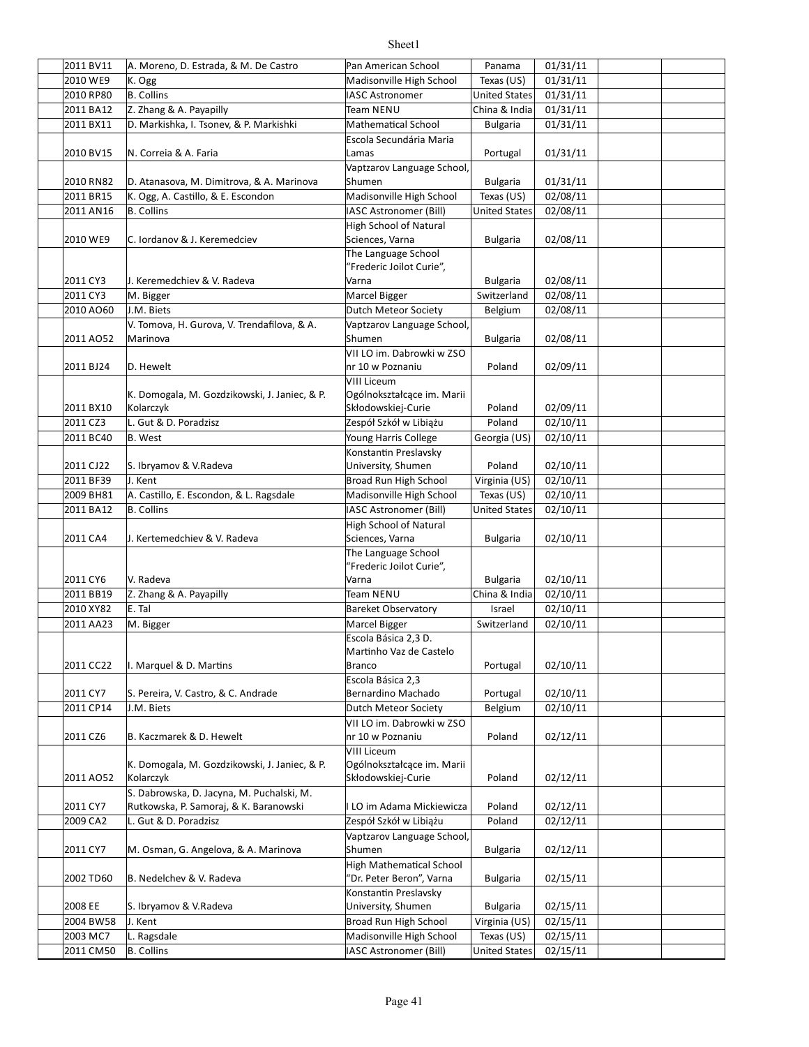| 2011 BV11 | A. Moreno, D. Estrada, & M. De Castro         | Pan American School             | Panama               | 01/31/11 |  |
|-----------|-----------------------------------------------|---------------------------------|----------------------|----------|--|
| 2010 WE9  | K. Ogg                                        | Madisonville High School        | Texas $(US)$         | 01/31/11 |  |
| 2010 RP80 | <b>B.</b> Collins                             | <b>IASC Astronomer</b>          | <b>United States</b> | 01/31/11 |  |
| 2011 BA12 | Z. Zhang & A. Payapilly                       | Team NENU                       | China & India        | 01/31/11 |  |
|           | D. Markishka, I. Tsonev, & P. Markishki       | <b>Mathematical School</b>      |                      |          |  |
| 2011 BX11 |                                               |                                 | <b>Bulgaria</b>      | 01/31/11 |  |
|           |                                               | Escola Secundária Maria         |                      |          |  |
| 2010 BV15 | N. Correia & A. Faria                         | Lamas                           | Portugal             | 01/31/11 |  |
|           |                                               | Vaptzarov Language School,      |                      |          |  |
| 2010 RN82 | D. Atanasova, M. Dimitrova, & A. Marinova     | Shumen                          | <b>Bulgaria</b>      | 01/31/11 |  |
| 2011 BR15 | K. Ogg, A. Castillo, & E. Escondon            | Madisonville High School        | Texas (US)           | 02/08/11 |  |
| 2011 AN16 | <b>B.</b> Collins                             | <b>IASC Astronomer (Bill)</b>   | <b>United States</b> | 02/08/11 |  |
|           |                                               | <b>High School of Natural</b>   |                      |          |  |
| 2010 WE9  | C. Iordanov & J. Keremedciev                  | Sciences, Varna                 | <b>Bulgaria</b>      | 02/08/11 |  |
|           |                                               | The Language School             |                      |          |  |
|           |                                               | "Frederic Joilot Curie",        |                      |          |  |
|           |                                               |                                 |                      |          |  |
| 2011 CY3  | J. Keremedchiev & V. Radeva                   | Varna                           | <b>Bulgaria</b>      | 02/08/11 |  |
| 2011 CY3  | M. Bigger                                     | Marcel Bigger                   | Switzerland          | 02/08/11 |  |
| 2010 AO60 | J.M. Biets                                    | <b>Dutch Meteor Society</b>     | Belgium              | 02/08/11 |  |
|           | V. Tomova, H. Gurova, V. Trendafilova, & A.   | Vaptzarov Language School,      |                      |          |  |
| 2011 AO52 | Marinova                                      | Shumen                          | <b>Bulgaria</b>      | 02/08/11 |  |
|           |                                               | VII LO im. Dabrowki w ZSO       |                      |          |  |
| 2011 BJ24 | D. Hewelt                                     | nr 10 w Poznaniu                | Poland               | 02/09/11 |  |
|           |                                               | <b>VIII Liceum</b>              |                      |          |  |
|           | K. Domogala, M. Gozdzikowski, J. Janiec, & P. | Ogólnokształcące im. Marii      |                      |          |  |
| 2011 BX10 | Kolarczyk                                     | Skłodowskiej-Curie              | Poland               | 02/09/11 |  |
|           |                                               |                                 |                      |          |  |
| 2011 CZ3  | L. Gut & D. Poradzisz                         | Zespół Szkół w Libiążu          | Poland               | 02/10/11 |  |
| 2011 BC40 | <b>B.</b> West                                | Young Harris College            | Georgia (US)         | 02/10/11 |  |
|           |                                               | Konstantin Preslavsky           |                      |          |  |
| 2011 CJ22 | S. Ibryamov & V.Radeva                        | University, Shumen              | Poland               | 02/10/11 |  |
| 2011 BF39 | J. Kent                                       | Broad Run High School           | Virginia (US)        | 02/10/11 |  |
| 2009 BH81 | A. Castillo, E. Escondon, & L. Ragsdale       | Madisonville High School        | Texas (US)           | 02/10/11 |  |
| 2011 BA12 | <b>B.</b> Collins                             | IASC Astronomer (Bill)          | <b>United States</b> | 02/10/11 |  |
|           |                                               |                                 |                      |          |  |
|           |                                               | <b>High School of Natural</b>   |                      |          |  |
| 2011 CA4  | J. Kertemedchiev & V. Radeva                  | Sciences, Varna                 | <b>Bulgaria</b>      | 02/10/11 |  |
|           |                                               | The Language School             |                      |          |  |
|           |                                               | "Frederic Joilot Curie",        |                      |          |  |
| 2011 CY6  | V. Radeva                                     | Varna                           | <b>Bulgaria</b>      | 02/10/11 |  |
| 2011 BB19 | Z. Zhang & A. Payapilly                       | Team NENU                       | China & India        | 02/10/11 |  |
| 2010 XY82 | E. Tal                                        | <b>Bareket Observatory</b>      | Israel               | 02/10/11 |  |
| 2011 AA23 | M. Bigger                                     | Marcel Bigger                   | Switzerland          | 02/10/11 |  |
|           |                                               | Escola Básica 2,3 D.            |                      |          |  |
|           |                                               | Martinho Vaz de Castelo         |                      |          |  |
| 2011 CC22 | I. Marquel & D. Martins                       | Branco                          | Portugal             | 02/10/11 |  |
|           |                                               | Escola Básica 2,3               |                      |          |  |
| 2011 CY7  | S. Pereira, V. Castro, & C. Andrade           | Bernardino Machado              | Portugal             | 02/10/11 |  |
|           |                                               |                                 |                      |          |  |
| 2011 CP14 | J.M. Biets                                    | Dutch Meteor Society            | Belgium              | 02/10/11 |  |
|           |                                               | VII LO im. Dabrowki w ZSO       |                      |          |  |
| 2011 CZ6  | B. Kaczmarek & D. Hewelt                      | nr 10 w Poznaniu                | Poland               | 02/12/11 |  |
|           |                                               | <b>VIII Liceum</b>              |                      |          |  |
|           | K. Domogala, M. Gozdzikowski, J. Janiec, & P. | Ogólnokształcące im. Marii      |                      |          |  |
| 2011 AO52 | Kolarczyk                                     | Skłodowskiej-Curie              | Poland               | 02/12/11 |  |
|           | S. Dabrowska, D. Jacyna, M. Puchalski, M.     |                                 |                      |          |  |
| 2011 CY7  | Rutkowska, P. Samoraj, & K. Baranowski        | I LO im Adama Mickiewicza       | Poland               | 02/12/11 |  |
| 2009 CA2  | L. Gut & D. Poradzisz                         | Zespół Szkół w Libiążu          | Poland               | 02/12/11 |  |
|           |                                               | Vaptzarov Language School,      |                      |          |  |
| 2011 CY7  | M. Osman, G. Angelova, & A. Marinova          | Shumen                          | <b>Bulgaria</b>      | 02/12/11 |  |
|           |                                               |                                 |                      |          |  |
|           |                                               | <b>High Mathematical School</b> |                      |          |  |
| 2002 TD60 | B. Nedelchev & V. Radeva                      | "Dr. Peter Beron", Varna        | Bulgaria             | 02/15/11 |  |
|           |                                               | Konstantin Preslavsky           |                      |          |  |
| 2008 EE   | S. Ibryamov & V.Radeva                        | University, Shumen              | <b>Bulgaria</b>      | 02/15/11 |  |
| 2004 BW58 | J. Kent                                       | Broad Run High School           | Virginia (US)        | 02/15/11 |  |
| 2003 MC7  | L. Ragsdale                                   | Madisonville High School        | Texas (US)           | 02/15/11 |  |
| 2011 CM50 | <b>B.</b> Collins                             | IASC Astronomer (Bill)          | <b>United States</b> | 02/15/11 |  |
|           |                                               |                                 |                      |          |  |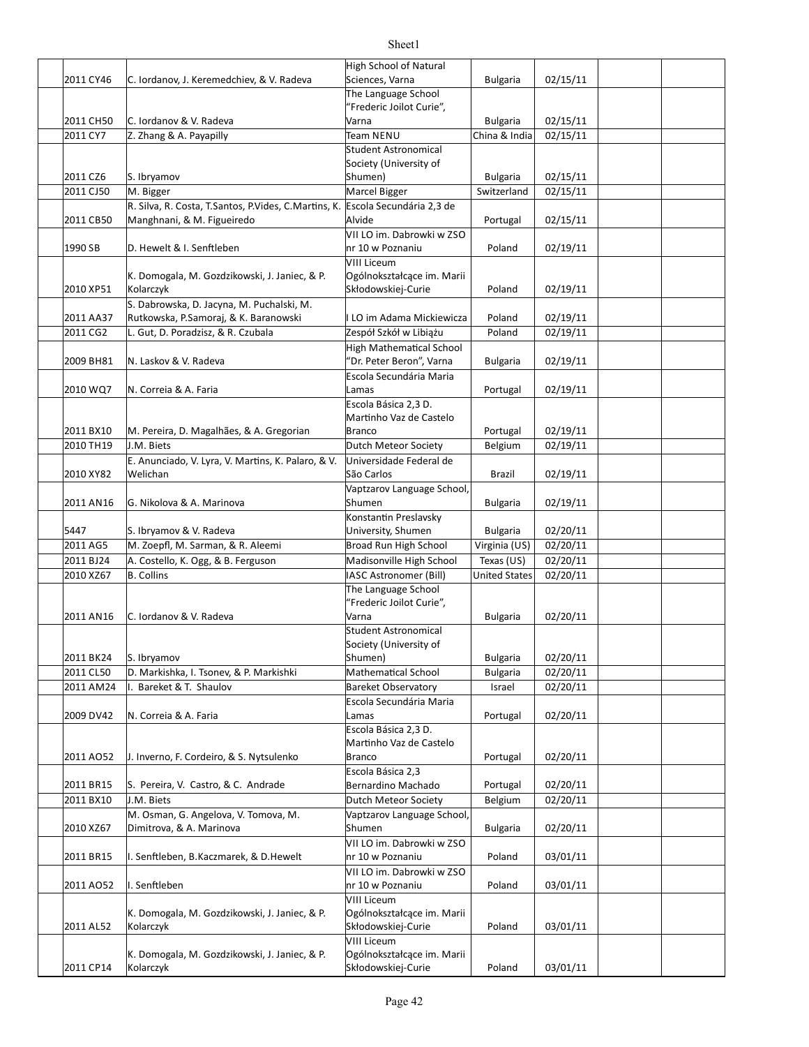|           |                                                         | High School of Natural             |                                |                      |  |
|-----------|---------------------------------------------------------|------------------------------------|--------------------------------|----------------------|--|
| 2011 CY46 | C. Iordanov, J. Keremedchiev, & V. Radeva               | Sciences, Varna                    | <b>Bulgaria</b>                | 02/15/11             |  |
|           |                                                         | The Language School                |                                |                      |  |
|           |                                                         | "Frederic Joilot Curie",           |                                |                      |  |
| 2011 CH50 | C. Iordanov & V. Radeva                                 | Varna                              | <b>Bulgaria</b>                | 02/15/11             |  |
| 2011 CY7  | Z. Zhang & A. Payapilly                                 | <b>Team NENU</b>                   | China & India                  | 02/15/11             |  |
|           |                                                         | <b>Student Astronomical</b>        |                                |                      |  |
|           |                                                         | Society (University of<br>Shumen)  |                                |                      |  |
| 2011 CZ6  | S. Ibryamov                                             | Marcel Bigger                      | <b>Bulgaria</b><br>Switzerland | 02/15/11<br>02/15/11 |  |
| 2011 CJ50 | M. Bigger                                               |                                    |                                |                      |  |
|           | R. Silva, R. Costa, T. Santos, P. Vides, C. Martins, K. | Escola Secundária 2,3 de<br>Alvide |                                |                      |  |
| 2011 CB50 | Manghnani, & M. Figueiredo                              | VII LO im. Dabrowki w ZSO          | Portugal                       | 02/15/11             |  |
| 1990 SB   | D. Hewelt & I. Senftleben                               | nr 10 w Poznaniu                   | Poland                         | 02/19/11             |  |
|           |                                                         | <b>VIII Liceum</b>                 |                                |                      |  |
|           | K. Domogala, M. Gozdzikowski, J. Janiec, & P.           | Ogólnokształcące im. Marii         |                                |                      |  |
| 2010 XP51 | Kolarczyk                                               | Skłodowskiej-Curie                 | Poland                         | 02/19/11             |  |
|           | S. Dabrowska, D. Jacyna, M. Puchalski, M.               |                                    |                                |                      |  |
| 2011 AA37 | Rutkowska, P.Samoraj, & K. Baranowski                   | I LO im Adama Mickiewicza          | Poland                         | 02/19/11             |  |
| 2011 CG2  | L. Gut, D. Poradzisz, & R. Czubala                      | Zespół Szkół w Libiążu             | Poland                         | 02/19/11             |  |
|           |                                                         | High Mathematical School           |                                |                      |  |
| 2009 BH81 | N. Laskov & V. Radeva                                   | "Dr. Peter Beron", Varna           | <b>Bulgaria</b>                | 02/19/11             |  |
|           |                                                         | Escola Secundária Maria            |                                |                      |  |
| 2010 WQ7  | N. Correia & A. Faria                                   | Lamas                              | Portugal                       | 02/19/11             |  |
|           |                                                         | Escola Básica 2,3 D.               |                                |                      |  |
|           |                                                         | Martinho Vaz de Castelo            |                                |                      |  |
| 2011 BX10 | M. Pereira, D. Magalhães, & A. Gregorian                | <b>Branco</b>                      | Portugal                       | 02/19/11             |  |
| 2010 TH19 | J.M. Biets                                              | Dutch Meteor Society               | Belgium                        | 02/19/11             |  |
|           | E. Anunciado, V. Lyra, V. Martins, K. Palaro, & V.      | Universidade Federal de            |                                |                      |  |
| 2010 XY82 | Welichan                                                | São Carlos                         | <b>Brazil</b>                  | 02/19/11             |  |
|           |                                                         | Vaptzarov Language School,         |                                |                      |  |
| 2011 AN16 | G. Nikolova & A. Marinova                               | Shumen                             | <b>Bulgaria</b>                | 02/19/11             |  |
|           |                                                         | Konstantin Preslavsky              |                                |                      |  |
| 5447      | S. Ibryamov & V. Radeva                                 | University, Shumen                 | <b>Bulgaria</b>                | 02/20/11             |  |
| 2011 AG5  | M. Zoepfl, M. Sarman, & R. Aleemi                       | Broad Run High School              | Virginia (US)                  | 02/20/11             |  |
| 2011 BJ24 | A. Costello, K. Ogg, & B. Ferguson                      | Madisonville High School           | Texas (US)                     | 02/20/11             |  |
| 2010 XZ67 | <b>B.</b> Collins                                       | IASC Astronomer (Bill)             | <b>United States</b>           | 02/20/11             |  |
|           |                                                         | The Language School                |                                |                      |  |
|           |                                                         | "Frederic Joilot Curie",           |                                |                      |  |
| 2011 AN16 | C. Iordanov & V. Radeva                                 | Varna                              | <b>Bulgaria</b>                | 02/20/11             |  |
|           |                                                         | <b>Student Astronomical</b>        |                                |                      |  |
|           |                                                         | Society (University of             |                                |                      |  |
| 2011 BK24 | S. Ibryamov                                             | Shumen)                            | <b>Bulgaria</b>                | 02/20/11             |  |
| 2011 CL50 | D. Markishka, I. Tsonev, & P. Markishki                 | Mathematical School                | <b>Bulgaria</b>                | 02/20/11             |  |
| 2011 AM24 | Bareket & T. Shaulov                                    | <b>Bareket Observatory</b>         | Israel                         | 02/20/11             |  |
|           |                                                         | Escola Secundária Maria            |                                |                      |  |
| 2009 DV42 | N. Correia & A. Faria                                   | Lamas                              | Portugal                       | 02/20/11             |  |
|           |                                                         | Escola Básica 2,3 D.               |                                |                      |  |
|           |                                                         | Martinho Vaz de Castelo            |                                |                      |  |
| 2011 AO52 | J. Inverno, F. Cordeiro, & S. Nytsulenko                | <b>Branco</b>                      | Portugal                       | 02/20/11             |  |
|           |                                                         | Escola Básica 2,3                  |                                |                      |  |
| 2011 BR15 | S. Pereira, V. Castro, & C. Andrade                     | Bernardino Machado                 | Portugal                       | 02/20/11             |  |
| 2011 BX10 | J.M. Biets                                              | Dutch Meteor Society               | Belgium                        | 02/20/11             |  |
|           | M. Osman, G. Angelova, V. Tomova, M.                    | Vaptzarov Language School,         |                                |                      |  |
| 2010 XZ67 | Dimitrova, & A. Marinova                                | Shumen                             | <b>Bulgaria</b>                | 02/20/11             |  |
|           |                                                         | VII LO im. Dabrowki w ZSO          |                                |                      |  |
| 2011 BR15 | I. Senftleben, B. Kaczmarek, & D. Hewelt                | nr 10 w Poznaniu                   | Poland                         | 03/01/11             |  |
|           |                                                         | VII LO im. Dabrowki w ZSO          |                                |                      |  |
| 2011 AO52 | I. Senftleben                                           | nr 10 w Poznaniu                   | Poland                         | 03/01/11             |  |
|           |                                                         | <b>VIII Liceum</b>                 |                                |                      |  |
|           | K. Domogala, M. Gozdzikowski, J. Janiec, & P.           | Ogólnokształcące im. Marii         |                                |                      |  |
| 2011 AL52 | Kolarczyk                                               | Skłodowskiej-Curie<br>VIII Liceum  | Poland                         | 03/01/11             |  |
|           | K. Domogala, M. Gozdzikowski, J. Janiec, & P.           | Ogólnokształcące im. Marii         |                                |                      |  |
| 2011 CP14 | Kolarczyk                                               | Skłodowskiej-Curie                 | Poland                         | 03/01/11             |  |
|           |                                                         |                                    |                                |                      |  |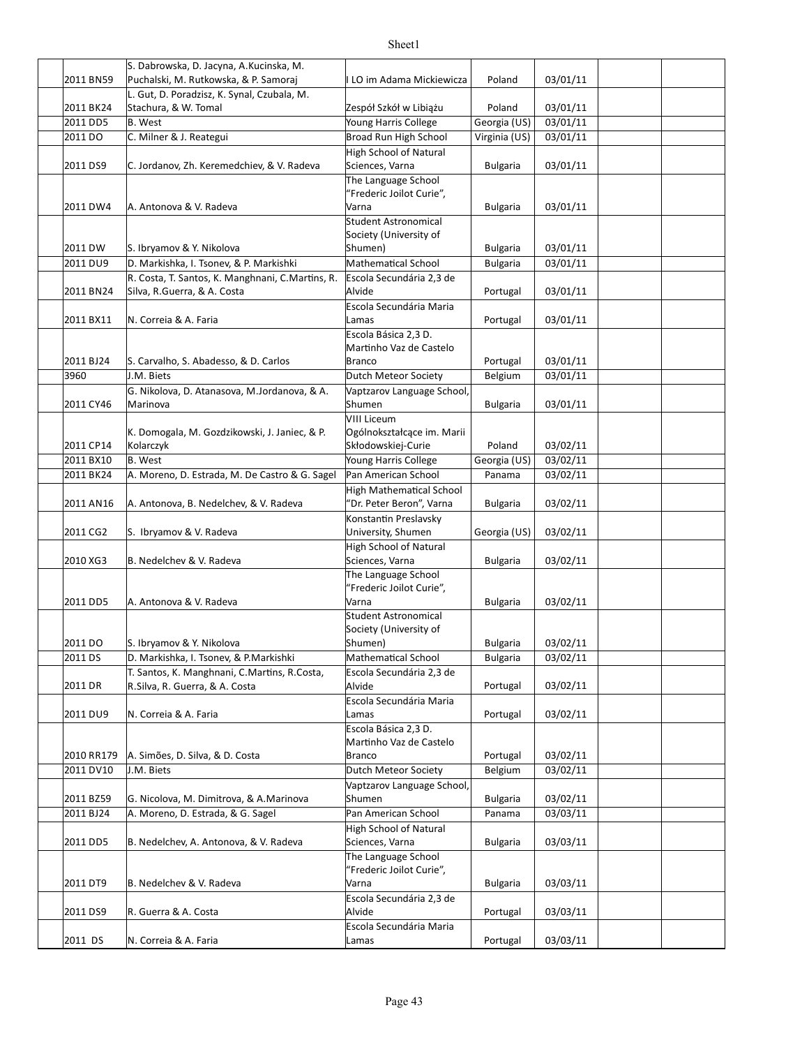|            | S. Dabrowska, D. Jacyna, A. Kucinska, M.                            |                                                 |                 |          |  |
|------------|---------------------------------------------------------------------|-------------------------------------------------|-----------------|----------|--|
| 2011 BN59  | Puchalski, M. Rutkowska, & P. Samoraj                               | LO im Adama Mickiewicza                         | Poland          | 03/01/11 |  |
| 2011 BK24  | L. Gut, D. Poradzisz, K. Synal, Czubala, M.<br>Stachura, & W. Tomal | Zespół Szkół w Libiążu                          | Poland          | 03/01/11 |  |
| 2011 DD5   | <b>B.</b> West                                                      | Young Harris College                            | Georgia (US)    | 03/01/11 |  |
| 2011 DO    | C. Milner & J. Reategui                                             | Broad Run High School                           | Virginia (US)   | 03/01/11 |  |
|            |                                                                     | High School of Natural                          |                 |          |  |
| 2011 DS9   | C. Jordanov, Zh. Keremedchiev, & V. Radeva                          | Sciences, Varna                                 | <b>Bulgaria</b> | 03/01/11 |  |
|            |                                                                     | The Language School                             |                 |          |  |
|            |                                                                     | "Frederic Joilot Curie",                        |                 |          |  |
| 2011 DW4   | A. Antonova & V. Radeva                                             | Varna                                           | <b>Bulgaria</b> | 03/01/11 |  |
|            |                                                                     | <b>Student Astronomical</b>                     |                 |          |  |
| 2011 DW    | S. Ibryamov & Y. Nikolova                                           | Society (University of<br>Shumen)               | <b>Bulgaria</b> | 03/01/11 |  |
| 2011 DU9   | D. Markishka, I. Tsonev, & P. Markishki                             | <b>Mathematical School</b>                      | <b>Bulgaria</b> | 03/01/11 |  |
|            | R. Costa, T. Santos, K. Manghnani, C. Martins, R.                   | Escola Secundária 2,3 de                        |                 |          |  |
| 2011 BN24  | Silva, R.Guerra, & A. Costa                                         | Alvide                                          | Portugal        | 03/01/11 |  |
|            |                                                                     | Escola Secundária Maria                         |                 |          |  |
| 2011 BX11  | N. Correia & A. Faria                                               | Lamas                                           | Portugal        | 03/01/11 |  |
|            |                                                                     | Escola Básica 2,3 D.                            |                 |          |  |
|            |                                                                     | Martinho Vaz de Castelo                         |                 |          |  |
| 2011 BJ24  | S. Carvalho, S. Abadesso, & D. Carlos                               | Branco                                          | Portugal        | 03/01/11 |  |
| 3960       | J.M. Biets                                                          | Dutch Meteor Society                            | Belgium         | 03/01/11 |  |
|            | G. Nikolova, D. Atanasova, M.Jordanova, & A.                        | Vaptzarov Language School,                      |                 |          |  |
| 2011 CY46  | Marinova                                                            | Shumen<br><b>VIII Liceum</b>                    | <b>Bulgaria</b> | 03/01/11 |  |
|            | K. Domogala, M. Gozdzikowski, J. Janiec, & P.                       | Ogólnokształcące im. Marii                      |                 |          |  |
| 2011 CP14  | Kolarczyk                                                           | Skłodowskiej-Curie                              | Poland          | 03/02/11 |  |
| 2011 BX10  | <b>B.</b> West                                                      | Young Harris College                            | Georgia (US)    | 03/02/11 |  |
| 2011 BK24  | A. Moreno, D. Estrada, M. De Castro & G. Sagel                      | Pan American School                             | Panama          | 03/02/11 |  |
|            |                                                                     | High Mathematical School                        |                 |          |  |
| 2011 AN16  | A. Antonova, B. Nedelchev, & V. Radeva                              | "Dr. Peter Beron", Varna                        | <b>Bulgaria</b> | 03/02/11 |  |
|            |                                                                     | Konstantin Preslavsky                           |                 |          |  |
| 2011 CG2   | S. Ibryamov & V. Radeva                                             | University, Shumen                              | Georgia (US)    | 03/02/11 |  |
|            |                                                                     | High School of Natural                          |                 |          |  |
| 2010 XG3   | B. Nedelchev & V. Radeva                                            | Sciences, Varna                                 | <b>Bulgaria</b> | 03/02/11 |  |
|            |                                                                     | The Language School                             |                 |          |  |
| 2011 DD5   | A. Antonova & V. Radeva                                             | "Frederic Joilot Curie",<br>Varna               | <b>Bulgaria</b> | 03/02/11 |  |
|            |                                                                     | Student Astronomical                            |                 |          |  |
|            |                                                                     | Society (University of                          |                 |          |  |
| 2011 DO    | S. Ibryamov & Y. Nikolova                                           | Shumen)                                         | <b>Bulgaria</b> | 03/02/11 |  |
| 2011 DS    | D. Markishka, I. Tsonev, & P. Markishki                             | Mathematical School                             | <b>Bulgaria</b> | 03/02/11 |  |
|            | T. Santos, K. Manghnani, C. Martins, R. Costa,                      | Escola Secundária 2,3 de                        |                 |          |  |
| 2011 DR    | R.Silva, R. Guerra, & A. Costa                                      | Alvide                                          | Portugal        | 03/02/11 |  |
|            |                                                                     | Escola Secundária Maria                         |                 |          |  |
| 2011 DU9   | N. Correia & A. Faria                                               | Lamas                                           | Portugal        | 03/02/11 |  |
|            |                                                                     | Escola Básica 2,3 D.<br>Martinho Vaz de Castelo |                 |          |  |
| 2010 RR179 | A. Simões, D. Silva, & D. Costa                                     | <b>Branco</b>                                   | Portugal        | 03/02/11 |  |
| 2011 DV10  | J.M. Biets                                                          | Dutch Meteor Society                            | Belgium         | 03/02/11 |  |
|            |                                                                     | Vaptzarov Language School,                      |                 |          |  |
| 2011 BZ59  | G. Nicolova, M. Dimitrova, & A. Marinova                            | Shumen                                          | <b>Bulgaria</b> | 03/02/11 |  |
| 2011 BJ24  | A. Moreno, D. Estrada, & G. Sagel                                   | Pan American School                             | Panama          | 03/03/11 |  |
|            |                                                                     | <b>High School of Natural</b>                   |                 |          |  |
| 2011 DD5   | B. Nedelchev, A. Antonova, & V. Radeva                              | Sciences, Varna                                 | <b>Bulgaria</b> | 03/03/11 |  |
|            |                                                                     | The Language School                             |                 |          |  |
|            |                                                                     | "Frederic Joilot Curie",                        |                 |          |  |
| 2011 DT9   | B. Nedelchev & V. Radeva                                            | Varna                                           | <b>Bulgaria</b> | 03/03/11 |  |
| 2011 DS9   | R. Guerra & A. Costa                                                | Escola Secundária 2,3 de<br>Alvide              | Portugal        | 03/03/11 |  |
|            |                                                                     | Escola Secundária Maria                         |                 |          |  |
| 2011 DS    | N. Correia & A. Faria                                               | Lamas                                           | Portugal        | 03/03/11 |  |
|            |                                                                     |                                                 |                 |          |  |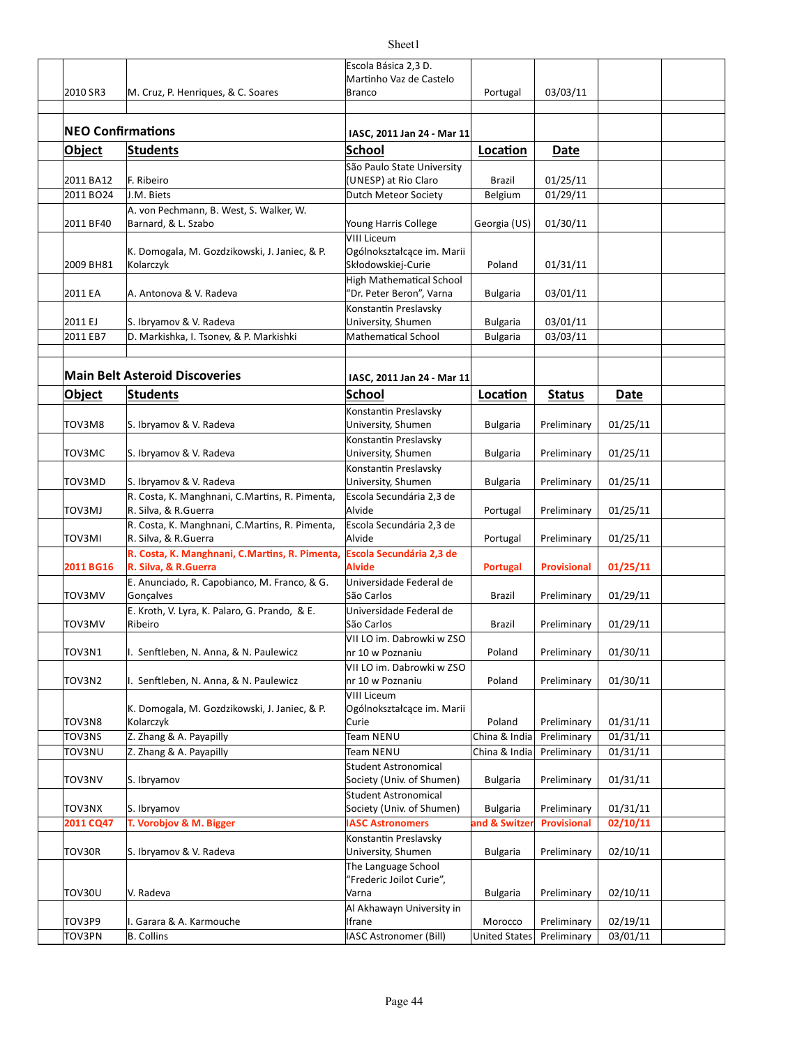|                          |                                                                         | Escola Básica 2,3 D.                          |                      |                    |          |  |
|--------------------------|-------------------------------------------------------------------------|-----------------------------------------------|----------------------|--------------------|----------|--|
| 2010 SR3                 | M. Cruz, P. Henriques, & C. Soares                                      | Martinho Vaz de Castelo<br><b>Branco</b>      | Portugal             | 03/03/11           |          |  |
|                          |                                                                         |                                               |                      |                    |          |  |
|                          |                                                                         |                                               |                      |                    |          |  |
| <b>NEO Confirmations</b> |                                                                         | IASC, 2011 Jan 24 - Mar 11                    |                      |                    |          |  |
| Object                   | <b>Students</b>                                                         | <b>School</b>                                 | Location             | Date               |          |  |
|                          |                                                                         | São Paulo State University                    |                      |                    |          |  |
| 2011 BA12                | F. Ribeiro                                                              | (UNESP) at Rio Claro                          | Brazil               | 01/25/11           |          |  |
| 2011 BO24                | J.M. Biets                                                              | Dutch Meteor Society                          | Belgium              | 01/29/11           |          |  |
|                          | A. von Pechmann, B. West, S. Walker, W.                                 |                                               |                      |                    |          |  |
| 2011 BF40                | Barnard, & L. Szabo                                                     | Young Harris College                          | Georgia (US)         | 01/30/11           |          |  |
|                          |                                                                         | VIII Liceum                                   |                      |                    |          |  |
|                          | K. Domogala, M. Gozdzikowski, J. Janiec, & P.                           | Ogólnokształcące im. Marii                    |                      |                    |          |  |
| 2009 BH81                | Kolarczyk                                                               | Skłodowskiej-Curie                            | Poland               | 01/31/11           |          |  |
|                          |                                                                         | <b>High Mathematical School</b>               |                      |                    |          |  |
| 2011 EA                  | A. Antonova & V. Radeva                                                 | "Dr. Peter Beron", Varna                      | <b>Bulgaria</b>      | 03/01/11           |          |  |
|                          |                                                                         | Konstantin Preslavsky                         |                      |                    |          |  |
| 2011 EJ                  | S. Ibryamov & V. Radeva                                                 | University, Shumen                            | <b>Bulgaria</b>      | 03/01/11           |          |  |
| 2011 EB7                 | D. Markishka, I. Tsonev, & P. Markishki                                 | <b>Mathematical School</b>                    | <b>Bulgaria</b>      | 03/03/11           |          |  |
|                          |                                                                         |                                               |                      |                    |          |  |
|                          | <b>Main Belt Asteroid Discoveries</b>                                   | IASC, 2011 Jan 24 - Mar 11                    |                      |                    |          |  |
| <b>Object</b>            | <b>Students</b>                                                         | <b>School</b>                                 | Location             | <b>Status</b>      | Date     |  |
|                          |                                                                         | Konstantin Preslavsky                         |                      |                    |          |  |
| TOV3M8                   | S. Ibryamov & V. Radeva                                                 | University, Shumen                            | <b>Bulgaria</b>      | Preliminary        | 01/25/11 |  |
|                          |                                                                         | Konstantin Preslavsky                         |                      |                    |          |  |
| TOV3MC                   | S. Ibryamov & V. Radeva                                                 | University, Shumen                            | <b>Bulgaria</b>      | Preliminary        | 01/25/11 |  |
|                          |                                                                         | Konstantin Preslavsky                         |                      |                    |          |  |
| TOV3MD                   | S. Ibryamov & V. Radeva                                                 | University, Shumen                            | <b>Bulgaria</b>      | Preliminary        | 01/25/11 |  |
|                          | R. Costa, K. Manghnani, C.Martins, R. Pimenta,                          | Escola Secundária 2,3 de                      |                      |                    |          |  |
| <b>TOV3MJ</b>            | R. Silva, & R. Guerra                                                   | Alvide                                        | Portugal             | Preliminary        | 01/25/11 |  |
|                          | R. Costa, K. Manghnani, C.Martins, R. Pimenta,                          | Escola Secundária 2,3 de                      |                      |                    |          |  |
| TOV3MI                   | R. Silva, & R. Guerra                                                   | Alvide                                        | Portugal             | Preliminary        | 01/25/11 |  |
|                          | R. Costa, K. Manghnani, C.Martins, R. Pimenta, Escola Secundária 2,3 de |                                               |                      |                    |          |  |
| 2011 BG16                | R. Silva, & R. Guerra                                                   | <b>Alvide</b>                                 | <b>Portugal</b>      | <b>Provisional</b> | 01/25/11 |  |
|                          | E. Anunciado, R. Capobianco, M. Franco, & G.                            | Universidade Federal de                       |                      |                    |          |  |
| TOV3MV                   | Gonçalves                                                               | São Carlos                                    | <b>Brazil</b>        | Preliminary        | 01/29/11 |  |
|                          | E. Kroth, V. Lyra, K. Palaro, G. Prando, & E.                           | Universidade Federal de                       |                      |                    |          |  |
| TOV3MV                   | Ribeiro                                                                 | São Carlos                                    | <b>Brazil</b>        | Preliminary        | 01/29/11 |  |
|                          |                                                                         | VII LO im. Dabrowki w ZSO                     |                      |                    |          |  |
| TOV3N1                   | I. Senftleben, N. Anna, & N. Paulewicz                                  | nr 10 w Poznaniu                              | Poland               | Preliminary        | 01/30/11 |  |
| TOV3N2                   | I. Senftleben, N. Anna, & N. Paulewicz                                  | VII LO im. Dabrowki w ZSO<br>nr 10 w Poznaniu | Poland               | Preliminary        | 01/30/11 |  |
|                          |                                                                         | <b>VIII Liceum</b>                            |                      |                    |          |  |
|                          | K. Domogala, M. Gozdzikowski, J. Janiec, & P.                           | Ogólnokształcące im. Marii                    |                      |                    |          |  |
| TOV3N8                   | Kolarczyk                                                               | Curie                                         | Poland               | Preliminary        | 01/31/11 |  |
| TOV3NS                   | Z. Zhang & A. Payapilly                                                 | <b>Team NENU</b>                              | China & India        | Preliminary        | 01/31/11 |  |
| TOV3NU                   | Z. Zhang & A. Payapilly                                                 | Team NENU                                     | China & India        | Preliminary        | 01/31/11 |  |
|                          |                                                                         | <b>Student Astronomical</b>                   |                      |                    |          |  |
| <b>TOV3NV</b>            | S. Ibryamov                                                             | Society (Univ. of Shumen)                     | <b>Bulgaria</b>      | Preliminary        | 01/31/11 |  |
|                          |                                                                         | <b>Student Astronomical</b>                   |                      |                    |          |  |
| TOV3NX                   | S. Ibryamov                                                             | Society (Univ. of Shumen)                     | <b>Bulgaria</b>      | Preliminary        | 01/31/11 |  |
| 2011 CQ47                | T. Vorobjov & M. Bigger                                                 | <b>IASC Astronomers</b>                       | and & Switzer        | <b>Provisional</b> | 02/10/11 |  |
|                          |                                                                         | Konstantin Preslavsky                         |                      |                    |          |  |
| TOV30R                   | S. Ibryamov & V. Radeva                                                 | University, Shumen                            | <b>Bulgaria</b>      | Preliminary        | 02/10/11 |  |
|                          |                                                                         | The Language School                           |                      |                    |          |  |
|                          |                                                                         | "Frederic Joilot Curie",                      |                      |                    |          |  |
| TOV30U                   | V. Radeva                                                               | Varna                                         | <b>Bulgaria</b>      | Preliminary        | 02/10/11 |  |
| TOV3P9                   | I. Garara & A. Karmouche                                                | Al Akhawayn University in<br>Ifrane           |                      |                    | 02/19/11 |  |
|                          |                                                                         |                                               | Morocco              | Preliminary        |          |  |
| TOV3PN                   | <b>B.</b> Collins                                                       | <b>IASC Astronomer (Bill)</b>                 | <b>United States</b> | Preliminary        | 03/01/11 |  |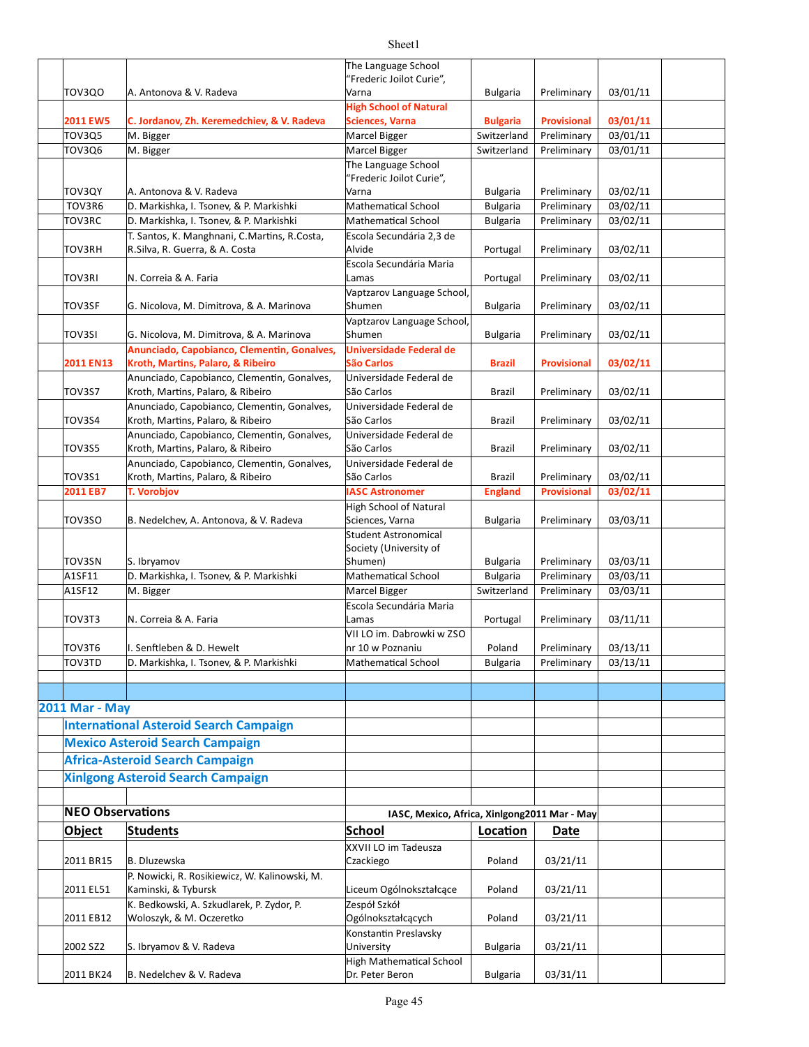|                         |                                                                                  | The Language School                                     |                                    |                            |          |  |
|-------------------------|----------------------------------------------------------------------------------|---------------------------------------------------------|------------------------------------|----------------------------|----------|--|
|                         |                                                                                  | "Frederic Joilot Curie",                                |                                    |                            |          |  |
| TOV3QO                  | A. Antonova & V. Radeva                                                          | Varna                                                   | <b>Bulgaria</b>                    | Preliminary                | 03/01/11 |  |
| <b>2011 EW5</b>         | C. Jordanov, Zh. Keremedchiev, & V. Radeva                                       | <b>High School of Natural</b><br><b>Sciences, Varna</b> | <b>Bulgaria</b>                    | <b>Provisional</b>         | 03/01/11 |  |
| TOV3Q5                  | M. Bigger                                                                        | Marcel Bigger                                           | Switzerland                        | Preliminary                | 03/01/11 |  |
| <b>TOV3Q6</b>           | M. Bigger                                                                        | Marcel Bigger                                           | Switzerland                        | Preliminary                | 03/01/11 |  |
|                         |                                                                                  | The Language School                                     |                                    |                            |          |  |
|                         |                                                                                  | "Frederic Joilot Curie",                                |                                    |                            |          |  |
| TOV3QY                  | A. Antonova & V. Radeva                                                          | Varna                                                   | <b>Bulgaria</b>                    | Preliminary                | 03/02/11 |  |
| TOV3R6                  | D. Markishka, I. Tsonev, & P. Markishki                                          | <b>Mathematical School</b>                              | <b>Bulgaria</b>                    | Preliminary                | 03/02/11 |  |
| TOV3RC                  | D. Markishka, I. Tsonev, & P. Markishki                                          | <b>Mathematical School</b>                              | <b>Bulgaria</b>                    | Preliminary                | 03/02/11 |  |
|                         | T. Santos, K. Manghnani, C.Martins, R.Costa,                                     | Escola Secundária 2,3 de                                |                                    |                            |          |  |
| TOV3RH                  | R.Silva, R. Guerra, & A. Costa                                                   | Alvide                                                  | Portugal                           | Preliminary                | 03/02/11 |  |
|                         |                                                                                  | Escola Secundária Maria                                 |                                    |                            |          |  |
| TOV3RI                  | N. Correia & A. Faria                                                            | Lamas                                                   | Portugal                           | Preliminary                | 03/02/11 |  |
|                         |                                                                                  | Vaptzarov Language School,                              |                                    |                            |          |  |
| <b>TOV3SF</b>           | G. Nicolova, M. Dimitrova, & A. Marinova                                         | Shumen                                                  | <b>Bulgaria</b>                    | Preliminary                | 03/02/11 |  |
|                         |                                                                                  | Vaptzarov Language School,                              |                                    |                            |          |  |
| <b>TOV3SI</b>           | G. Nicolova, M. Dimitrova, & A. Marinova                                         | Shumen                                                  | <b>Bulgaria</b>                    | Preliminary                | 03/02/11 |  |
|                         | Anunciado, Capobianco, Clementin, Gonalves,                                      | Universidade Federal de<br>São Carlos                   |                                    |                            |          |  |
| 2011 EN13               | Kroth, Martins, Palaro, & Ribeiro<br>Anunciado, Capobianco, Clementin, Gonalves, | Universidade Federal de                                 | <b>Brazil</b>                      | <b>Provisional</b>         | 03/02/11 |  |
| TOV3S7                  | Kroth, Martins, Palaro, & Ribeiro                                                | São Carlos                                              | Brazil                             | Preliminary                | 03/02/11 |  |
|                         | Anunciado, Capobianco, Clementin, Gonalves,                                      | Universidade Federal de                                 |                                    |                            |          |  |
| TOV3S4                  | Kroth, Martins, Palaro, & Ribeiro                                                | São Carlos                                              | Brazil                             | Preliminary                | 03/02/11 |  |
|                         | Anunciado, Capobianco, Clementin, Gonalves,                                      | Universidade Federal de                                 |                                    |                            |          |  |
| TOV3S5                  | Kroth, Martins, Palaro, & Ribeiro                                                | São Carlos                                              | Brazil                             | Preliminary                | 03/02/11 |  |
|                         | Anunciado, Capobianco, Clementin, Gonalves,                                      | Universidade Federal de                                 |                                    |                            |          |  |
| TOV3S1                  | Kroth, Martins, Palaro, & Ribeiro                                                | São Carlos                                              | Brazil                             | Preliminary                | 03/02/11 |  |
| 2011 EB7                | <b>T. Vorobjov</b>                                                               | <b>IASC Astronomer</b>                                  | <b>England</b>                     | <b>Provisional</b>         | 03/02/11 |  |
|                         |                                                                                  | High School of Natural                                  |                                    |                            |          |  |
| TOV3SO                  | B. Nedelchev, A. Antonova, & V. Radeva                                           | Sciences, Varna                                         | <b>Bulgaria</b>                    | Preliminary                | 03/03/11 |  |
|                         |                                                                                  | Student Astronomical                                    |                                    |                            |          |  |
|                         |                                                                                  | Society (University of                                  |                                    |                            | 03/03/11 |  |
| TOV3SN<br>A1SF11        | S. Ibryamov<br>D. Markishka, I. Tsonev, & P. Markishki                           | Shumen)<br>Mathematical School                          | <b>Bulgaria</b><br><b>Bulgaria</b> | Preliminary<br>Preliminary | 03/03/11 |  |
| A1SF12                  | M. Bigger                                                                        | Marcel Bigger                                           | Switzerland                        | Preliminary                | 03/03/11 |  |
|                         |                                                                                  | Escola Secundária Maria                                 |                                    |                            |          |  |
| TOV3T3                  | N. Correia & A. Faria                                                            | Lamas                                                   | Portugal                           | Preliminary                | 03/11/11 |  |
|                         |                                                                                  | VII LO im. Dabrowki w ZSO                               |                                    |                            |          |  |
| TOV3T6                  | I. Senftleben & D. Hewelt                                                        | nr 10 w Poznaniu                                        | Poland                             | Preliminary                | 03/13/11 |  |
| TOV3TD                  | D. Markishka, I. Tsonev, & P. Markishki                                          | <b>Mathematical School</b>                              | <b>Bulgaria</b>                    | Preliminary                | 03/13/11 |  |
|                         |                                                                                  |                                                         |                                    |                            |          |  |
|                         |                                                                                  |                                                         |                                    |                            |          |  |
| <b>2011 Mar - May</b>   |                                                                                  |                                                         |                                    |                            |          |  |
|                         | <b>International Asteroid Search Campaign</b>                                    |                                                         |                                    |                            |          |  |
|                         | <b>Mexico Asteroid Search Campaign</b>                                           |                                                         |                                    |                            |          |  |
|                         |                                                                                  |                                                         |                                    |                            |          |  |
|                         | <b>Africa-Asteroid Search Campaign</b>                                           |                                                         |                                    |                            |          |  |
|                         | <b>Xinlgong Asteroid Search Campaign</b>                                         |                                                         |                                    |                            |          |  |
|                         |                                                                                  |                                                         |                                    |                            |          |  |
| <b>NEO Observations</b> |                                                                                  | IASC, Mexico, Africa, Xinlgong2011 Mar - May            |                                    |                            |          |  |
| <b>Object</b>           | <b>Students</b>                                                                  | School                                                  | Location                           | Date                       |          |  |
|                         |                                                                                  | XXVII LO im Tadeusza                                    |                                    |                            |          |  |
| 2011 BR15               | <b>B.</b> Dluzewska                                                              | Czackiego                                               | Poland                             | 03/21/11                   |          |  |
|                         | P. Nowicki, R. Rosikiewicz, W. Kalinowski, M.                                    |                                                         |                                    |                            |          |  |
| 2011 EL51               | Kaminski, & Tybursk                                                              | Liceum Ogólnokształcące                                 | Poland                             | 03/21/11                   |          |  |
|                         | K. Bedkowski, A. Szkudlarek, P. Zydor, P.                                        | Zespół Szkół                                            |                                    |                            |          |  |
| 2011 EB12               | Woloszyk, & M. Oczeretko                                                         | Ogólnokształcących                                      | Poland                             | 03/21/11                   |          |  |
|                         |                                                                                  | Konstantin Preslavsky                                   |                                    |                            |          |  |
| 2002 SZ2                | S. Ibryamov & V. Radeva                                                          | University                                              | <b>Bulgaria</b>                    | 03/21/11                   |          |  |
| 2011 BK24               | B. Nedelchev & V. Radeva                                                         | <b>High Mathematical School</b><br>Dr. Peter Beron      | <b>Bulgaria</b>                    | 03/31/11                   |          |  |
|                         |                                                                                  |                                                         |                                    |                            |          |  |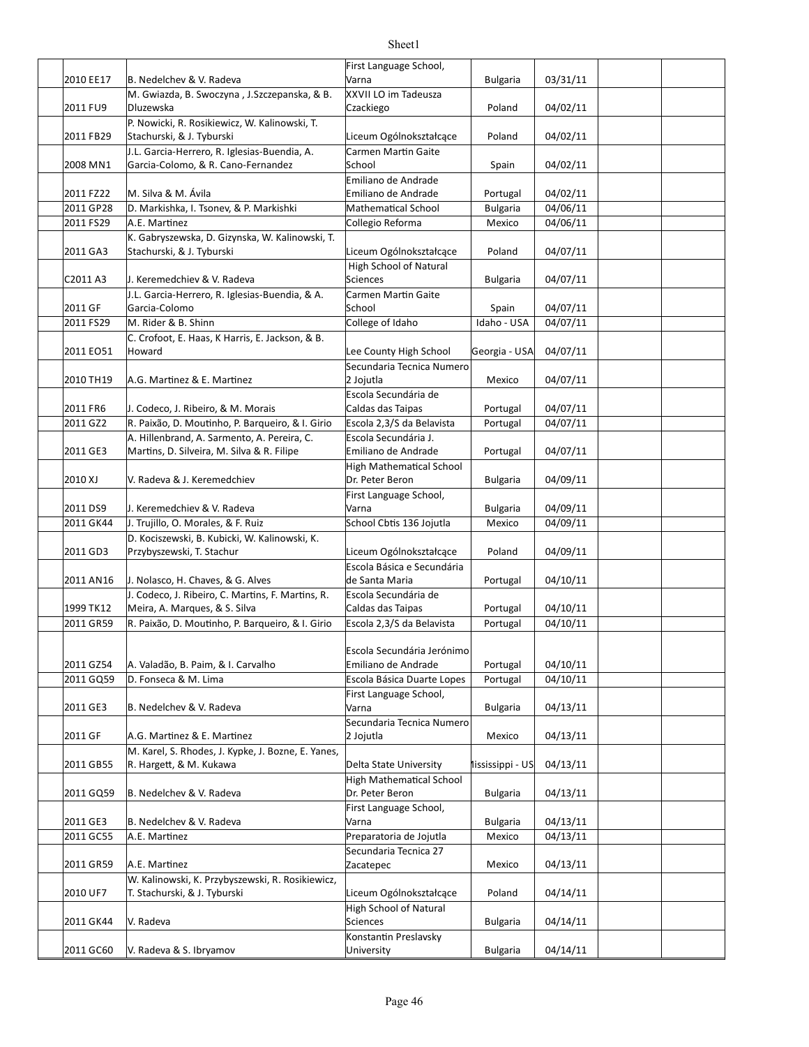|                        |                                                                                   | First Language School,                              |                      |                      |  |
|------------------------|-----------------------------------------------------------------------------------|-----------------------------------------------------|----------------------|----------------------|--|
| 2010 EE17              | B. Nedelchev & V. Radeva                                                          | Varna                                               | <b>Bulgaria</b>      | 03/31/11             |  |
|                        | M. Gwiazda, B. Swoczyna, J. Szczepanska, & B.                                     | XXVII LO im Tadeusza                                |                      |                      |  |
| 2011 FU9               | Dluzewska<br>P. Nowicki, R. Rosikiewicz, W. Kalinowski, T.                        | Czackiego                                           | Poland               | 04/02/11             |  |
| 2011 FB29              | Stachurski, & J. Tyburski                                                         | Liceum Ogólnokształcące                             | Poland               | 04/02/11             |  |
|                        | J.L. Garcia-Herrero, R. Iglesias-Buendia, A.                                      | Carmen Martin Gaite                                 |                      |                      |  |
| 2008 MN1               | Garcia-Colomo, & R. Cano-Fernandez                                                | School                                              | Spain                | 04/02/11             |  |
|                        |                                                                                   | Emiliano de Andrade                                 |                      |                      |  |
| 2011 FZ22              | M. Silva & M. Ávila                                                               | Emiliano de Andrade                                 | Portugal             | 04/02/11             |  |
| 2011 GP28              | D. Markishka, I. Tsonev, & P. Markishki                                           | <b>Mathematical School</b>                          | <b>Bulgaria</b>      | 04/06/11             |  |
| 2011 FS29              | A.E. Martinez                                                                     | Collegio Reforma                                    | Mexico               | 04/06/11             |  |
| 2011 GA3               | K. Gabryszewska, D. Gizynska, W. Kalinowski, T.<br>Stachurski, & J. Tyburski      | Liceum Ogólnokształcące                             | Poland               | 04/07/11             |  |
|                        |                                                                                   | High School of Natural                              |                      |                      |  |
| C2011 A3               | J. Keremedchiev & V. Radeva                                                       | <b>Sciences</b>                                     | <b>Bulgaria</b>      | 04/07/11             |  |
|                        | J.L. Garcia-Herrero, R. Iglesias-Buendia, & A.                                    | Carmen Martin Gaite                                 |                      |                      |  |
| 2011 GF                | Garcia-Colomo                                                                     | School                                              | Spain                | 04/07/11             |  |
| 2011 FS29              | M. Rider & B. Shinn                                                               | College of Idaho                                    | Idaho - USA          | 04/07/11             |  |
|                        | C. Crofoot, E. Haas, K Harris, E. Jackson, & B.                                   |                                                     |                      |                      |  |
| 2011 EO51              | Howard                                                                            | Lee County High School<br>Secundaria Tecnica Numero | Georgia - USA        | 04/07/11             |  |
| 2010 TH19              | A.G. Martinez & E. Martinez                                                       | 2 Jojutla                                           | Mexico               | 04/07/11             |  |
|                        |                                                                                   | Escola Secundária de                                |                      |                      |  |
| 2011 FR6               | J. Codeco, J. Ribeiro, & M. Morais                                                | Caldas das Taipas                                   | Portugal             | 04/07/11             |  |
| 2011 GZ2               | R. Paixão, D. Moutinho, P. Barqueiro, & I. Girio                                  | Escola 2,3/S da Belavista                           | Portugal             | 04/07/11             |  |
|                        | A. Hillenbrand, A. Sarmento, A. Pereira, C.                                       | Escola Secundária J.                                |                      |                      |  |
| 2011 GE3               | Martins, D. Silveira, M. Silva & R. Filipe                                        | Emiliano de Andrade                                 | Portugal             | 04/07/11             |  |
|                        |                                                                                   | High Mathematical School                            |                      |                      |  |
| 2010 XJ                | V. Radeva & J. Keremedchiev                                                       | Dr. Peter Beron                                     | <b>Bulgaria</b>      | 04/09/11             |  |
| 2011 DS9               | J. Keremedchiev & V. Radeva                                                       | First Language School,<br>Varna                     | <b>Bulgaria</b>      | 04/09/11             |  |
| 2011 GK44              | J. Trujillo, O. Morales, & F. Ruiz                                                | School Cbtis 136 Jojutla                            | Mexico               | 04/09/11             |  |
|                        | D. Kociszewski, B. Kubicki, W. Kalinowski, K.                                     |                                                     |                      |                      |  |
| 2011 GD3               | Przybyszewski, T. Stachur                                                         | Liceum Ogólnokształcące                             | Poland               | 04/09/11             |  |
|                        |                                                                                   | Escola Básica e Secundária                          |                      |                      |  |
| 2011 AN16              | J. Nolasco, H. Chaves, & G. Alves                                                 | de Santa Maria                                      | Portugal             | 04/10/11             |  |
|                        | J. Codeco, J. Ribeiro, C. Martins, F. Martins, R.                                 | Escola Secundária de                                |                      |                      |  |
| 1999 TK12<br>2011 GR59 | Meira, A. Marques, & S. Silva<br>R. Paixão, D. Moutinho, P. Barqueiro, & I. Girio | Caldas das Taipas<br>Escola 2,3/S da Belavista      | Portugal<br>Portugal | 04/10/11<br>04/10/11 |  |
|                        |                                                                                   |                                                     |                      |                      |  |
|                        |                                                                                   | Escola Secundária Jerónimo                          |                      |                      |  |
| 2011 GZ54              | A. Valadão, B. Paim, & I. Carvalho                                                | Emiliano de Andrade                                 | Portugal             | 04/10/11             |  |
| 2011 GQ59              | D. Fonseca & M. Lima                                                              | Escola Básica Duarte Lopes                          | Portugal             | 04/10/11             |  |
|                        |                                                                                   | First Language School,                              |                      |                      |  |
| 2011 GE3               | B. Nedelchev & V. Radeva                                                          | Varna                                               | <b>Bulgaria</b>      | 04/13/11             |  |
| 2011 GF                | A.G. Martinez & E. Martinez                                                       | Secundaria Tecnica Numero<br>2 Jojutla              | Mexico               | 04/13/11             |  |
|                        | M. Karel, S. Rhodes, J. Kypke, J. Bozne, E. Yanes,                                |                                                     |                      |                      |  |
| 2011 GB55              | R. Hargett, & M. Kukawa                                                           | Delta State University                              | lississippi - US     | 04/13/11             |  |
|                        |                                                                                   | <b>High Mathematical School</b>                     |                      |                      |  |
| 2011 GQ59              | B. Nedelchev & V. Radeva                                                          | Dr. Peter Beron                                     | <b>Bulgaria</b>      | 04/13/11             |  |
|                        |                                                                                   | First Language School,                              |                      |                      |  |
| 2011 GE3               | B. Nedelchev & V. Radeva                                                          | Varna                                               | <b>Bulgaria</b>      | 04/13/11             |  |
| 2011 GC55              | A.E. Martinez                                                                     | Preparatoria de Jojutla                             | Mexico               | 04/13/11             |  |
| 2011 GR59              | A.E. Martinez                                                                     | Secundaria Tecnica 27<br>Zacatepec                  | Mexico               | 04/13/11             |  |
|                        | W. Kalinowski, K. Przybyszewski, R. Rosikiewicz,                                  |                                                     |                      |                      |  |
| 2010 UF7               | T. Stachurski, & J. Tyburski                                                      | Liceum Ogólnokształcące                             | Poland               | 04/14/11             |  |
|                        |                                                                                   | High School of Natural                              |                      |                      |  |
| 2011 GK44              | V. Radeva                                                                         | Sciences                                            | <b>Bulgaria</b>      | 04/14/11             |  |
|                        |                                                                                   | Konstantin Preslavsky                               |                      |                      |  |
| 2011 GC60              | V. Radeva & S. Ibryamov                                                           | University                                          | <b>Bulgaria</b>      | 04/14/11             |  |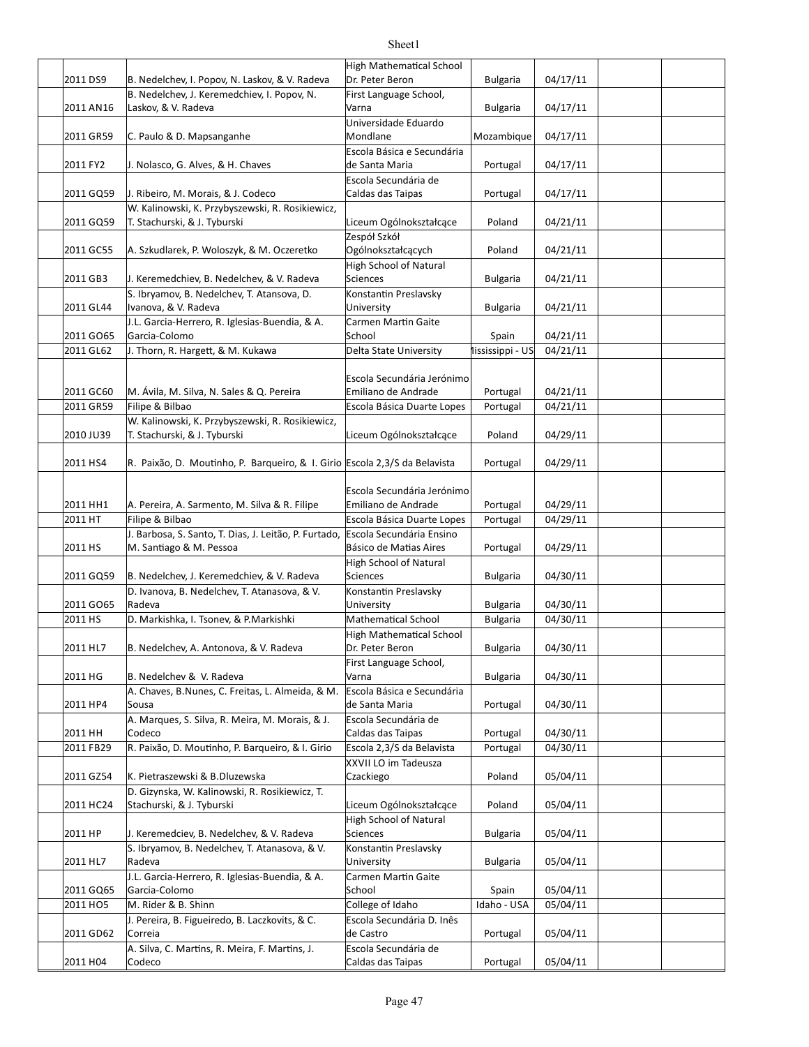|           |                                                                                  | High Mathematical School                            |                  |          |  |
|-----------|----------------------------------------------------------------------------------|-----------------------------------------------------|------------------|----------|--|
| 2011 DS9  | B. Nedelchev, I. Popov, N. Laskov, & V. Radeva                                   | Dr. Peter Beron                                     | <b>Bulgaria</b>  | 04/17/11 |  |
| 2011 AN16 | B. Nedelchev, J. Keremedchiev, I. Popov, N.<br>Laskov, & V. Radeva               | First Language School,<br>Varna                     | <b>Bulgaria</b>  | 04/17/11 |  |
|           |                                                                                  | Universidade Eduardo<br>Mondlane                    |                  |          |  |
| 2011 GR59 | C. Paulo & D. Mapsanganhe                                                        | Escola Básica e Secundária                          | Mozambique       | 04/17/11 |  |
| 2011 FY2  | J. Nolasco, G. Alves, & H. Chaves                                                | de Santa Maria                                      | Portugal         | 04/17/11 |  |
| 2011 GQ59 | J. Ribeiro, M. Morais, & J. Codeco                                               | Escola Secundária de<br>Caldas das Taipas           | Portugal         | 04/17/11 |  |
| 2011 GQ59 | W. Kalinowski, K. Przybyszewski, R. Rosikiewicz,<br>T. Stachurski, & J. Tyburski | Liceum Ogólnokształcące                             | Poland           | 04/21/11 |  |
|           |                                                                                  | Zespół Szkół                                        | Poland           |          |  |
| 2011 GC55 | A. Szkudlarek, P. Woloszyk, & M. Oczeretko                                       | Ogólnokształcących<br><b>High School of Natural</b> |                  | 04/21/11 |  |
| 2011 GB3  | J. Keremedchiev, B. Nedelchev, & V. Radeva                                       | Sciences                                            | <b>Bulgaria</b>  | 04/21/11 |  |
| 2011 GL44 | S. Ibryamov, B. Nedelchev, T. Atansova, D.<br>Ivanova, & V. Radeva               | Konstantin Preslavsky<br>University                 | <b>Bulgaria</b>  | 04/21/11 |  |
|           | J.L. Garcia-Herrero, R. Iglesias-Buendia, & A.                                   | Carmen Martin Gaite                                 |                  |          |  |
| 2011 GO65 | Garcia-Colomo                                                                    | School                                              | Spain            | 04/21/11 |  |
| 2011 GL62 | J. Thorn, R. Hargett, & M. Kukawa                                                | Delta State University                              | lississippi - US | 04/21/11 |  |
|           |                                                                                  |                                                     |                  |          |  |
|           |                                                                                  | Escola Secundária Jerónimo                          |                  |          |  |
| 2011 GC60 | M. Ávila, M. Silva, N. Sales & Q. Pereira                                        | Emiliano de Andrade                                 | Portugal         | 04/21/11 |  |
| 2011 GR59 | Filipe & Bilbao                                                                  | Escola Básica Duarte Lopes                          | Portugal         | 04/21/11 |  |
|           | W. Kalinowski, K. Przybyszewski, R. Rosikiewicz,                                 |                                                     |                  |          |  |
| 2010 JU39 | T. Stachurski, & J. Tyburski                                                     | Liceum Ogólnokształcące                             | Poland           | 04/29/11 |  |
| 2011 HS4  | R. Paixão, D. Moutinho, P. Barqueiro, & I. Girio Escola 2,3/S da Belavista       |                                                     | Portugal         | 04/29/11 |  |
|           |                                                                                  |                                                     |                  |          |  |
| 2011 HH1  | A. Pereira, A. Sarmento, M. Silva & R. Filipe                                    | Escola Secundária Jerónimo<br>Emiliano de Andrade   | Portugal         | 04/29/11 |  |
| 2011 HT   | Filipe & Bilbao                                                                  | Escola Básica Duarte Lopes                          | Portugal         | 04/29/11 |  |
| 2011 HS   | J. Barbosa, S. Santo, T. Dias, J. Leitão, P. Furtado,<br>M. Santiago & M. Pessoa | Escola Secundária Ensino<br>Básico de Matias Aires  | Portugal         | 04/29/11 |  |
|           |                                                                                  | High School of Natural                              |                  |          |  |
| 2011 GQ59 | B. Nedelchev, J. Keremedchiev, & V. Radeva                                       | Sciences                                            | <b>Bulgaria</b>  | 04/30/11 |  |
| 2011 GO65 | D. Ivanova, B. Nedelchev, T. Atanasova, & V.<br>Radeva                           | Konstantin Preslavsky<br>University                 | <b>Bulgaria</b>  | 04/30/11 |  |
| 2011 HS   | D. Markishka, I. Tsonev, & P. Markishki                                          | Mathematical School                                 | <b>Bulgaria</b>  | 04/30/11 |  |
| 2011 HL7  | B. Nedelchev, A. Antonova, & V. Radeva                                           | <b>High Mathematical School</b><br>Dr. Peter Beron  | <b>Bulgaria</b>  | 04/30/11 |  |
|           |                                                                                  | First Language School,                              |                  |          |  |
| 2011 HG   | B. Nedelchev & V. Radeva                                                         | Varna                                               | <b>Bulgaria</b>  | 04/30/11 |  |
| 2011 HP4  | A. Chaves, B.Nunes, C. Freitas, L. Almeida, & M.<br>Sousa                        | Escola Básica e Secundária<br>de Santa Maria        | Portugal         | 04/30/11 |  |
| 2011 HH   | A. Marques, S. Silva, R. Meira, M. Morais, & J.<br>Codeco                        | Escola Secundária de<br>Caldas das Taipas           | Portugal         | 04/30/11 |  |
| 2011 FB29 | R. Paixão, D. Moutinho, P. Barqueiro, & I. Girio                                 | Escola 2,3/S da Belavista                           | Portugal         | 04/30/11 |  |
| 2011 GZ54 | K. Pietraszewski & B.Dluzewska                                                   | XXVII LO im Tadeusza<br>Czackiego                   | Poland           | 05/04/11 |  |
|           | D. Gizynska, W. Kalinowski, R. Rosikiewicz, T.                                   |                                                     |                  |          |  |
| 2011 HC24 | Stachurski, & J. Tyburski                                                        | Liceum Ogólnokształcące                             | Poland           | 05/04/11 |  |
| 2011 HP   | J. Keremedciev, B. Nedelchev, & V. Radeva                                        | High School of Natural<br>Sciences                  | <b>Bulgaria</b>  | 05/04/11 |  |
| 2011 HL7  | S. Ibryamov, B. Nedelchev, T. Atanasova, & V.<br>Radeva                          | Konstantin Preslavsky<br>University                 | <b>Bulgaria</b>  | 05/04/11 |  |
| 2011 GQ65 | J.L. Garcia-Herrero, R. Iglesias-Buendia, & A.<br>Garcia-Colomo                  | Carmen Martin Gaite<br>School                       | Spain            | 05/04/11 |  |
| 2011 HO5  | M. Rider & B. Shinn                                                              | College of Idaho                                    | Idaho - USA      | 05/04/11 |  |
| 2011 GD62 | J. Pereira, B. Figueiredo, B. Laczkovits, & C.<br>Correia                        | Escola Secundária D. Inês<br>de Castro              | Portugal         | 05/04/11 |  |
| 2011 H04  | A. Silva, C. Martins, R. Meira, F. Martins, J.<br>Codeco                         | Escola Secundária de<br>Caldas das Taipas           | Portugal         | 05/04/11 |  |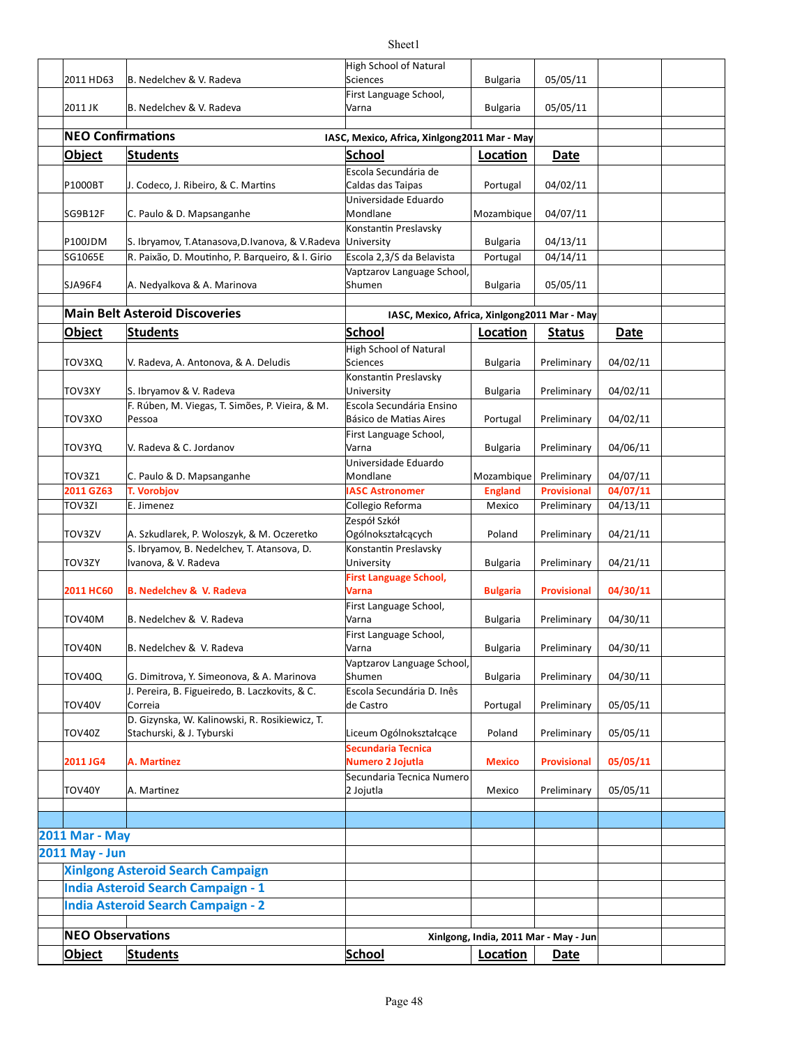#### 2011 HD63 B. Nedelchev & V. Radeva Sciences Bulgaria | 05/05/11 2011 JK B. Nedelchev & V. Radeva Bulgaria | Bulgaria | 05/05/11 **NEO Confirmations IASC, Mexico, Africa, Xinlgong2011 Mar - May Object Students School Loca'on Date** P1000BT J. Codeco, J. Ribeiro, & C. Martins Caldas das Taipas Portugal 04/02/11 SG9B12F C. Paulo & D. Mapsanganhe Mondlane Mondlane Mozambique 04/07/11  $P100$ JDM S. Ibryamov, T.Atanasova, D.Ivanova, & V.Radeva University Bulgaria | 04/13/11  $|\text{SG1065E}$  R. Paixão, D. Moutinho, P. Barqueiro, & I. Girio  $|\text{Escola 2,3/S}$  da Belavista Portugal  $|$  04/14/11 SJA96F4 | A. Nedyalkova & A. Marinova | Shumen | Bulgaria | 05/05/11 **Main Belt Asteroid Discoveries In the Set of the U.S. C. Mexico, Africa, Xinlgong2011 Mar - May Object Students School Loca'on Status Date** TOV3XQ V. Radeva, A. Antonova, & A. Deludis Sciences Sciences Bulgaria Preliminary 04/02/11 TOV3XY S. Ibryamov & V. Radeva Bulgaria Preliminary 8 University Bulgaria Preliminary 04/02/11 TOV3XO Portugal Preliminary 04/02/11 Básico de Ma[as Aires TOV3YQ V. Radeva & C. Jordanov  $\vert$ Varna  $\vert$  Bulgaria Preliminary | 04/06/11 TOV3Z1 C. Paulo & D. Mapsanganhe Mondlane Mondlane Mozambique Preliminary 04/07/11 **2011 GZ63 T. Vorobjov IASC Astronomer England Provisional 04/07/11** TOV3ZI E. Jimenez Collegio Reforma Mexico Preliminary 04/13/11 TOV3ZV A. Szkudlarek, P. Woloszyk, & M. Oczeretko Qgólnokształcacych Poland Preliminary 04/21/11 TOV3ZY Bulgaria Preliminary 04/21/11 Ivanova, & V. Radeva **2011** HC60 **B.** Nedelchev & V. Radeva **Bulgaria Bulgaria Bulgaria Provisional 04/30/11** TOV40M B. Nedelchev & V. Radeva Bulgaria Preliminary | 04/30/11 TOV40N B. Nedelchev & V. Radeva Bulgaria Preliminary | 04/30/11 TOV40Q G. Dimitrova, Y. Simeonova, & A. Marinova Shumen Bulgaria Preliminary 04/30/11 TOV40V Portugal Preliminary 05/05/11 TOV40Z Liceum Ogólnokształcące Poland Preliminary 05/05/11 **2011 JG4 A. Mar'nez Mexico Provisional 05/05/11 Numero 2 Jojutla** TOV40Y A. Mar[nez Mexico Preliminary 05/05/11 **2011 Mar - May 2011 May - Jun Xinlgong Asteroid Search Campaign India Asteroid Search Campaign - 1 India Asteroid Search Campaign - 2 NEO Observations Xinlgong, India, 2011 Mar - May - Jun Object Students School Loca'on Date** High School of Natural Sciences First Language School, Varna Escola Secundária de Caldas das Taipas Universidade Eduardo Mondlane Konstantin Preslavsky **University** Vaptzarov Language School, Shumen High School of Natural Sciences **Konstantin Preslavsky** University F. Rúben, M. Viegas, T. Simões, P. Vieira, & M. Pessoa Escola Secundária Ensino First Language School, Varna Universidade Eduardo Mondlane Zespół Szkół Ogólnokształcących S. Ibryamov, B. Nedelchev, T. Atansova, D. Konstantin Preslavsky University **First Language School, Varna** First Language School, Varna First Language School, Varna Vaptzarov Language School, Shumen J. Pereira, B. Figueiredo, B. Laczkovits, & C. Correia Escola Secundária D. Inês de Castro D. Gizynska, W. Kalinowski, R. Rosikiewicz, T. Stachurski, & J. Tyburski **Secundaria Tecnica**  Secundaria Tecnica Numero 2 Jojutla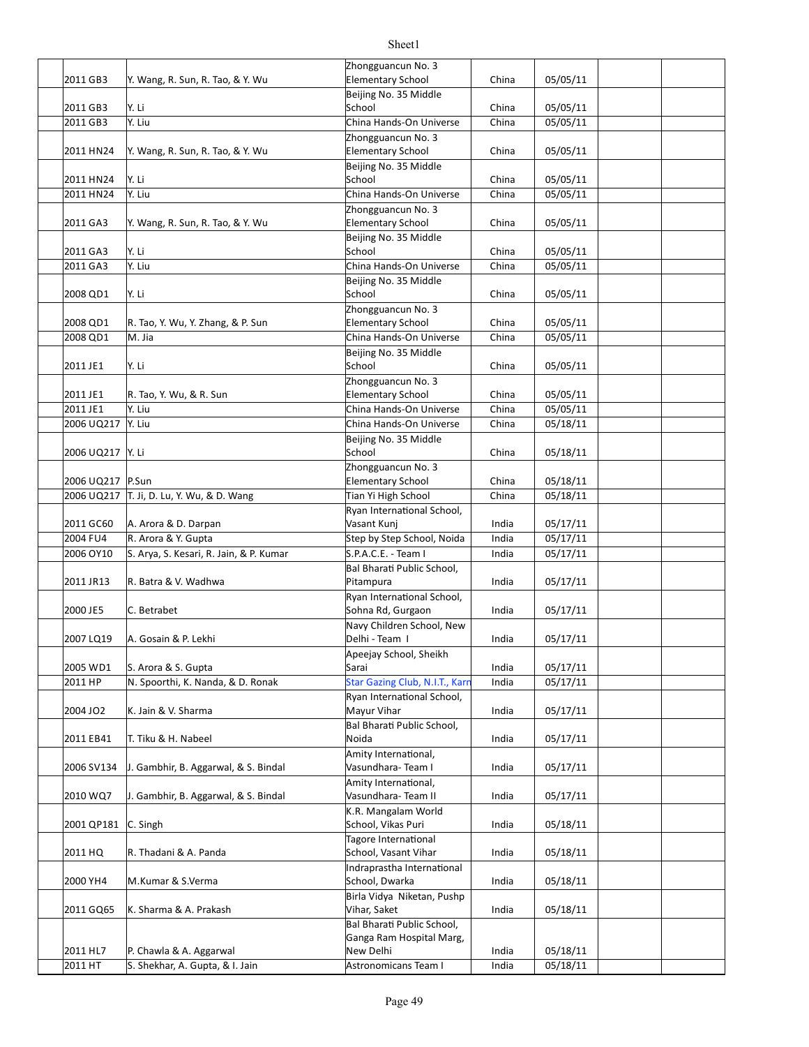#### 2011 GB3 |Y. Wang, R. Sun, R. Tao, & Y. Wu China | China | 05/05/11 2011 GB3 Y. Li China 05/05/11 2011 GB3 Y. Liu China Hands-On Universe China 05/05/11  $2011$  HN24 Y. Wang, R. Sun, R. Tao, & Y. Wu Elementary School China 05/05/11 2011 HN24 Y. Li China 05/05/11  $2011$  HN24  $\vert$ Y. Liu  $\vert$  China Hands-On Universe  $\vert$  China  $\vert$  05/05/11  $2011$  GA3 Y. Wang, R. Sun, R. Tao, & Y. Wu Elementary School China 05/05/11 2011 GA3 Y. Li China 05/05/11 2011 GA3 Y. Liu China Hands-On Universe China 05/05/11 2008 QD1 Y. Li China 05/05/11 2008 QD1 R. Tao, Y. Wu, Y. Zhang, & P. Sun Elementary School China 05/05/11 |2008 QD1 M. Jia China China Hands-On Universe China | 05/05/11 2011 JE1 Y. Li China 05/05/11 2011 JE1 R. Tao, Y. Wu, & R. Sun China Chementary School China 05/05/11 2011 JE1 | Y. Liu China Hands-On Universe China 05/05/11 2006 UQ217 Y. Liu China Hands-On Universe China 05/18/11 2006 UQ217 Y. Li China (195/18/11 China 05/18/11 China 05/18/11 2006 UQ217 P.Sun China China China China China China O5/18/11 2006 UQ217 T. Ji, D. Lu, Y. Wu, & D. Wang Tian Yi High School China 05/18/11 2011 GC60 A. Arora & D. Darpan **India 1991 State Around A.** Arora X. D. Darpan India 195/17/11 2004 FU4 R. Arora & Y. Gupta Step by Step School, Noida India 05/17/11 2006 OY10 S. Arya, S. Kesari, R. Jain, & P. Kumar S.P.A.C.E. - Team I India | 05/17/11 2011 JR13 R. Batra & V. Wadhwa India 05/17/11 2000 JE5 C. Betrabet Sohna Rd, Gurgaon India 05/17/11 2007 LQ19 A. Gosain & P. Lekhi India 1 Delhi - Team I India 1 05/17/11 2005 WD1 S. Arora & S. Gupta India 05/17/11 2011 HP N. Spoorthi, K. Nanda, & D. Ronak Star Gazing Club, N.I.T., Karn India 05/17/11 |2004 JO2 | K. Jain & V. Sharma Mayur Vihar India | 05/17/11 2011 EB41 T. Tiku & H. Nabeel India 05/17/11 2006 SV134 J. Gambhir, B. Aggarwal, & S. Bindal India 05/17/11 2010 WQ7 | J. Gambhir, B. Aggarwal, & S. Bindal | Vasundhara- Team II | India | 05/17/11 2001 QP181 C. Singh India 05/18/11 School, Vikas Puri 2011 HQ R. Thadani & A. Panda **India 1988** School, Vasant Vihar | India | 05/18/11 2000 YH4 M.Kumar & S.Verma Sachool, Dwarka Mudia 1 05/18/11 2011 GQ65 K. Sharma & A. Prakash **India** 1 Uthar, Saket **India** 1 05/18/11 Zhongguancun No. 3 Elementary School Beijing No. 35 Middle School Zhongguancun No. 3 Elementary School Beijing No. 35 Middle School Zhongguancun No. 3 Elementary School Beijing No. 35 Middle School Beijing No. 35 Middle School Zhongguancun No. 3 Elementary School Beijing No. 35 Middle School Zhongguancun No. 3 Elementary School Beijing No. 35 Middle School Zhongguancun No. 3 Elementary School Ryan International School, Vasant Kunj Bal Bharati Public School, Pitampura Ryan International School, Navy Children School, New Delhi - Team I Apeejay School, Sheikh Sarai **Star Gazing Club, N.I.T., Karr** Ryan International School, Mayur Vihar Bal Bharati Public School, Noida Amity International, Vasundhara-Team I Amity International, Vasundhara- Team II K.R. Mangalam World Tagore International Indraprastha International School, Dwarka Birla Vidya Niketan, Pushp Vihar, Saket Bal Bharati Public School,

Sheet1

Ganga Ram Hospital Marg,

New Delhi 

 $2011$  HL7 P. Chawla & A. Aggarwal  $\blacksquare$  New Delhi India  $\blacksquare$  05/18/11  $|2011$  HT  $|$  S. Shekhar, A. Gupta, & I. Jain  $\overline{a}$  Astronomicans Team I India  $|$  05/18/11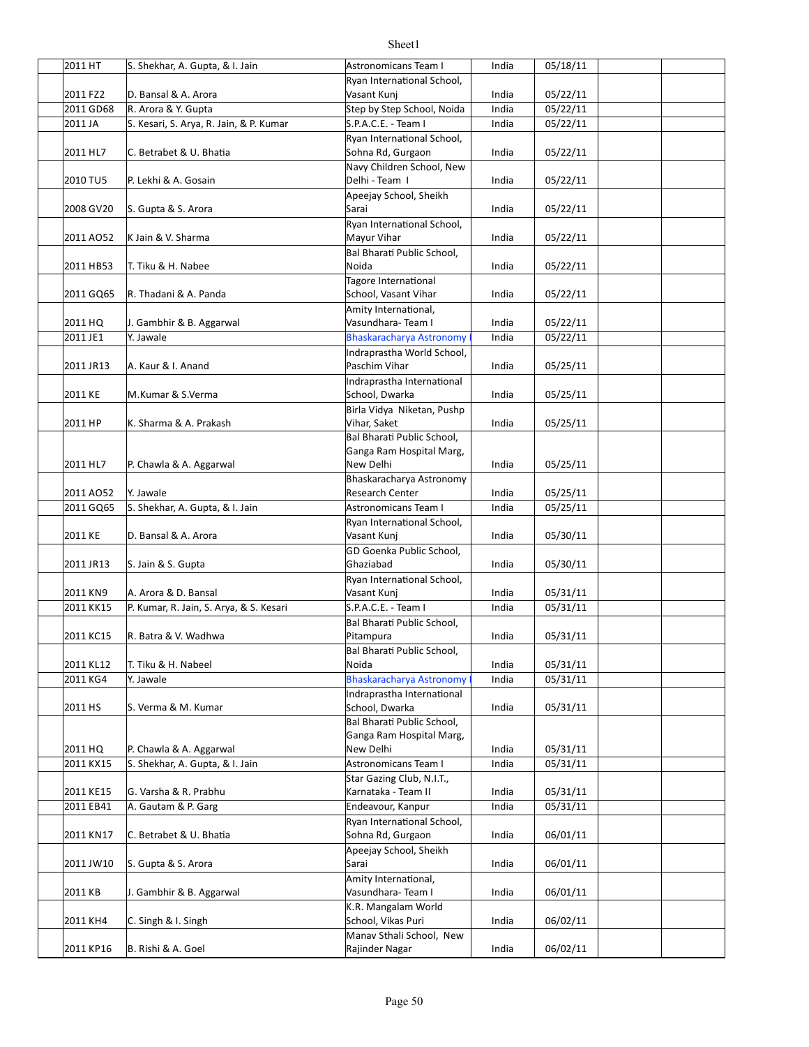| 2011 HT   | S. Shekhar, A. Gupta, & I. Jain         | Astronomicans Team I                | India | 05/18/11 |  |
|-----------|-----------------------------------------|-------------------------------------|-------|----------|--|
|           |                                         | Ryan International School,          |       |          |  |
| 2011 FZ2  | D. Bansal & A. Arora                    | Vasant Kunj                         | India | 05/22/11 |  |
| 2011 GD68 | R. Arora & Y. Gupta                     | Step by Step School, Noida          | India | 05/22/11 |  |
| 2011 JA   | S. Kesari, S. Arya, R. Jain, & P. Kumar | S.P.A.C.E. - Team I                 | India | 05/22/11 |  |
|           |                                         | Ryan International School,          |       |          |  |
| 2011 HL7  | C. Betrabet & U. Bhatia                 | Sohna Rd, Gurgaon                   | India | 05/22/11 |  |
|           |                                         | Navy Children School, New           |       |          |  |
| 2010 TU5  | P. Lekhi & A. Gosain                    | Delhi - Team I                      | India | 05/22/11 |  |
|           |                                         | Apeejay School, Sheikh              |       |          |  |
| 2008 GV20 | S. Gupta & S. Arora                     | Sarai                               | India | 05/22/11 |  |
|           |                                         | Ryan International School,          |       |          |  |
| 2011 AO52 | K Jain & V. Sharma                      | Mayur Vihar                         | India | 05/22/11 |  |
|           |                                         |                                     |       |          |  |
| 2011 HB53 | T. Tiku & H. Nabee                      | Bal Bharati Public School,<br>Noida |       |          |  |
|           |                                         |                                     | India | 05/22/11 |  |
|           |                                         | Tagore International                |       |          |  |
| 2011 GQ65 | R. Thadani & A. Panda                   | School, Vasant Vihar                | India | 05/22/11 |  |
|           |                                         | Amity International,                |       |          |  |
| 2011 HQ   | J. Gambhir & B. Aggarwal                | Vasundhara-Team I                   | India | 05/22/11 |  |
| 2011 JE1  | Y. Jawale                               | <b>Bhaskaracharya Astronomy</b>     | India | 05/22/11 |  |
|           |                                         | Indraprastha World School,          |       |          |  |
| 2011 JR13 | A. Kaur & I. Anand                      | Paschim Vihar                       | India | 05/25/11 |  |
|           |                                         | Indraprastha International          |       |          |  |
| 2011 KE   | M.Kumar & S.Verma                       | School, Dwarka                      | India | 05/25/11 |  |
|           |                                         | Birla Vidya Niketan, Pushp          |       |          |  |
| 2011 HP   | K. Sharma & A. Prakash                  | Vihar, Saket                        | India | 05/25/11 |  |
|           |                                         | Bal Bharati Public School,          |       |          |  |
|           |                                         | Ganga Ram Hospital Marg,            |       |          |  |
| 2011 HL7  | P. Chawla & A. Aggarwal                 | New Delhi                           | India | 05/25/11 |  |
|           |                                         | Bhaskaracharya Astronomy            |       |          |  |
| 2011 AO52 | Y. Jawale                               | Research Center                     | India | 05/25/11 |  |
| 2011 GQ65 | S. Shekhar, A. Gupta, & I. Jain         | Astronomicans Team I                | India | 05/25/11 |  |
|           |                                         | Ryan International School,          |       |          |  |
| 2011 KE   | D. Bansal & A. Arora                    | Vasant Kunj                         | India | 05/30/11 |  |
|           |                                         | GD Goenka Public School,            |       |          |  |
| 2011 JR13 | S. Jain & S. Gupta                      | Ghaziabad                           | India | 05/30/11 |  |
|           |                                         | Ryan International School,          |       |          |  |
| 2011 KN9  | A. Arora & D. Bansal                    | Vasant Kunj                         | India | 05/31/11 |  |
|           |                                         |                                     |       |          |  |
| 2011 KK15 | P. Kumar, R. Jain, S. Arya, & S. Kesari | S.P.A.C.E. - Team I                 | India | 05/31/11 |  |
|           |                                         | Bal Bharati Public School,          |       |          |  |
| 2011 KC15 | R. Batra & V. Wadhwa                    | Pitampura                           | India | 05/31/11 |  |
|           |                                         | Bal Bharati Public School,          |       |          |  |
| 2011 KL12 | T. Tiku & H. Nabeel                     | Noida                               | India | 05/31/11 |  |
| 2011 KG4  | Y. Jawale                               | <b>Bhaskaracharya Astronomy</b>     | India | 05/31/11 |  |
|           |                                         | Indraprastha International          |       |          |  |
| 2011 HS   | S. Verma & M. Kumar                     | School, Dwarka                      | India | 05/31/11 |  |
|           |                                         | Bal Bharati Public School,          |       |          |  |
|           |                                         | Ganga Ram Hospital Marg,            |       |          |  |
| 2011 HQ   | P. Chawla & A. Aggarwal                 | New Delhi                           | India | 05/31/11 |  |
| 2011 KX15 | S. Shekhar, A. Gupta, & I. Jain         | Astronomicans Team I                | India | 05/31/11 |  |
|           |                                         | Star Gazing Club, N.I.T.,           |       |          |  |
| 2011 KE15 | G. Varsha & R. Prabhu                   | Karnataka - Team II                 | India | 05/31/11 |  |
| 2011 EB41 | A. Gautam & P. Garg                     | Endeavour, Kanpur                   | India | 05/31/11 |  |
|           |                                         | Ryan International School,          |       |          |  |
| 2011 KN17 | C. Betrabet & U. Bhatia                 | Sohna Rd, Gurgaon                   | India | 06/01/11 |  |
|           |                                         | Apeejay School, Sheikh              |       |          |  |
| 2011 JW10 | S. Gupta & S. Arora                     | Sarai                               | India | 06/01/11 |  |
|           |                                         | Amity International,                |       |          |  |
| 2011 KB   | J. Gambhir & B. Aggarwal                | Vasundhara-Team I                   | India | 06/01/11 |  |
|           |                                         | K.R. Mangalam World                 |       |          |  |
| 2011 KH4  | C. Singh & I. Singh                     | School, Vikas Puri                  | India | 06/02/11 |  |
|           |                                         | Manav Sthali School, New            |       |          |  |
| 2011 KP16 | B. Rishi & A. Goel                      | Rajinder Nagar                      | India | 06/02/11 |  |
|           |                                         |                                     |       |          |  |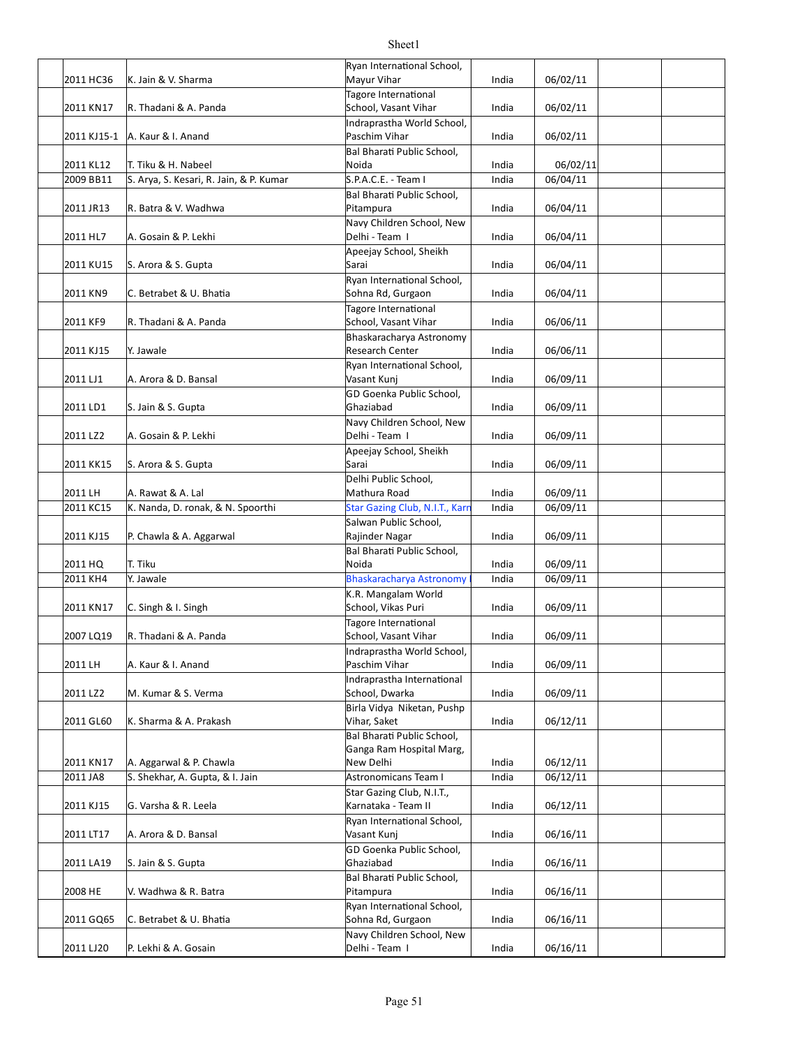|             |                                         | Ryan International School,                              |       |          |  |
|-------------|-----------------------------------------|---------------------------------------------------------|-------|----------|--|
| 2011 HC36   | K. Jain & V. Sharma                     | Mayur Vihar                                             | India | 06/02/11 |  |
| 2011 KN17   | R. Thadani & A. Panda                   | Tagore International<br>School, Vasant Vihar            | India | 06/02/11 |  |
|             | A. Kaur & I. Anand                      | Indraprastha World School,<br>Paschim Vihar             | India | 06/02/11 |  |
| 2011 KJ15-1 |                                         | Bal Bharati Public School,                              |       |          |  |
| 2011 KL12   | T. Tiku & H. Nabeel                     | Noida                                                   | India | 06/02/11 |  |
| 2009 BB11   | S. Arya, S. Kesari, R. Jain, & P. Kumar | S.P.A.C.E. - Team I                                     | India | 06/04/11 |  |
|             |                                         | Bal Bharati Public School,                              |       |          |  |
| 2011 JR13   | R. Batra & V. Wadhwa                    | Pitampura                                               | India | 06/04/11 |  |
| 2011 HL7    | A. Gosain & P. Lekhi                    | Navy Children School, New<br>Delhi - Team I             | India | 06/04/11 |  |
|             |                                         | Apeejay School, Sheikh                                  |       |          |  |
| 2011 KU15   | S. Arora & S. Gupta                     | Sarai                                                   | India | 06/04/11 |  |
|             |                                         | Ryan International School,                              |       |          |  |
| 2011 KN9    | C. Betrabet & U. Bhatia                 | Sohna Rd, Gurgaon                                       | India | 06/04/11 |  |
|             |                                         | Tagore International                                    |       |          |  |
| 2011 KF9    | R. Thadani & A. Panda                   | School, Vasant Vihar<br>Bhaskaracharya Astronomy        | India | 06/06/11 |  |
| 2011 KJ15   | Y. Jawale                               | Research Center                                         | India | 06/06/11 |  |
|             |                                         | Ryan International School,                              |       |          |  |
| 2011 LJ1    | A. Arora & D. Bansal                    | Vasant Kunj                                             | India | 06/09/11 |  |
|             |                                         | GD Goenka Public School,                                |       |          |  |
| 2011 LD1    | S. Jain & S. Gupta                      | Ghaziabad                                               | India | 06/09/11 |  |
| 2011 LZ2    | A. Gosain & P. Lekhi                    | Navy Children School, New<br>Delhi - Team I             | India | 06/09/11 |  |
|             |                                         | Apeejay School, Sheikh                                  |       |          |  |
| 2011 KK15   | S. Arora & S. Gupta                     | Sarai                                                   | India | 06/09/11 |  |
|             |                                         | Delhi Public School,                                    |       |          |  |
| 2011 LH     | A. Rawat & A. Lal                       | Mathura Road                                            | India | 06/09/11 |  |
| 2011 KC15   | K. Nanda, D. ronak, & N. Spoorthi       | Star Gazing Club, N.I.T., Karr<br>Salwan Public School, | India | 06/09/11 |  |
| 2011 KJ15   | P. Chawla & A. Aggarwal                 | Rajinder Nagar                                          | India | 06/09/11 |  |
|             |                                         | Bal Bharati Public School,                              |       |          |  |
| 2011 HQ     | T. Tiku                                 | Noida                                                   | India | 06/09/11 |  |
| 2011 KH4    | Y. Jawale                               | <b>Bhaskaracharya Astronomy</b>                         | India | 06/09/11 |  |
|             |                                         | K.R. Mangalam World                                     |       |          |  |
| 2011 KN17   | C. Singh & I. Singh                     | School, Vikas Puri<br>Tagore International              | India | 06/09/11 |  |
| 2007 LQ19   | R. Thadani & A. Panda                   | School, Vasant Vihar                                    | India | 06/09/11 |  |
|             |                                         | Indraprastha World School,                              |       |          |  |
| 2011 LH     | A. Kaur & I. Anand                      | Paschim Vihar                                           | India | 06/09/11 |  |
|             |                                         | Indraprastha International                              |       |          |  |
| 2011 LZ2    | M. Kumar & S. Verma                     | School, Dwarka                                          | India | 06/09/11 |  |
| 2011 GL60   | K. Sharma & A. Prakash                  | Birla Vidya Niketan, Pushp<br>Vihar, Saket              | India | 06/12/11 |  |
|             |                                         | Bal Bharati Public School,                              |       |          |  |
|             |                                         | Ganga Ram Hospital Marg,                                |       |          |  |
| 2011 KN17   | A. Aggarwal & P. Chawla                 | New Delhi                                               | India | 06/12/11 |  |
| 2011 JA8    | S. Shekhar, A. Gupta, & I. Jain         | Astronomicans Team I                                    | India | 06/12/11 |  |
| 2011 KJ15   | G. Varsha & R. Leela                    | Star Gazing Club, N.I.T.,<br>Karnataka - Team II        | India | 06/12/11 |  |
|             |                                         | Ryan International School,                              |       |          |  |
| 2011 LT17   | A. Arora & D. Bansal                    | Vasant Kunj                                             | India | 06/16/11 |  |
|             |                                         | GD Goenka Public School,                                |       |          |  |
| 2011 LA19   | S. Jain & S. Gupta                      | Ghaziabad                                               | India | 06/16/11 |  |
|             |                                         | Bal Bharati Public School,                              |       |          |  |
| 2008 HE     | V. Wadhwa & R. Batra                    | Pitampura<br>Ryan International School,                 | India | 06/16/11 |  |
| 2011 GQ65   | C. Betrabet & U. Bhatia                 | Sohna Rd, Gurgaon                                       | India | 06/16/11 |  |
|             |                                         | Navy Children School, New                               |       |          |  |
| 2011 LJ20   | P. Lekhi & A. Gosain                    | Delhi - Team I                                          | India | 06/16/11 |  |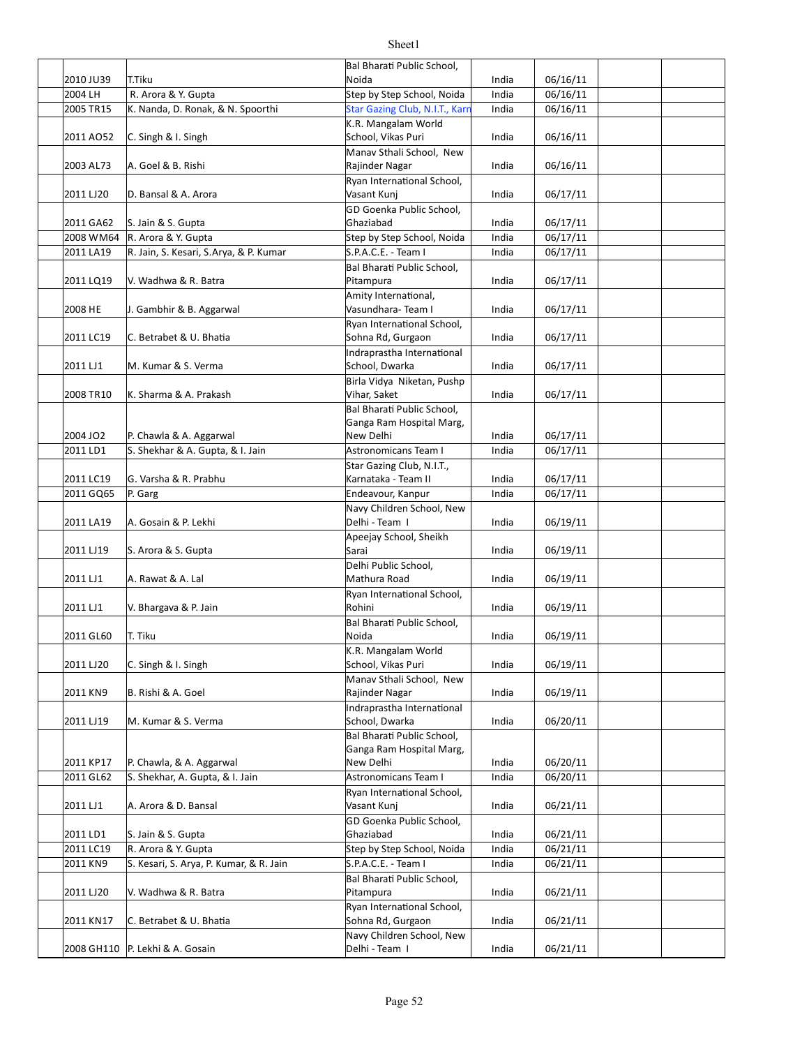#### 2010 JU39 | T.Tiku India | D6/16/11 | India | D6/16/11 2004 LH R. Arora & Y. Gupta Step Step Step School, Noida India 06/16/11 2005 TR15 K. Nanda, D. Ronak, & N. Spoorthi Star Gazing Club, N.I.T., Karn India 06/16/11  $2011$  AO52 C. Singh & I. Singh  $\qquad \qquad$  School, Vikas Puri and india 06/16/11 2003 AL73 A. Goel & B. Rishi India 06/16/11 2011 LJ20 D. Bansal & A. Arora India 06/17/11 2011 GA62 S. Jain & S. Gupta India 1 Communication of the Structure of the United Structure of the United Structure of the United Structure of the United Structure of the United Structure of the United Structure of the Uni 2008 WM64 R. Arora & Y. Gupta Step School, Noida India | 06/17/11 2011 LA19 R. Jain, S. Kesari, S.Arya, & P. Kumar S.P.A.C.E. - Team I India 06/17/11  $2011$  LQ19 |V. Wadhwa & R. Batra  $2011$  LQ19 |V. Wadhwa & R. Batra India  $1$  O6/17/11 2008 HE J. Gambhir & B. Aggarwal **India 18** Vasundhara- Team I andia 1 06/17/11 2011 LC19 C. Betrabet & U. Bha[a India 06/17/11 2011 LJ1 M. Kumar & S. Verma Summan School, Dwarka Numman Midia 06/17/11 2008 TR10 K. Sharma & A. Prakash Nihar, Saket Nihar, Saket India | 06/17/11 2004 JO2 P. Chawla & A. Aggarwal New Delhi New Delhi India | 06/17/11 2011 LD1 S. Shekhar & A. Gupta, & I. Jain Astronomicans Team I India 06/17/11 2011 LC19 G. Varsha & R. Prabhu **India 1998** Karnataka - Team II India | 06/17/11 2011 GQ65 P. Garg Carrell Communication Charles Endeavour, Kanpur India 06/17/11 |2011 LA19 | A. Gosain & P. Lekhi | India | 06/19/11 | 06/19/11 2011 LJ19 S. Arora & S. Gupta **India 19. India** 1.06/19/11 2011 LJ1 A. Rawat & A. Lal **India 1.2011** Mathura Road **COLL 1.1** A. Rawat & A. Lal 2011 LJ1 V. Bhargava & P. Jain India 2011 LJ1 Undia 106/19/11 2011 GL60 T. Tiku India India 196/19/11 Northwest Research Research India 196/19/11 2011 LJ20 C. Singh & I. Singh India india control School, Vikas Puri and India india india 06/19/11 2011 KN9 B. Rishi & A. Goel Sand Rajinder Nagar States and Rajinder Nagar and Hospital Automobile Rajinder Naga |2011 LJ19 M. Kumar & S. Verma School, Dwarka India 06/20/11 2011 KP17 P. Chawla, & A. Aggarwal **India** New Delhi **India** 1 06/20/11 2011 GL62 S. Shekhar, A. Gupta, & I. Jain Astronomicans Team I India | 06/20/11 2011 LJ1 A. Arora & D. Bansal **India 1998** Vasant Kunj *Masant Kunj* India 196/21/11  $|2011$  LD1  $|$ S. Jain & S. Gupta India  $|$  Chaziabad  $|$  India  $|$  06/21/11 2011 LC19 R. Arora & Y. Gupta Step by Step School, Noida India 06/21/11 2011 KN9 S. Kesari, S. Arya, P. Kumar, & R. Jain S.P.A.C.E. - Team I India 06/21/11 | 2011 LJ20 | V. Wadhwa & R. Batra | India | 06/21/11 2011 KN17 C. Betrabet & U. Bhatia **C. Betrabet & U. Bhatia** C. Bhatia C. Communist C. Betrabet & U. Bhatia 196/21/11 2008 GH110 P. Lekhi & A. Gosain **India 1998** Delhi - Team India 196/21/11 Bal Bharati Public School, Noida **Star Gazing Club, N.I.T., Karr** K.R. Mangalam World School, Vikas Puri Manav Sthali School, New Rajinder Nagar Ryan International School, Vasant Kunj GD Goenka Public School, Ghaziabad Bal Bharati Public School, Pitampura Amity International, Vasundhara- Team I Ryan International School, Sohna Rd, Gurgaon Indraprastha International School, Dwarka Birla Vidya Niketan, Pushp **Vihar, Saket** Bal Bharati Public School, Ganga Ram Hospital Marg, New Delhi Star Gazing Club, N.I.T., Karnataka - Team II Navy Children School, New Delhi - Team I Apeejay School, Sheikh Sarai Delhi Public School, Mathura Road Ryan International School, Rohini Bal Bharati Public School, Noida K.R. Mangalam World School, Vikas Puri Manav Sthali School, New Rajinder Nagar Indraprastha International School, Dwarka Bal Bharati Public School, Ganga Ram Hospital Marg, New Delhi Ryan International School, Vasant Kunj GD Goenka Public School, Ghaziabad **Bal Bharati Public School,** Pitampura Ryan International School, Sohna Rd, Gurgaon Navy Children School, New Delhi - Team I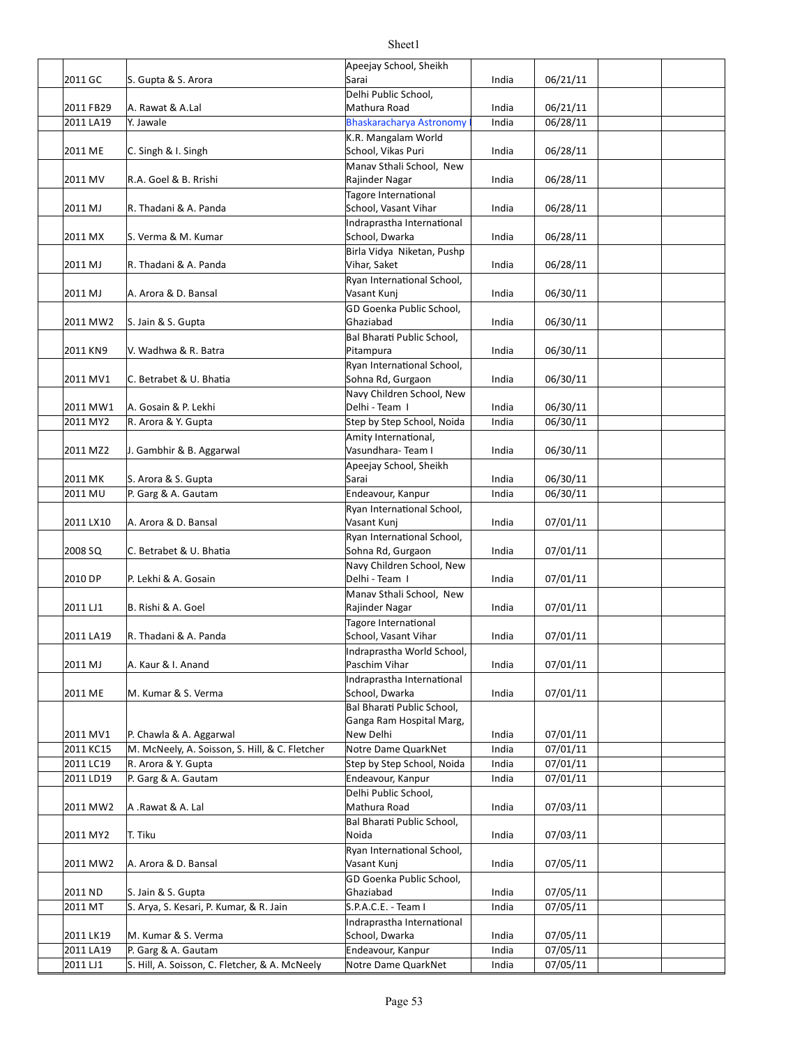|           |                                                | Apeejay School, Sheikh                       |       |          |  |
|-----------|------------------------------------------------|----------------------------------------------|-------|----------|--|
| 2011 GC   | S. Gupta & S. Arora                            | Sarai                                        | India | 06/21/11 |  |
|           |                                                | Delhi Public School.                         |       |          |  |
| 2011 FB29 | A. Rawat & A.Lal                               | Mathura Road                                 | India | 06/21/11 |  |
| 2011 LA19 | Y. Jawale                                      | <b>Bhaskaracharya Astronomy</b>              | India | 06/28/11 |  |
|           |                                                | K.R. Mangalam World                          |       |          |  |
| 2011 ME   | C. Singh & I. Singh                            | School, Vikas Puri                           | India | 06/28/11 |  |
|           |                                                | Manav Sthali School, New                     |       |          |  |
| 2011 MV   | R.A. Goel & B. Rrishi                          | Rajinder Nagar                               | India | 06/28/11 |  |
|           |                                                | Tagore International                         |       |          |  |
| 2011 MJ   | R. Thadani & A. Panda                          | School, Vasant Vihar                         | India | 06/28/11 |  |
|           |                                                | Indraprastha International                   |       |          |  |
| 2011 MX   | S. Verma & M. Kumar                            | School, Dwarka                               | India | 06/28/11 |  |
|           |                                                | Birla Vidya Niketan, Pushp                   |       |          |  |
| 2011 MJ   | R. Thadani & A. Panda                          | Vihar, Saket                                 | India | 06/28/11 |  |
|           |                                                | Ryan International School,                   |       |          |  |
| 2011 MJ   | A. Arora & D. Bansal                           | Vasant Kunj                                  | India | 06/30/11 |  |
|           |                                                | GD Goenka Public School,                     |       |          |  |
| 2011 MW2  | S. Jain & S. Gupta                             | Ghaziabad                                    | India | 06/30/11 |  |
|           |                                                | Bal Bharati Public School,                   |       |          |  |
| 2011 KN9  | V. Wadhwa & R. Batra                           | Pitampura                                    | India | 06/30/11 |  |
|           |                                                | Ryan International School,                   |       |          |  |
| 2011 MV1  | C. Betrabet & U. Bhatia                        | Sohna Rd, Gurgaon                            | India | 06/30/11 |  |
|           |                                                | Navy Children School, New                    |       |          |  |
| 2011 MW1  | A. Gosain & P. Lekhi                           | Delhi - Team I                               | India | 06/30/11 |  |
| 2011 MY2  | R. Arora & Y. Gupta                            | Step by Step School, Noida                   | India | 06/30/11 |  |
|           |                                                | Amity International,                         |       |          |  |
| 2011 MZ2  | J. Gambhir & B. Aggarwal                       | Vasundhara-Team I                            | India | 06/30/11 |  |
|           |                                                | Apeejay School, Sheikh                       |       |          |  |
| 2011 MK   | S. Arora & S. Gupta                            | Sarai                                        | India | 06/30/11 |  |
| 2011 MU   | P. Garg & A. Gautam                            | Endeavour, Kanpur                            | India | 06/30/11 |  |
|           |                                                | Ryan International School,                   |       |          |  |
| 2011 LX10 | A. Arora & D. Bansal                           | Vasant Kunj                                  | India | 07/01/11 |  |
|           |                                                | Ryan International School,                   |       |          |  |
| 2008 SQ   | C. Betrabet & U. Bhatia                        | Sohna Rd, Gurgaon                            | India | 07/01/11 |  |
|           |                                                | Navy Children School, New                    |       |          |  |
| 2010 DP   | P. Lekhi & A. Gosain                           | Delhi - Team I                               | India | 07/01/11 |  |
|           |                                                | Manav Sthali School, New<br>Rajinder Nagar   |       |          |  |
| 2011 LJ1  | B. Rishi & A. Goel                             |                                              | India | 07/01/11 |  |
| 2011 LA19 | R. Thadani & A. Panda                          | Tagore International<br>School, Vasant Vihar | India | 07/01/11 |  |
|           |                                                |                                              |       |          |  |
| 2011 MJ   | A. Kaur & I. Anand                             | Indraprastha World School,<br>Paschim Vihar  | India | 07/01/11 |  |
|           |                                                | Indraprastha International                   |       |          |  |
| 2011 ME   | M. Kumar & S. Verma                            | School, Dwarka                               | India | 07/01/11 |  |
|           |                                                | Bal Bharati Public School,                   |       |          |  |
|           |                                                | Ganga Ram Hospital Marg,                     |       |          |  |
| 2011 MV1  | P. Chawla & A. Aggarwal                        | New Delhi                                    | India | 07/01/11 |  |
| 2011 KC15 | M. McNeely, A. Soisson, S. Hill, & C. Fletcher | Notre Dame QuarkNet                          | India | 07/01/11 |  |
| 2011 LC19 | R. Arora & Y. Gupta                            | Step by Step School, Noida                   | India | 07/01/11 |  |
| 2011 LD19 | P. Garg & A. Gautam                            | Endeavour, Kanpur                            | India | 07/01/11 |  |
|           |                                                | Delhi Public School,                         |       |          |  |
| 2011 MW2  | A .Rawat & A. Lal                              | Mathura Road                                 | India | 07/03/11 |  |
|           |                                                | Bal Bharati Public School,                   |       |          |  |
| 2011 MY2  | T. Tiku                                        | Noida                                        | India | 07/03/11 |  |
|           |                                                | Ryan International School,                   |       |          |  |
| 2011 MW2  | A. Arora & D. Bansal                           | Vasant Kunj                                  | India | 07/05/11 |  |
|           |                                                | GD Goenka Public School,                     |       |          |  |
| 2011 ND   | S. Jain & S. Gupta                             | Ghaziabad                                    | India | 07/05/11 |  |
| 2011 MT   | S. Arya, S. Kesari, P. Kumar, & R. Jain        | S.P.A.C.E. - Team I                          | India | 07/05/11 |  |
|           |                                                | Indraprastha International                   |       |          |  |
| 2011 LK19 | M. Kumar & S. Verma                            | School, Dwarka                               | India | 07/05/11 |  |
| 2011 LA19 | P. Garg & A. Gautam                            | Endeavour, Kanpur                            | India | 07/05/11 |  |
| 2011 LJ1  | S. Hill, A. Soisson, C. Fletcher, & A. McNeely | Notre Dame QuarkNet                          | India | 07/05/11 |  |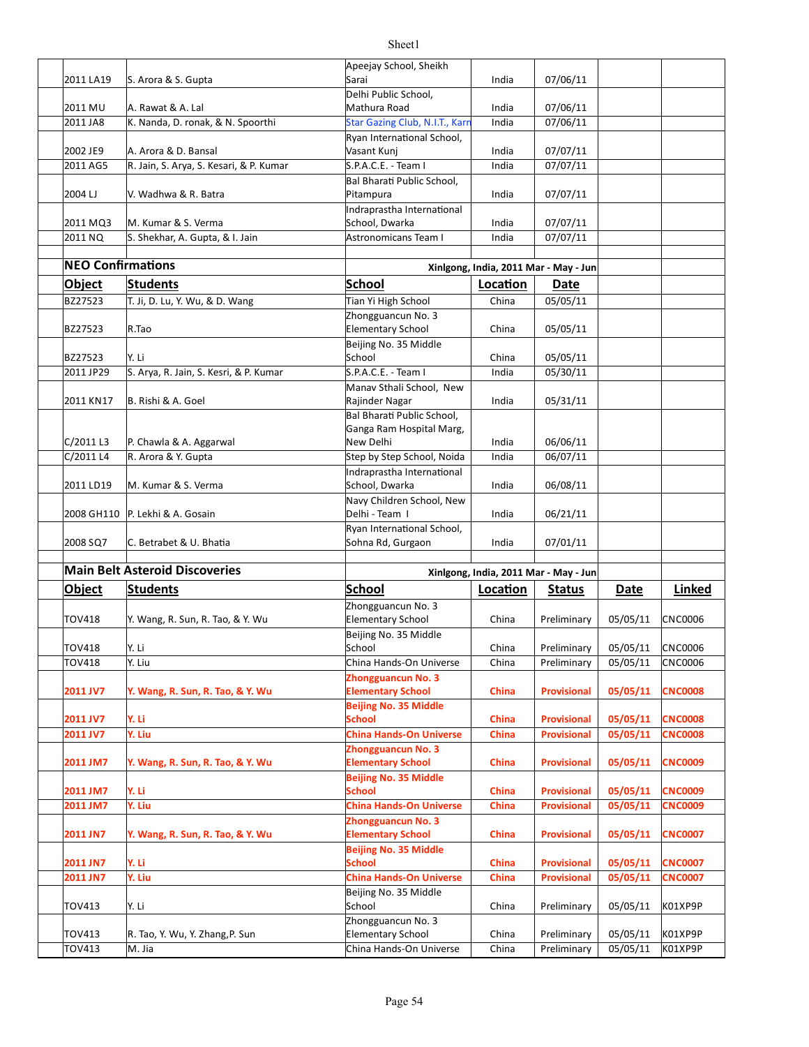|                          |                                         | Apeejay School, Sheikh                       |          |                                       |                      |                |
|--------------------------|-----------------------------------------|----------------------------------------------|----------|---------------------------------------|----------------------|----------------|
| 2011 LA19                | S. Arora & S. Gupta                     | Sarai                                        | India    | 07/06/11                              |                      |                |
|                          |                                         | Delhi Public School,                         |          |                                       |                      |                |
| 2011 MU                  | A. Rawat & A. Lal                       | Mathura Road                                 | India    | 07/06/11                              |                      |                |
| 2011 JA8                 | K. Nanda, D. ronak, & N. Spoorthi       | Star Gazing Club, N.I.T., Karr               | India    | 07/06/11                              |                      |                |
|                          |                                         | Ryan International School,                   |          |                                       |                      |                |
| 2002 JE9                 | A. Arora & D. Bansal                    | Vasant Kunj                                  | India    | 07/07/11                              |                      |                |
| 2011 AG5                 | R. Jain, S. Arya, S. Kesari, & P. Kumar | S.P.A.C.E. - Team I                          | India    | 07/07/11                              |                      |                |
|                          |                                         | Bal Bharati Public School,                   |          |                                       |                      |                |
| 2004 LJ                  | V. Wadhwa & R. Batra                    | Pitampura                                    | India    | 07/07/11                              |                      |                |
|                          |                                         | Indraprastha International                   |          |                                       |                      |                |
| 2011 MQ3                 | M. Kumar & S. Verma                     | School, Dwarka                               | India    | 07/07/11                              |                      |                |
| 2011 NQ                  | S. Shekhar, A. Gupta, & I. Jain         | <b>Astronomicans Team I</b>                  | India    | 07/07/11                              |                      |                |
| <b>NEO Confirmations</b> |                                         |                                              |          |                                       |                      |                |
|                          |                                         |                                              |          | Xinlgong, India, 2011 Mar - May - Jun |                      |                |
| <b>Object</b>            | Students                                | School                                       | Location | Date                                  |                      |                |
| BZ27523                  | T. Ji, D. Lu, Y. Wu, & D. Wang          | Tian Yi High School                          | China    | 05/05/11                              |                      |                |
|                          |                                         | Zhongguancun No. 3                           |          |                                       |                      |                |
| BZ27523                  | R.Tao                                   | <b>Elementary School</b>                     | China    | 05/05/11                              |                      |                |
|                          |                                         | Beijing No. 35 Middle                        |          |                                       |                      |                |
| BZ27523                  | Y. Li                                   | School                                       | China    | 05/05/11                              |                      |                |
| 2011 JP29                | S. Arya, R. Jain, S. Kesri, & P. Kumar  | S.P.A.C.E. - Team I                          | India    | 05/30/11                              |                      |                |
| 2011 KN17                | B. Rishi & A. Goel                      | Manav Sthali School, New                     | India    | 05/31/11                              |                      |                |
|                          |                                         | Rajinder Nagar<br>Bal Bharati Public School, |          |                                       |                      |                |
|                          |                                         | Ganga Ram Hospital Marg,                     |          |                                       |                      |                |
| C/2011 L3                | P. Chawla & A. Aggarwal                 | New Delhi                                    | India    | 06/06/11                              |                      |                |
| C/2011 L4                | R. Arora & Y. Gupta                     | Step by Step School, Noida                   | India    | 06/07/11                              |                      |                |
|                          |                                         | Indraprastha International                   |          |                                       |                      |                |
| 2011 LD19                | M. Kumar & S. Verma                     | School, Dwarka                               | India    | 06/08/11                              |                      |                |
|                          |                                         | Navy Children School, New                    |          |                                       |                      |                |
| 2008 GH110               | P. Lekhi & A. Gosain                    | Delhi - Team I                               | India    | 06/21/11                              |                      |                |
|                          |                                         | Ryan International School,                   |          |                                       |                      |                |
| 2008 SQ7                 | C. Betrabet & U. Bhatia                 | Sohna Rd, Gurgaon                            | India    | 07/01/11                              |                      |                |
|                          |                                         |                                              |          |                                       |                      |                |
|                          | <b>Main Belt Asteroid Discoveries</b>   |                                              |          | Xinlgong, India, 2011 Mar - May - Jun |                      |                |
| <b>Object</b>            | <b>Students</b>                         | <b>School</b>                                | Location | <b>Status</b>                         | Date                 | Linked         |
|                          |                                         | Zhongguancun No. 3                           |          |                                       |                      |                |
| <b>TOV418</b>            | Y. Wang, R. Sun, R. Tao, & Y. Wu        | <b>Elementary School</b>                     | China    | Preliminary                           | 05/05/11             | CNC0006        |
|                          |                                         | Beijing No. 35 Middle                        |          |                                       |                      |                |
| <b>TOV418</b>            | Y. Li                                   | School                                       | China    | Preliminary                           | 05/05/11             | <b>CNC0006</b> |
| TOV418                   | Y. Liu                                  | China Hands-On Universe                      | China    | Preliminary                           | 05/05/11             | <b>CNC0006</b> |
|                          |                                         | <b>Zhongguancun No. 3</b>                    |          |                                       |                      |                |
| 2011 JV7                 | Y. Wang, R. Sun, R. Tao, & Y. Wu        | <b>Elementary School</b>                     | China    | <b>Provisional</b>                    | 05/05/11             | <b>CNC0008</b> |
|                          | Y. Li                                   | <b>Beijing No. 35 Middle</b><br>School       |          |                                       |                      |                |
| 2011 JV7                 |                                         |                                              | China    | <b>Provisional</b>                    | 05/05/11             | <b>CNC0008</b> |
| 2011 JV7                 |                                         |                                              |          |                                       |                      |                |
|                          | Y. Liu                                  | <b>China Hands-On Universe</b>               | China    | <b>Provisional</b>                    | 05/05/11             | <b>CNC0008</b> |
|                          |                                         | <b>Zhongguancun No. 3</b>                    |          |                                       |                      |                |
| 2011 JM7                 | Y. Wang, R. Sun, R. Tao, & Y. Wu        | <b>Elementary School</b>                     | China    | <b>Provisional</b>                    | 05/05/11             | <b>CNC0009</b> |
|                          |                                         | <b>Beijing No. 35 Middle</b>                 |          |                                       |                      |                |
| 2011 JM7                 | Y. Li                                   | <b>School</b>                                | China    | <b>Provisional</b>                    | 05/05/11             | <b>CNC0009</b> |
|                          | Y. Liu                                  | <b>China Hands-On Universe</b>               | China    | <b>Provisional</b>                    | 05/05/11             | <b>CNC0009</b> |
|                          |                                         | <b>Zhongguancun No. 3</b>                    |          |                                       |                      |                |
|                          | Y. Wang, R. Sun, R. Tao, & Y. Wu        | <b>Elementary School</b>                     | China    | <b>Provisional</b>                    | 05/05/11             | <b>CNC0007</b> |
| 2011 JN7<br>2011 JN7     |                                         | <b>Beijing No. 35 Middle</b><br>School       | China    | <b>Provisional</b>                    |                      | <b>CNC0007</b> |
| 2011 JN7                 | Y. Li                                   | <b>China Hands-On Universe</b>               | China    | <b>Provisional</b>                    | 05/05/11<br>05/05/11 | <b>CNC0007</b> |
|                          | Y. Liu                                  |                                              |          |                                       |                      |                |
| 2011 JM7<br>TOV413       | Y. Li                                   | Beijing No. 35 Middle<br>School              | China    | Preliminary                           | 05/05/11             | K01XP9P        |
|                          |                                         | Zhongguancun No. 3                           |          |                                       |                      |                |
| TOV413                   | R. Tao, Y. Wu, Y. Zhang, P. Sun         | <b>Elementary School</b>                     | China    | Preliminary                           | 05/05/11             | K01XP9P        |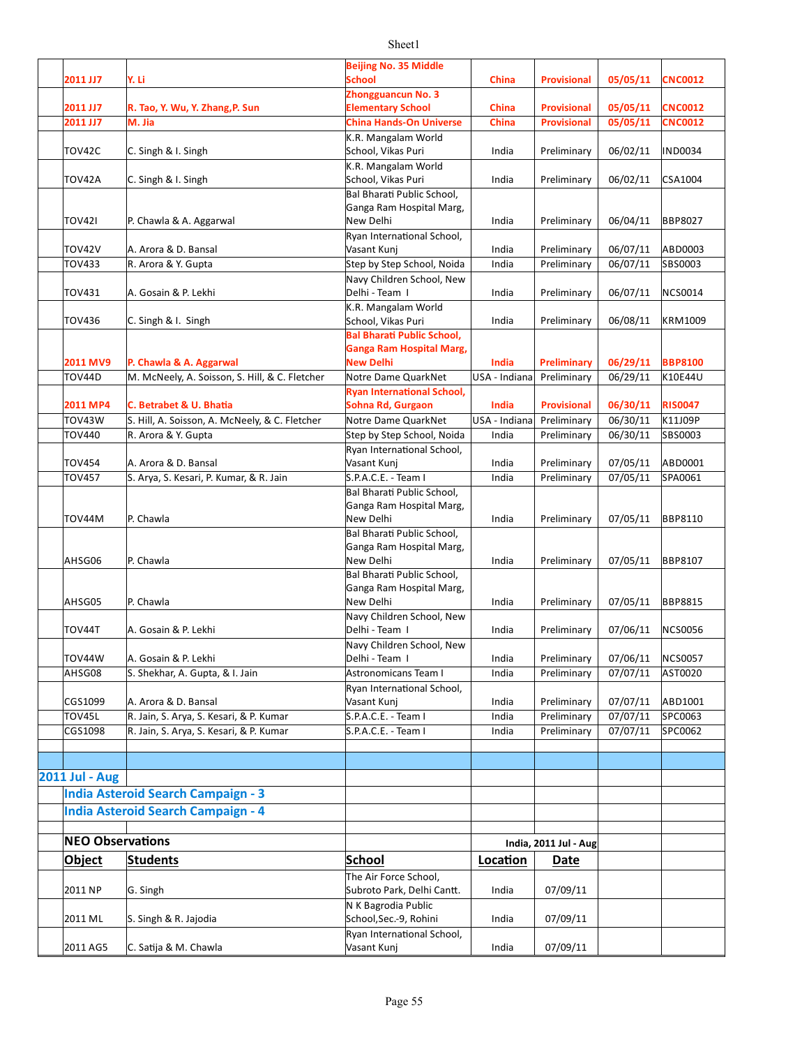| 2011 JJ7                | Y. Li                                                                     | <b>Beijing No. 35 Middle</b><br>School                    | China                  | <b>Provisional</b>         | 05/05/11             | <b>CNC0012</b>     |
|-------------------------|---------------------------------------------------------------------------|-----------------------------------------------------------|------------------------|----------------------------|----------------------|--------------------|
|                         |                                                                           | <b>Zhongguancun No. 3</b>                                 |                        |                            |                      |                    |
| 2011 JJ7                | R. Tao, Y. Wu, Y. Zhang, P. Sun                                           | <b>Elementary School</b>                                  | <b>China</b>           | <b>Provisional</b>         | 05/05/11             | <b>CNC0012</b>     |
| 2011 JJ7                | M. Jia                                                                    | <b>China Hands-On Universe</b>                            | China                  | <b>Provisional</b>         | 05/05/11             | <b>CNC0012</b>     |
|                         |                                                                           | K.R. Mangalam World                                       |                        |                            |                      |                    |
| TOV42C                  | C. Singh & I. Singh                                                       | School, Vikas Puri                                        | India                  | Preliminary                | 06/02/11             | <b>IND0034</b>     |
| TOV42A                  | C. Singh & I. Singh                                                       | K.R. Mangalam World<br>School, Vikas Puri                 | India                  | Preliminary                | 06/02/11             | CSA1004            |
|                         |                                                                           | Bal Bharati Public School,                                |                        |                            |                      |                    |
|                         |                                                                           | Ganga Ram Hospital Marg,                                  |                        |                            |                      |                    |
| <b>TOV421</b>           | P. Chawla & A. Aggarwal                                                   | New Delhi                                                 | India                  | Preliminary                | 06/04/11             | <b>BBP8027</b>     |
| <b>TOV42V</b>           | A. Arora & D. Bansal                                                      | Ryan International School,<br>Vasant Kunj                 | India                  | Preliminary                | 06/07/11             | ABD0003            |
| <b>TOV433</b>           | R. Arora & Y. Gupta                                                       | Step by Step School, Noida                                | India                  | Preliminary                | 06/07/11             | SBS0003            |
|                         |                                                                           | Navy Children School, New                                 |                        |                            |                      |                    |
| <b>TOV431</b>           | A. Gosain & P. Lekhi                                                      | Delhi - Team I                                            | India                  | Preliminary                | 06/07/11             | <b>NCS0014</b>     |
|                         |                                                                           | K.R. Mangalam World                                       |                        |                            |                      |                    |
| <b>TOV436</b>           | C. Singh & I. Singh                                                       | School, Vikas Puri<br><b>Bal Bharati Public School,</b>   | India                  | Preliminary                | 06/08/11             | <b>KRM1009</b>     |
|                         |                                                                           | <b>Ganga Ram Hospital Marg,</b>                           |                        |                            |                      |                    |
| 2011 MV9                | P. Chawla & A. Aggarwal                                                   | <b>New Delhi</b>                                          | <b>India</b>           | <b>Preliminary</b>         | 06/29/11             | <b>BBP8100</b>     |
| <b>TOV44D</b>           | M. McNeely, A. Soisson, S. Hill, & C. Fletcher                            | Notre Dame QuarkNet                                       | USA - Indiana          | Preliminary                | 06/29/11             | K10E44U            |
|                         |                                                                           | <b>Ryan International School,</b>                         |                        |                            |                      |                    |
| 2011 MP4<br>TOV43W      | C. Betrabet & U. Bhatia<br>S. Hill, A. Soisson, A. McNeely, & C. Fletcher | Sohna Rd, Gurgaon<br>Notre Dame QuarkNet                  | India                  | <b>Provisional</b>         | 06/30/11             | <b>RIS0047</b>     |
| <b>TOV440</b>           | R. Arora & Y. Gupta                                                       | Step by Step School, Noida                                | USA - Indiana<br>India | Preliminary<br>Preliminary | 06/30/11<br>06/30/11 | K11J09P<br>SBS0003 |
|                         |                                                                           | Ryan International School,                                |                        |                            |                      |                    |
| <b>TOV454</b>           | A. Arora & D. Bansal                                                      | Vasant Kunj                                               | India                  | Preliminary                | 07/05/11             | ABD0001            |
| <b>TOV457</b>           | S. Arya, S. Kesari, P. Kumar, & R. Jain                                   | S.P.A.C.E. - Team I                                       | India                  | Preliminary                | 07/05/11             | SPA0061            |
|                         |                                                                           | Bal Bharati Public School,                                |                        |                            |                      |                    |
| TOV44M                  | P. Chawla                                                                 | Ganga Ram Hospital Marg,<br>New Delhi                     | India                  | Preliminary                | 07/05/11             | <b>BBP8110</b>     |
|                         |                                                                           | Bal Bharati Public School,                                |                        |                            |                      |                    |
|                         |                                                                           | Ganga Ram Hospital Marg,                                  |                        |                            |                      |                    |
| AHSG06                  | P. Chawla                                                                 | New Delhi                                                 | India                  | Preliminary                | 07/05/11             | <b>BBP8107</b>     |
|                         |                                                                           | Bal Bharati Public School,                                |                        |                            |                      |                    |
| AHSG05                  | P. Chawla                                                                 | Ganga Ram Hospital Marg,<br>New Delhi                     | India                  | Preliminary                | 07/05/11             | <b>BBP8815</b>     |
|                         |                                                                           | Navy Children School, New                                 |                        |                            |                      |                    |
| TOV44T                  | A. Gosain & P. Lekhi                                                      | Delhi - Team I                                            | India                  | Preliminary                | 07/06/11             | <b>NCS0056</b>     |
|                         |                                                                           | Navy Children School, New                                 |                        |                            |                      |                    |
| <b>TOV44W</b>           | A. Gosain & P. Lekhi                                                      | Delhi - Team I                                            | India                  | Preliminary                | 07/06/11             | <b>NCS0057</b>     |
| AHSG08                  | S. Shekhar, A. Gupta, & I. Jain                                           | <b>Astronomicans Team I</b><br>Ryan International School, | India                  | Preliminary                | 07/07/11             | AST0020            |
| CGS1099                 | A. Arora & D. Bansal                                                      | Vasant Kunj                                               | India                  | Preliminary                | 07/07/11             | ABD1001            |
| TOV45L                  | R. Jain, S. Arya, S. Kesari, & P. Kumar                                   | S.P.A.C.E. - Team I                                       | India                  | Preliminary                | 07/07/11             | SPC0063            |
| CGS1098                 | R. Jain, S. Arya, S. Kesari, & P. Kumar                                   | S.P.A.C.E. - Team I                                       | India                  | Preliminary                | 07/07/11             | SPC0062            |
|                         |                                                                           |                                                           |                        |                            |                      |                    |
|                         |                                                                           |                                                           |                        |                            |                      |                    |
| 2011 Jul - Aug          |                                                                           |                                                           |                        |                            |                      |                    |
|                         | <b>India Asteroid Search Campaign - 3</b>                                 |                                                           |                        |                            |                      |                    |
|                         | <b>India Asteroid Search Campaign - 4</b>                                 |                                                           |                        |                            |                      |                    |
| <b>NEO Observations</b> |                                                                           |                                                           |                        | India, 2011 Jul - Aug      |                      |                    |
| <b>Object</b>           | <b>Students</b>                                                           | <b>School</b>                                             | Location               | Date                       |                      |                    |
|                         |                                                                           | The Air Force School,                                     |                        |                            |                      |                    |
| 2011 NP                 | G. Singh                                                                  | Subroto Park, Delhi Cantt.                                | India                  | 07/09/11                   |                      |                    |
|                         |                                                                           | N K Bagrodia Public                                       |                        |                            |                      |                    |
| 2011 ML                 | S. Singh & R. Jajodia                                                     | School, Sec.-9, Rohini                                    | India                  | 07/09/11                   |                      |                    |
|                         |                                                                           | Ryan International School,                                |                        |                            |                      |                    |
| 2011 AG5                | C. Satija & M. Chawla                                                     | Vasant Kunj                                               | India                  | 07/09/11                   |                      |                    |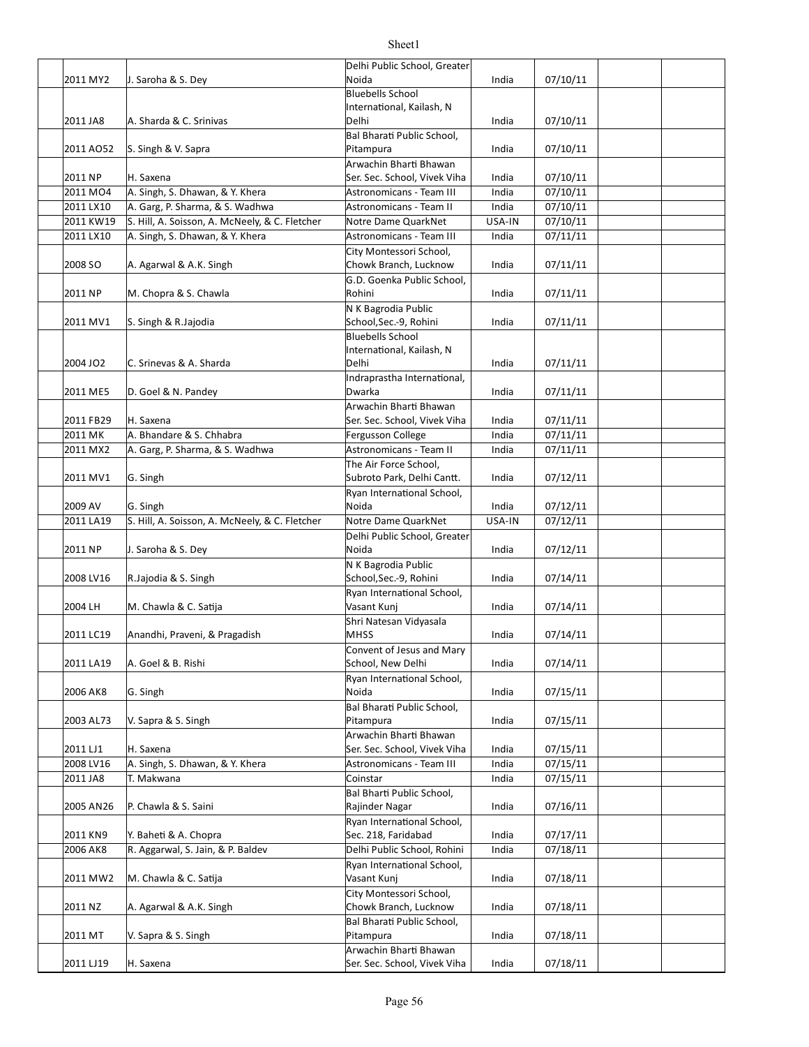| 2011 MY2  | J. Saroha & S. Dey                             | Delhi Public School, Greater<br>Noida | India  | 07/10/11 |  |
|-----------|------------------------------------------------|---------------------------------------|--------|----------|--|
|           |                                                | <b>Bluebells School</b>               |        |          |  |
|           |                                                | International, Kailash, N             |        |          |  |
| 2011 JA8  | A. Sharda & C. Srinivas                        | Delhi                                 | India  | 07/10/11 |  |
|           |                                                | Bal Bharati Public School,            |        |          |  |
| 2011 AO52 | S. Singh & V. Sapra                            | Pitampura                             | India  | 07/10/11 |  |
|           |                                                | Arwachin Bharti Bhawan                |        |          |  |
| 2011 NP   | H. Saxena                                      | Ser. Sec. School, Vivek Viha          | India  | 07/10/11 |  |
| 2011 MO4  | A. Singh, S. Dhawan, & Y. Khera                | Astronomicans - Team III              | India  | 07/10/11 |  |
| 2011 LX10 | A. Garg, P. Sharma, & S. Wadhwa                | Astronomicans - Team II               | India  | 07/10/11 |  |
| 2011 KW19 | S. Hill, A. Soisson, A. McNeely, & C. Fletcher | Notre Dame QuarkNet                   | USA-IN | 07/10/11 |  |
| 2011 LX10 | A. Singh, S. Dhawan, & Y. Khera                | <b>Astronomicans - Team III</b>       | India  | 07/11/11 |  |
|           |                                                | City Montessori School,               |        |          |  |
| 2008 SO   | A. Agarwal & A.K. Singh                        | Chowk Branch, Lucknow                 | India  | 07/11/11 |  |
|           |                                                | G.D. Goenka Public School,            |        |          |  |
| 2011 NP   | M. Chopra & S. Chawla                          | Rohini                                | India  | 07/11/11 |  |
|           |                                                | N K Bagrodia Public                   |        |          |  |
| 2011 MV1  | S. Singh & R. Jajodia                          | School, Sec.-9, Rohini                | India  | 07/11/11 |  |
|           |                                                | <b>Bluebells School</b>               |        |          |  |
|           |                                                | International, Kailash, N             |        |          |  |
| 2004 JO2  | C. Srinevas & A. Sharda                        | Delhi                                 | India  | 07/11/11 |  |
|           |                                                | Indraprastha International,           |        |          |  |
| 2011 ME5  | D. Goel & N. Pandey                            | Dwarka                                | India  | 07/11/11 |  |
|           |                                                | Arwachin Bharti Bhawan                |        |          |  |
| 2011 FB29 | H. Saxena                                      | Ser. Sec. School, Vivek Viha          | India  | 07/11/11 |  |
| 2011 MK   | A. Bhandare & S. Chhabra                       | Fergusson College                     | India  | 07/11/11 |  |
| 2011 MX2  | A. Garg, P. Sharma, & S. Wadhwa                | Astronomicans - Team II               | India  | 07/11/11 |  |
|           |                                                | The Air Force School,                 |        |          |  |
| 2011 MV1  | G. Singh                                       | Subroto Park, Delhi Cantt.            | India  | 07/12/11 |  |
|           |                                                | Ryan International School,            |        |          |  |
| 2009 AV   | G. Singh                                       | Noida                                 | India  | 07/12/11 |  |
| 2011 LA19 | S. Hill, A. Soisson, A. McNeely, & C. Fletcher | Notre Dame QuarkNet                   | USA-IN | 07/12/11 |  |
|           |                                                | Delhi Public School, Greater          |        |          |  |
| 2011 NP   | J. Saroha & S. Dey                             | Noida                                 | India  | 07/12/11 |  |
|           |                                                | N K Bagrodia Public                   |        |          |  |
| 2008 LV16 | R.Jajodia & S. Singh                           | School, Sec.-9, Rohini                | India  | 07/14/11 |  |
|           |                                                | Ryan International School,            |        |          |  |
| 2004 LH   | M. Chawla & C. Satija                          | Vasant Kunj                           | India  | 07/14/11 |  |
|           |                                                | Shri Natesan Vidyasala                |        |          |  |
| 2011 LC19 | Anandhi, Praveni, & Pragadish                  | <b>MHSS</b>                           | India  | 07/14/11 |  |
|           |                                                | Convent of Jesus and Mary             |        |          |  |
| 2011 LA19 | A. Goel & B. Rishi                             | School, New Delhi                     | India  | 07/14/11 |  |
|           |                                                | Ryan International School,            |        |          |  |
| 2006 AK8  | G. Singh                                       | Noida                                 | India  | 07/15/11 |  |
|           |                                                | Bal Bharati Public School,            |        |          |  |
| 2003 AL73 | V. Sapra & S. Singh                            | Pitampura                             | India  | 07/15/11 |  |
|           |                                                | Arwachin Bharti Bhawan                |        |          |  |
| 2011 LJ1  | H. Saxena                                      | Ser. Sec. School, Vivek Viha          | India  | 07/15/11 |  |
| 2008 LV16 | A. Singh, S. Dhawan, & Y. Khera                | Astronomicans - Team III              | India  | 07/15/11 |  |
| 2011 JA8  | T. Makwana                                     | Coinstar                              | India  | 07/15/11 |  |
|           |                                                | Bal Bharti Public School,             |        |          |  |
| 2005 AN26 | P. Chawla & S. Saini                           | Rajinder Nagar                        | India  | 07/16/11 |  |
|           |                                                | Ryan International School,            |        |          |  |
| 2011 KN9  | Y. Baheti & A. Chopra                          | Sec. 218, Faridabad                   | India  | 07/17/11 |  |
| 2006 AK8  | R. Aggarwal, S. Jain, & P. Baldev              | Delhi Public School, Rohini           | India  | 07/18/11 |  |
|           |                                                | Ryan International School,            |        |          |  |
| 2011 MW2  | M. Chawla & C. Satija                          | Vasant Kunj                           | India  | 07/18/11 |  |
|           |                                                | City Montessori School,               |        |          |  |
| 2011 NZ   | A. Agarwal & A.K. Singh                        | Chowk Branch, Lucknow                 | India  | 07/18/11 |  |
|           |                                                | Bal Bharati Public School,            |        |          |  |
| 2011 MT   |                                                |                                       |        |          |  |
|           | V. Sapra & S. Singh                            | Pitampura                             | India  | 07/18/11 |  |
|           |                                                | Arwachin Bharti Bhawan                |        |          |  |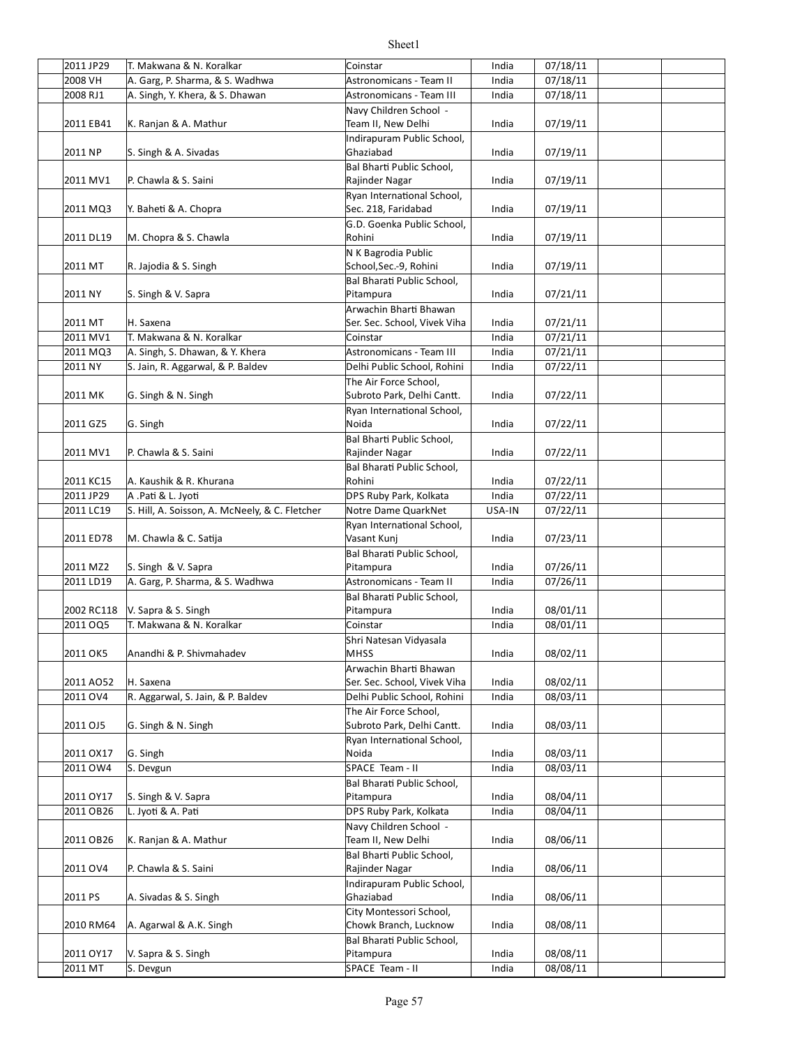| 2011 JP29            | T. Makwana & N. Koralkar                       | Coinstar                            | India  | 07/18/11             |  |
|----------------------|------------------------------------------------|-------------------------------------|--------|----------------------|--|
| 2008 VH              | A. Garg, P. Sharma, & S. Wadhwa                | <b>Astronomicans - Team II</b>      | India  | 07/18/11             |  |
| 2008 RJ1             | A. Singh, Y. Khera, & S. Dhawan                | <b>Astronomicans - Team III</b>     | India  | 07/18/11             |  |
|                      |                                                | Navy Children School -              |        |                      |  |
| 2011 EB41            | K. Ranjan & A. Mathur                          | Team II, New Delhi                  | India  | 07/19/11             |  |
|                      |                                                | Indirapuram Public School,          |        |                      |  |
| 2011 NP              | S. Singh & A. Sivadas                          | Ghaziabad                           | India  | 07/19/11             |  |
|                      |                                                | Bal Bharti Public School,           |        |                      |  |
| 2011 MV1             | P. Chawla & S. Saini                           | Rajinder Nagar                      | India  | 07/19/11             |  |
|                      |                                                | Ryan International School,          |        |                      |  |
| 2011 MQ3             | Y. Baheti & A. Chopra                          | Sec. 218, Faridabad                 | India  | 07/19/11             |  |
|                      |                                                | G.D. Goenka Public School,          |        |                      |  |
| 2011 DL19            | M. Chopra & S. Chawla                          | Rohini                              | India  | 07/19/11             |  |
|                      |                                                | N K Bagrodia Public                 |        |                      |  |
| 2011 MT              | R. Jajodia & S. Singh                          | School, Sec.-9, Rohini              | India  | 07/19/11             |  |
|                      |                                                | Bal Bharati Public School,          |        |                      |  |
| 2011 NY              | S. Singh & V. Sapra                            | Pitampura                           | India  | 07/21/11             |  |
|                      |                                                | Arwachin Bharti Bhawan              |        |                      |  |
| 2011 MT              | H. Saxena                                      | Ser. Sec. School, Vivek Viha        | India  | 07/21/11             |  |
| 2011 MV1             | T. Makwana & N. Koralkar                       | Coinstar                            | India  | 07/21/11             |  |
| 2011 MQ3             | A. Singh, S. Dhawan, & Y. Khera                | Astronomicans - Team III            | India  | 07/21/11             |  |
| 2011 NY              | S. Jain, R. Aggarwal, & P. Baldev              | Delhi Public School, Rohini         | India  | 07/22/11             |  |
|                      |                                                | The Air Force School,               |        |                      |  |
| 2011 MK              |                                                |                                     | India  |                      |  |
|                      | G. Singh & N. Singh                            | Subroto Park, Delhi Cantt.          |        | 07/22/11             |  |
|                      |                                                | Ryan International School,<br>Noida |        | 07/22/11             |  |
| 2011 GZ5             | G. Singh                                       |                                     | India  |                      |  |
|                      |                                                | Bal Bharti Public School,           |        |                      |  |
| 2011 MV1             | P. Chawla & S. Saini                           | Rajinder Nagar                      | India  | 07/22/11             |  |
|                      |                                                | Bal Bharati Public School,          |        |                      |  |
| 2011 KC15            | A. Kaushik & R. Khurana                        | Rohini                              | India  | 07/22/11             |  |
| 2011 JP29            | A .Pati & L. Jyoti                             | DPS Ruby Park, Kolkata              | India  | 07/22/11             |  |
| 2011 LC19            | S. Hill, A. Soisson, A. McNeely, & C. Fletcher | Notre Dame QuarkNet                 | USA-IN | $\frac{1}{07}/22/11$ |  |
|                      |                                                | Ryan International School,          |        |                      |  |
| 2011 ED78            | M. Chawla & C. Satija                          | Vasant Kunj                         | India  | 07/23/11             |  |
|                      |                                                | Bal Bharati Public School,          |        |                      |  |
| 2011 MZ2             | S. Singh & V. Sapra                            | Pitampura                           | India  | 07/26/11             |  |
| 2011 LD19            | A. Garg, P. Sharma, & S. Wadhwa                | Astronomicans - Team II             | India  | 07/26/11             |  |
|                      |                                                | Bal Bharati Public School,          |        |                      |  |
| 2002 RC118           | V. Sapra & S. Singh                            | Pitampura                           | India  | 08/01/11             |  |
| 2011 OQ5             | T. Makwana & N. Koralkar                       | Coinstar                            | India  | 08/01/11             |  |
|                      |                                                | Shri Natesan Vidyasala              |        |                      |  |
| 2011 OK5             | Anandhi & P. Shivmahadev                       | <b>MHSS</b>                         | India  | 08/02/11             |  |
|                      |                                                | Arwachin Bharti Bhawan              |        |                      |  |
| 2011 AO52            | H. Saxena                                      | Ser. Sec. School, Vivek Viha        | India  | 08/02/11             |  |
| 2011 OV4             | R. Aggarwal, S. Jain, & P. Baldev              | Delhi Public School, Rohini         | India  | 08/03/11             |  |
|                      |                                                | The Air Force School,               |        |                      |  |
| 2011 OJ5             | G. Singh & N. Singh                            | Subroto Park, Delhi Cantt.          | India  | 08/03/11             |  |
|                      |                                                | Ryan International School,          |        |                      |  |
| 2011 OX17            | G. Singh                                       | Noida                               | India  | 08/03/11             |  |
| 2011 OW4             | S. Devgun                                      | SPACE Team - II                     | India  | 08/03/11             |  |
|                      |                                                |                                     |        |                      |  |
|                      |                                                | Bal Bharati Public School,          |        | 08/04/11             |  |
| 2011 OY17            | S. Singh & V. Sapra<br>L. Jyoti & A. Pati      | Pitampura                           | India  |                      |  |
| 2011 OB26            |                                                | DPS Ruby Park, Kolkata              | India  | 08/04/11             |  |
|                      |                                                | Navy Children School -              |        |                      |  |
| 2011 OB26            | K. Ranjan & A. Mathur                          | Team II, New Delhi                  | India  | 08/06/11             |  |
|                      |                                                | Bal Bharti Public School,           |        |                      |  |
| 2011 OV4             | P. Chawla & S. Saini                           | Rajinder Nagar                      | India  | 08/06/11             |  |
|                      |                                                | Indirapuram Public School,          |        |                      |  |
| 2011 PS              | A. Sivadas & S. Singh                          | Ghaziabad                           | India  | 08/06/11             |  |
|                      |                                                | City Montessori School,             |        |                      |  |
| 2010 RM64            | A. Agarwal & A.K. Singh                        | Chowk Branch, Lucknow               | India  | 08/08/11             |  |
|                      |                                                | Bal Bharati Public School,          |        |                      |  |
|                      |                                                |                                     |        |                      |  |
| 2011 OY17<br>2011 MT | V. Sapra & S. Singh<br>S. Devgun               | Pitampura<br>SPACE Team - II        | India  | 08/08/11<br>08/08/11 |  |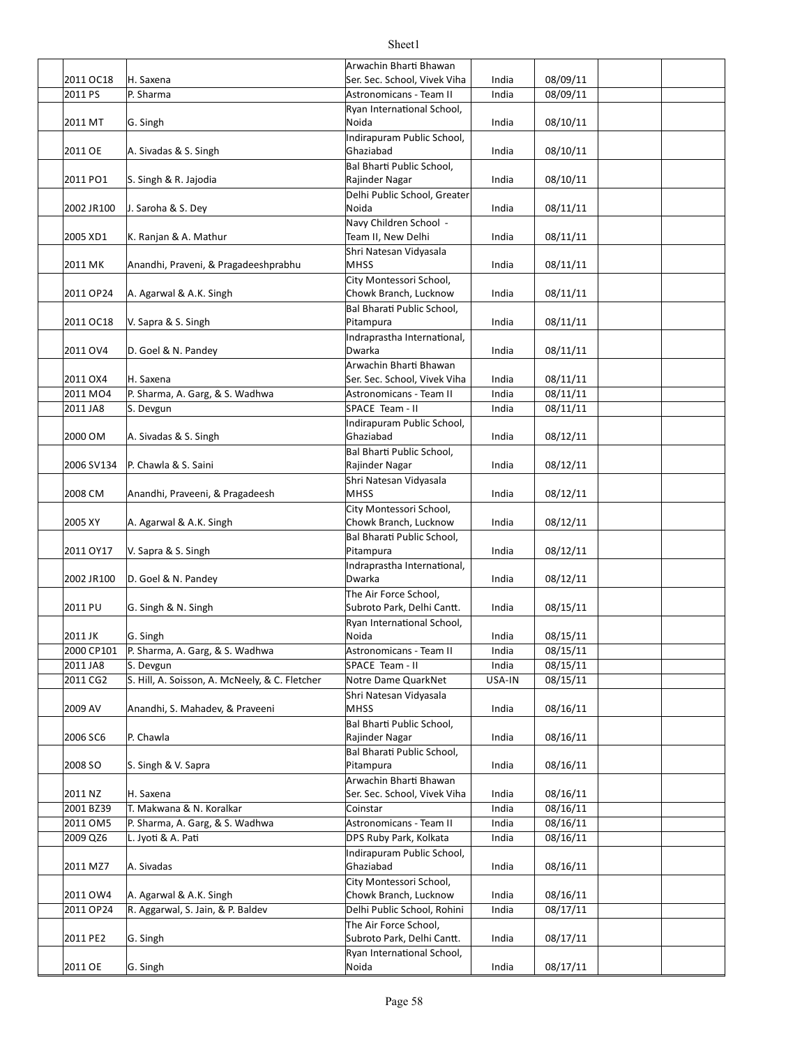|            |                                                | Arwachin Bharti Bhawan                |        |          |  |
|------------|------------------------------------------------|---------------------------------------|--------|----------|--|
| 2011 OC18  | H. Saxena                                      | Ser. Sec. School, Vivek Viha          | India  | 08/09/11 |  |
| 2011 PS    | P. Sharma                                      | Astronomicans - Team II               | India  | 08/09/11 |  |
|            |                                                | Ryan International School,<br>Noida   | India  | 08/10/11 |  |
| 2011 MT    | G. Singh                                       | Indirapuram Public School,            |        |          |  |
| 2011 OE    | A. Sivadas & S. Singh                          | Ghaziabad                             | India  | 08/10/11 |  |
|            |                                                | Bal Bharti Public School,             |        |          |  |
| 2011 PO1   | S. Singh & R. Jajodia                          | Rajinder Nagar                        | India  | 08/10/11 |  |
|            |                                                | Delhi Public School, Greater          |        |          |  |
| 2002 JR100 | J. Saroha & S. Dey                             | Noida                                 | India  | 08/11/11 |  |
|            |                                                | Navy Children School -                |        |          |  |
| 2005 XD1   | K. Ranjan & A. Mathur                          | Team II, New Delhi                    | India  | 08/11/11 |  |
|            |                                                | Shri Natesan Vidyasala                |        |          |  |
| 2011 MK    | Anandhi, Praveni, & Pragadeeshprabhu           | <b>MHSS</b>                           | India  | 08/11/11 |  |
|            |                                                | City Montessori School,               |        |          |  |
| 2011 OP24  | A. Agarwal & A.K. Singh                        | Chowk Branch, Lucknow                 | India  | 08/11/11 |  |
|            |                                                | Bal Bharati Public School,            |        |          |  |
| 2011 OC18  | V. Sapra & S. Singh                            | Pitampura                             | India  | 08/11/11 |  |
|            |                                                | Indraprastha International,           |        |          |  |
| 2011 OV4   | D. Goel & N. Pandey                            | Dwarka                                | India  | 08/11/11 |  |
|            |                                                | Arwachin Bharti Bhawan                |        |          |  |
| 2011 OX4   | H. Saxena                                      | Ser. Sec. School, Vivek Viha          | India  | 08/11/11 |  |
| 2011 MO4   | P. Sharma, A. Garg, & S. Wadhwa                | Astronomicans - Team II               | India  | 08/11/11 |  |
| 2011 JA8   | S. Devgun                                      | SPACE Team - II                       | India  | 08/11/11 |  |
|            |                                                | Indirapuram Public School,            |        |          |  |
| 2000 OM    | A. Sivadas & S. Singh                          | Ghaziabad                             | India  | 08/12/11 |  |
|            |                                                | Bal Bharti Public School,             |        |          |  |
| 2006 SV134 | P. Chawla & S. Saini                           | Rajinder Nagar                        | India  | 08/12/11 |  |
|            |                                                | Shri Natesan Vidyasala                |        |          |  |
| 2008 CM    | Anandhi, Praveeni, & Pragadeesh                | <b>MHSS</b>                           | India  | 08/12/11 |  |
|            |                                                | City Montessori School,               |        |          |  |
| 2005 XY    | A. Agarwal & A.K. Singh                        | Chowk Branch, Lucknow                 | India  | 08/12/11 |  |
|            |                                                | Bal Bharati Public School,            |        |          |  |
| 2011 OY17  | V. Sapra & S. Singh                            | Pitampura                             | India  | 08/12/11 |  |
| 2002 JR100 | D. Goel & N. Pandey                            | Indraprastha International,<br>Dwarka | India  | 08/12/11 |  |
|            |                                                | The Air Force School,                 |        |          |  |
| 2011 PU    | G. Singh & N. Singh                            | Subroto Park, Delhi Cantt.            | India  | 08/15/11 |  |
|            |                                                | Ryan International School,            |        |          |  |
| 2011 JK    | G. Singh                                       | Noida                                 | India  | 08/15/11 |  |
| 2000 CP101 | P. Sharma, A. Garg, & S. Wadhwa                | Astronomicans - Team II               | India  | 08/15/11 |  |
| 2011 JA8   | S. Devgun                                      | SPACE Team - II                       | India  | 08/15/11 |  |
| 2011 CG2   | S. Hill, A. Soisson, A. McNeely, & C. Fletcher | Notre Dame QuarkNet                   | USA-IN | 08/15/11 |  |
|            |                                                | Shri Natesan Vidyasala                |        |          |  |
| 2009 AV    | Anandhi, S. Mahadev, & Praveeni                | <b>MHSS</b>                           | India  | 08/16/11 |  |
|            |                                                | Bal Bharti Public School,             |        |          |  |
| 2006 SC6   | P. Chawla                                      | Rajinder Nagar                        | India  | 08/16/11 |  |
|            |                                                | Bal Bharati Public School,            |        |          |  |
| 2008 SO    | S. Singh & V. Sapra                            | Pitampura                             | India  | 08/16/11 |  |
|            |                                                | Arwachin Bharti Bhawan                |        |          |  |
| 2011 NZ    | H. Saxena                                      | Ser. Sec. School, Vivek Viha          | India  | 08/16/11 |  |
| 2001 BZ39  | T. Makwana & N. Koralkar                       | Coinstar                              | India  | 08/16/11 |  |
| 2011 OM5   | P. Sharma, A. Garg, & S. Wadhwa                | Astronomicans - Team II               | India  | 08/16/11 |  |
| 2009 QZ6   | L. Jyoti & A. Pati                             | DPS Ruby Park, Kolkata                | India  | 08/16/11 |  |
|            |                                                | Indirapuram Public School,            |        |          |  |
| 2011 MZ7   | A. Sivadas                                     | Ghaziabad                             | India  | 08/16/11 |  |
|            |                                                | City Montessori School,               |        |          |  |
| 2011 OW4   | A. Agarwal & A.K. Singh                        | Chowk Branch, Lucknow                 | India  | 08/16/11 |  |
| 2011 OP24  | R. Aggarwal, S. Jain, & P. Baldev              | Delhi Public School, Rohini           | India  | 08/17/11 |  |
|            |                                                | The Air Force School,                 |        |          |  |
| 2011 PE2   | G. Singh                                       | Subroto Park, Delhi Cantt.            | India  | 08/17/11 |  |
|            |                                                | Ryan International School,            |        |          |  |
| 2011 OE    | G. Singh                                       | Noida                                 | India  | 08/17/11 |  |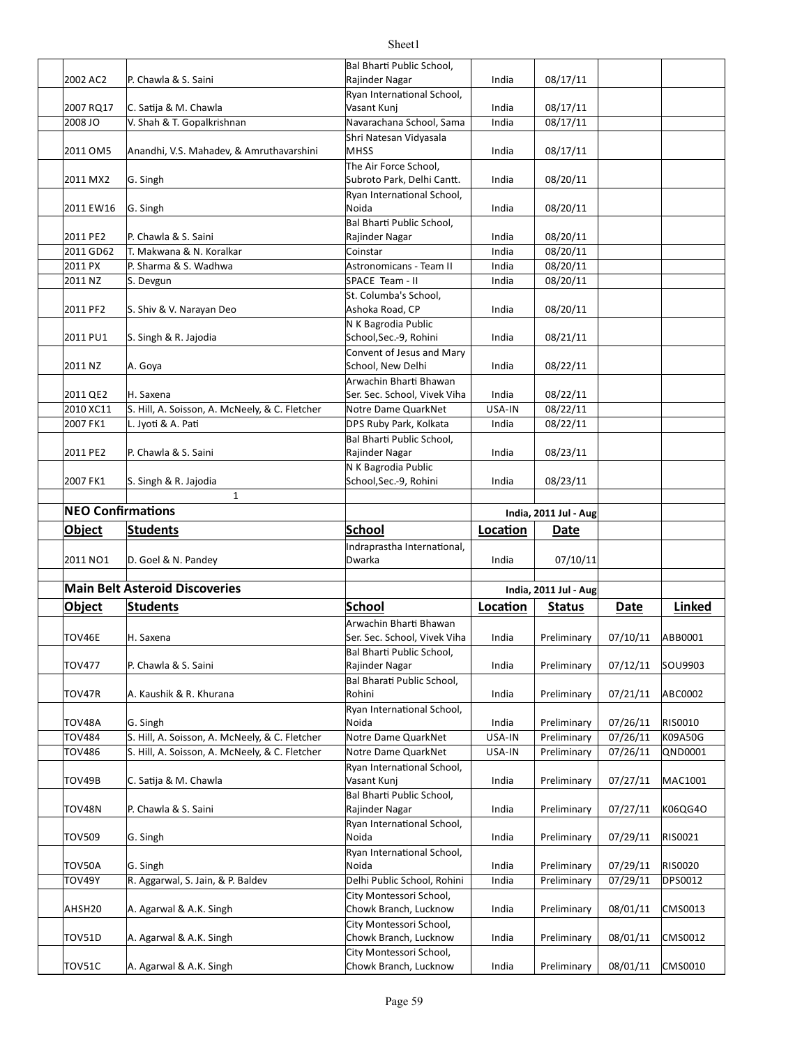|                          |                                                | Bal Bharti Public School,                        |          |                       |          |         |
|--------------------------|------------------------------------------------|--------------------------------------------------|----------|-----------------------|----------|---------|
| 2002 AC2                 | P. Chawla & S. Saini                           | Rajinder Nagar                                   | India    | 08/17/11              |          |         |
|                          |                                                | Ryan International School,<br>Vasant Kunj        | India    | 08/17/11              |          |         |
| 2007 RQ17                | C. Satija & M. Chawla                          |                                                  |          | 08/17/11              |          |         |
| 2008 JO                  | V. Shah & T. Gopalkrishnan                     | Navarachana School, Sama                         | India    |                       |          |         |
| 2011 OM5                 | Anandhi, V.S. Mahadev, & Amruthavarshini       | Shri Natesan Vidyasala<br><b>MHSS</b>            | India    | 08/17/11              |          |         |
|                          |                                                | The Air Force School,                            |          |                       |          |         |
| 2011 MX2                 | G. Singh                                       | Subroto Park, Delhi Cantt.                       | India    | 08/20/11              |          |         |
|                          |                                                | Ryan International School,                       |          |                       |          |         |
| 2011 EW16                | G. Singh                                       | Noida                                            | India    | 08/20/11              |          |         |
|                          |                                                | <b>Bal Bharti Public School,</b>                 |          |                       |          |         |
| 2011 PE2                 | P. Chawla & S. Saini                           | Rajinder Nagar                                   | India    | 08/20/11              |          |         |
| 2011 GD62                | T. Makwana & N. Koralkar                       | Coinstar                                         | India    | 08/20/11              |          |         |
| 2011 PX                  | P. Sharma & S. Wadhwa                          | Astronomicans - Team II                          | India    | 08/20/11              |          |         |
| 2011 NZ                  | S. Devgun                                      | SPACE Team - II                                  | India    | 08/20/11              |          |         |
|                          |                                                | St. Columba's School,                            |          |                       |          |         |
| 2011 PF2                 | S. Shiv & V. Narayan Deo                       | Ashoka Road, CP                                  | India    | 08/20/11              |          |         |
|                          |                                                | N K Bagrodia Public                              |          |                       |          |         |
| 2011 PU1                 | S. Singh & R. Jajodia                          | School, Sec.-9, Rohini                           | India    | 08/21/11              |          |         |
|                          |                                                | Convent of Jesus and Mary                        |          |                       |          |         |
| 2011 NZ                  | A. Goya                                        | School, New Delhi                                | India    | 08/22/11              |          |         |
|                          |                                                | Arwachin Bharti Bhawan                           |          |                       |          |         |
| 2011 QE2                 | H. Saxena                                      | Ser. Sec. School, Vivek Viha                     | India    | 08/22/11              |          |         |
| 2010 XC11                | S. Hill, A. Soisson, A. McNeely, & C. Fletcher | Notre Dame QuarkNet                              | USA-IN   | 08/22/11              |          |         |
| 2007 FK1                 | L. Jyoti & A. Pati                             | DPS Ruby Park, Kolkata                           | India    | 08/22/11              |          |         |
|                          |                                                |                                                  |          |                       |          |         |
| 2011 PE2                 | P. Chawla & S. Saini                           | Bal Bharti Public School,<br>Rajinder Nagar      | India    | 08/23/11              |          |         |
|                          |                                                | N K Bagrodia Public                              |          |                       |          |         |
| 2007 FK1                 | S. Singh & R. Jajodia                          | School, Sec.-9, Rohini                           | India    | 08/23/11              |          |         |
|                          | $\mathbf{1}$                                   |                                                  |          |                       |          |         |
| <b>NEO Confirmations</b> |                                                |                                                  |          |                       |          |         |
|                          |                                                |                                                  |          | India, 2011 Jul - Aug |          |         |
|                          |                                                |                                                  |          |                       |          |         |
| <b>Object</b>            | <b>Students</b>                                | <b>School</b>                                    | Location | <b>Date</b>           |          |         |
|                          |                                                | Indraprastha International,                      |          |                       |          |         |
| 2011 NO1                 | D. Goel & N. Pandey                            | Dwarka                                           | India    | 07/10/11              |          |         |
|                          |                                                |                                                  |          |                       |          |         |
|                          | <b>Main Belt Asteroid Discoveries</b>          |                                                  |          | India, 2011 Jul - Aug |          |         |
| Object                   | <b>Students</b>                                | <b>School</b>                                    | Location | <b>Status</b>         | Date     | Linked  |
|                          |                                                | Arwachin Bharti Bhawan                           |          |                       |          |         |
| TOV46E                   | H. Saxena                                      | Ser. Sec. School, Vivek Viha                     | India    | Preliminary           | 07/10/11 | ABB0001 |
|                          |                                                |                                                  |          |                       |          |         |
| <b>TOV477</b>            | P. Chawla & S. Saini                           | Bal Bharti Public School,<br>Rajinder Nagar      | India    | Preliminary           | 07/12/11 | SOU9903 |
|                          |                                                | Bal Bharati Public School,                       |          |                       |          |         |
| TOV47R                   | A. Kaushik & R. Khurana                        | Rohini                                           | India    | Preliminary           | 07/21/11 | ABC0002 |
|                          |                                                | Ryan International School,                       |          |                       |          |         |
| TOV48A                   | G. Singh                                       | Noida                                            | India    | Preliminary           |          | RIS0010 |
|                          |                                                |                                                  | USA-IN   |                       | 07/26/11 |         |
| <b>TOV484</b>            | S. Hill, A. Soisson, A. McNeely, & C. Fletcher | Notre Dame QuarkNet                              |          | Preliminary           | 07/26/11 | K09A50G |
| <b>TOV486</b>            | S. Hill, A. Soisson, A. McNeely, & C. Fletcher | Notre Dame QuarkNet                              | USA-IN   | Preliminary           | 07/26/11 | QND0001 |
|                          |                                                | Ryan International School,                       |          |                       |          |         |
| TOV49B                   | C. Satija & M. Chawla                          | Vasant Kuni                                      | India    | Preliminary           | 07/27/11 | MAC1001 |
|                          |                                                | Bal Bharti Public School,                        |          |                       |          |         |
| TOV48N                   | P. Chawla & S. Saini                           | Rajinder Nagar                                   | India    | Preliminary           | 07/27/11 | K06QG4O |
|                          |                                                | Ryan International School,                       |          |                       |          |         |
| <b>TOV509</b>            | G. Singh                                       | Noida                                            | India    | Preliminary           | 07/29/11 | RIS0021 |
|                          |                                                | Ryan International School,                       |          |                       |          |         |
| TOV50A                   | G. Singh                                       | Noida                                            | India    | Preliminary           | 07/29/11 | RIS0020 |
| <b>TOV49Y</b>            | R. Aggarwal, S. Jain, & P. Baldev              | Delhi Public School, Rohini                      | India    | Preliminary           | 07/29/11 | DPS0012 |
|                          |                                                | City Montessori School,                          |          |                       |          |         |
| AHSH20                   | A. Agarwal & A.K. Singh                        | Chowk Branch, Lucknow                            | India    | Preliminary           | 08/01/11 | CMS0013 |
|                          |                                                | City Montessori School,                          |          |                       |          |         |
| TOV51D                   | A. Agarwal & A.K. Singh                        | Chowk Branch, Lucknow                            | India    | Preliminary           | 08/01/11 | CMS0012 |
| TOV51C                   | A. Agarwal & A.K. Singh                        | City Montessori School,<br>Chowk Branch, Lucknow | India    | Preliminary           | 08/01/11 | CMS0010 |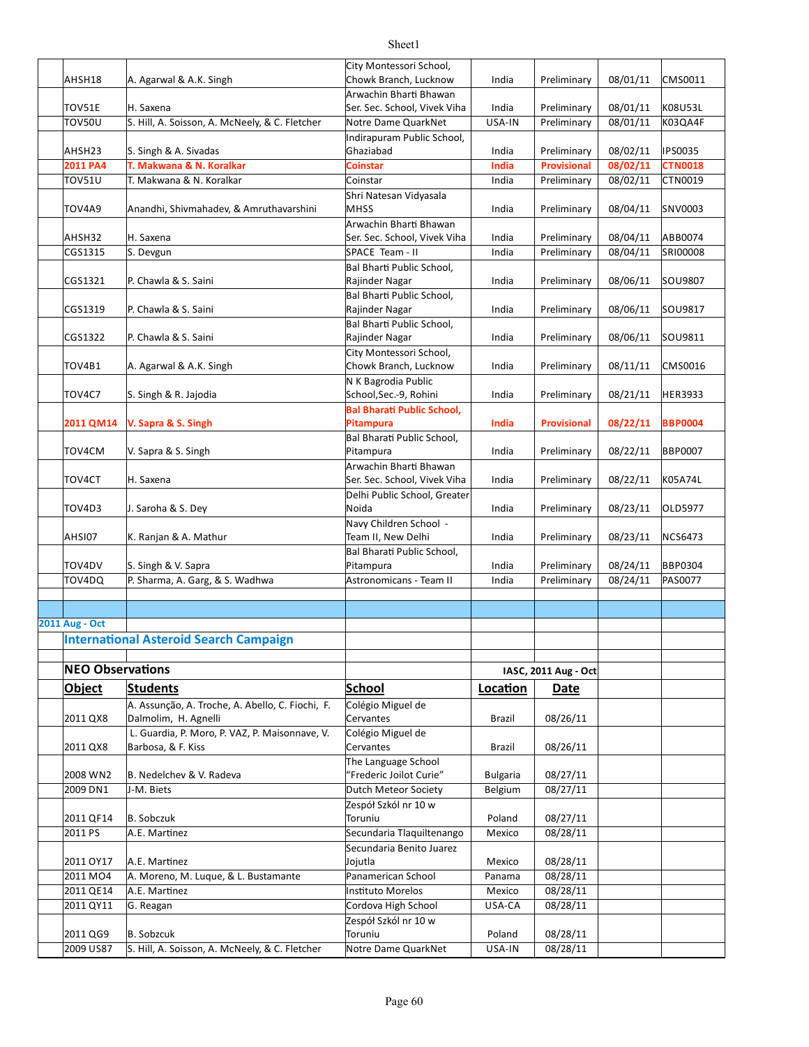| AHSH18                  | A. Agarwal & A.K. Singh                          | City Montessori School,<br>Chowk Branch, Lucknow | India           | Preliminary          | 08/01/11 | CMS0011        |
|-------------------------|--------------------------------------------------|--------------------------------------------------|-----------------|----------------------|----------|----------------|
|                         |                                                  | Arwachin Bharti Bhawan                           |                 |                      |          |                |
| <b>TOV51E</b>           | H. Saxena                                        | Ser. Sec. School, Vivek Viha                     | India           | Preliminary          | 08/01/11 | K08U53L        |
| <b>TOV50U</b>           | S. Hill, A. Soisson, A. McNeely, & C. Fletcher   | Notre Dame QuarkNet                              | USA-IN          | Preliminary          | 08/01/11 | K03QA4F        |
|                         |                                                  | Indirapuram Public School,                       |                 |                      |          |                |
| AHSH23                  | S. Singh & A. Sivadas                            | Ghaziabad                                        | India           | Preliminary          | 08/02/11 | IPS0035        |
| 2011 PA4                | T. Makwana & N. Koralkar                         | <b>Coinstar</b>                                  | India           | <b>Provisional</b>   | 08/02/11 | <b>CTN0018</b> |
| <b>TOV51U</b>           | T. Makwana & N. Koralkar                         | Coinstar                                         | India           | Preliminary          | 08/02/11 | CTN0019        |
|                         |                                                  | Shri Natesan Vidyasala                           |                 |                      |          |                |
| TOV4A9                  | Anandhi, Shivmahadev, & Amruthavarshini          | <b>MHSS</b>                                      | India           | Preliminary          | 08/04/11 | SNV0003        |
|                         |                                                  | Arwachin Bharti Bhawan                           |                 |                      |          |                |
| AHSH32                  | H. Saxena                                        | Ser. Sec. School, Vivek Viha                     | India           | Preliminary          | 08/04/11 | ABB0074        |
| CGS1315                 | S. Devgun                                        | SPACE Team - II                                  | India           | Preliminary          | 08/04/11 | SRI00008       |
|                         |                                                  | Bal Bharti Public School,                        |                 |                      |          |                |
| CGS1321                 | P. Chawla & S. Saini                             | Rajinder Nagar                                   | India           | Preliminary          | 08/06/11 | SOU9807        |
|                         |                                                  | Bal Bharti Public School,                        |                 |                      |          |                |
| CGS1319                 | P. Chawla & S. Saini                             | Rajinder Nagar                                   | India           | Preliminary          | 08/06/11 | SOU9817        |
|                         |                                                  | Bal Bharti Public School,                        |                 |                      |          |                |
| CGS1322                 | P. Chawla & S. Saini                             | Rajinder Nagar                                   | India           | Preliminary          | 08/06/11 | SOU9811        |
| TOV4B1                  | A. Agarwal & A.K. Singh                          | City Montessori School,<br>Chowk Branch, Lucknow | India           | Preliminary          | 08/11/11 | CMS0016        |
|                         |                                                  | N K Bagrodia Public                              |                 |                      |          |                |
| TOV4C7                  | S. Singh & R. Jajodia                            | School, Sec.-9, Rohini                           | India           | Preliminary          | 08/21/11 | <b>HER3933</b> |
|                         |                                                  | <b>Bal Bharati Public School,</b>                |                 |                      |          |                |
| 2011 QM14               | V. Sapra & S. Singh                              | <b>Pitampura</b>                                 | India           | <b>Provisional</b>   | 08/22/11 | <b>BBP0004</b> |
|                         |                                                  | Bal Bharati Public School,                       |                 |                      |          |                |
| TOV4CM                  | V. Sapra & S. Singh                              | Pitampura                                        | India           | Preliminary          | 08/22/11 | <b>BBP0007</b> |
|                         |                                                  | Arwachin Bharti Bhawan                           |                 |                      |          |                |
| TOV4CT                  | H. Saxena                                        | Ser. Sec. School, Vivek Viha                     | India           | Preliminary          | 08/22/11 | K05A74L        |
|                         |                                                  | Delhi Public School, Greater                     |                 |                      |          |                |
| TOV4D3                  | J. Saroha & S. Dey                               | Noida                                            | India           | Preliminary          | 08/23/11 | OLD5977        |
|                         |                                                  | Navy Children School -                           |                 |                      |          |                |
| AHSI07                  | K. Ranjan & A. Mathur                            | Team II, New Delhi                               | India           | Preliminary          | 08/23/11 | <b>NCS6473</b> |
|                         |                                                  | Bal Bharati Public School,                       |                 |                      |          |                |
| TOV4DV                  | S. Singh & V. Sapra                              | Pitampura                                        | India           | Preliminary          | 08/24/11 | <b>BBP0304</b> |
| TOV4DQ                  | P. Sharma, A. Garg, & S. Wadhwa                  | Astronomicans - Team II                          | India           | Preliminary          | 08/24/11 | PAS0077        |
|                         |                                                  |                                                  |                 |                      |          |                |
| <b>2011 Aug - Oct</b>   |                                                  |                                                  |                 |                      |          |                |
|                         | <b>International Asteroid Search Campaign</b>    |                                                  |                 |                      |          |                |
|                         |                                                  |                                                  |                 |                      |          |                |
| <b>NEO Observations</b> |                                                  |                                                  |                 |                      |          |                |
|                         |                                                  |                                                  |                 | IASC, 2011 Aug - Oct |          |                |
| <b>Object</b>           | <b>Students</b>                                  | <b>School</b>                                    | Location        | Date                 |          |                |
|                         | A. Assunção, A. Troche, A. Abello, C. Fiochi, F. | Colégio Miguel de                                |                 |                      |          |                |
| 2011 QX8                | Dalmolim, H. Agnelli                             | Cervantes                                        | <b>Brazil</b>   | 08/26/11             |          |                |
|                         | L. Guardia, P. Moro, P. VAZ, P. Maisonnave, V.   | Colégio Miguel de                                |                 |                      |          |                |
| 2011 QX8                | Barbosa, & F. Kiss                               | Cervantes                                        | Brazil          | 08/26/11             |          |                |
| 2008 WN2                |                                                  | The Language School<br>"Frederic Joilot Curie"   |                 | 08/27/11             |          |                |
|                         | B. Nedelchev & V. Radeva                         |                                                  | <b>Bulgaria</b> |                      |          |                |
| 2009 DN1                | J-M. Biets                                       | Dutch Meteor Society<br>Zespół Szkól nr 10 w     | Belgium         | 08/27/11             |          |                |
| 2011 QF14               | B. Sobczuk                                       | Toruniu                                          | Poland          | 08/27/11             |          |                |
| 2011 PS                 | A.E. Martinez                                    | Secundaria Tlaquiltenango                        | Mexico          | 08/28/11             |          |                |
|                         |                                                  | Secundaria Benito Juarez                         |                 |                      |          |                |
| 2011 OY17               | A.E. Martinez                                    | Jojutla                                          | Mexico          | 08/28/11             |          |                |
| 2011 MO4                | A. Moreno, M. Luque, & L. Bustamante             | Panamerican School                               | Panama          | 08/28/11             |          |                |
| 2011 QE14               | A.E. Martinez                                    | <b>Instituto Morelos</b>                         | Mexico          | 08/28/11             |          |                |
| 2011 QY11               | G. Reagan                                        | Cordova High School                              | USA-CA          | 08/28/11             |          |                |
|                         |                                                  | Zespół Szkól nr 10 w                             |                 |                      |          |                |
| 2011 QG9                | <b>B.</b> Sobzcuk                                | Toruniu                                          | Poland          | 08/28/11             |          |                |
| 2009 US87               | S. Hill, A. Soisson, A. McNeely, & C. Fletcher   | Notre Dame QuarkNet                              | USA-IN          | 08/28/11             |          |                |
|                         |                                                  |                                                  |                 |                      |          |                |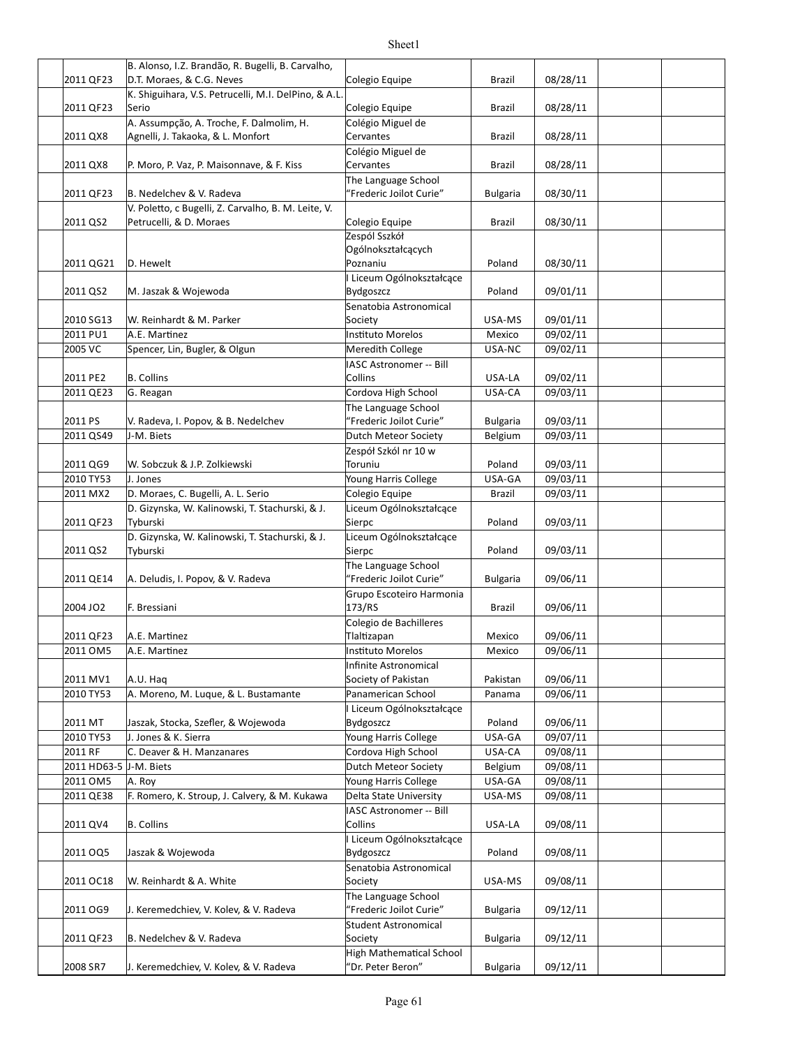|                        | B. Alonso, I.Z. Brandão, R. Bugelli, B. Carvalho,<br>D.T. Moraes, & C.G. Neves |                                                |                 |          |  |
|------------------------|--------------------------------------------------------------------------------|------------------------------------------------|-----------------|----------|--|
| 2011 QF23              | K. Shiguihara, V.S. Petrucelli, M.I. DelPino, & A.L.                           | Colegio Equipe                                 | Brazil          | 08/28/11 |  |
| 2011 QF23              | Serio                                                                          | Colegio Equipe                                 | Brazil          | 08/28/11 |  |
|                        | A. Assumpção, A. Troche, F. Dalmolim, H.                                       | Colégio Miguel de                              |                 |          |  |
| 2011 QX8               | Agnelli, J. Takaoka, & L. Monfort                                              | Cervantes                                      | Brazil          | 08/28/11 |  |
| 2011 QX8               | P. Moro, P. Vaz, P. Maisonnave, & F. Kiss                                      | Colégio Miguel de<br>Cervantes                 | Brazil          | 08/28/11 |  |
| 2011 QF23              | B. Nedelchev & V. Radeva                                                       | The Language School<br>"Frederic Joilot Curie" | <b>Bulgaria</b> | 08/30/11 |  |
|                        | V. Poletto, c Bugelli, Z. Carvalho, B. M. Leite, V.                            |                                                |                 |          |  |
| 2011 QS2               | Petrucelli, & D. Moraes                                                        | Colegio Equipe<br>Zespól Sszkół                | Brazil          | 08/30/11 |  |
| 2011 QG21              | D. Hewelt                                                                      | Ogólnokształcących<br>Poznaniu                 | Poland          | 08/30/11 |  |
|                        |                                                                                | Liceum Ogólnokształcące                        |                 |          |  |
| 2011 QS2               | M. Jaszak & Wojewoda                                                           | <b>Bydgoszcz</b>                               | Poland          | 09/01/11 |  |
| 2010 SG13              | W. Reinhardt & M. Parker                                                       | Senatobia Astronomical<br>Society              | USA-MS          | 09/01/11 |  |
| 2011 PU1               | A.E. Martinez                                                                  | Instituto Morelos                              | Mexico          | 09/02/11 |  |
| 2005 VC                | Spencer, Lin, Bugler, & Olgun                                                  | Meredith College                               | USA-NC          | 09/02/11 |  |
|                        |                                                                                | <b>IASC Astronomer -- Bill</b>                 |                 |          |  |
| 2011 PE2               | <b>B.</b> Collins                                                              | Collins                                        | USA-LA          | 09/02/11 |  |
| 2011 QE23              | G. Reagan                                                                      | Cordova High School                            | USA-CA          | 09/03/11 |  |
|                        |                                                                                | The Language School                            |                 |          |  |
| 2011 PS                | V. Radeva, I. Popov, & B. Nedelchev                                            | "Frederic Joilot Curie"                        | <b>Bulgaria</b> | 09/03/11 |  |
| 2011 QS49              | J-M. Biets                                                                     | Dutch Meteor Society                           | Belgium         | 09/03/11 |  |
|                        |                                                                                | Zespół Szkól nr 10 w                           |                 |          |  |
| 2011 QG9               | W. Sobczuk & J.P. Zolkiewski                                                   | Toruniu                                        | Poland          | 09/03/11 |  |
| 2010 TY53              | J. Jones                                                                       | Young Harris College                           | USA-GA          | 09/03/11 |  |
| 2011 MX2               | D. Moraes, C. Bugelli, A. L. Serio                                             | Colegio Equipe                                 | <b>Brazil</b>   | 09/03/11 |  |
|                        | D. Gizynska, W. Kalinowski, T. Stachurski, & J.                                | Liceum Ogólnokształcące                        |                 |          |  |
| 2011 QF23              | Tyburski                                                                       | Sierpc                                         | Poland          | 09/03/11 |  |
| 2011 QS2               | D. Gizynska, W. Kalinowski, T. Stachurski, & J.<br>Tyburski                    | Liceum Ogólnokształcące<br>Sierpc              | Poland          | 09/03/11 |  |
|                        |                                                                                | The Language School                            |                 |          |  |
| 2011 QE14              | A. Deludis, I. Popov, & V. Radeva                                              | "Frederic Joilot Curie"                        | <b>Bulgaria</b> | 09/06/11 |  |
| 2004 JO2               | F. Bressiani                                                                   | Grupo Escoteiro Harmonia<br>173/RS             | Brazil          | 09/06/11 |  |
|                        |                                                                                | Colegio de Bachilleres                         |                 |          |  |
| 2011 QF23              | A.E. Martinez                                                                  | Tlaltizapan                                    | Mexico          | 09/06/11 |  |
| 2011 OM5               | A.E. Martinez                                                                  | Instituto Morelos                              | Mexico          | 09/06/11 |  |
|                        |                                                                                | Infinite Astronomical                          |                 |          |  |
| 2011 MV1               | A.U. Hag                                                                       | Society of Pakistan                            | Pakistan        | 09/06/11 |  |
| 2010 TY53              | A. Moreno, M. Luque, & L. Bustamante                                           | Panamerican School                             | Panama          | 09/06/11 |  |
|                        |                                                                                | Liceum Ogólnokształcące                        |                 |          |  |
| 2011 MT                | Jaszak, Stocka, Szefler, & Wojewoda                                            | Bydgoszcz                                      | Poland          | 09/06/11 |  |
| 2010 TY53              | J. Jones & K. Sierra                                                           | Young Harris College                           | USA-GA          | 09/07/11 |  |
| 2011 RF                | C. Deaver & H. Manzanares                                                      | Cordova High School                            | USA-CA          | 09/08/11 |  |
| 2011 HD63-5 J-M. Biets |                                                                                | Dutch Meteor Society                           | Belgium         | 09/08/11 |  |
| 2011 OM5               | A. Roy                                                                         | Young Harris College                           | USA-GA          | 09/08/11 |  |
| 2011 QE38              | F. Romero, K. Stroup, J. Calvery, & M. Kukawa                                  | Delta State University                         | USA-MS          | 09/08/11 |  |
|                        |                                                                                | IASC Astronomer -- Bill                        |                 |          |  |
| 2011 QV4               | <b>B.</b> Collins                                                              | Collins                                        | USA-LA          | 09/08/11 |  |
| 2011 OQ5               | Jaszak & Wojewoda                                                              | Liceum Ogólnokształcące<br>Bydgoszcz           | Poland          | 09/08/11 |  |
| 2011 OC18              | W. Reinhardt & A. White                                                        | Senatobia Astronomical<br>Society              | USA-MS          | 09/08/11 |  |
|                        |                                                                                | The Language School                            |                 |          |  |
| 2011 OG9               | J. Keremedchiev, V. Kolev, & V. Radeva                                         | "Frederic Joilot Curie"                        | <b>Bulgaria</b> | 09/12/11 |  |
| 2011 QF23              | B. Nedelchev & V. Radeva                                                       | Student Astronomical<br>Society                | <b>Bulgaria</b> | 09/12/11 |  |
|                        |                                                                                | <b>High Mathematical School</b>                |                 |          |  |
| 2008 SR7               | J. Keremedchiev, V. Kolev, & V. Radeva                                         | 'Dr. Peter Beron"                              | <b>Bulgaria</b> | 09/12/11 |  |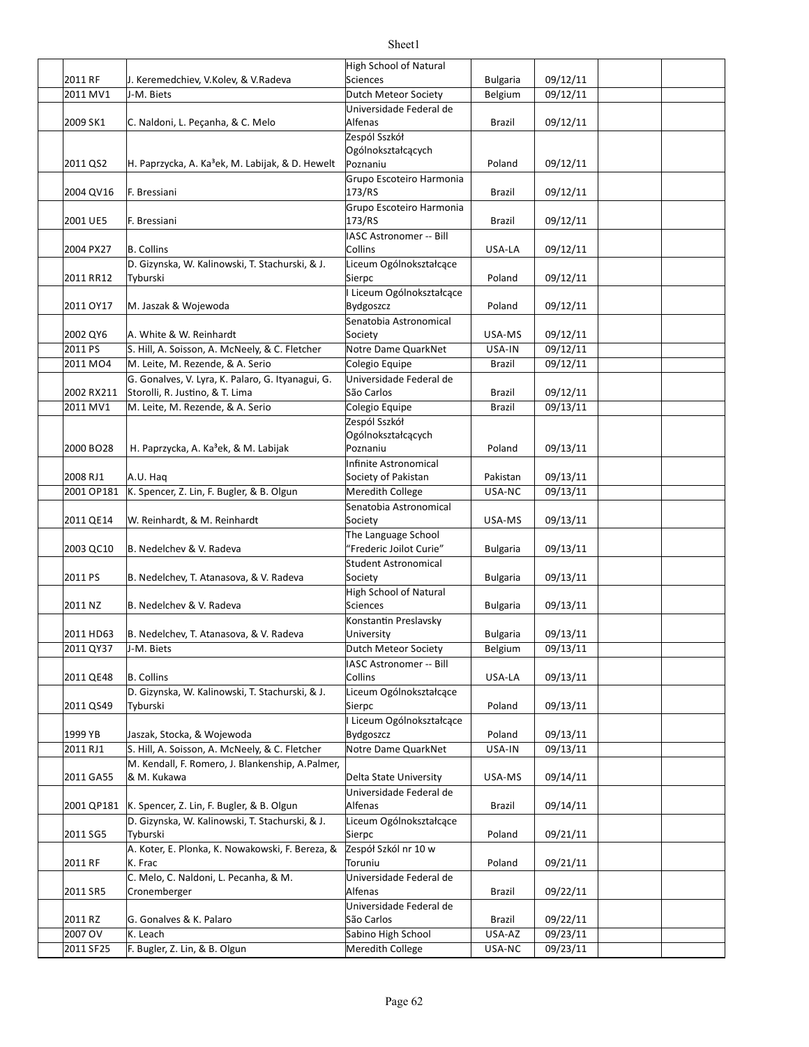|            |                                                              | High School of Natural                    |                 |          |  |
|------------|--------------------------------------------------------------|-------------------------------------------|-----------------|----------|--|
| 2011 RF    | J. Keremedchiev, V.Kolev, & V.Radeva                         | <b>Sciences</b>                           | <b>Bulgaria</b> | 09/12/11 |  |
| 2011 MV1   | J-M. Biets                                                   | Dutch Meteor Society                      | Belgium         | 09/12/11 |  |
|            |                                                              | Universidade Federal de                   |                 |          |  |
| 2009 SK1   | C. Naldoni, L. Peçanha, & C. Melo                            | Alfenas                                   | Brazil          | 09/12/11 |  |
|            |                                                              | Zespól Sszkół                             |                 |          |  |
|            |                                                              | Ogólnokształcących                        |                 |          |  |
| 2011 QS2   | H. Paprzycka, A. Ka <sup>3</sup> ek, M. Labijak, & D. Hewelt | Poznaniu                                  | Poland          | 09/12/11 |  |
|            |                                                              | Grupo Escoteiro Harmonia                  |                 |          |  |
| 2004 QV16  | F. Bressiani                                                 | 173/RS                                    | Brazil          | 09/12/11 |  |
|            |                                                              | Grupo Escoteiro Harmonia                  |                 |          |  |
| 2001 UE5   | F. Bressiani                                                 | 173/RS                                    | Brazil          | 09/12/11 |  |
|            | <b>B.</b> Collins                                            | <b>IASC Astronomer -- Bill</b><br>Collins | USA-LA          | 09/12/11 |  |
| 2004 PX27  |                                                              |                                           |                 |          |  |
| 2011 RR12  | D. Gizynska, W. Kalinowski, T. Stachurski, & J.<br>Tyburski  | Liceum Ogólnokształcące<br>Sierpc         | Poland          | 09/12/11 |  |
|            |                                                              | Liceum Ogólnokształcące                   |                 |          |  |
| 2011 OY17  | M. Jaszak & Wojewoda                                         | Bydgoszcz                                 | Poland          | 09/12/11 |  |
|            |                                                              | Senatobia Astronomical                    |                 |          |  |
| 2002 QY6   | A. White & W. Reinhardt                                      | Society                                   | USA-MS          | 09/12/11 |  |
| 2011 PS    | S. Hill, A. Soisson, A. McNeely, & C. Fletcher               | Notre Dame QuarkNet                       | USA-IN          | 09/12/11 |  |
| 2011 MO4   | M. Leite, M. Rezende, & A. Serio                             | Colegio Equipe                            | <b>Brazil</b>   | 09/12/11 |  |
|            | G. Gonalves, V. Lyra, K. Palaro, G. Ityanagui, G.            | Universidade Federal de                   |                 |          |  |
| 2002 RX211 | Storolli, R. Justino, & T. Lima                              | São Carlos                                | Brazil          | 09/12/11 |  |
| 2011 MV1   | M. Leite, M. Rezende, & A. Serio                             | Colegio Equipe                            | <b>Brazil</b>   | 09/13/11 |  |
|            |                                                              | Zespól Sszkół                             |                 |          |  |
|            |                                                              | Ogólnokształcących                        |                 |          |  |
| 2000 BO28  | H. Paprzycka, A. Ka <sup>3</sup> ek, & M. Labijak            | Poznaniu                                  | Poland          | 09/13/11 |  |
|            |                                                              | Infinite Astronomical                     |                 |          |  |
| 2008 RJ1   | A.U. Haq                                                     | Society of Pakistan                       | Pakistan        | 09/13/11 |  |
| 2001 OP181 | K. Spencer, Z. Lin, F. Bugler, & B. Olgun                    | <b>Meredith College</b>                   | USA-NC          | 09/13/11 |  |
|            |                                                              | Senatobia Astronomical                    |                 |          |  |
| 2011 QE14  | W. Reinhardt, & M. Reinhardt                                 | Society                                   | USA-MS          | 09/13/11 |  |
|            |                                                              | The Language School                       |                 |          |  |
| 2003 QC10  | B. Nedelchev & V. Radeva                                     | "Frederic Joilot Curie"                   | <b>Bulgaria</b> | 09/13/11 |  |
|            |                                                              | <b>Student Astronomical</b>               |                 |          |  |
| 2011 PS    | B. Nedelchev, T. Atanasova, & V. Radeva                      | Society                                   | <b>Bulgaria</b> | 09/13/11 |  |
|            |                                                              | <b>High School of Natural</b>             |                 |          |  |
| 2011 NZ    | B. Nedelchev & V. Radeva                                     | <b>Sciences</b>                           | <b>Bulgaria</b> | 09/13/11 |  |
|            |                                                              | Konstantin Preslavsky                     |                 |          |  |
| 2011 HD63  | B. Nedelchev, T. Atanasova, & V. Radeva                      | University                                | <b>Bulgaria</b> | 09/13/11 |  |
| 2011 QY37  | J-M. Biets                                                   | Dutch Meteor Society                      | Belgium         | 09/13/11 |  |
|            |                                                              | IASC Astronomer -- Bill                   |                 |          |  |
| 2011 QE48  | <b>B.</b> Collins                                            | Collins                                   | USA-LA          | 09/13/11 |  |
|            | D. Gizynska, W. Kalinowski, T. Stachurski, & J.              | Liceum Ogólnokształcące                   |                 |          |  |
| 2011 QS49  | Tvburski                                                     | Sierpc                                    | Poland          | 09/13/11 |  |
|            |                                                              | Liceum Ogólnokształcące                   |                 |          |  |
| 1999 YB    | Jaszak, Stocka, & Wojewoda                                   | <b>Bydgoszcz</b>                          | Poland          | 09/13/11 |  |
| 2011 RJ1   | S. Hill, A. Soisson, A. McNeely, & C. Fletcher               | Notre Dame QuarkNet                       | USA-IN          | 09/13/11 |  |
|            | M. Kendall, F. Romero, J. Blankenship, A.Palmer,             |                                           |                 |          |  |
| 2011 GA55  | & M. Kukawa                                                  | Delta State University                    | USA-MS          | 09/14/11 |  |
|            |                                                              | Universidade Federal de                   |                 |          |  |
| 2001 QP181 | K. Spencer, Z. Lin, F. Bugler, & B. Olgun                    | <b>Alfenas</b>                            | Brazil          | 09/14/11 |  |
| 2011 SG5   | D. Gizynska, W. Kalinowski, T. Stachurski, & J.<br>Tyburski  | Liceum Ogólnokształcące<br>Sierpc         | Poland          | 09/21/11 |  |
|            | A. Koter, E. Plonka, K. Nowakowski, F. Bereza, &             | Zespół Szkól nr 10 w                      |                 |          |  |
| 2011 RF    | K. Frac                                                      | Toruniu                                   | Poland          | 09/21/11 |  |
|            | C. Melo, C. Naldoni, L. Pecanha, & M.                        | Universidade Federal de                   |                 |          |  |
| 2011 SR5   | Cronemberger                                                 | <b>Alfenas</b>                            | Brazil          | 09/22/11 |  |
|            |                                                              | Universidade Federal de                   |                 |          |  |
| 2011 RZ    | G. Gonalves & K. Palaro                                      | São Carlos                                | Brazil          | 09/22/11 |  |
| 2007 OV    | K. Leach                                                     | Sabino High School                        | USA-AZ          | 09/23/11 |  |
| 2011 SF25  | F. Bugler, Z. Lin, & B. Olgun                                | Meredith College                          | USA-NC          | 09/23/11 |  |
|            |                                                              |                                           |                 |          |  |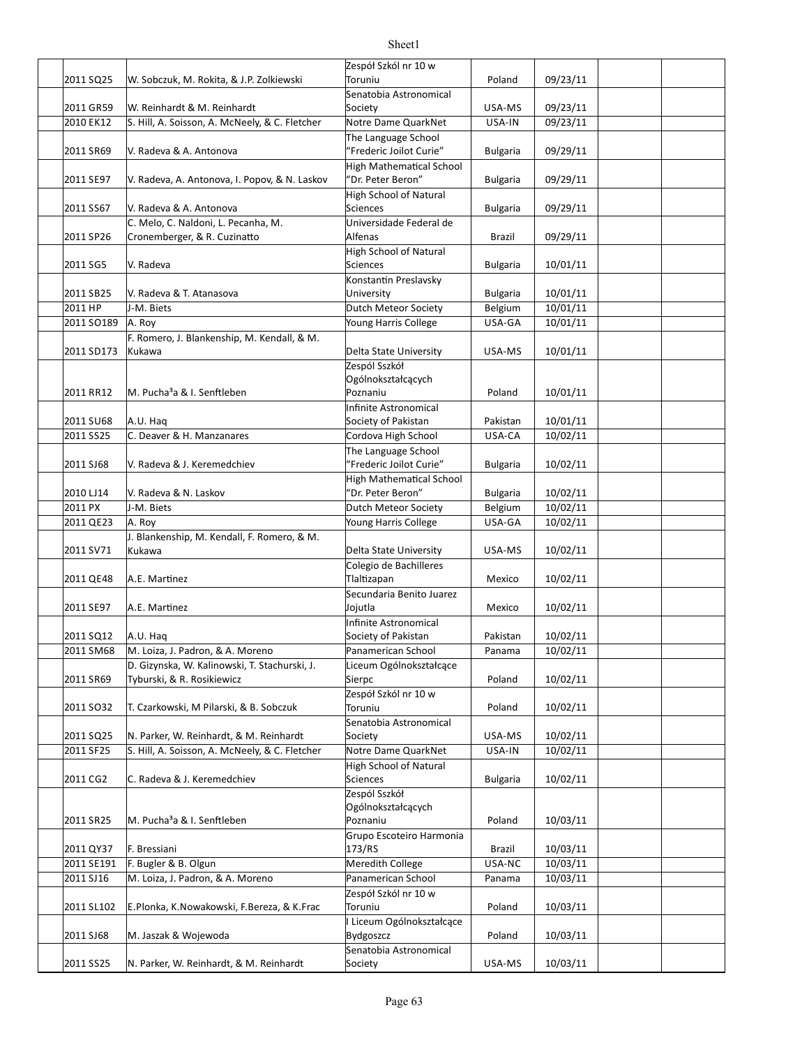|            |                                                | Zespół Szkól nr 10 w                         |                 |          |  |
|------------|------------------------------------------------|----------------------------------------------|-----------------|----------|--|
| 2011 SQ25  | W. Sobczuk, M. Rokita, & J.P. Zolkiewski       | Toruniu                                      | Poland          | 09/23/11 |  |
|            |                                                | Senatobia Astronomical                       |                 |          |  |
| 2011 GR59  | W. Reinhardt & M. Reinhardt                    | Society                                      | USA-MS          | 09/23/11 |  |
| 2010 EK12  | S. Hill, A. Soisson, A. McNeely, & C. Fletcher | Notre Dame QuarkNet                          | USA-IN          | 09/23/11 |  |
|            |                                                | The Language School                          |                 |          |  |
| 2011 SR69  | V. Radeva & A. Antonova                        | "Frederic Joilot Curie"                      | <b>Bulgaria</b> | 09/29/11 |  |
|            |                                                | <b>High Mathematical School</b>              |                 |          |  |
| 2011 SE97  | V. Radeva, A. Antonova, I. Popov, & N. Laskov  | "Dr. Peter Beron"                            | <b>Bulgaria</b> | 09/29/11 |  |
|            |                                                | High School of Natural                       |                 |          |  |
| 2011 SS67  | V. Radeva & A. Antonova                        | <b>Sciences</b>                              | <b>Bulgaria</b> | 09/29/11 |  |
|            | C. Melo, C. Naldoni, L. Pecanha, M.            | Universidade Federal de                      |                 |          |  |
| 2011 SP26  | Cronemberger, & R. Cuzinatto                   | Alfenas                                      | Brazil          | 09/29/11 |  |
|            |                                                | High School of Natural                       |                 |          |  |
| 2011 SG5   | V. Radeva                                      | <b>Sciences</b>                              | <b>Bulgaria</b> | 10/01/11 |  |
|            |                                                | Konstantin Preslavsky                        |                 |          |  |
| 2011 SB25  | V. Radeva & T. Atanasova                       | University                                   | <b>Bulgaria</b> | 10/01/11 |  |
| 2011 HP    | J-M. Biets                                     | Dutch Meteor Society                         | Belgium         | 10/01/11 |  |
| 2011 SO189 | A. Roy                                         | Young Harris College                         | USA-GA          | 10/01/11 |  |
|            | F. Romero, J. Blankenship, M. Kendall, & M.    |                                              |                 |          |  |
| 2011 SD173 | Kukawa                                         | Delta State University                       | USA-MS          | 10/01/11 |  |
|            |                                                | Zespól Sszkół                                |                 |          |  |
| 2011 RR12  | M. Pucha <sup>3</sup> a & I. Senftleben        | Ogólnokształcących<br>Poznaniu               | Poland          | 10/01/11 |  |
|            |                                                |                                              |                 |          |  |
| 2011 SU68  | A.U. Haq                                       | Infinite Astronomical<br>Society of Pakistan | Pakistan        | 10/01/11 |  |
| 2011 SS25  | C. Deaver & H. Manzanares                      | Cordova High School                          | USA-CA          | 10/02/11 |  |
|            |                                                | The Language School                          |                 |          |  |
| 2011 SJ68  | V. Radeva & J. Keremedchiev                    | "Frederic Joilot Curie"                      | <b>Bulgaria</b> | 10/02/11 |  |
|            |                                                | <b>High Mathematical School</b>              |                 |          |  |
| 2010 LJ14  | V. Radeva & N. Laskov                          | "Dr. Peter Beron"                            | <b>Bulgaria</b> | 10/02/11 |  |
| 2011 PX    | J-M. Biets                                     | Dutch Meteor Society                         | Belgium         | 10/02/11 |  |
| 2011 QE23  | A. Roy                                         | Young Harris College                         | USA-GA          | 10/02/11 |  |
|            | J. Blankenship, M. Kendall, F. Romero, & M.    |                                              |                 |          |  |
| 2011 SV71  | Kukawa                                         | Delta State University                       | USA-MS          | 10/02/11 |  |
|            |                                                | Colegio de Bachilleres                       |                 |          |  |
| 2011 QE48  | A.E. Martinez                                  | Tlaltizapan                                  | Mexico          | 10/02/11 |  |
|            |                                                | Secundaria Benito Juarez                     |                 |          |  |
| 2011 SE97  | A.E. Martinez                                  | Jojutla                                      | Mexico          | 10/02/11 |  |
|            |                                                | Infinite Astronomical                        |                 |          |  |
| 2011 SQ12  | A.U. Haq                                       | Society of Pakistan                          | Pakistan        | 10/02/11 |  |
| 2011 SM68  | M. Loiza, J. Padron, & A. Moreno               | Panamerican School                           | Panama          | 10/02/11 |  |
|            | D. Gizynska, W. Kalinowski, T. Stachurski, J.  | Liceum Ogólnokształcące                      |                 |          |  |
| 2011 SR69  | Tyburski, & R. Rosikiewicz                     | Sierpc                                       | Poland          | 10/02/11 |  |
|            |                                                | Zespół Szkól nr 10 w                         |                 |          |  |
| 2011 SO32  | T. Czarkowski, M Pilarski, & B. Sobczuk        | Toruniu                                      | Poland          | 10/02/11 |  |
|            |                                                | Senatobia Astronomical                       |                 |          |  |
| 2011 SQ25  | N. Parker, W. Reinhardt, & M. Reinhardt        | Society                                      | USA-MS          | 10/02/11 |  |
| 2011 SF25  | S. Hill, A. Soisson, A. McNeely, & C. Fletcher | Notre Dame QuarkNet                          | USA-IN          | 10/02/11 |  |
|            |                                                | <b>High School of Natural</b>                |                 |          |  |
| 2011 CG2   | C. Radeva & J. Keremedchiev                    | Sciences                                     | <b>Bulgaria</b> | 10/02/11 |  |
|            |                                                | Zespól Sszkół                                |                 |          |  |
|            |                                                | Ogólnokształcących                           |                 |          |  |
| 2011 SR25  | M. Pucha <sup>3</sup> a & I. Senftleben        | Poznaniu                                     | Poland          | 10/03/11 |  |
|            |                                                | Grupo Escoteiro Harmonia                     |                 |          |  |
| 2011 QY37  | F. Bressiani                                   | 173/RS                                       | Brazil          | 10/03/11 |  |
| 2011 SE191 | F. Bugler & B. Olgun                           | Meredith College                             | USA-NC          | 10/03/11 |  |
| 2011 SJ16  | M. Loiza, J. Padron, & A. Moreno               | Panamerican School                           | Panama          | 10/03/11 |  |
|            |                                                | Zespół Szkól nr 10 w                         |                 |          |  |
| 2011 SL102 | E.Plonka, K.Nowakowski, F.Bereza, & K.Frac     | Toruniu                                      | Poland          | 10/03/11 |  |
|            |                                                | Liceum Ogólnokształcące                      |                 |          |  |
| 2011 SJ68  | M. Jaszak & Wojewoda                           | Bydgoszcz                                    | Poland          | 10/03/11 |  |
|            |                                                | Senatobia Astronomical                       |                 |          |  |
| 2011 SS25  | N. Parker, W. Reinhardt, & M. Reinhardt        | Society                                      | USA-MS          | 10/03/11 |  |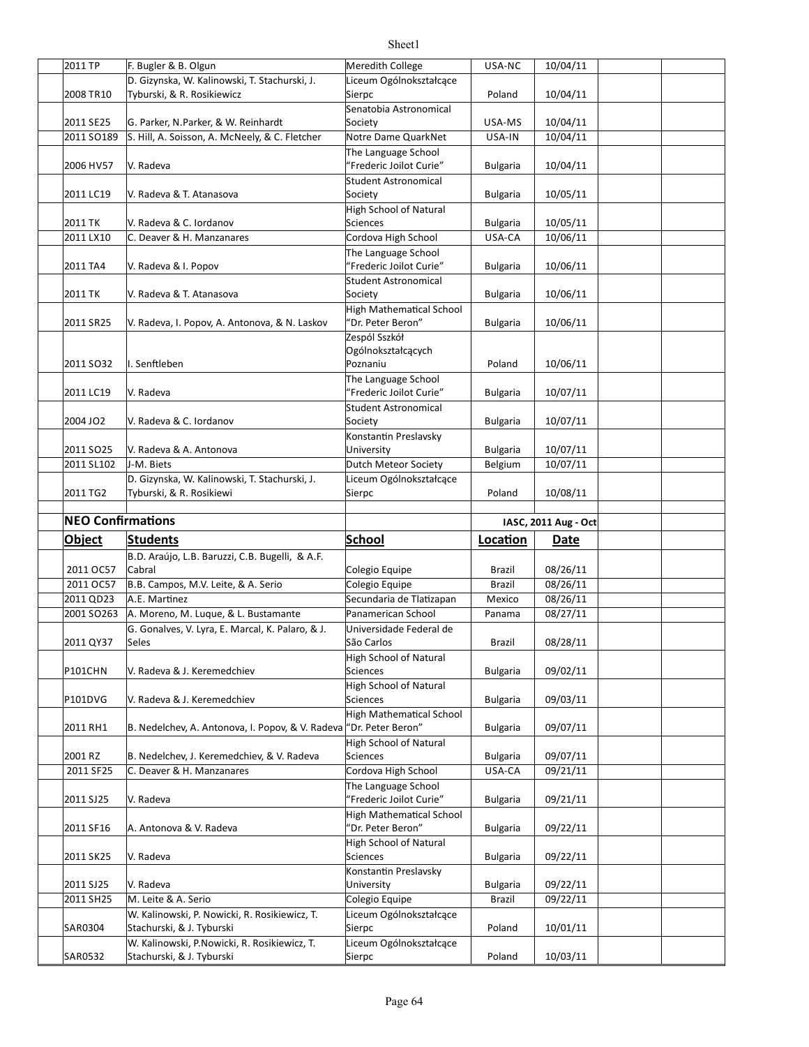| 2011 TP                  | F. Bugler & B. Olgun                                                      |                                   | USA-NC          |                      |  |
|--------------------------|---------------------------------------------------------------------------|-----------------------------------|-----------------|----------------------|--|
|                          |                                                                           | Meredith College                  |                 | 10/04/11             |  |
|                          | D. Gizynska, W. Kalinowski, T. Stachurski, J.                             | Liceum Ogólnokształcące           |                 |                      |  |
| 2008 TR10                | Tyburski, & R. Rosikiewicz                                                | Sierpc                            | Poland          | 10/04/11             |  |
|                          |                                                                           | Senatobia Astronomical            |                 |                      |  |
| 2011 SE25                | G. Parker, N.Parker, & W. Reinhardt                                       | Society                           | USA-MS          | 10/04/11             |  |
|                          |                                                                           | Notre Dame QuarkNet               |                 | 10/04/11             |  |
| 2011 SO189               | S. Hill, A. Soisson, A. McNeely, & C. Fletcher                            |                                   | USA-IN          |                      |  |
|                          |                                                                           | The Language School               |                 |                      |  |
| 2006 HV57                | V. Radeva                                                                 | "Frederic Joilot Curie"           | <b>Bulgaria</b> | 10/04/11             |  |
|                          |                                                                           | <b>Student Astronomical</b>       |                 |                      |  |
| 2011 LC19                | V. Radeva & T. Atanasova                                                  | Society                           | <b>Bulgaria</b> | 10/05/11             |  |
|                          |                                                                           |                                   |                 |                      |  |
|                          |                                                                           | <b>High School of Natural</b>     |                 |                      |  |
| 2011 TK                  | V. Radeva & C. Iordanov                                                   | <b>Sciences</b>                   | <b>Bulgaria</b> | 10/05/11             |  |
| 2011 LX10                | C. Deaver & H. Manzanares                                                 | Cordova High School               | USA-CA          | 10/06/11             |  |
|                          |                                                                           | The Language School               |                 |                      |  |
| 2011 TA4                 | V. Radeva & I. Popov                                                      | "Frederic Joilot Curie"           | Bulgaria        | 10/06/11             |  |
|                          |                                                                           |                                   |                 |                      |  |
|                          |                                                                           | Student Astronomical              |                 |                      |  |
| 2011 TK                  | V. Radeva & T. Atanasova                                                  | Society                           | <b>Bulgaria</b> | 10/06/11             |  |
|                          |                                                                           | <b>High Mathematical School</b>   |                 |                      |  |
| 2011 SR25                | V. Radeva, I. Popov, A. Antonova, & N. Laskov                             | 'Dr. Peter Beron"                 | <b>Bulgaria</b> | 10/06/11             |  |
|                          |                                                                           | Zespól Sszkół                     |                 |                      |  |
|                          |                                                                           |                                   |                 |                      |  |
|                          |                                                                           | Ogólnokształcących                |                 |                      |  |
| 2011 SO32                | I. Senftleben                                                             | Poznaniu                          | Poland          | 10/06/11             |  |
|                          |                                                                           | The Language School               |                 |                      |  |
| 2011 LC19                | V. Radeva                                                                 | "Frederic Joilot Curie"           | <b>Bulgaria</b> | 10/07/11             |  |
|                          |                                                                           | <b>Student Astronomical</b>       |                 |                      |  |
| 2004 JO2                 | V. Radeva & C. Iordanov                                                   | Society                           |                 | 10/07/11             |  |
|                          |                                                                           |                                   | <b>Bulgaria</b> |                      |  |
|                          |                                                                           | Konstantin Preslavsky             |                 |                      |  |
| 2011 SO <sub>25</sub>    | V. Radeva & A. Antonova                                                   | University                        | <b>Bulgaria</b> | 10/07/11             |  |
| 2011 SL102               | J-M. Biets                                                                | Dutch Meteor Society              | Belgium         | 10/07/11             |  |
|                          | D. Gizynska, W. Kalinowski, T. Stachurski, J.                             | Liceum Ogólnokształcące           |                 |                      |  |
|                          |                                                                           |                                   |                 |                      |  |
| 2011 TG2                 | Tyburski, & R. Rosikiewi                                                  | Sierpc                            | Poland          | 10/08/11             |  |
|                          |                                                                           |                                   |                 |                      |  |
|                          |                                                                           |                                   |                 |                      |  |
| <b>NEO Confirmations</b> |                                                                           |                                   |                 | IASC, 2011 Aug - Oct |  |
|                          |                                                                           |                                   |                 |                      |  |
| <b>Object</b>            | <b>Students</b>                                                           | <b>School</b>                     | Location        | Date                 |  |
|                          | B.D. Araújo, L.B. Baruzzi, C.B. Bugelli, & A.F.                           |                                   |                 |                      |  |
| 2011 OC57                | Cabral                                                                    | Colegio Equipe                    | Brazil          | 08/26/11             |  |
|                          |                                                                           |                                   | Brazil          |                      |  |
| 2011 OC57                | B.B. Campos, M.V. Leite, & A. Serio                                       | Colegio Equipe                    |                 | 08/26/11             |  |
| 2011 QD23                | A.E. Martinez                                                             | Secundaria de Tlatizapan          | Mexico          | 08/26/11             |  |
| 2001 SO263               | A. Moreno, M. Luque, & L. Bustamante                                      | Panamerican School                | Panama          | 08/27/11             |  |
|                          | G. Gonalves, V. Lyra, E. Marcal, K. Palaro, & J.                          | Universidade Federal de           |                 |                      |  |
| 2011 QY37                | Seles                                                                     | São Carlos                        | <b>Brazil</b>   | 08/28/11             |  |
|                          |                                                                           |                                   |                 |                      |  |
|                          |                                                                           | High School of Natural            |                 |                      |  |
| <b>P101CHN</b>           | V. Radeva & J. Keremedchiev                                               | Sciences                          | <b>Bulgaria</b> | 09/02/11             |  |
|                          |                                                                           | <b>High School of Natural</b>     |                 |                      |  |
| P101DVG                  | V. Radeva & J. Keremedchiev                                               | Sciences                          | <b>Bulgaria</b> | 09/03/11             |  |
|                          |                                                                           | <b>High Mathematical School</b>   |                 |                      |  |
|                          |                                                                           |                                   |                 |                      |  |
| 2011 RH1                 | B. Nedelchev, A. Antonova, I. Popov, & V. Radeva "Dr. Peter Beron"        |                                   | <b>Bulgaria</b> | 09/07/11             |  |
|                          |                                                                           | <b>High School of Natural</b>     |                 |                      |  |
| 2001 RZ                  | B. Nedelchev, J. Keremedchiev, & V. Radeva                                | <b>Sciences</b>                   | <b>Bulgaria</b> | 09/07/11             |  |
| 2011 SF25                | C. Deaver & H. Manzanares                                                 | Cordova High School               | USA-CA          | 09/21/11             |  |
|                          |                                                                           | The Language School               |                 |                      |  |
|                          |                                                                           |                                   |                 |                      |  |
| 2011 SJ25                | V. Radeva                                                                 | "Frederic Joilot Curie"           | Bulgaria        | 09/21/11             |  |
|                          |                                                                           | <b>High Mathematical School</b>   |                 |                      |  |
| 2011 SF16                | A. Antonova & V. Radeva                                                   | "Dr. Peter Beron"                 | Bulgaria        | 09/22/11             |  |
|                          |                                                                           | <b>High School of Natural</b>     |                 |                      |  |
| 2011 SK25                | V. Radeva                                                                 | Sciences                          | <b>Bulgaria</b> | 09/22/11             |  |
|                          |                                                                           |                                   |                 |                      |  |
|                          |                                                                           | Konstantin Preslavsky             |                 |                      |  |
| 2011 SJ25                | V. Radeva                                                                 | University                        | <b>Bulgaria</b> | 09/22/11             |  |
| 2011 SH25                | M. Leite & A. Serio                                                       | Colegio Equipe                    | Brazil          | 09/22/11             |  |
|                          | W. Kalinowski, P. Nowicki, R. Rosikiewicz, T.                             | Liceum Ogólnokształcące           |                 |                      |  |
| <b>SAR0304</b>           | Stachurski, & J. Tyburski                                                 | Sierpc                            | Poland          | 10/01/11             |  |
|                          |                                                                           |                                   |                 |                      |  |
| SAR0532                  | W. Kalinowski, P.Nowicki, R. Rosikiewicz, T.<br>Stachurski, & J. Tyburski | Liceum Ogólnokształcące<br>Sierpc | Poland          | 10/03/11             |  |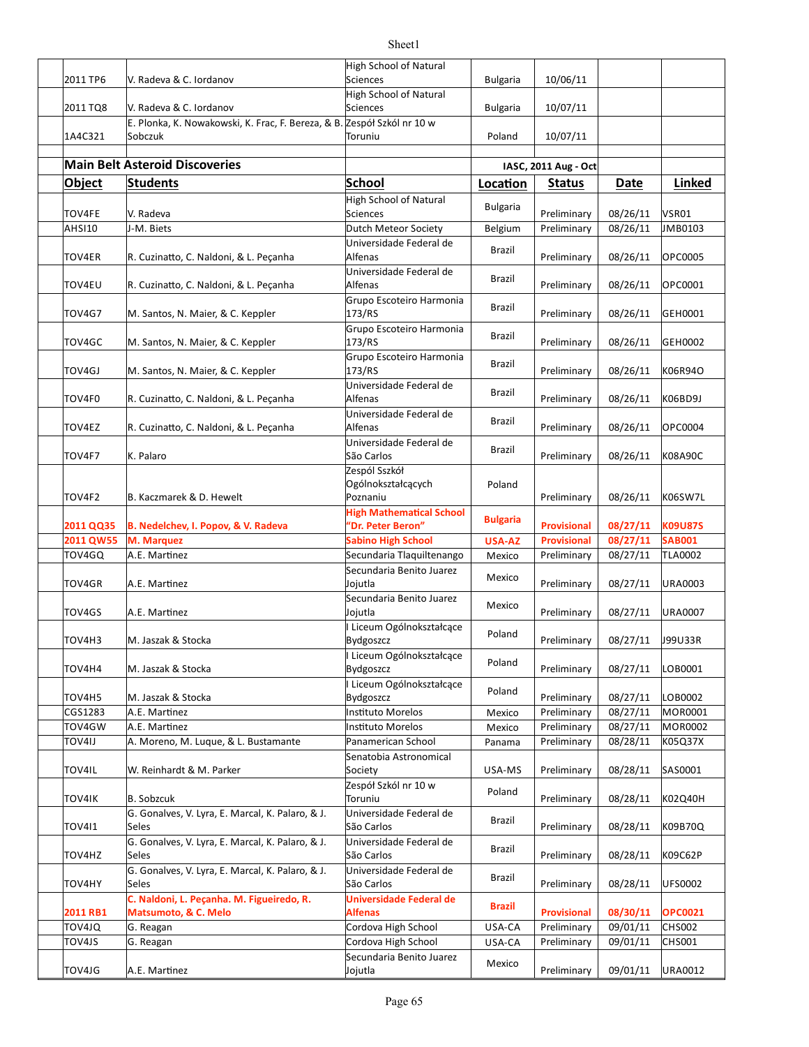| 2011 TP6         | V. Radeva & C. Iordanov                                                                                       | High School of Natural<br><b>Sciences</b>                        | <b>Bulgaria</b>  | 10/06/11                   |                      |                           |
|------------------|---------------------------------------------------------------------------------------------------------------|------------------------------------------------------------------|------------------|----------------------------|----------------------|---------------------------|
|                  |                                                                                                               | <b>High School of Natural</b>                                    |                  |                            |                      |                           |
| 2011 TQ8         | V. Radeva & C. Iordanov<br>E. Plonka, K. Nowakowski, K. Frac, F. Bereza, & B. Zespół Szkól nr 10 w            | Sciences                                                         | <b>Bulgaria</b>  | 10/07/11                   |                      |                           |
| 1A4C321          | Sobczuk                                                                                                       | Toruniu                                                          | Poland           | 10/07/11                   |                      |                           |
|                  |                                                                                                               |                                                                  |                  |                            |                      |                           |
|                  | <b>Main Belt Asteroid Discoveries</b>                                                                         |                                                                  |                  | IASC, 2011 Aug - Oct       |                      |                           |
| Object           | <b>Students</b>                                                                                               | School<br>High School of Natural                                 | Location         | <b>Status</b>              | Date                 | Linked                    |
| <b>TOV4FE</b>    | V. Radeva                                                                                                     | <b>Sciences</b>                                                  | <b>Bulgaria</b>  | Preliminary                | 08/26/11             | VSR01                     |
| <b>AHSI10</b>    | J-M. Biets                                                                                                    | Dutch Meteor Society                                             | Belgium          | Preliminary                | 08/26/11             | JMB0103                   |
| TOV4ER           | R. Cuzinatto, C. Naldoni, & L. Peçanha                                                                        | Universidade Federal de<br>Alfenas                               | Brazil           | Preliminary                | 08/26/11             | OPC0005                   |
| TOV4EU           | R. Cuzinatto, C. Naldoni, & L. Peçanha                                                                        | Universidade Federal de<br>Alfenas                               | Brazil           | Preliminary                | 08/26/11             | OPC0001                   |
| <b>TOV4G7</b>    | M. Santos, N. Maier, & C. Keppler                                                                             | Grupo Escoteiro Harmonia<br>173/RS                               | Brazil           | Preliminary                | 08/26/11             | GEH0001                   |
| TOV4GC           | M. Santos, N. Maier, & C. Keppler                                                                             | Grupo Escoteiro Harmonia<br>173/RS                               | Brazil           | Preliminary                | 08/26/11             | GEH0002                   |
| TOV4GJ           | M. Santos, N. Maier, & C. Keppler                                                                             | Grupo Escoteiro Harmonia<br>173/RS                               | Brazil           | Preliminary                | 08/26/11             | K06R94O                   |
| TOV4F0           | R. Cuzinatto, C. Naldoni, & L. Peçanha                                                                        | Universidade Federal de<br>Alfenas<br>Universidade Federal de    | Brazil           | Preliminary                | 08/26/11             | K06BD9J                   |
| TOV4EZ           | R. Cuzinatto, C. Naldoni, & L. Pecanha                                                                        | Alfenas                                                          | Brazil           | Preliminary                | 08/26/11             | OPC0004                   |
| TOV4F7           | K. Palaro                                                                                                     | Universidade Federal de<br>São Carlos                            | Brazil           | Preliminary                | 08/26/11             | K08A90C                   |
| TOV4F2           | B. Kaczmarek & D. Hewelt                                                                                      | Zespól Sszkół<br>Ogólnokształcących<br>Poznaniu                  | Poland           | Preliminary                | 08/26/11             | K06SW7L                   |
| 2011 QQ35        | B. Nedelchev, I. Popov, & V. Radeva                                                                           | <b>High Mathematical School</b><br>'Dr. Peter Beron"             | <b>Bulgaria</b>  | <b>Provisional</b>         | 08/27/11             | <b>K09U87S</b>            |
| 2011 QW55        | M. Marquez                                                                                                    | <b>Sabino High School</b>                                        | USA-AZ           | <b>Provisional</b>         | 08/27/11             | <b>SAB001</b>             |
| TOV4GQ<br>TOV4GR | A.E. Martinez<br>A.E. Martinez                                                                                | Secundaria Tlaquiltenango<br>Secundaria Benito Juarez<br>Jojutla | Mexico<br>Mexico | Preliminary<br>Preliminary | 08/27/11<br>08/27/11 | TLA0002<br><b>URA0003</b> |
| TOV4GS           | A.E. Martinez                                                                                                 | Secundaria Benito Juarez<br>Jojutla                              | Mexico           | Preliminary                | 08/27/11             | URA0007                   |
| TOV4H3           | M. Jaszak & Stocka                                                                                            | Liceum Ogólnokształcące<br>Bydgoszcz                             | Poland           | Preliminary                | 08/27/11             | J99U33R                   |
| TOV4H4           | M. Jaszak & Stocka                                                                                            | Liceum Ogólnokształcące<br><b>Bydgoszcz</b>                      | Poland           | Preliminary                | 08/27/11             | LOB0001                   |
| TOV4H5           | M. Jaszak & Stocka                                                                                            | Liceum Ogólnokształcące<br><b>Bydgoszcz</b>                      | Poland           | Preliminary                | 08/27/11             | LOB0002                   |
| CGS1283          | A.E. Martinez                                                                                                 | <b>Instituto Morelos</b>                                         | Mexico           | Preliminary                | 08/27/11             | MOR0001                   |
| TOV4GW           | A.E. Martinez                                                                                                 | <b>Instituto Morelos</b>                                         | Mexico           | Preliminary                | 08/27/11             | MOR0002                   |
| TOV4IJ           | A. Moreno, M. Luque, & L. Bustamante                                                                          | Panamerican School                                               | Panama           | Preliminary                | 08/28/11             | K05Q37X                   |
| TOV4IL           | W. Reinhardt & M. Parker                                                                                      | Senatobia Astronomical<br>Society                                | USA-MS           | Preliminary                | 08/28/11             | SAS0001                   |
| <b>TOV4IK</b>    | <b>B. Sobzcuk</b>                                                                                             | Zespół Szkól nr 10 w<br>Toruniu                                  | Poland           | Preliminary                | 08/28/11             | K02Q40H                   |
| <b>TOV411</b>    | G. Gonalves, V. Lyra, E. Marcal, K. Palaro, & J.<br>Seles                                                     | Universidade Federal de<br>São Carlos                            | Brazil           | Preliminary                | 08/28/11             | K09B70Q                   |
| TOV4HZ           | G. Gonalves, V. Lyra, E. Marcal, K. Palaro, & J.<br>Seles<br>G. Gonalves, V. Lyra, E. Marcal, K. Palaro, & J. | Universidade Federal de<br>São Carlos<br>Universidade Federal de | Brazil           | Preliminary                | 08/28/11             | K09C62P                   |
| TOV4HY           | Seles<br>C. Naldoni, L. Peçanha. M. Figueiredo, R.                                                            | São Carlos<br>Universidade Federal de                            | Brazil           | Preliminary                | 08/28/11             | <b>UFS0002</b>            |
| 2011 RB1         | Matsumoto, & C. Melo                                                                                          | Alfenas                                                          | Brazil           | <b>Provisional</b>         | 08/30/11             | <b>OPC0021</b>            |
| TOV4JQ           | G. Reagan                                                                                                     | Cordova High School                                              | USA-CA           | Preliminary                | 09/01/11             | CHS002                    |
| TOV4JS           | G. Reagan                                                                                                     | Cordova High School                                              | USA-CA           | Preliminary                | 09/01/11             | <b>CHS001</b>             |
| TOV4JG           | A.E. Martinez                                                                                                 | Secundaria Benito Juarez<br>Jojutla                              | Mexico           | Preliminary                | 09/01/11             | URA0012                   |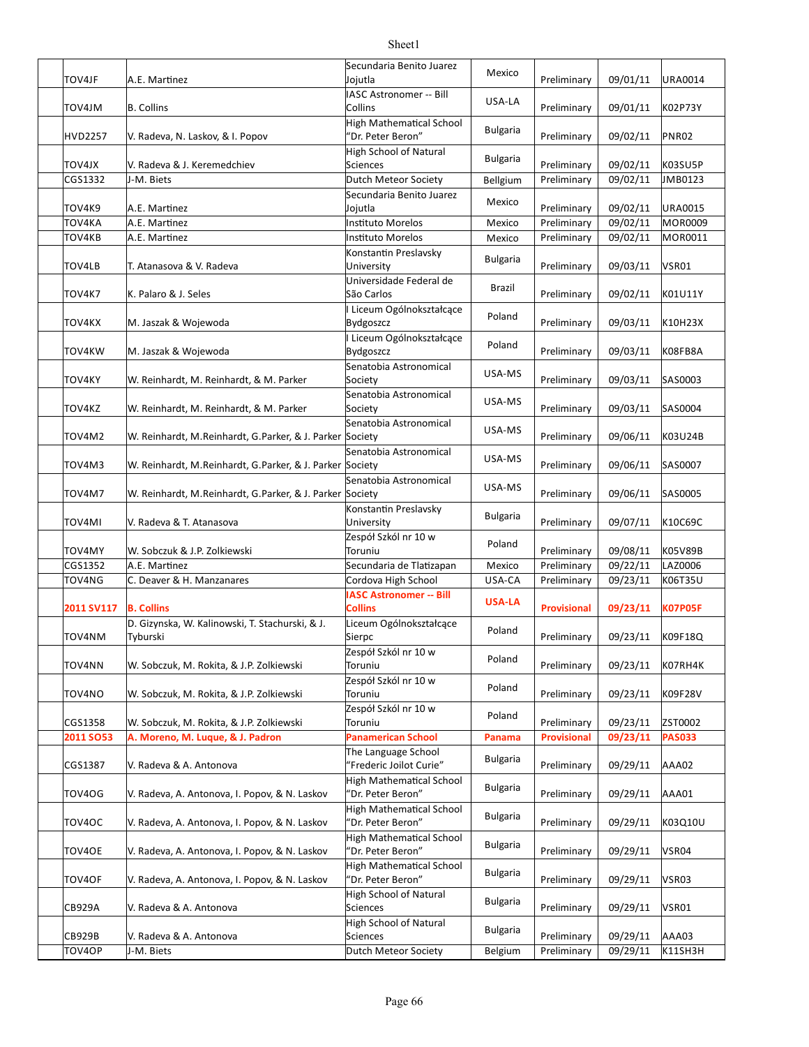| <b>TOV4JF</b>  | A.E. Martinez                                              | Secundaria Benito Juarez<br>Jojutla            | Mexico          | Preliminary                | 09/01/11             | URA0014                   |
|----------------|------------------------------------------------------------|------------------------------------------------|-----------------|----------------------------|----------------------|---------------------------|
| TOV4JM         | <b>B.</b> Collins                                          | IASC Astronomer -- Bill<br>Collins             | USA-LA          | Preliminary                | 09/01/11             | K02P73Y                   |
|                |                                                            | High Mathematical School                       | <b>Bulgaria</b> |                            |                      |                           |
| <b>HVD2257</b> | V. Radeva, N. Laskov, & I. Popov                           | "Dr. Peter Beron"                              |                 | Preliminary                | 09/02/11             | PNR02                     |
| <b>TOV4JX</b>  | V. Radeva & J. Keremedchiev                                | High School of Natural<br>Sciences             | <b>Bulgaria</b> | Preliminary                | 09/02/11             | K03SU5P                   |
| CGS1332        | J-M. Biets                                                 | Dutch Meteor Society                           | Bellgium        | Preliminary                | 09/02/11             | JMB0123                   |
|                |                                                            | Secundaria Benito Juarez                       | Mexico          |                            |                      |                           |
| TOV4K9         | A.E. Martinez                                              | Jojutla                                        |                 | Preliminary                | 09/02/11             | URA0015                   |
| TOV4KA         | A.E. Martinez                                              | <b>Instituto Morelos</b><br>Instituto Morelos  | Mexico          | Preliminary<br>Preliminary | 09/02/11<br>09/02/11 | <b>MOR0009</b><br>MOR0011 |
| TOV4KB         | A.E. Martinez                                              | Konstantin Preslavsky                          | Mexico          |                            |                      |                           |
| TOV4LB         | T. Atanasova & V. Radeva                                   | University                                     | <b>Bulgaria</b> | Preliminary                | 09/03/11             | <b>VSR01</b>              |
|                |                                                            | Universidade Federal de                        |                 |                            |                      |                           |
| TOV4K7         | K. Palaro & J. Seles                                       | São Carlos                                     | Brazil          | Preliminary                | 09/02/11             | K01U11Y                   |
|                |                                                            | I Liceum Ogólnokształcące                      | Poland          |                            |                      |                           |
| TOV4KX         | M. Jaszak & Wojewoda                                       | Bydgoszcz                                      |                 | Preliminary                | 09/03/11             | K10H23X                   |
| TOV4KW         | M. Jaszak & Wojewoda                                       | I Liceum Ogólnokształcące<br>Bydgoszcz         | Poland          | Preliminary                | 09/03/11             | K08FB8A                   |
|                |                                                            | Senatobia Astronomical                         |                 |                            |                      |                           |
| <b>TOV4KY</b>  | W. Reinhardt, M. Reinhardt, & M. Parker                    | Society                                        | USA-MS          | Preliminary                | 09/03/11             | SAS0003                   |
|                |                                                            | Senatobia Astronomical                         | USA-MS          |                            |                      |                           |
| TOV4KZ         | W. Reinhardt, M. Reinhardt, & M. Parker                    | Society                                        |                 | Preliminary                | 09/03/11             | SAS0004                   |
| TOV4M2         | W. Reinhardt, M. Reinhardt, G. Parker, & J. Parker Society | Senatobia Astronomical                         | USA-MS          | Preliminary                | 09/06/11             | K03U24B                   |
|                |                                                            | Senatobia Astronomical                         |                 |                            |                      |                           |
| TOV4M3         | W. Reinhardt, M.Reinhardt, G.Parker, & J. Parker Society   |                                                | USA-MS          | Preliminary                | 09/06/11             | SAS0007                   |
|                |                                                            | Senatobia Astronomical                         |                 |                            |                      |                           |
| TOV4M7         | W. Reinhardt, M. Reinhardt, G. Parker, & J. Parker Society |                                                | USA-MS          | Preliminary                | 09/06/11             | SAS0005                   |
|                |                                                            | Konstantin Preslavsky                          | <b>Bulgaria</b> |                            |                      |                           |
| TOV4MI         | V. Radeva & T. Atanasova                                   | University                                     |                 | Preliminary                | 09/07/11             | K10C69C                   |
| TOV4MY         | W. Sobczuk & J.P. Zolkiewski                               | Zespół Szkól nr 10 w<br>Toruniu                | Poland          | Preliminary                | 09/08/11             | K05V89B                   |
| CGS1352        | A.E. Martinez                                              | Secundaria de Tlatizapan                       | Mexico          | Preliminary                | 09/22/11             | LAZ0006                   |
| TOV4NG         | C. Deaver & H. Manzanares                                  | Cordova High School                            | USA-CA          | Preliminary                | 09/23/11             | K06T35U                   |
|                |                                                            | <b>IASC Astronomer -- Bill</b>                 |                 |                            |                      |                           |
| 2011 SV117     | <b>B. Collins</b>                                          | <b>Collins</b>                                 | <b>USA-LA</b>   | <b>Provisional</b>         | 09/23/11             | <b>K07P05F</b>            |
|                | D. Gizynska, W. Kalinowski, T. Stachurski, & J.            | Liceum Ogólnokształcące                        | Poland          |                            |                      |                           |
| TOV4NM         | Tyburski                                                   | Sierpc                                         |                 | Preliminary                | 09/23/11             | K09F18Q                   |
| TOV4NN         | W. Sobczuk, M. Rokita, & J.P. Zolkiewski                   | Zespół Szkól nr 10 w<br>Toruniu                | Poland          | Preliminary                | 09/23/11             | K07RH4K                   |
|                |                                                            | Zespół Szkól nr 10 w                           |                 |                            |                      |                           |
| TOV4NO         | W. Sobczuk, M. Rokita, & J.P. Zolkiewski                   | Toruniu                                        | Poland          | Preliminary                | 09/23/11             | K09F28V                   |
|                |                                                            | Zespół Szkól nr 10 w                           | Poland          |                            |                      |                           |
| CGS1358        | W. Sobczuk, M. Rokita, & J.P. Zolkiewski                   | Toruniu                                        |                 | Preliminary                | 09/23/11             | ZST0002                   |
| 2011 SO53      | A. Moreno, M. Luque, & J. Padron                           | <b>Panamerican School</b>                      | Panama          | <b>Provisional</b>         | 09/23/11             | <b>PAS033</b>             |
| CGS1387        | V. Radeva & A. Antonova                                    | The Language School<br>"Frederic Joilot Curie" | <b>Bulgaria</b> | Preliminary                | 09/29/11             | AAA02                     |
|                |                                                            | High Mathematical School                       |                 |                            |                      |                           |
| TOV4OG         | V. Radeva, A. Antonova, I. Popov, & N. Laskov              | "Dr. Peter Beron"                              | <b>Bulgaria</b> | Preliminary                | 09/29/11             | AAA01                     |
|                |                                                            | High Mathematical School                       | <b>Bulgaria</b> |                            |                      |                           |
| TOV4OC         | V. Radeva, A. Antonova, I. Popov, & N. Laskov              | "Dr. Peter Beron"                              |                 | Preliminary                | 09/29/11             | K03Q10U                   |
|                |                                                            | High Mathematical School                       | <b>Bulgaria</b> |                            |                      |                           |
| TOV4OE         | V. Radeva, A. Antonova, I. Popov, & N. Laskov              | "Dr. Peter Beron"<br>High Mathematical School  |                 | Preliminary                | 09/29/11             | VSR04                     |
| TOV4OF         | V. Radeva, A. Antonova, I. Popov, & N. Laskov              | "Dr. Peter Beron"                              | <b>Bulgaria</b> | Preliminary                | 09/29/11             | VSR03                     |
|                |                                                            | High School of Natural                         |                 |                            |                      |                           |
| <b>CB929A</b>  | V. Radeva & A. Antonova                                    | Sciences                                       | <b>Bulgaria</b> | Preliminary                | 09/29/11             | VSR01                     |
|                |                                                            | High School of Natural                         | <b>Bulgaria</b> |                            |                      |                           |
| <b>CB929B</b>  | V. Radeva & A. Antonova                                    | Sciences                                       |                 | Preliminary                | 09/29/11             | AAA03                     |
| TOV4OP         | J-M. Biets                                                 | Dutch Meteor Society                           | Belgium         | Preliminary                | 09/29/11             | K11SH3H                   |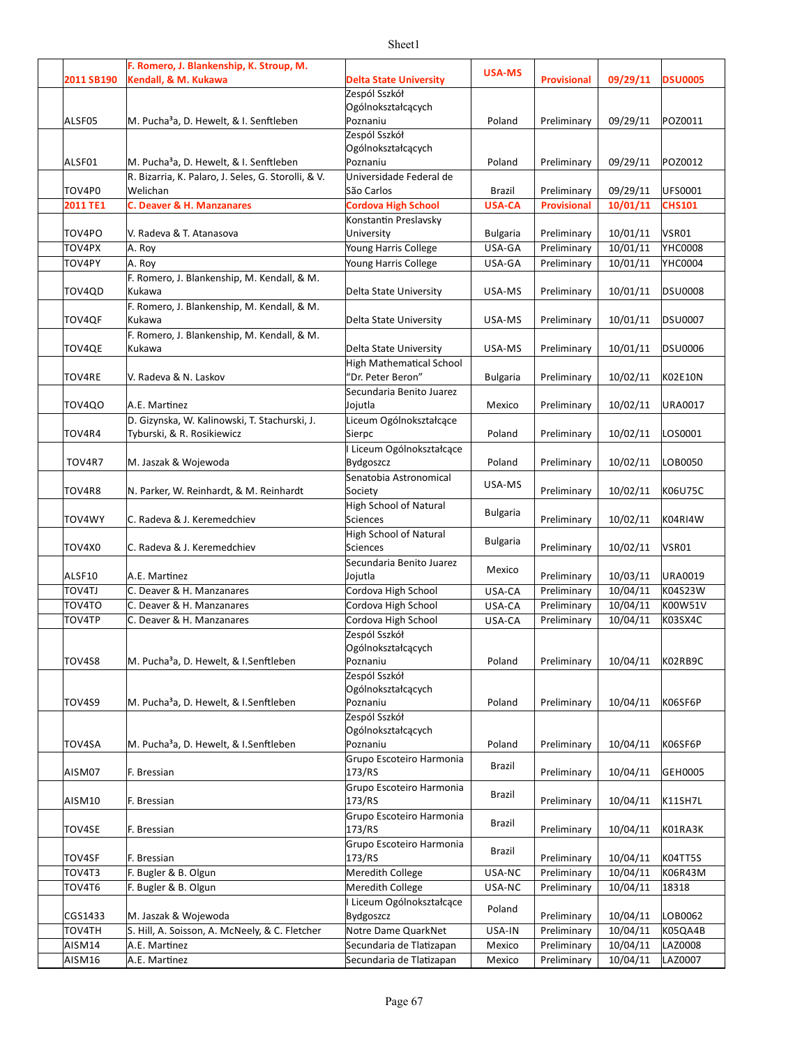|               | F. Romero, J. Blankenship, K. Stroup, M.            |                                 |                 |                    |          |                |
|---------------|-----------------------------------------------------|---------------------------------|-----------------|--------------------|----------|----------------|
| 2011 SB190    | Kendall, & M. Kukawa                                | <b>Delta State University</b>   | <b>USA-MS</b>   | <b>Provisional</b> | 09/29/11 | <b>DSU0005</b> |
|               |                                                     | Zespól Sszkół                   |                 |                    |          |                |
|               |                                                     | Ogólnokształcących              |                 |                    |          |                |
| ALSF05        | M. Pucha <sup>3</sup> a, D. Hewelt, & I. Senftleben | Poznaniu                        | Poland          | Preliminary        | 09/29/11 | POZ0011        |
|               |                                                     | Zespól Sszkół                   |                 |                    |          |                |
|               |                                                     | Ogólnokształcących              |                 |                    |          |                |
| ALSF01        | M. Pucha <sup>3</sup> a, D. Hewelt, & I. Senftleben | Poznaniu                        | Poland          | Preliminary        | 09/29/11 | POZ0012        |
|               | R. Bizarria, K. Palaro, J. Seles, G. Storolli, & V. | Universidade Federal de         |                 |                    |          |                |
| TOV4P0        | Welichan                                            | São Carlos                      | Brazil          | Preliminary        | 09/29/11 | UFS0001        |
| 2011 TE1      | C. Deaver & H. Manzanares                           | <b>Cordova High School</b>      | <b>USA-CA</b>   | <b>Provisional</b> | 10/01/11 | <b>CHS101</b>  |
|               |                                                     | Konstantin Preslavsky           |                 |                    |          |                |
| TOV4PO        | V. Radeva & T. Atanasova                            | University                      | <b>Bulgaria</b> | Preliminary        | 10/01/11 | VSR01          |
| TOV4PX        | A. Roy                                              | Young Harris College            | USA-GA          | Preliminary        | 10/01/11 | <b>YHC0008</b> |
| TOV4PY        | A. Roy                                              | Young Harris College            | USA-GA          | Preliminary        | 10/01/11 | YHC0004        |
|               | F. Romero, J. Blankenship, M. Kendall, & M.         |                                 |                 |                    |          |                |
| TOV4QD        | Kukawa                                              | Delta State University          | USA-MS          | Preliminary        | 10/01/11 | <b>DSU0008</b> |
|               | F. Romero, J. Blankenship, M. Kendall, & M.         |                                 |                 |                    |          |                |
| TOV4QF        | Kukawa                                              | Delta State University          | USA-MS          | Preliminary        | 10/01/11 | <b>DSU0007</b> |
|               | F. Romero, J. Blankenship, M. Kendall, & M.         |                                 |                 |                    |          |                |
| TOV4QE        | Kukawa                                              | Delta State University          | USA-MS          | Preliminary        | 10/01/11 | <b>DSU0006</b> |
|               |                                                     | <b>High Mathematical School</b> |                 |                    |          |                |
| <b>TOV4RE</b> | V. Radeva & N. Laskov                               | 'Dr. Peter Beron"               | <b>Bulgaria</b> | Preliminary        | 10/02/11 | <b>K02E10N</b> |
|               |                                                     | Secundaria Benito Juarez        |                 |                    |          |                |
| TOV4QO        | A.E. Martinez                                       | Jojutla                         | Mexico          | Preliminary        | 10/02/11 | URA0017        |
|               | D. Gizynska, W. Kalinowski, T. Stachurski, J.       | Liceum Ogólnokształcące         |                 |                    |          |                |
| TOV4R4        | Tyburski, & R. Rosikiewicz                          | Sierpc                          | Poland          | Preliminary        | 10/02/11 | LOS0001        |
|               |                                                     | I Liceum Ogólnokształcące       |                 |                    |          |                |
| TOV4R7        | M. Jaszak & Wojewoda                                | Bydgoszcz                       | Poland          | Preliminary        | 10/02/11 | LOB0050        |
|               |                                                     | Senatobia Astronomical          |                 |                    |          |                |
| TOV4R8        | N. Parker, W. Reinhardt, & M. Reinhardt             | Society                         | USA-MS          | Preliminary        | 10/02/11 | K06U75C        |
|               |                                                     |                                 |                 |                    |          |                |
|               |                                                     | <b>High School of Natural</b>   | <b>Bulgaria</b> |                    |          |                |
| <b>TOV4WY</b> | C. Radeva & J. Keremedchiev                         | <b>Sciences</b>                 |                 | Preliminary        | 10/02/11 | K04RI4W        |
|               |                                                     | High School of Natural          | <b>Bulgaria</b> |                    |          |                |
| TOV4X0        | C. Radeva & J. Keremedchiev                         | Sciences                        |                 | Preliminary        | 10/02/11 | VSR01          |
|               |                                                     | Secundaria Benito Juarez        | Mexico          |                    |          |                |
| ALSF10        | A.E. Martinez                                       | Jojutla                         |                 | Preliminary        | 10/03/11 | URA0019        |
| <b>TOV4TJ</b> | C. Deaver & H. Manzanares                           | Cordova High School             | USA-CA          | Preliminary        | 10/04/11 | K04S23W        |
| TOV4TO        | C. Deaver & H. Manzanares                           | Cordova High School             | USA-CA          | Preliminary        | 10/04/11 | K00W51V        |
| TOV4TP        | C. Deaver & H. Manzanares                           | Cordova High School             | USA-CA          | Preliminary        | 10/04/11 | K03SX4C        |
|               |                                                     | Zespól Sszkół                   |                 |                    |          |                |
|               |                                                     | Ogólnokształcących              |                 |                    |          |                |
| <b>TOV4S8</b> | M. Pucha <sup>3</sup> a, D. Hewelt, & I.Senftleben  | Poznaniu                        | Poland          | Preliminary        | 10/04/11 | K02RB9C        |
|               |                                                     | Zespól Sszkół                   |                 |                    |          |                |
|               |                                                     | Ogólnokształcących              |                 |                    |          |                |
| TOV4S9        | M. Pucha <sup>3</sup> a, D. Hewelt, & I.Senftleben  | Poznaniu                        | Poland          | Preliminary        | 10/04/11 | K06SF6P        |
|               |                                                     | Zespól Sszkół                   |                 |                    |          |                |
|               |                                                     | Ogólnokształcących              |                 |                    |          |                |
| <b>TOV4SA</b> | M. Pucha <sup>3</sup> a, D. Hewelt, & I.Senftleben  | Poznaniu                        | Poland          | Preliminary        | 10/04/11 | K06SF6P        |
|               |                                                     | Grupo Escoteiro Harmonia        | Brazil          |                    |          |                |
| AISM07        | F. Bressian                                         | 173/RS                          |                 | Preliminary        | 10/04/11 | GEH0005        |
|               |                                                     | Grupo Escoteiro Harmonia        | <b>Brazil</b>   |                    |          |                |
| AISM10        | F. Bressian                                         | 173/RS                          |                 | Preliminary        | 10/04/11 | K11SH7L        |
|               |                                                     | Grupo Escoteiro Harmonia        | <b>Brazil</b>   |                    |          |                |
| <b>TOV4SE</b> | F. Bressian                                         | 173/RS                          |                 | Preliminary        | 10/04/11 | K01RA3K        |
|               |                                                     | Grupo Escoteiro Harmonia        | Brazil          |                    |          |                |
| TOV4SF        | F. Bressian                                         | 173/RS                          |                 | Preliminary        | 10/04/11 | K04TT5S        |
| TOV4T3        | F. Bugler & B. Olgun                                | Meredith College                | USA-NC          | Preliminary        | 10/04/11 | K06R43M        |
| TOV4T6        | F. Bugler & B. Olgun                                | <b>Meredith College</b>         | USA-NC          | Preliminary        | 10/04/11 | 18318          |
|               |                                                     | I Liceum Ogólnokształcące       | Poland          |                    |          |                |
| CGS1433       | M. Jaszak & Wojewoda                                | <b>Bydgoszcz</b>                |                 | Preliminary        | 10/04/11 | LOB0062        |
| TOV4TH        | S. Hill, A. Soisson, A. McNeely, & C. Fletcher      | Notre Dame QuarkNet             | USA-IN          | Preliminary        | 10/04/11 | K05QA4B        |
| AISM14        | A.E. Martinez                                       | Secundaria de Tlatizapan        | Mexico          | Preliminary        | 10/04/11 | LAZ0008        |
| AISM16        | A.E. Martinez                                       | Secundaria de Tlatizapan        | Mexico          | Preliminary        | 10/04/11 | LAZ0007        |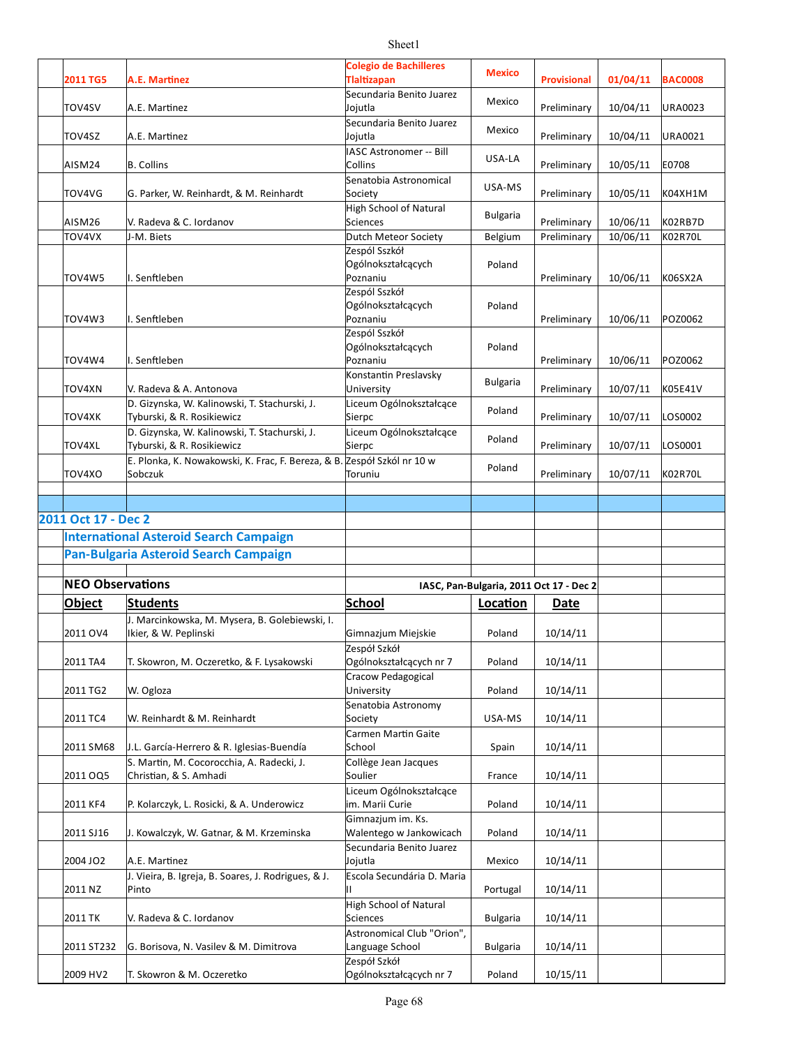| 2011 TG5                | A.E. Martinez                                                                          | <b>Colegio de Bachilleres</b><br><b>Tlaltizapan</b>           | <b>Mexico</b>   | <b>Provisional</b>                      | 01/04/11 | <b>BAC0008</b> |
|-------------------------|----------------------------------------------------------------------------------------|---------------------------------------------------------------|-----------------|-----------------------------------------|----------|----------------|
|                         |                                                                                        | Secundaria Benito Juarez                                      |                 |                                         |          |                |
| TOV4SV                  | A.E. Martinez                                                                          | Jojutla<br>Secundaria Benito Juarez                           | Mexico          | Preliminary                             | 10/04/11 | <b>URA0023</b> |
| TOV4SZ                  | A.E. Martinez                                                                          | Jojutla                                                       | Mexico          | Preliminary                             | 10/04/11 | URA0021        |
| AISM24                  | <b>B.</b> Collins                                                                      | IASC Astronomer -- Bill<br>Collins                            | USA-LA          | Preliminary                             | 10/05/11 | E0708          |
| TOV4VG                  | G. Parker, W. Reinhardt, & M. Reinhardt                                                | Senatobia Astronomical<br>Society                             | USA-MS          | Preliminary                             | 10/05/11 | K04XH1M        |
| AISM26                  | V. Radeva & C. Iordanov                                                                | High School of Natural<br><b>Sciences</b>                     | <b>Bulgaria</b> | Preliminary                             | 10/06/11 | K02RB7D        |
| TOV4VX                  | J-M. Biets                                                                             | Dutch Meteor Society                                          | Belgium         | Preliminary                             | 10/06/11 | K02R70L        |
| TOV4W5                  | I. Senftleben                                                                          | Zespól Sszkół<br>Ogólnokształcących<br>Poznaniu               | Poland          | Preliminary                             | 10/06/11 | K06SX2A        |
| TOV4W3                  | I. Senftleben                                                                          | Zespól Sszkół<br>Ogólnokształcących<br>Poznaniu               | Poland          | Preliminary                             | 10/06/11 | POZ0062        |
| TOV4W4                  | I. Senftleben                                                                          | Zespól Sszkół<br>Ogólnokształcących<br>Poznaniu               | Poland          | Preliminary                             | 10/06/11 | POZ0062        |
| TOV4XN                  | V. Radeva & A. Antonova                                                                | Konstantin Preslavsky<br>University                           | <b>Bulgaria</b> | Preliminary                             | 10/07/11 | K05E41V        |
| <b>TOV4XK</b>           | D. Gizynska, W. Kalinowski, T. Stachurski, J.<br>Tyburski, & R. Rosikiewicz            | Liceum Ogólnokształcące<br>Sierpc                             | Poland          | Preliminary                             | 10/07/11 | LOS0002        |
| TOV4XL                  | D. Gizynska, W. Kalinowski, T. Stachurski, J.<br>Tyburski, & R. Rosikiewicz            | Liceum Ogólnokształcące<br>Sierpc                             | Poland          | Preliminary                             | 10/07/11 | LOS0001        |
| TOV4XO                  | E. Plonka, K. Nowakowski, K. Frac, F. Bereza, & B. Zespół Szkól nr 10 w<br>Sobczuk     | Toruniu                                                       | Poland          | Preliminary                             | 10/07/11 | <b>K02R70L</b> |
|                         |                                                                                        |                                                               |                 |                                         |          |                |
| 2011 Oct 17 - Dec 2     |                                                                                        |                                                               |                 |                                         |          |                |
|                         | <b>International Asteroid Search Campaign</b>                                          |                                                               |                 |                                         |          |                |
|                         | Pan-Bulgaria Asteroid Search Campaign                                                  |                                                               |                 |                                         |          |                |
| <b>NEO Observations</b> |                                                                                        |                                                               |                 | IASC, Pan-Bulgaria, 2011 Oct 17 - Dec 2 |          |                |
| <b>Object</b>           | <b>Students</b>                                                                        | School                                                        | Location        | Date                                    |          |                |
| 2011 OV4                | J. Marcinkowska, M. Mysera, B. Golebiewski, I.<br>Ikier, & W. Peplinski                | Gimnazjum Miejskie                                            | Poland          | 10/14/11                                |          |                |
|                         |                                                                                        | Zespół Szkół                                                  |                 |                                         |          |                |
| 2011 TA4                | T. Skowron, M. Oczeretko, & F. Lysakowski                                              | Ogólnokształcących nr 7                                       | Poland          | 10/14/11                                |          |                |
| 2011 TG2                | W. Ogloza                                                                              | Cracow Pedagogical<br>University                              | Poland          | 10/14/11                                |          |                |
|                         |                                                                                        | Senatobia Astronomy                                           |                 |                                         |          |                |
| 2011 TC4                | W. Reinhardt & M. Reinhardt                                                            | Society<br>Carmen Martin Gaite                                | USA-MS          | 10/14/11                                |          |                |
| 2011 SM68               | J.L. García-Herrero & R. Iglesias-Buendía<br>S. Martin, M. Cocorocchia, A. Radecki, J. | School<br>Collège Jean Jacques                                | Spain           | 10/14/11                                |          |                |
| 2011 OQ5                | Christian, & S. Amhadi                                                                 | Soulier                                                       | France          | 10/14/11                                |          |                |
| 2011 KF4                | P. Kolarczyk, L. Rosicki, & A. Underowicz                                              | Liceum Ogólnokształcące<br>im. Marii Curie                    | Poland          | 10/14/11                                |          |                |
| 2011 SJ16               | J. Kowalczyk, W. Gatnar, & M. Krzeminska                                               | Gimnazjum im. Ks.<br>Walentego w Jankowicach                  | Poland          | 10/14/11                                |          |                |
| 2004 JO2                | A.E. Martinez                                                                          | Secundaria Benito Juarez<br>Jojutla                           | Mexico          | 10/14/11                                |          |                |
|                         | J. Vieira, B. Igreja, B. Soares, J. Rodrigues, & J.                                    | Escola Secundária D. Maria<br>IΓ                              | Portugal        | 10/14/11                                |          |                |
| 2011 NZ                 | Pinto                                                                                  |                                                               |                 |                                         |          |                |
| 2011 TK                 | V. Radeva & C. Iordanov                                                                | High School of Natural<br>Sciences                            | <b>Bulgaria</b> | 10/14/11                                |          |                |
| 2011 ST232              | G. Borisova, N. Vasilev & M. Dimitrova                                                 | Astronomical Club "Orion",<br>Language School<br>Zespół Szkół | <b>Bulgaria</b> | 10/14/11                                |          |                |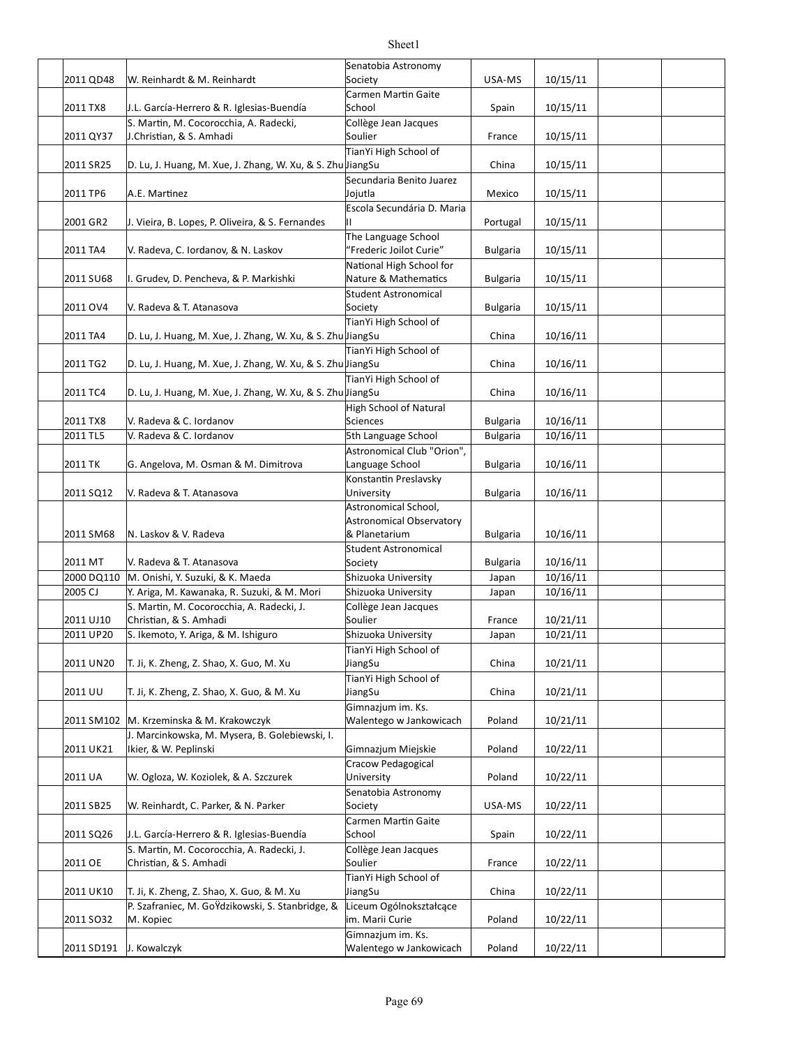|                         |                                                                         | Senatobia Astronomy                              |                 |                      |  |
|-------------------------|-------------------------------------------------------------------------|--------------------------------------------------|-----------------|----------------------|--|
| 2011 QD48               | W. Reinhardt & M. Reinhardt                                             | Society<br>Carmen Martin Gaite                   | USA-MS          | 10/15/11             |  |
| 2011 TX8                | J.L. García-Herrero & R. Iglesias-Buendía                               | School                                           | Spain           | 10/15/11             |  |
|                         | S. Martin, M. Cocorocchia, A. Radecki,                                  | Collège Jean Jacques                             |                 |                      |  |
| 2011 QY37               | J.Christian, & S. Amhadi                                                | Soulier                                          | France          | 10/15/11             |  |
|                         |                                                                         | TianYi High School of                            |                 |                      |  |
| 2011 SR25               | D. Lu, J. Huang, M. Xue, J. Zhang, W. Xu, & S. Zhu JiangSu              |                                                  | China           | 10/15/11             |  |
| 2011 TP6                | A.E. Martinez                                                           | Secundaria Benito Juarez<br>Jojutla              | Mexico          | 10/15/11             |  |
|                         |                                                                         | Escola Secundária D. Maria                       |                 |                      |  |
| 2001 GR2                | J. Vieira, B. Lopes, P. Oliveira, & S. Fernandes                        | Ш                                                | Portugal        | 10/15/11             |  |
|                         |                                                                         | The Language School                              |                 |                      |  |
| 2011 TA4                | V. Radeva, C. Iordanov, & N. Laskov                                     | "Frederic Joilot Curie"                          | <b>Bulgaria</b> | 10/15/11             |  |
|                         |                                                                         | National High School for                         |                 |                      |  |
| 2011 SU68               | I. Grudev, D. Pencheva, & P. Markishki                                  | Nature & Mathematics<br>Student Astronomical     | <b>Bulgaria</b> | 10/15/11             |  |
| 2011 OV4                | V. Radeva & T. Atanasova                                                | Society                                          | <b>Bulgaria</b> | 10/15/11             |  |
|                         |                                                                         | TianYi High School of                            |                 |                      |  |
| 2011 TA4                | D. Lu, J. Huang, M. Xue, J. Zhang, W. Xu, & S. Zhu JiangSu              |                                                  | China           | 10/16/11             |  |
|                         |                                                                         | TianYi High School of                            |                 |                      |  |
| 2011 TG2                | D. Lu, J. Huang, M. Xue, J. Zhang, W. Xu, & S. Zhu JiangSu              |                                                  | China           | 10/16/11             |  |
|                         |                                                                         | TianYi High School of                            |                 |                      |  |
| 2011 TC4                | D. Lu, J. Huang, M. Xue, J. Zhang, W. Xu, & S. Zhu JiangSu              |                                                  | China           | 10/16/11             |  |
| 2011 TX8                | V. Radeva & C. Iordanov                                                 | High School of Natural<br>Sciences               | <b>Bulgaria</b> | 10/16/11             |  |
| 2011 TL5                | V. Radeva & C. Iordanov                                                 | 5th Language School                              | <b>Bulgaria</b> | 10/16/11             |  |
|                         |                                                                         | Astronomical Club "Orion",                       |                 |                      |  |
| 2011 TK                 | G. Angelova, M. Osman & M. Dimitrova                                    | Language School                                  | <b>Bulgaria</b> | 10/16/11             |  |
|                         |                                                                         | Konstantin Preslavsky                            |                 |                      |  |
| 2011 SQ12               | V. Radeva & T. Atanasova                                                | University                                       | <b>Bulgaria</b> | 10/16/11             |  |
|                         |                                                                         | Astronomical School,<br>Astronomical Observatory |                 |                      |  |
| 2011 SM68               | N. Laskov & V. Radeva                                                   | & Planetarium                                    | <b>Bulgaria</b> | 10/16/11             |  |
|                         |                                                                         | Student Astronomical                             |                 |                      |  |
| 2011 MT                 | V. Radeva & T. Atanasova                                                | Society                                          | <b>Bulgaria</b> | 10/16/11             |  |
| 2000 DQ110              | M. Onishi, Y. Suzuki, & K. Maeda                                        | Shizuoka University                              | Japan           | 10/16/11             |  |
| 2005 CJ                 | Y. Ariga, M. Kawanaka, R. Suzuki, & M. Mori                             | Shizuoka University                              | Japan           | 10/16/11             |  |
|                         | S. Martin, M. Cocorocchia, A. Radecki, J.                               | Collège Jean Jacques                             |                 |                      |  |
| 2011 UJ10<br>2011 UP20  | Christian, & S. Amhadi<br>S. Ikemoto, Y. Ariga, & M. Ishiguro           | Soulier<br>Shizuoka University                   | France<br>Japan | 10/21/11<br>10/21/11 |  |
|                         |                                                                         | TianYi High School of                            |                 |                      |  |
| 2011 UN20               | T. Ji, K. Zheng, Z. Shao, X. Guo, M. Xu                                 | JiangSu                                          | China           | 10/21/11             |  |
|                         |                                                                         | TianYi High School of                            |                 |                      |  |
| 2011 UU                 | T. Ji, K. Zheng, Z. Shao, X. Guo, & M. Xu                               | JiangSu                                          | China           | 10/21/11             |  |
|                         |                                                                         | Gimnazjum im. Ks.                                |                 |                      |  |
|                         | 2011 SM102 M. Krzeminska & M. Krakowczyk                                | Walentego w Jankowicach                          | Poland          | 10/21/11             |  |
| 2011 UK21               | J. Marcinkowska, M. Mysera, B. Golebiewski, I.<br>Ikier, & W. Peplinski | Gimnazjum Miejskie                               | Poland          | 10/22/11             |  |
|                         |                                                                         | Cracow Pedagogical                               |                 |                      |  |
| 2011 UA                 | W. Ogloza, W. Koziolek, & A. Szczurek                                   | University                                       | Poland          | 10/22/11             |  |
|                         |                                                                         | Senatobia Astronomy                              |                 |                      |  |
| 2011 SB25               | W. Reinhardt, C. Parker, & N. Parker                                    | Society                                          | USA-MS          | 10/22/11             |  |
|                         |                                                                         | Carmen Martin Gaite                              |                 |                      |  |
| 2011 SQ26               | J.L. García-Herrero & R. Iglesias-Buendía                               | School                                           | Spain           | 10/22/11             |  |
| 2011 OE                 | S. Martin, M. Cocorocchia, A. Radecki, J.<br>Christian, & S. Amhadi     | Collège Jean Jacques<br>Soulier                  | France          | 10/22/11             |  |
|                         |                                                                         | TianYi High School of                            |                 |                      |  |
| 2011 UK10               | T. Ji, K. Zheng, Z. Shao, X. Guo, & M. Xu                               | JiangSu                                          | China           | 10/22/11             |  |
|                         | P. Szafraniec, M. GoŸdzikowski, S. Stanbridge, &                        | Liceum Ogólnokształcące                          |                 |                      |  |
| 2011 SO32               | M. Kopiec                                                               | im. Marii Curie                                  | Poland          | 10/22/11             |  |
|                         |                                                                         | Gimnazjum im. Ks.                                |                 |                      |  |
| 2011 SD191 J. Kowalczyk |                                                                         | Walentego w Jankowicach                          | Poland          | 10/22/11             |  |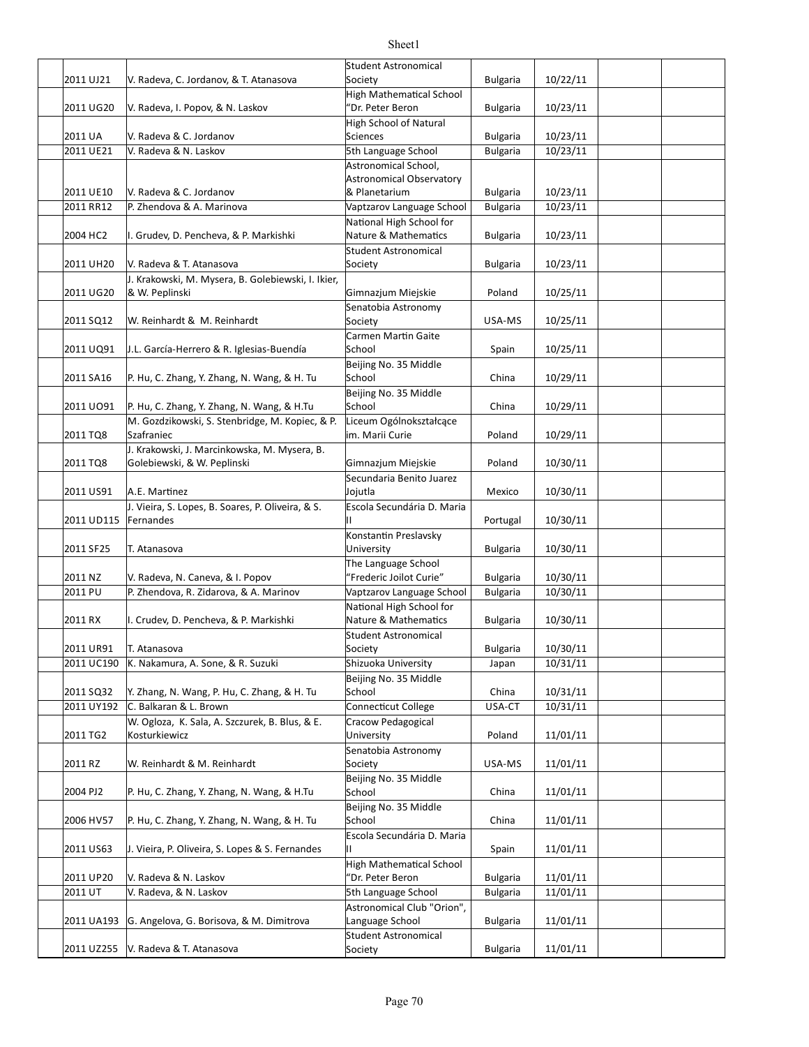|                      |                                                    | <b>Student Astronomical</b>     |                 |          |  |
|----------------------|----------------------------------------------------|---------------------------------|-----------------|----------|--|
| 2011 UJ21            | V. Radeva, C. Jordanov, & T. Atanasova             | Society                         | <b>Bulgaria</b> | 10/22/11 |  |
|                      |                                                    | <b>High Mathematical School</b> |                 |          |  |
| 2011 UG20            | V. Radeva, I. Popov, & N. Laskov                   | 'Dr. Peter Beron                | <b>Bulgaria</b> | 10/23/11 |  |
|                      |                                                    | <b>High School of Natural</b>   |                 |          |  |
| 2011 UA              | V. Radeva & C. Jordanov                            | <b>Sciences</b>                 | <b>Bulgaria</b> | 10/23/11 |  |
| 2011 UE21            | V. Radeva & N. Laskov                              | 5th Language School             | <b>Bulgaria</b> | 10/23/11 |  |
|                      |                                                    | Astronomical School,            |                 |          |  |
|                      |                                                    | <b>Astronomical Observatory</b> |                 |          |  |
| 2011 UE10            | V. Radeva & C. Jordanov                            | & Planetarium                   | <b>Bulgaria</b> | 10/23/11 |  |
| 2011 RR12            | P. Zhendova & A. Marinova                          | Vaptzarov Language School       | <b>Bulgaria</b> | 10/23/11 |  |
|                      |                                                    | National High School for        |                 |          |  |
| 2004 HC2             | I. Grudev, D. Pencheva, & P. Markishki             | Nature & Mathematics            | <b>Bulgaria</b> | 10/23/11 |  |
|                      |                                                    | <b>Student Astronomical</b>     |                 |          |  |
| 2011 UH20            | V. Radeva & T. Atanasova                           | Society                         | <b>Bulgaria</b> | 10/23/11 |  |
|                      | J. Krakowski, M. Mysera, B. Golebiewski, I. Ikier, |                                 |                 |          |  |
| 2011 UG20            | & W. Peplinski                                     | Gimnazjum Miejskie              | Poland          | 10/25/11 |  |
|                      |                                                    | Senatobia Astronomy             |                 |          |  |
| 2011 SQ12            | W. Reinhardt & M. Reinhardt                        | Society                         | USA-MS          | 10/25/11 |  |
|                      |                                                    | Carmen Martin Gaite             |                 |          |  |
| 2011 UQ91            | J.L. García-Herrero & R. Iglesias-Buendía          | School                          | Spain           | 10/25/11 |  |
| 2011 SA16            | P. Hu, C. Zhang, Y. Zhang, N. Wang, & H. Tu        | Beijing No. 35 Middle<br>School | China           | 10/29/11 |  |
|                      |                                                    | Beijing No. 35 Middle           |                 |          |  |
| 2011 UO91            | P. Hu, C. Zhang, Y. Zhang, N. Wang, & H.Tu         | School                          | China           | 10/29/11 |  |
|                      | M. Gozdzikowski, S. Stenbridge, M. Kopiec, & P.    | Liceum Ogólnokształcące         |                 |          |  |
| 2011 TQ8             | Szafraniec                                         | im. Marii Curie                 | Poland          | 10/29/11 |  |
|                      | J. Krakowski, J. Marcinkowska, M. Mysera, B.       |                                 |                 |          |  |
| 2011 TQ8             | Golebiewski, & W. Peplinski                        | Gimnazjum Miejskie              | Poland          | 10/30/11 |  |
|                      |                                                    | Secundaria Benito Juarez        |                 |          |  |
| 2011 US91            | A.E. Martinez                                      | Jojutla                         | Mexico          | 10/30/11 |  |
|                      | J. Vieira, S. Lopes, B. Soares, P. Oliveira, & S.  | Escola Secundária D. Maria      |                 |          |  |
| 2011 UD115 Fernandes |                                                    |                                 | Portugal        | 10/30/11 |  |
|                      |                                                    | Konstantin Preslavsky           |                 |          |  |
| 2011 SF25            | T. Atanasova                                       | University                      | <b>Bulgaria</b> | 10/30/11 |  |
|                      |                                                    | The Language School             |                 |          |  |
| 2011 NZ              | V. Radeva, N. Caneva, & I. Popov                   | "Frederic Joilot Curie"         | <b>Bulgaria</b> | 10/30/11 |  |
| 2011 PU              | P. Zhendova, R. Zidarova, & A. Marinov             | Vaptzarov Language School       | <b>Bulgaria</b> | 10/30/11 |  |
|                      |                                                    | National High School for        |                 |          |  |
| 2011 RX              | I. Crudev, D. Pencheva, & P. Markishki             | Nature & Mathematics            | Bulgaria        | 10/30/11 |  |
|                      |                                                    | Student Astronomical            |                 |          |  |
| 2011 UR91            | T. Atanasova                                       | Society                         | <b>Bulgaria</b> | 10/30/11 |  |
| 2011 UC190           | K. Nakamura, A. Sone, & R. Suzuki                  | Shizuoka University             | Japan           | 10/31/11 |  |
|                      |                                                    | Beijing No. 35 Middle           |                 |          |  |
| 2011 SQ32            | Y. Zhang, N. Wang, P. Hu, C. Zhang, & H. Tu        | School                          | China           | 10/31/11 |  |
| 2011 UY192           | C. Balkaran & L. Brown                             | Connecticut College             | USA-CT          | 10/31/11 |  |
|                      | W. Ogloza, K. Sala, A. Szczurek, B. Blus, & E.     | Cracow Pedagogical              |                 |          |  |
| 2011 TG2             | Kosturkiewicz                                      | University                      | Poland          | 11/01/11 |  |
|                      |                                                    | Senatobia Astronomy             |                 |          |  |
| 2011 RZ              | W. Reinhardt & M. Reinhardt                        | Society                         | USA-MS          | 11/01/11 |  |
|                      |                                                    | Beijing No. 35 Middle           |                 |          |  |
| 2004 PJ2             | P. Hu, C. Zhang, Y. Zhang, N. Wang, & H.Tu         | School                          | China           | 11/01/11 |  |
|                      |                                                    | Beijing No. 35 Middle<br>School |                 |          |  |
| 2006 HV57            | P. Hu, C. Zhang, Y. Zhang, N. Wang, & H. Tu        | Escola Secundária D. Maria      | China           | 11/01/11 |  |
| 2011 US63            | J. Vieira, P. Oliveira, S. Lopes & S. Fernandes    | Н.                              | Spain           | 11/01/11 |  |
|                      |                                                    | <b>High Mathematical School</b> |                 |          |  |
| 2011 UP20            | V. Radeva & N. Laskov                              | "Dr. Peter Beron                | <b>Bulgaria</b> | 11/01/11 |  |
| 2011 UT              | V. Radeva, & N. Laskov                             | 5th Language School             | <b>Bulgaria</b> | 11/01/11 |  |
|                      |                                                    | Astronomical Club "Orion",      |                 |          |  |
| 2011 UA193           | G. Angelova, G. Borisova, & M. Dimitrova           | Language School                 | Bulgaria        | 11/01/11 |  |
|                      |                                                    | <b>Student Astronomical</b>     |                 |          |  |
| 2011 UZ255           | V. Radeva & T. Atanasova                           | Society                         | <b>Bulgaria</b> | 11/01/11 |  |
|                      |                                                    |                                 |                 |          |  |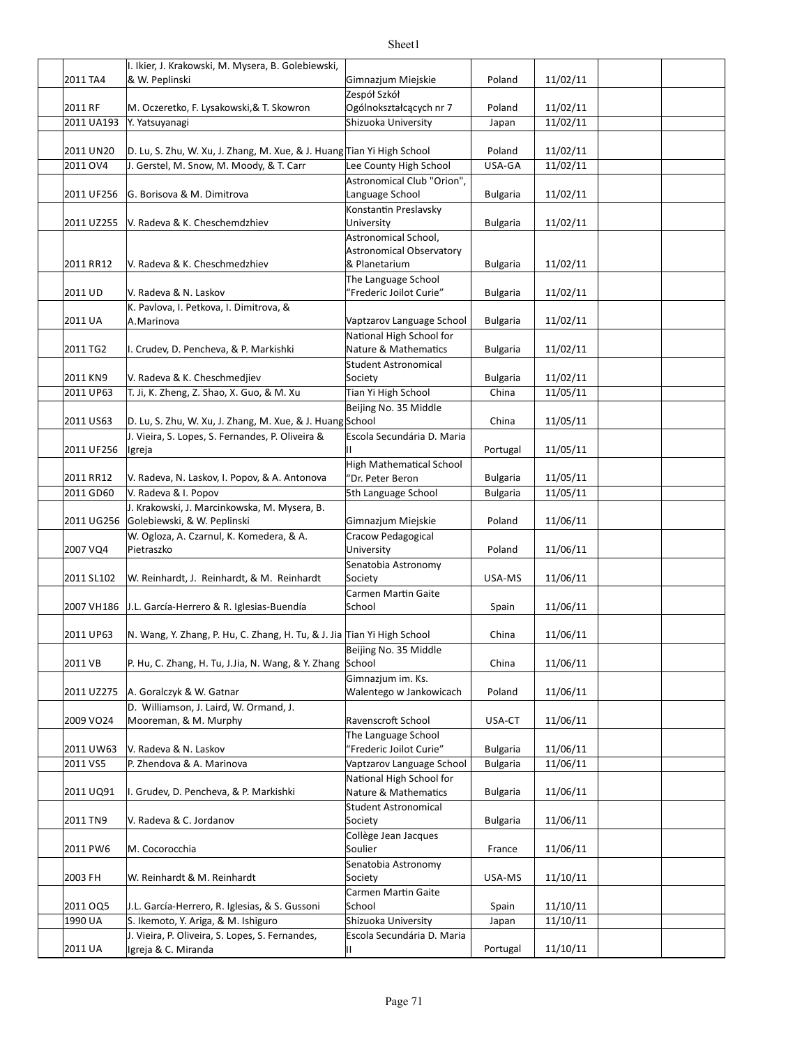|            | I. Ikier, J. Krakowski, M. Mysera, B. Golebiewski,                      |                                                     |                 |          |  |
|------------|-------------------------------------------------------------------------|-----------------------------------------------------|-----------------|----------|--|
| 2011 TA4   | & W. Peplinski                                                          | Gimnazjum Miejskie                                  | Poland          | 11/02/11 |  |
|            |                                                                         | Zespół Szkół                                        |                 |          |  |
| 2011 RF    | M. Oczeretko, F. Lysakowski, & T. Skowron                               | Ogólnokształcących nr 7                             | Poland          | 11/02/11 |  |
| 2011 UA193 | Y. Yatsuyanagi                                                          | Shizuoka University                                 | Japan           | 11/02/11 |  |
|            |                                                                         |                                                     |                 |          |  |
| 2011 UN20  | D. Lu, S. Zhu, W. Xu, J. Zhang, M. Xue, & J. Huang Tian Yi High School  |                                                     | Poland          | 11/02/11 |  |
| 2011 OV4   | J. Gerstel, M. Snow, M. Moody, & T. Carr                                | Lee County High School                              | USA-GA          | 11/02/11 |  |
|            |                                                                         | Astronomical Club "Orion",                          |                 |          |  |
| 2011 UF256 | G. Borisova & M. Dimitrova                                              | Language School                                     | <b>Bulgaria</b> | 11/02/11 |  |
| 2011 UZ255 | V. Radeva & K. Cheschemdzhiev                                           | Konstantin Preslavsky<br>University                 | <b>Bulgaria</b> | 11/02/11 |  |
|            |                                                                         | Astronomical School,                                |                 |          |  |
|            |                                                                         | <b>Astronomical Observatory</b>                     |                 |          |  |
| 2011 RR12  | V. Radeva & K. Cheschmedzhiev                                           | & Planetarium                                       | <b>Bulgaria</b> | 11/02/11 |  |
|            |                                                                         | The Language School                                 |                 |          |  |
| 2011 UD    | V. Radeva & N. Laskov                                                   | "Frederic Joilot Curie"                             | <b>Bulgaria</b> | 11/02/11 |  |
|            | K. Pavlova, I. Petkova, I. Dimitrova, &                                 |                                                     |                 |          |  |
| 2011 UA    | A.Marinova                                                              | Vaptzarov Language School                           | Bulgaria        | 11/02/11 |  |
|            |                                                                         | National High School for                            |                 |          |  |
| 2011 TG2   | II. Crudev, D. Pencheva, & P. Markishki                                 | Nature & Mathematics                                | <b>Bulgaria</b> | 11/02/11 |  |
|            |                                                                         | <b>Student Astronomical</b>                         |                 |          |  |
| 2011 KN9   | V. Radeva & K. Cheschmedjiev                                            | Society                                             | <b>Bulgaria</b> | 11/02/11 |  |
| 2011 UP63  | T. Ji, K. Zheng, Z. Shao, X. Guo, & M. Xu                               | Tian Yi High School                                 | China           | 11/05/11 |  |
|            |                                                                         | Beijing No. 35 Middle                               |                 |          |  |
| 2011 US63  | D. Lu, S. Zhu, W. Xu, J. Zhang, M. Xue, & J. Huang School               |                                                     | China           | 11/05/11 |  |
|            | J. Vieira, S. Lopes, S. Fernandes, P. Oliveira &                        | Escola Secundária D. Maria<br>н.                    |                 |          |  |
| 2011 UF256 | Igreja                                                                  |                                                     | Portugal        | 11/05/11 |  |
| 2011 RR12  | V. Radeva, N. Laskov, I. Popov, & A. Antonova                           | <b>High Mathematical School</b><br>"Dr. Peter Beron | <b>Bulgaria</b> | 11/05/11 |  |
| 2011 GD60  | V. Radeva & I. Popov                                                    | 5th Language School                                 | <b>Bulgaria</b> | 11/05/11 |  |
|            | J. Krakowski, J. Marcinkowska, M. Mysera, B.                            |                                                     |                 |          |  |
| 2011 UG256 | Golebiewski, & W. Peplinski                                             | Gimnazjum Miejskie                                  | Poland          | 11/06/11 |  |
|            | W. Ogloza, A. Czarnul, K. Komedera, & A.                                | Cracow Pedagogical                                  |                 |          |  |
| 2007 VQ4   | Pietraszko                                                              | University                                          | Poland          | 11/06/11 |  |
|            |                                                                         | Senatobia Astronomy                                 |                 |          |  |
| 2011 SL102 | W. Reinhardt, J. Reinhardt, & M. Reinhardt                              | Society                                             | USA-MS          | 11/06/11 |  |
|            |                                                                         | Carmen Martin Gaite                                 |                 |          |  |
|            | 2007 VH186 J.L. García-Herrero & R. Iglesias-Buendía                    | School                                              | Spain           | 11/06/11 |  |
|            |                                                                         |                                                     |                 |          |  |
| 2011 UP63  | N. Wang, Y. Zhang, P. Hu, C. Zhang, H. Tu, & J. Jia Tian Yi High School |                                                     | China           | 11/06/11 |  |
|            |                                                                         | Beijing No. 35 Middle                               |                 |          |  |
| 2011 VB    | P. Hu, C. Zhang, H. Tu, J.Jia, N. Wang, & Y. Zhang                      | School                                              | China           | 11/06/11 |  |
|            |                                                                         | Gimnazjum im. Ks.                                   |                 |          |  |
| 2011 UZ275 | A. Goralczyk & W. Gatnar                                                | Walentego w Jankowicach                             | Poland          | 11/06/11 |  |
| 2009 VO24  | D. Williamson, J. Laird, W. Ormand, J.<br>Mooreman, & M. Murphy         | Ravenscroft School                                  | USA-CT          | 11/06/11 |  |
|            |                                                                         | The Language School                                 |                 |          |  |
| 2011 UW63  | V. Radeva & N. Laskov                                                   | "Frederic Joilot Curie"                             | Bulgaria        | 11/06/11 |  |
| 2011 VS5   | P. Zhendova & A. Marinova                                               | Vaptzarov Language School                           | <b>Bulgaria</b> | 11/06/11 |  |
|            |                                                                         | National High School for                            |                 |          |  |
| 2011 UQ91  | II. Grudev, D. Pencheva, & P. Markishki                                 | Nature & Mathematics                                | <b>Bulgaria</b> | 11/06/11 |  |
|            |                                                                         | <b>Student Astronomical</b>                         |                 |          |  |
| 2011 TN9   | V. Radeva & C. Jordanov                                                 | Society                                             | Bulgaria        | 11/06/11 |  |
|            |                                                                         | Collège Jean Jacques                                |                 |          |  |
| 2011 PW6   | M. Cocorocchia                                                          | Soulier                                             | France          | 11/06/11 |  |
|            |                                                                         | Senatobia Astronomy                                 |                 |          |  |
| 2003 FH    | W. Reinhardt & M. Reinhardt                                             | Society                                             | USA-MS          | 11/10/11 |  |
|            |                                                                         | Carmen Martin Gaite                                 |                 |          |  |
| 2011 OQ5   | J.L. García-Herrero, R. Iglesias, & S. Gussoni                          | School                                              | Spain           | 11/10/11 |  |
| 1990 UA    | S. Ikemoto, Y. Ariga, & M. Ishiguro                                     | Shizuoka University                                 | Japan           | 11/10/11 |  |
|            | J. Vieira, P. Oliveira, S. Lopes, S. Fernandes,                         | Escola Secundária D. Maria                          |                 |          |  |
| 2011 UA    | Igreja & C. Miranda                                                     | П.                                                  | Portugal        | 11/10/11 |  |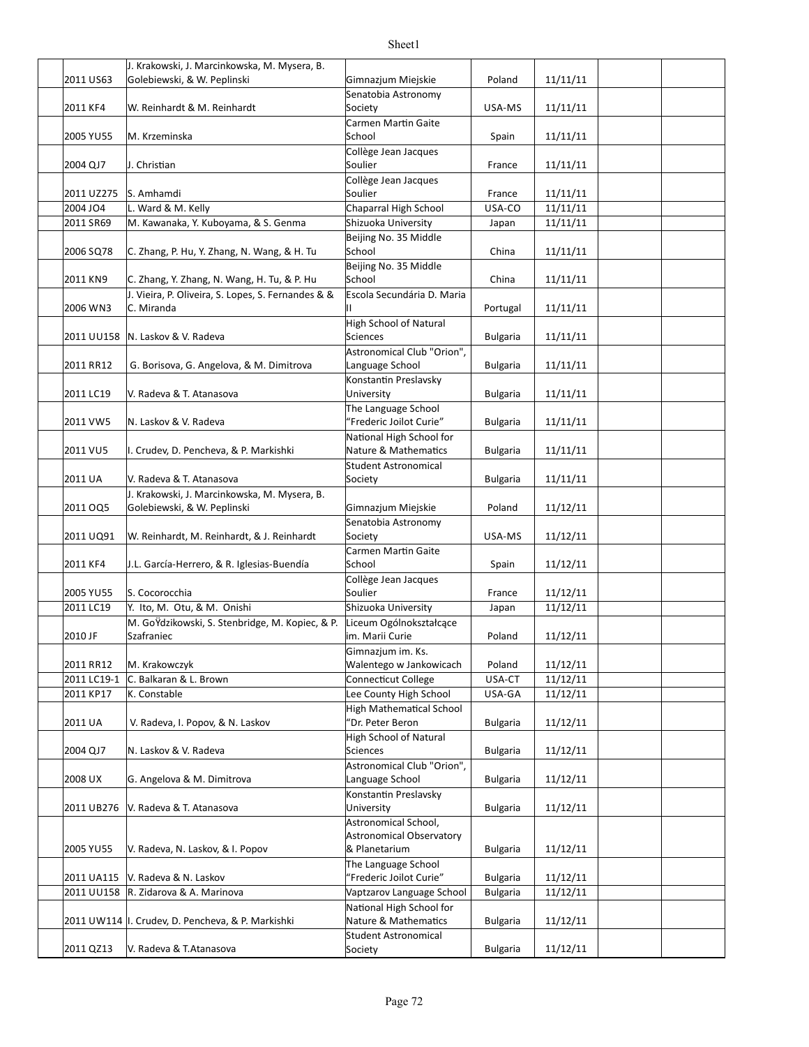|             | J. Krakowski, J. Marcinkowska, M. Mysera, B.               |                                                     |                 |          |  |
|-------------|------------------------------------------------------------|-----------------------------------------------------|-----------------|----------|--|
| 2011 US63   | Golebiewski, & W. Peplinski                                | Gimnazjum Miejskie                                  | Poland          | 11/11/11 |  |
|             |                                                            | Senatobia Astronomy                                 |                 |          |  |
| 2011 KF4    | W. Reinhardt & M. Reinhardt                                | Society                                             | USA-MS          | 11/11/11 |  |
|             |                                                            | Carmen Martin Gaite                                 |                 |          |  |
| 2005 YU55   | M. Krzeminska                                              | School                                              | Spain           | 11/11/11 |  |
|             |                                                            | Collège Jean Jacques                                |                 |          |  |
| 2004 QJ7    | J. Christian                                               | Soulier                                             | France          | 11/11/11 |  |
|             |                                                            | Collège Jean Jacques                                |                 |          |  |
| 2011 UZ275  | S. Amhamdi                                                 | Soulier                                             | France          | 11/11/11 |  |
| 2004 JO4    | L. Ward & M. Kelly<br>M. Kawanaka, Y. Kuboyama, & S. Genma | Chaparral High School                               | USA-CO          | 11/11/11 |  |
| 2011 SR69   |                                                            | Shizuoka University<br>Beijing No. 35 Middle        | Japan           | 11/11/11 |  |
| 2006 SQ78   | C. Zhang, P. Hu, Y. Zhang, N. Wang, & H. Tu                | School                                              | China           | 11/11/11 |  |
|             |                                                            | Beijing No. 35 Middle                               |                 |          |  |
| 2011 KN9    | C. Zhang, Y. Zhang, N. Wang, H. Tu, & P. Hu                | School                                              | China           | 11/11/11 |  |
|             | J. Vieira, P. Oliveira, S. Lopes, S. Fernandes & &         | Escola Secundária D. Maria                          |                 |          |  |
| 2006 WN3    | C. Miranda                                                 | н.                                                  | Portugal        | 11/11/11 |  |
|             |                                                            | <b>High School of Natural</b>                       |                 |          |  |
|             | 2011 UU158   N. Laskov & V. Radeva                         | <b>Sciences</b>                                     | <b>Bulgaria</b> | 11/11/11 |  |
|             |                                                            | Astronomical Club "Orion",                          |                 |          |  |
| 2011 RR12   | G. Borisova, G. Angelova, & M. Dimitrova                   | Language School                                     | <b>Bulgaria</b> | 11/11/11 |  |
|             |                                                            | Konstantin Preslavsky                               |                 |          |  |
| 2011 LC19   | V. Radeva & T. Atanasova                                   | University                                          | <b>Bulgaria</b> | 11/11/11 |  |
|             |                                                            | The Language School                                 |                 |          |  |
| 2011 VW5    | N. Laskov & V. Radeva                                      | "Frederic Joilot Curie"                             | <b>Bulgaria</b> | 11/11/11 |  |
|             |                                                            | National High School for                            |                 |          |  |
| 2011 VU5    | I. Crudev, D. Pencheva, & P. Markishki                     | Nature & Mathematics                                | <b>Bulgaria</b> | 11/11/11 |  |
| 2011 UA     | V. Radeva & T. Atanasova                                   | <b>Student Astronomical</b><br>Society              | <b>Bulgaria</b> | 11/11/11 |  |
|             | J. Krakowski, J. Marcinkowska, M. Mysera, B.               |                                                     |                 |          |  |
| 2011 OQ5    | Golebiewski, & W. Peplinski                                | Gimnazjum Miejskie                                  | Poland          | 11/12/11 |  |
|             |                                                            | Senatobia Astronomy                                 |                 |          |  |
| 2011 UQ91   | W. Reinhardt, M. Reinhardt, & J. Reinhardt                 | Society                                             | USA-MS          | 11/12/11 |  |
|             |                                                            | Carmen Martin Gaite                                 |                 |          |  |
| 2011 KF4    | J.L. García-Herrero, & R. Iglesias-Buendía                 | School                                              | Spain           | 11/12/11 |  |
|             |                                                            | Collège Jean Jacques                                |                 |          |  |
| 2005 YU55   | S. Cocorocchia                                             | Soulier                                             | France          | 11/12/11 |  |
| 2011 LC19   | Y. Ito, M. Otu, & M. Onishi                                | Shizuoka University                                 | Japan           | 11/12/11 |  |
|             | M. GoŸdzikowski, S. Stenbridge, M. Kopiec, & P.            | Liceum Ogólnokształcące                             |                 |          |  |
| 2010 JF     | Szafraniec                                                 | im. Marii Curie                                     | Poland          | 11/12/11 |  |
|             |                                                            | Gimnazjum im. Ks.                                   |                 |          |  |
| 2011 RR12   | M. Krakowczyk                                              | Walentego w Jankowicach                             | Poland          | 11/12/11 |  |
| 2011 LC19-1 | C. Balkaran & L. Brown                                     | Connecticut College                                 | USA-CT          | 11/12/11 |  |
| 2011 KP17   | K. Constable                                               | Lee County High School                              | USA-GA          | 11/12/11 |  |
| 2011 UA     | V. Radeva, I. Popov, & N. Laskov                           | <b>High Mathematical School</b><br>"Dr. Peter Beron | <b>Bulgaria</b> | 11/12/11 |  |
|             |                                                            | <b>High School of Natural</b>                       |                 |          |  |
| 2004 QJ7    | N. Laskov & V. Radeva                                      | <b>Sciences</b>                                     | Bulgaria        | 11/12/11 |  |
|             |                                                            | Astronomical Club "Orion",                          |                 |          |  |
| 2008 UX     | G. Angelova & M. Dimitrova                                 | Language School                                     | Bulgaria        | 11/12/11 |  |
|             |                                                            | Konstantin Preslavsky                               |                 |          |  |
| 2011 UB276  | V. Radeva & T. Atanasova                                   | University                                          | <b>Bulgaria</b> | 11/12/11 |  |
|             |                                                            | Astronomical School,                                |                 |          |  |
|             |                                                            | <b>Astronomical Observatory</b>                     |                 |          |  |
| 2005 YU55   | V. Radeva, N. Laskov, & I. Popov                           | & Planetarium                                       | <b>Bulgaria</b> | 11/12/11 |  |
|             |                                                            | The Language School                                 |                 |          |  |
| 2011 UA115  | V. Radeva & N. Laskov                                      | "Frederic Joilot Curie"                             | <b>Bulgaria</b> | 11/12/11 |  |
| 2011 UU158  | R. Zidarova & A. Marinova                                  | Vaptzarov Language School                           | <b>Bulgaria</b> | 11/12/11 |  |
|             |                                                            | National High School for                            |                 |          |  |
|             | 2011 UW114 II. Crudev, D. Pencheva, & P. Markishki         | Nature & Mathematics                                | Bulgaria        | 11/12/11 |  |
| 2011 QZ13   | V. Radeva & T. Atanasova                                   | <b>Student Astronomical</b><br>Society              | <b>Bulgaria</b> | 11/12/11 |  |
|             |                                                            |                                                     |                 |          |  |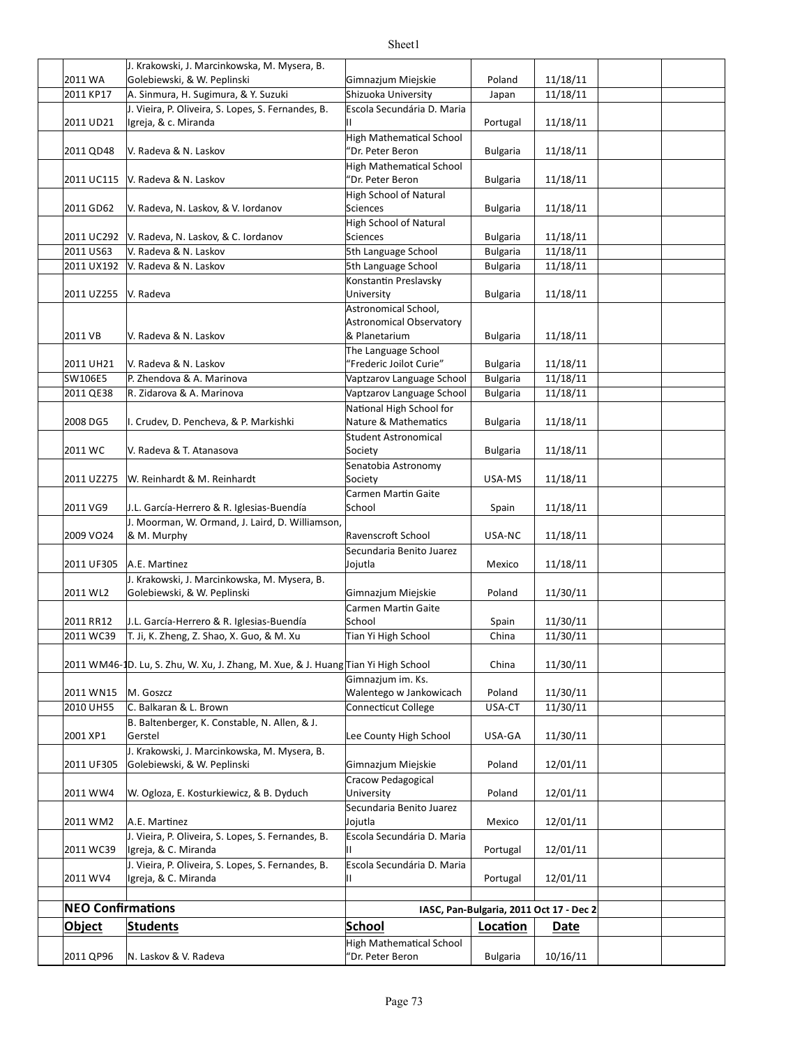|                          | J. Krakowski, J. Marcinkowska, M. Mysera, B.                                      |                                                     |                 |                                         |  |
|--------------------------|-----------------------------------------------------------------------------------|-----------------------------------------------------|-----------------|-----------------------------------------|--|
| 2011 WA                  | Golebiewski, & W. Peplinski                                                       | Gimnazium Miejskie                                  | Poland          | 11/18/11                                |  |
| 2011 KP17                | A. Sinmura, H. Sugimura, & Y. Suzuki                                              | Shizuoka University                                 | Japan           | 11/18/11                                |  |
| 2011 UD21                | J. Vieira, P. Oliveira, S. Lopes, S. Fernandes, B.<br>Igreja, & c. Miranda        | Escola Secundária D. Maria<br>Ш                     | Portugal        | 11/18/11                                |  |
| 2011 QD48                | V. Radeva & N. Laskov                                                             | <b>High Mathematical School</b><br>'Dr. Peter Beron | <b>Bulgaria</b> | 11/18/11                                |  |
| 2011 UC115               | V. Radeva & N. Laskov                                                             | <b>High Mathematical School</b><br>'Dr. Peter Beron | <b>Bulgaria</b> | 11/18/11                                |  |
| 2011 GD62                | V. Radeva, N. Laskov, & V. Iordanov                                               | <b>High School of Natural</b><br><b>Sciences</b>    | <b>Bulgaria</b> | 11/18/11                                |  |
| 2011 UC292               | V. Radeva, N. Laskov, & C. Iordanov                                               | <b>High School of Natural</b><br><b>Sciences</b>    | <b>Bulgaria</b> | 11/18/11                                |  |
| 2011 US63                | V. Radeva & N. Laskov                                                             | 5th Language School                                 | <b>Bulgaria</b> | 11/18/11                                |  |
| 2011 UX192               | V. Radeva & N. Laskov                                                             | 5th Language School                                 | <b>Bulgaria</b> | 11/18/11                                |  |
| 2011 UZ255               | V. Radeva                                                                         | Konstantin Preslavsky<br>University                 | <b>Bulgaria</b> | 11/18/11                                |  |
|                          |                                                                                   | Astronomical School,<br>Astronomical Observatory    |                 |                                         |  |
| 2011 VB                  | V. Radeva & N. Laskov                                                             | & Planetarium<br>The Language School                | <b>Bulgaria</b> | 11/18/11                                |  |
| 2011 UH21                | V. Radeva & N. Laskov                                                             | "Frederic Joilot Curie"                             | <b>Bulgaria</b> | 11/18/11                                |  |
| SW106E5                  | P. Zhendova & A. Marinova                                                         | Vaptzarov Language School                           | <b>Bulgaria</b> | 11/18/11                                |  |
| 2011 QE38                | R. Zidarova & A. Marinova                                                         | Vaptzarov Language School                           | <b>Bulgaria</b> | 11/18/11                                |  |
| 2008 DG5                 | I. Crudev, D. Pencheva, & P. Markishki                                            | National High School for<br>Nature & Mathematics    | <b>Bulgaria</b> | 11/18/11                                |  |
| 2011 WC                  | V. Radeva & T. Atanasova                                                          | <b>Student Astronomical</b><br>Society              | <b>Bulgaria</b> | 11/18/11                                |  |
| 2011 UZ275               | W. Reinhardt & M. Reinhardt                                                       | Senatobia Astronomy<br>Society                      | USA-MS          | 11/18/11                                |  |
| 2011 VG9                 | J.L. García-Herrero & R. Iglesias-Buendía                                         | Carmen Martin Gaite<br>School                       | Spain           | 11/18/11                                |  |
| 2009 VO24                | J. Moorman, W. Ormand, J. Laird, D. Williamson,<br>& M. Murphy                    | Ravenscroft School                                  | USA-NC          | 11/18/11                                |  |
| 2011 UF305               | A.E. Martinez                                                                     | Secundaria Benito Juarez<br>Jojutla                 | Mexico          | 11/18/11                                |  |
| 2011 WL2                 | J. Krakowski, J. Marcinkowska, M. Mysera, B.<br>Golebiewski, & W. Peplinski       | Gimnazjum Miejskie                                  | Poland          | 11/30/11                                |  |
| 2011 RR12                | J.L. García-Herrero & R. Iglesias-Buendía                                         | Carmen Martin Gaite<br>School                       | Spain           | 11/30/11                                |  |
| 2011 WC39                | T. Ji, K. Zheng, Z. Shao, X. Guo, & M. Xu                                         | Tian Yi High School                                 | China           | 11/30/11                                |  |
|                          | 2011 WM46-1D. Lu, S. Zhu, W. Xu, J. Zhang, M. Xue, & J. Huang Tian Yi High School |                                                     | China           | 11/30/11                                |  |
|                          |                                                                                   | Gimnazjum im. Ks.                                   |                 |                                         |  |
| 2011 WN15                | M. Goszcz                                                                         | Walentego w Jankowicach                             | Poland          | 11/30/11                                |  |
| 2010 UH55                | C. Balkaran & L. Brown<br>B. Baltenberger, K. Constable, N. Allen, & J.           | Connecticut College                                 | USA-CT          | 11/30/11                                |  |
| 2001 XP1                 | Gerstel<br>J. Krakowski, J. Marcinkowska, M. Mysera, B.                           | Lee County High School                              | USA-GA          | 11/30/11                                |  |
| 2011 UF305               | Golebiewski, & W. Peplinski                                                       | Gimnazjum Miejskie<br>Cracow Pedagogical            | Poland          | 12/01/11                                |  |
| 2011 WW4                 | W. Ogloza, E. Kosturkiewicz, & B. Dyduch                                          | University<br>Secundaria Benito Juarez              | Poland          | 12/01/11                                |  |
| 2011 WM2                 | A.E. Martinez                                                                     | Jojutla                                             | Mexico          | 12/01/11                                |  |
| 2011 WC39                | J. Vieira, P. Oliveira, S. Lopes, S. Fernandes, B.<br>Igreja, & C. Miranda        | Escola Secundária D. Maria                          | Portugal        | 12/01/11                                |  |
| 2011 WV4                 | J. Vieira, P. Oliveira, S. Lopes, S. Fernandes, B.<br>Igreja, & C. Miranda        | Escola Secundária D. Maria<br>н.                    | Portugal        | 12/01/11                                |  |
|                          |                                                                                   |                                                     |                 |                                         |  |
| <b>NEO Confirmations</b> |                                                                                   |                                                     |                 | IASC, Pan-Bulgaria, 2011 Oct 17 - Dec 2 |  |
| <b>Object</b>            | <b>Students</b>                                                                   | <b>School</b>                                       | Location        | Date                                    |  |
| 2011 QP96                | N. Laskov & V. Radeva                                                             | <b>High Mathematical School</b><br>"Dr. Peter Beron | <b>Bulgaria</b> | 10/16/11                                |  |
|                          |                                                                                   |                                                     |                 |                                         |  |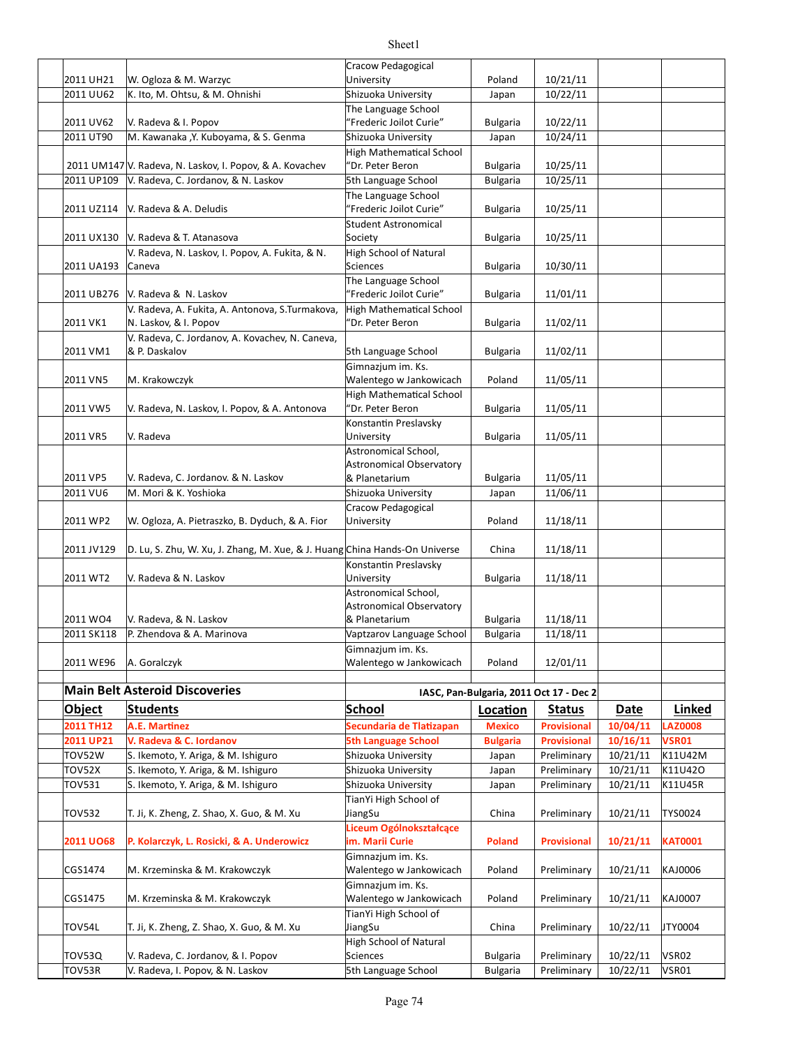|                         |                                                                            | Cracow Pedagogical                             |                                    |                                         |                      |                       |  |
|-------------------------|----------------------------------------------------------------------------|------------------------------------------------|------------------------------------|-----------------------------------------|----------------------|-----------------------|--|
| 2011 UH21               | W. Ogloza & M. Warzyc                                                      | University                                     | Poland                             | 10/21/11                                |                      |                       |  |
| 2011 UU62               | K. Ito, M. Ohtsu, & M. Ohnishi                                             | Shizuoka University                            | Japan                              | 10/22/11                                |                      |                       |  |
|                         |                                                                            | The Language School                            |                                    |                                         |                      |                       |  |
| 2011 UV62               | V. Radeva & I. Popov                                                       | "Frederic Joilot Curie"                        | <b>Bulgaria</b>                    | 10/22/11                                |                      |                       |  |
| 2011 UT90               | M. Kawanaka , Y. Kuboyama, & S. Genma                                      | Shizuoka University                            | Japan                              | 10/24/11                                |                      |                       |  |
|                         |                                                                            | <b>High Mathematical School</b>                |                                    |                                         |                      |                       |  |
|                         | 2011 UM147 V. Radeva, N. Laskov, I. Popov, & A. Kovachev                   | "Dr. Peter Beron                               | <b>Bulgaria</b>                    | 10/25/11                                |                      |                       |  |
| 2011 UP109              | V. Radeva, C. Jordanov, & N. Laskov                                        | 5th Language School                            | <b>Bulgaria</b>                    | 10/25/11                                |                      |                       |  |
|                         |                                                                            | The Language School                            |                                    |                                         |                      |                       |  |
|                         | 2011 UZ114 V. Radeva & A. Deludis                                          | "Frederic Joilot Curie"                        | <b>Bulgaria</b>                    | 10/25/11                                |                      |                       |  |
|                         |                                                                            | <b>Student Astronomical</b>                    |                                    |                                         |                      |                       |  |
|                         | 2011 UX130 V. Radeva & T. Atanasova                                        | Society                                        | <b>Bulgaria</b>                    | 10/25/11                                |                      |                       |  |
|                         | V. Radeva, N. Laskov, I. Popov, A. Fukita, & N.                            | High School of Natural<br>Sciences             |                                    | 10/30/11                                |                      |                       |  |
| 2011 UA193              | Caneva                                                                     |                                                | <b>Bulgaria</b>                    |                                         |                      |                       |  |
| 2011 UB276              | V. Radeva & N. Laskov                                                      | The Language School<br>"Frederic Joilot Curie" | <b>Bulgaria</b>                    | 11/01/11                                |                      |                       |  |
|                         |                                                                            |                                                |                                    |                                         |                      |                       |  |
| 2011 VK1                | V. Radeva, A. Fukita, A. Antonova, S. Turmakova,<br>N. Laskov, & I. Popov  | High Mathematical School<br>'Dr. Peter Beron   | <b>Bulgaria</b>                    | 11/02/11                                |                      |                       |  |
|                         | V. Radeva, C. Jordanov, A. Kovachev, N. Caneva,                            |                                                |                                    |                                         |                      |                       |  |
| 2011 VM1                | & P. Daskalov                                                              | 5th Language School                            | Bulgaria                           | 11/02/11                                |                      |                       |  |
|                         |                                                                            | Gimnazjum im. Ks.                              |                                    |                                         |                      |                       |  |
| 2011 VN5                | M. Krakowczyk                                                              | Walentego w Jankowicach                        | Poland                             | 11/05/11                                |                      |                       |  |
|                         |                                                                            | High Mathematical School                       |                                    |                                         |                      |                       |  |
| 2011 VW5                | V. Radeva, N. Laskov, I. Popov, & A. Antonova                              | "Dr. Peter Beron                               | <b>Bulgaria</b>                    | 11/05/11                                |                      |                       |  |
|                         |                                                                            | Konstantin Preslavsky                          |                                    |                                         |                      |                       |  |
| 2011 VR5                | V. Radeva                                                                  | University                                     | <b>Bulgaria</b>                    | 11/05/11                                |                      |                       |  |
|                         |                                                                            | Astronomical School,                           |                                    |                                         |                      |                       |  |
|                         |                                                                            | Astronomical Observatory                       |                                    |                                         |                      |                       |  |
| 2011 VP5                | V. Radeva, C. Jordanov. & N. Laskov                                        | & Planetarium                                  | <b>Bulgaria</b>                    | 11/05/11                                |                      |                       |  |
| 2011 VU6                | M. Mori & K. Yoshioka                                                      | Shizuoka University                            | Japan                              | 11/06/11                                |                      |                       |  |
|                         |                                                                            | Cracow Pedagogical                             |                                    |                                         |                      |                       |  |
| 2011 WP2                | W. Ogloza, A. Pietraszko, B. Dyduch, & A. Fior                             | University                                     | Poland                             | 11/18/11                                |                      |                       |  |
|                         |                                                                            |                                                |                                    |                                         |                      |                       |  |
| 2011 JV129              | D. Lu, S. Zhu, W. Xu, J. Zhang, M. Xue, & J. Huang China Hands-On Universe |                                                | China                              | 11/18/11                                |                      |                       |  |
|                         |                                                                            | Konstantin Preslavsky                          |                                    |                                         |                      |                       |  |
| 2011 WT2                | V. Radeva & N. Laskov                                                      | University                                     | <b>Bulgaria</b>                    | 11/18/11                                |                      |                       |  |
|                         |                                                                            | Astronomical School,                           |                                    |                                         |                      |                       |  |
|                         |                                                                            | Astronomical Observatory                       |                                    |                                         |                      |                       |  |
| 2011 WO4                | V. Radeva, & N. Laskov                                                     | & Planetarium                                  | <b>Bulgaria</b>                    | 11/18/11                                |                      |                       |  |
| 2011 SK118              | P. Zhendova & A. Marinova                                                  | Vaptzarov Language School                      | <b>Bulgaria</b>                    | 11/18/11                                |                      |                       |  |
|                         |                                                                            | Gimnazjum im. Ks.                              |                                    |                                         |                      |                       |  |
| 2011 WE96               | A. Goralczyk                                                               | Walentego w Jankowicach                        | Poland                             | 12/01/11                                |                      |                       |  |
|                         |                                                                            |                                                |                                    |                                         |                      |                       |  |
|                         | <b>Main Belt Asteroid Discoveries</b>                                      |                                                |                                    | IASC, Pan-Bulgaria, 2011 Oct 17 - Dec 2 |                      |                       |  |
| Object                  | <b>Students</b>                                                            | <b>School</b>                                  | Location                           | <b>Status</b>                           | <b>Date</b>          | Linked                |  |
| 2011 TH12               | <b>A.E. Martinez</b>                                                       | Secundaria de Tlatizapan                       | <b>Mexico</b>                      | <b>Provisional</b>                      | 10/04/11             | <b>LAZ0008</b>        |  |
| 2011 UP21               | V. Radeva & C. Iordanov                                                    | <b>5th Language School</b>                     | <b>Bulgaria</b>                    | <b>Provisional</b>                      | 10/16/11             | <b>VSR01</b>          |  |
| <b>TOV52W</b>           |                                                                            |                                                |                                    |                                         |                      |                       |  |
|                         |                                                                            |                                                |                                    |                                         |                      |                       |  |
|                         | S. Ikemoto, Y. Ariga, & M. Ishiguro                                        | Shizuoka University                            | Japan                              | Preliminary                             | 10/21/11             | K11U42M               |  |
| <b>TOV52X</b>           | S. Ikemoto, Y. Ariga, & M. Ishiguro                                        | Shizuoka University                            | Japan                              | Preliminary                             | 10/21/11             | K11U42O               |  |
| <b>TOV531</b>           | S. Ikemoto, Y. Ariga, & M. Ishiguro                                        | Shizuoka University                            | Japan                              | Preliminary                             | 10/21/11             | K11U45R               |  |
|                         |                                                                            | TianYi High School of                          |                                    |                                         |                      |                       |  |
| <b>TOV532</b>           | T. Ji, K. Zheng, Z. Shao, X. Guo, & M. Xu                                  | JiangSu                                        | China                              | Preliminary                             | 10/21/11             | TYS0024               |  |
|                         |                                                                            | Liceum Ogólnokształcące                        |                                    |                                         |                      |                       |  |
| <b>2011 UO68</b>        | P. Kolarczyk, L. Rosicki, & A. Underowicz                                  | im. Marii Curie                                | <b>Poland</b>                      | <b>Provisional</b>                      | 10/21/11             | <b>KAT0001</b>        |  |
|                         |                                                                            | Gimnazjum im. Ks.                              |                                    |                                         |                      |                       |  |
| CGS1474                 | M. Krzeminska & M. Krakowczyk                                              | Walentego w Jankowicach                        | Poland                             | Preliminary                             | 10/21/11             | KAJ0006               |  |
|                         |                                                                            | Gimnazjum im. Ks.                              |                                    |                                         |                      |                       |  |
| CGS1475                 | M. Krzeminska & M. Krakowczyk                                              | Walentego w Jankowicach                        | Poland                             | Preliminary                             | 10/21/11             | KAJ0007               |  |
|                         |                                                                            | TianYi High School of                          |                                    |                                         |                      |                       |  |
| TOV54L                  | T. Ji, K. Zheng, Z. Shao, X. Guo, & M. Xu                                  | JiangSu                                        | China                              | Preliminary                             | 10/22/11             | JTY0004               |  |
|                         |                                                                            | High School of Natural                         |                                    |                                         |                      |                       |  |
| <b>TOV53Q</b><br>TOV53R | V. Radeva, C. Jordanov, & I. Popov<br>V. Radeva, I. Popov, & N. Laskov     | Sciences<br>5th Language School                | <b>Bulgaria</b><br><b>Bulgaria</b> | Preliminary<br>Preliminary              | 10/22/11<br>10/22/11 | <b>VSR02</b><br>VSR01 |  |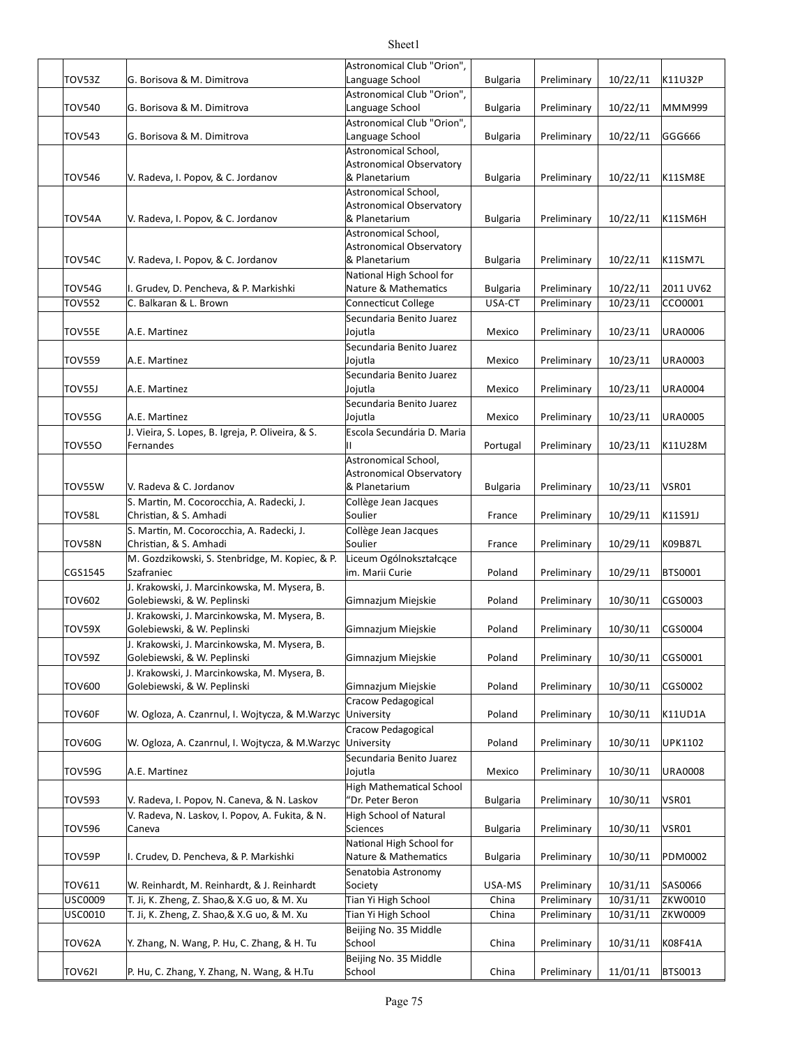|                                                 | Astronomical Club "Orion",                                                                                                                                                                                                                                                                                                                                                                                                                                                                                                                                                                                                                                                                                                                                                                     |                                                                                                                                                                                                                                                                                                                                                                                                                                                                                                                                                                                                                                                                                                                                                           |                                                                                                                                                                                                                                          |                                                                                                                                                                                                                                                             |                                                                                                                                                                                                                                              |
|-------------------------------------------------|------------------------------------------------------------------------------------------------------------------------------------------------------------------------------------------------------------------------------------------------------------------------------------------------------------------------------------------------------------------------------------------------------------------------------------------------------------------------------------------------------------------------------------------------------------------------------------------------------------------------------------------------------------------------------------------------------------------------------------------------------------------------------------------------|-----------------------------------------------------------------------------------------------------------------------------------------------------------------------------------------------------------------------------------------------------------------------------------------------------------------------------------------------------------------------------------------------------------------------------------------------------------------------------------------------------------------------------------------------------------------------------------------------------------------------------------------------------------------------------------------------------------------------------------------------------------|------------------------------------------------------------------------------------------------------------------------------------------------------------------------------------------------------------------------------------------|-------------------------------------------------------------------------------------------------------------------------------------------------------------------------------------------------------------------------------------------------------------|----------------------------------------------------------------------------------------------------------------------------------------------------------------------------------------------------------------------------------------------|
|                                                 |                                                                                                                                                                                                                                                                                                                                                                                                                                                                                                                                                                                                                                                                                                                                                                                                |                                                                                                                                                                                                                                                                                                                                                                                                                                                                                                                                                                                                                                                                                                                                                           |                                                                                                                                                                                                                                          |                                                                                                                                                                                                                                                             | K11U32P                                                                                                                                                                                                                                      |
|                                                 |                                                                                                                                                                                                                                                                                                                                                                                                                                                                                                                                                                                                                                                                                                                                                                                                |                                                                                                                                                                                                                                                                                                                                                                                                                                                                                                                                                                                                                                                                                                                                                           |                                                                                                                                                                                                                                          |                                                                                                                                                                                                                                                             | MMM999                                                                                                                                                                                                                                       |
|                                                 |                                                                                                                                                                                                                                                                                                                                                                                                                                                                                                                                                                                                                                                                                                                                                                                                |                                                                                                                                                                                                                                                                                                                                                                                                                                                                                                                                                                                                                                                                                                                                                           |                                                                                                                                                                                                                                          |                                                                                                                                                                                                                                                             |                                                                                                                                                                                                                                              |
| G. Borisova & M. Dimitrova                      |                                                                                                                                                                                                                                                                                                                                                                                                                                                                                                                                                                                                                                                                                                                                                                                                |                                                                                                                                                                                                                                                                                                                                                                                                                                                                                                                                                                                                                                                                                                                                                           |                                                                                                                                                                                                                                          |                                                                                                                                                                                                                                                             | GGG666                                                                                                                                                                                                                                       |
|                                                 | Astronomical School,                                                                                                                                                                                                                                                                                                                                                                                                                                                                                                                                                                                                                                                                                                                                                                           |                                                                                                                                                                                                                                                                                                                                                                                                                                                                                                                                                                                                                                                                                                                                                           |                                                                                                                                                                                                                                          |                                                                                                                                                                                                                                                             |                                                                                                                                                                                                                                              |
|                                                 | <b>Astronomical Observatory</b>                                                                                                                                                                                                                                                                                                                                                                                                                                                                                                                                                                                                                                                                                                                                                                |                                                                                                                                                                                                                                                                                                                                                                                                                                                                                                                                                                                                                                                                                                                                                           |                                                                                                                                                                                                                                          |                                                                                                                                                                                                                                                             |                                                                                                                                                                                                                                              |
| V. Radeva, I. Popov, & C. Jordanov              | & Planetarium                                                                                                                                                                                                                                                                                                                                                                                                                                                                                                                                                                                                                                                                                                                                                                                  | <b>Bulgaria</b>                                                                                                                                                                                                                                                                                                                                                                                                                                                                                                                                                                                                                                                                                                                                           | Preliminary                                                                                                                                                                                                                              | 10/22/11                                                                                                                                                                                                                                                    | K11SM8E                                                                                                                                                                                                                                      |
|                                                 | Astronomical School,                                                                                                                                                                                                                                                                                                                                                                                                                                                                                                                                                                                                                                                                                                                                                                           |                                                                                                                                                                                                                                                                                                                                                                                                                                                                                                                                                                                                                                                                                                                                                           |                                                                                                                                                                                                                                          |                                                                                                                                                                                                                                                             |                                                                                                                                                                                                                                              |
|                                                 |                                                                                                                                                                                                                                                                                                                                                                                                                                                                                                                                                                                                                                                                                                                                                                                                |                                                                                                                                                                                                                                                                                                                                                                                                                                                                                                                                                                                                                                                                                                                                                           |                                                                                                                                                                                                                                          |                                                                                                                                                                                                                                                             |                                                                                                                                                                                                                                              |
|                                                 |                                                                                                                                                                                                                                                                                                                                                                                                                                                                                                                                                                                                                                                                                                                                                                                                |                                                                                                                                                                                                                                                                                                                                                                                                                                                                                                                                                                                                                                                                                                                                                           |                                                                                                                                                                                                                                          |                                                                                                                                                                                                                                                             | K11SM6H                                                                                                                                                                                                                                      |
|                                                 |                                                                                                                                                                                                                                                                                                                                                                                                                                                                                                                                                                                                                                                                                                                                                                                                |                                                                                                                                                                                                                                                                                                                                                                                                                                                                                                                                                                                                                                                                                                                                                           |                                                                                                                                                                                                                                          |                                                                                                                                                                                                                                                             |                                                                                                                                                                                                                                              |
|                                                 |                                                                                                                                                                                                                                                                                                                                                                                                                                                                                                                                                                                                                                                                                                                                                                                                |                                                                                                                                                                                                                                                                                                                                                                                                                                                                                                                                                                                                                                                                                                                                                           |                                                                                                                                                                                                                                          |                                                                                                                                                                                                                                                             | K11SM7L                                                                                                                                                                                                                                      |
|                                                 |                                                                                                                                                                                                                                                                                                                                                                                                                                                                                                                                                                                                                                                                                                                                                                                                |                                                                                                                                                                                                                                                                                                                                                                                                                                                                                                                                                                                                                                                                                                                                                           |                                                                                                                                                                                                                                          |                                                                                                                                                                                                                                                             |                                                                                                                                                                                                                                              |
|                                                 |                                                                                                                                                                                                                                                                                                                                                                                                                                                                                                                                                                                                                                                                                                                                                                                                |                                                                                                                                                                                                                                                                                                                                                                                                                                                                                                                                                                                                                                                                                                                                                           |                                                                                                                                                                                                                                          |                                                                                                                                                                                                                                                             | 2011 UV62                                                                                                                                                                                                                                    |
| C. Balkaran & L. Brown                          | <b>Connecticut College</b>                                                                                                                                                                                                                                                                                                                                                                                                                                                                                                                                                                                                                                                                                                                                                                     | USA-CT                                                                                                                                                                                                                                                                                                                                                                                                                                                                                                                                                                                                                                                                                                                                                    | Preliminary                                                                                                                                                                                                                              |                                                                                                                                                                                                                                                             | CCO0001                                                                                                                                                                                                                                      |
|                                                 | Secundaria Benito Juarez                                                                                                                                                                                                                                                                                                                                                                                                                                                                                                                                                                                                                                                                                                                                                                       |                                                                                                                                                                                                                                                                                                                                                                                                                                                                                                                                                                                                                                                                                                                                                           |                                                                                                                                                                                                                                          |                                                                                                                                                                                                                                                             |                                                                                                                                                                                                                                              |
| A.E. Martinez                                   | Jojutla                                                                                                                                                                                                                                                                                                                                                                                                                                                                                                                                                                                                                                                                                                                                                                                        | Mexico                                                                                                                                                                                                                                                                                                                                                                                                                                                                                                                                                                                                                                                                                                                                                    | Preliminary                                                                                                                                                                                                                              | 10/23/11                                                                                                                                                                                                                                                    | <b>URA0006</b>                                                                                                                                                                                                                               |
|                                                 | Secundaria Benito Juarez                                                                                                                                                                                                                                                                                                                                                                                                                                                                                                                                                                                                                                                                                                                                                                       |                                                                                                                                                                                                                                                                                                                                                                                                                                                                                                                                                                                                                                                                                                                                                           |                                                                                                                                                                                                                                          |                                                                                                                                                                                                                                                             |                                                                                                                                                                                                                                              |
| A.E. Martinez                                   | Jojutla                                                                                                                                                                                                                                                                                                                                                                                                                                                                                                                                                                                                                                                                                                                                                                                        | Mexico                                                                                                                                                                                                                                                                                                                                                                                                                                                                                                                                                                                                                                                                                                                                                    | Preliminary                                                                                                                                                                                                                              | 10/23/11                                                                                                                                                                                                                                                    | URA0003                                                                                                                                                                                                                                      |
|                                                 | Secundaria Benito Juarez                                                                                                                                                                                                                                                                                                                                                                                                                                                                                                                                                                                                                                                                                                                                                                       |                                                                                                                                                                                                                                                                                                                                                                                                                                                                                                                                                                                                                                                                                                                                                           |                                                                                                                                                                                                                                          |                                                                                                                                                                                                                                                             |                                                                                                                                                                                                                                              |
|                                                 |                                                                                                                                                                                                                                                                                                                                                                                                                                                                                                                                                                                                                                                                                                                                                                                                | Mexico                                                                                                                                                                                                                                                                                                                                                                                                                                                                                                                                                                                                                                                                                                                                                    |                                                                                                                                                                                                                                          |                                                                                                                                                                                                                                                             | <b>URA0004</b>                                                                                                                                                                                                                               |
|                                                 |                                                                                                                                                                                                                                                                                                                                                                                                                                                                                                                                                                                                                                                                                                                                                                                                |                                                                                                                                                                                                                                                                                                                                                                                                                                                                                                                                                                                                                                                                                                                                                           |                                                                                                                                                                                                                                          |                                                                                                                                                                                                                                                             |                                                                                                                                                                                                                                              |
|                                                 |                                                                                                                                                                                                                                                                                                                                                                                                                                                                                                                                                                                                                                                                                                                                                                                                |                                                                                                                                                                                                                                                                                                                                                                                                                                                                                                                                                                                                                                                                                                                                                           |                                                                                                                                                                                                                                          |                                                                                                                                                                                                                                                             | <b>URA0005</b>                                                                                                                                                                                                                               |
|                                                 |                                                                                                                                                                                                                                                                                                                                                                                                                                                                                                                                                                                                                                                                                                                                                                                                |                                                                                                                                                                                                                                                                                                                                                                                                                                                                                                                                                                                                                                                                                                                                                           |                                                                                                                                                                                                                                          |                                                                                                                                                                                                                                                             | K11U28M                                                                                                                                                                                                                                      |
|                                                 |                                                                                                                                                                                                                                                                                                                                                                                                                                                                                                                                                                                                                                                                                                                                                                                                |                                                                                                                                                                                                                                                                                                                                                                                                                                                                                                                                                                                                                                                                                                                                                           |                                                                                                                                                                                                                                          |                                                                                                                                                                                                                                                             |                                                                                                                                                                                                                                              |
|                                                 |                                                                                                                                                                                                                                                                                                                                                                                                                                                                                                                                                                                                                                                                                                                                                                                                |                                                                                                                                                                                                                                                                                                                                                                                                                                                                                                                                                                                                                                                                                                                                                           |                                                                                                                                                                                                                                          |                                                                                                                                                                                                                                                             |                                                                                                                                                                                                                                              |
| V. Radeva & C. Jordanov                         | & Planetarium                                                                                                                                                                                                                                                                                                                                                                                                                                                                                                                                                                                                                                                                                                                                                                                  | <b>Bulgaria</b>                                                                                                                                                                                                                                                                                                                                                                                                                                                                                                                                                                                                                                                                                                                                           | Preliminary                                                                                                                                                                                                                              |                                                                                                                                                                                                                                                             | VSR01                                                                                                                                                                                                                                        |
|                                                 | Collège Jean Jacques                                                                                                                                                                                                                                                                                                                                                                                                                                                                                                                                                                                                                                                                                                                                                                           |                                                                                                                                                                                                                                                                                                                                                                                                                                                                                                                                                                                                                                                                                                                                                           |                                                                                                                                                                                                                                          |                                                                                                                                                                                                                                                             |                                                                                                                                                                                                                                              |
| Christian, & S. Amhadi                          | Soulier                                                                                                                                                                                                                                                                                                                                                                                                                                                                                                                                                                                                                                                                                                                                                                                        | France                                                                                                                                                                                                                                                                                                                                                                                                                                                                                                                                                                                                                                                                                                                                                    | Preliminary                                                                                                                                                                                                                              | 10/29/11                                                                                                                                                                                                                                                    | K11S91J                                                                                                                                                                                                                                      |
| S. Martin, M. Cocorocchia, A. Radecki, J.       | Collège Jean Jacques                                                                                                                                                                                                                                                                                                                                                                                                                                                                                                                                                                                                                                                                                                                                                                           |                                                                                                                                                                                                                                                                                                                                                                                                                                                                                                                                                                                                                                                                                                                                                           |                                                                                                                                                                                                                                          |                                                                                                                                                                                                                                                             |                                                                                                                                                                                                                                              |
| Christian, & S. Amhadi                          | Soulier                                                                                                                                                                                                                                                                                                                                                                                                                                                                                                                                                                                                                                                                                                                                                                                        | France                                                                                                                                                                                                                                                                                                                                                                                                                                                                                                                                                                                                                                                                                                                                                    | Preliminary                                                                                                                                                                                                                              | 10/29/11                                                                                                                                                                                                                                                    | K09B87L                                                                                                                                                                                                                                      |
| M. Gozdzikowski, S. Stenbridge, M. Kopiec, & P. |                                                                                                                                                                                                                                                                                                                                                                                                                                                                                                                                                                                                                                                                                                                                                                                                |                                                                                                                                                                                                                                                                                                                                                                                                                                                                                                                                                                                                                                                                                                                                                           |                                                                                                                                                                                                                                          |                                                                                                                                                                                                                                                             |                                                                                                                                                                                                                                              |
|                                                 |                                                                                                                                                                                                                                                                                                                                                                                                                                                                                                                                                                                                                                                                                                                                                                                                |                                                                                                                                                                                                                                                                                                                                                                                                                                                                                                                                                                                                                                                                                                                                                           |                                                                                                                                                                                                                                          |                                                                                                                                                                                                                                                             | BTS0001                                                                                                                                                                                                                                      |
|                                                 |                                                                                                                                                                                                                                                                                                                                                                                                                                                                                                                                                                                                                                                                                                                                                                                                |                                                                                                                                                                                                                                                                                                                                                                                                                                                                                                                                                                                                                                                                                                                                                           |                                                                                                                                                                                                                                          |                                                                                                                                                                                                                                                             |                                                                                                                                                                                                                                              |
|                                                 |                                                                                                                                                                                                                                                                                                                                                                                                                                                                                                                                                                                                                                                                                                                                                                                                |                                                                                                                                                                                                                                                                                                                                                                                                                                                                                                                                                                                                                                                                                                                                                           |                                                                                                                                                                                                                                          |                                                                                                                                                                                                                                                             | CGS0003                                                                                                                                                                                                                                      |
|                                                 |                                                                                                                                                                                                                                                                                                                                                                                                                                                                                                                                                                                                                                                                                                                                                                                                |                                                                                                                                                                                                                                                                                                                                                                                                                                                                                                                                                                                                                                                                                                                                                           |                                                                                                                                                                                                                                          |                                                                                                                                                                                                                                                             | CGS0004                                                                                                                                                                                                                                      |
|                                                 |                                                                                                                                                                                                                                                                                                                                                                                                                                                                                                                                                                                                                                                                                                                                                                                                |                                                                                                                                                                                                                                                                                                                                                                                                                                                                                                                                                                                                                                                                                                                                                           |                                                                                                                                                                                                                                          |                                                                                                                                                                                                                                                             |                                                                                                                                                                                                                                              |
|                                                 |                                                                                                                                                                                                                                                                                                                                                                                                                                                                                                                                                                                                                                                                                                                                                                                                |                                                                                                                                                                                                                                                                                                                                                                                                                                                                                                                                                                                                                                                                                                                                                           |                                                                                                                                                                                                                                          |                                                                                                                                                                                                                                                             | CGS0001                                                                                                                                                                                                                                      |
| J. Krakowski, J. Marcinkowska, M. Mysera, B.    |                                                                                                                                                                                                                                                                                                                                                                                                                                                                                                                                                                                                                                                                                                                                                                                                |                                                                                                                                                                                                                                                                                                                                                                                                                                                                                                                                                                                                                                                                                                                                                           |                                                                                                                                                                                                                                          |                                                                                                                                                                                                                                                             |                                                                                                                                                                                                                                              |
| Golebiewski, & W. Peplinski                     | Gimnazjum Miejskie                                                                                                                                                                                                                                                                                                                                                                                                                                                                                                                                                                                                                                                                                                                                                                             | Poland                                                                                                                                                                                                                                                                                                                                                                                                                                                                                                                                                                                                                                                                                                                                                    | Preliminary                                                                                                                                                                                                                              | 10/30/11                                                                                                                                                                                                                                                    | CGS0002                                                                                                                                                                                                                                      |
|                                                 | Cracow Pedagogical                                                                                                                                                                                                                                                                                                                                                                                                                                                                                                                                                                                                                                                                                                                                                                             |                                                                                                                                                                                                                                                                                                                                                                                                                                                                                                                                                                                                                                                                                                                                                           |                                                                                                                                                                                                                                          |                                                                                                                                                                                                                                                             |                                                                                                                                                                                                                                              |
| W. Ogloza, A. Czanrnul, I. Wojtycza, & M.Warzyc | University                                                                                                                                                                                                                                                                                                                                                                                                                                                                                                                                                                                                                                                                                                                                                                                     | Poland                                                                                                                                                                                                                                                                                                                                                                                                                                                                                                                                                                                                                                                                                                                                                    | Preliminary                                                                                                                                                                                                                              | 10/30/11                                                                                                                                                                                                                                                    | K11UD1A                                                                                                                                                                                                                                      |
|                                                 | Cracow Pedagogical                                                                                                                                                                                                                                                                                                                                                                                                                                                                                                                                                                                                                                                                                                                                                                             |                                                                                                                                                                                                                                                                                                                                                                                                                                                                                                                                                                                                                                                                                                                                                           |                                                                                                                                                                                                                                          |                                                                                                                                                                                                                                                             |                                                                                                                                                                                                                                              |
| W. Ogloza, A. Czanrnul, I. Wojtycza, & M.Warzyc | University                                                                                                                                                                                                                                                                                                                                                                                                                                                                                                                                                                                                                                                                                                                                                                                     | Poland                                                                                                                                                                                                                                                                                                                                                                                                                                                                                                                                                                                                                                                                                                                                                    | Preliminary                                                                                                                                                                                                                              | 10/30/11                                                                                                                                                                                                                                                    | UPK1102                                                                                                                                                                                                                                      |
|                                                 | Secundaria Benito Juarez                                                                                                                                                                                                                                                                                                                                                                                                                                                                                                                                                                                                                                                                                                                                                                       |                                                                                                                                                                                                                                                                                                                                                                                                                                                                                                                                                                                                                                                                                                                                                           |                                                                                                                                                                                                                                          |                                                                                                                                                                                                                                                             |                                                                                                                                                                                                                                              |
| A.E. Martinez                                   | Jojutla                                                                                                                                                                                                                                                                                                                                                                                                                                                                                                                                                                                                                                                                                                                                                                                        | Mexico                                                                                                                                                                                                                                                                                                                                                                                                                                                                                                                                                                                                                                                                                                                                                    | Preliminary                                                                                                                                                                                                                              |                                                                                                                                                                                                                                                             | <b>URA0008</b>                                                                                                                                                                                                                               |
|                                                 |                                                                                                                                                                                                                                                                                                                                                                                                                                                                                                                                                                                                                                                                                                                                                                                                |                                                                                                                                                                                                                                                                                                                                                                                                                                                                                                                                                                                                                                                                                                                                                           |                                                                                                                                                                                                                                          |                                                                                                                                                                                                                                                             |                                                                                                                                                                                                                                              |
|                                                 |                                                                                                                                                                                                                                                                                                                                                                                                                                                                                                                                                                                                                                                                                                                                                                                                |                                                                                                                                                                                                                                                                                                                                                                                                                                                                                                                                                                                                                                                                                                                                                           |                                                                                                                                                                                                                                          |                                                                                                                                                                                                                                                             | VSR01                                                                                                                                                                                                                                        |
|                                                 |                                                                                                                                                                                                                                                                                                                                                                                                                                                                                                                                                                                                                                                                                                                                                                                                |                                                                                                                                                                                                                                                                                                                                                                                                                                                                                                                                                                                                                                                                                                                                                           |                                                                                                                                                                                                                                          |                                                                                                                                                                                                                                                             | VSR01                                                                                                                                                                                                                                        |
|                                                 |                                                                                                                                                                                                                                                                                                                                                                                                                                                                                                                                                                                                                                                                                                                                                                                                |                                                                                                                                                                                                                                                                                                                                                                                                                                                                                                                                                                                                                                                                                                                                                           |                                                                                                                                                                                                                                          |                                                                                                                                                                                                                                                             |                                                                                                                                                                                                                                              |
|                                                 |                                                                                                                                                                                                                                                                                                                                                                                                                                                                                                                                                                                                                                                                                                                                                                                                |                                                                                                                                                                                                                                                                                                                                                                                                                                                                                                                                                                                                                                                                                                                                                           |                                                                                                                                                                                                                                          |                                                                                                                                                                                                                                                             | PDM0002                                                                                                                                                                                                                                      |
|                                                 |                                                                                                                                                                                                                                                                                                                                                                                                                                                                                                                                                                                                                                                                                                                                                                                                |                                                                                                                                                                                                                                                                                                                                                                                                                                                                                                                                                                                                                                                                                                                                                           |                                                                                                                                                                                                                                          |                                                                                                                                                                                                                                                             |                                                                                                                                                                                                                                              |
|                                                 |                                                                                                                                                                                                                                                                                                                                                                                                                                                                                                                                                                                                                                                                                                                                                                                                |                                                                                                                                                                                                                                                                                                                                                                                                                                                                                                                                                                                                                                                                                                                                                           |                                                                                                                                                                                                                                          |                                                                                                                                                                                                                                                             | SAS0066                                                                                                                                                                                                                                      |
|                                                 |                                                                                                                                                                                                                                                                                                                                                                                                                                                                                                                                                                                                                                                                                                                                                                                                |                                                                                                                                                                                                                                                                                                                                                                                                                                                                                                                                                                                                                                                                                                                                                           |                                                                                                                                                                                                                                          |                                                                                                                                                                                                                                                             |                                                                                                                                                                                                                                              |
|                                                 |                                                                                                                                                                                                                                                                                                                                                                                                                                                                                                                                                                                                                                                                                                                                                                                                |                                                                                                                                                                                                                                                                                                                                                                                                                                                                                                                                                                                                                                                                                                                                                           |                                                                                                                                                                                                                                          |                                                                                                                                                                                                                                                             |                                                                                                                                                                                                                                              |
| T. Ji, K. Zheng, Z. Shao, & X.G uo, & M. Xu     | Tian Yi High School                                                                                                                                                                                                                                                                                                                                                                                                                                                                                                                                                                                                                                                                                                                                                                            | China                                                                                                                                                                                                                                                                                                                                                                                                                                                                                                                                                                                                                                                                                                                                                     | Preliminary                                                                                                                                                                                                                              | 10/31/11                                                                                                                                                                                                                                                    | ZKW0010                                                                                                                                                                                                                                      |
| T. Ji, K. Zheng, Z. Shao, & X.G uo, & M. Xu     | Tian Yi High School                                                                                                                                                                                                                                                                                                                                                                                                                                                                                                                                                                                                                                                                                                                                                                            | China                                                                                                                                                                                                                                                                                                                                                                                                                                                                                                                                                                                                                                                                                                                                                     | Preliminary                                                                                                                                                                                                                              | 10/31/11                                                                                                                                                                                                                                                    | ZKW0009                                                                                                                                                                                                                                      |
| Y. Zhang, N. Wang, P. Hu, C. Zhang, & H. Tu     | Beijing No. 35 Middle<br>School                                                                                                                                                                                                                                                                                                                                                                                                                                                                                                                                                                                                                                                                                                                                                                | China                                                                                                                                                                                                                                                                                                                                                                                                                                                                                                                                                                                                                                                                                                                                                     | Preliminary                                                                                                                                                                                                                              | 10/31/11                                                                                                                                                                                                                                                    | K08F41A                                                                                                                                                                                                                                      |
|                                                 | Beijing No. 35 Middle                                                                                                                                                                                                                                                                                                                                                                                                                                                                                                                                                                                                                                                                                                                                                                          |                                                                                                                                                                                                                                                                                                                                                                                                                                                                                                                                                                                                                                                                                                                                                           |                                                                                                                                                                                                                                          |                                                                                                                                                                                                                                                             |                                                                                                                                                                                                                                              |
|                                                 | G. Borisova & M. Dimitrova<br>G. Borisova & M. Dimitrova<br>V. Radeva, I. Popov, & C. Jordanov<br>V. Radeva, I. Popov, & C. Jordanov<br>I. Grudev, D. Pencheva, & P. Markishki<br>A.E. Martinez<br>A.E. Martinez<br>J. Vieira, S. Lopes, B. Igreja, P. Oliveira, & S.<br>Fernandes<br>S. Martin, M. Cocorocchia, A. Radecki, J.<br>Szafraniec<br>J. Krakowski, J. Marcinkowska, M. Mysera, B.<br>Golebiewski, & W. Peplinski<br>J. Krakowski, J. Marcinkowska, M. Mysera, B.<br>Golebiewski, & W. Peplinski<br>J. Krakowski, J. Marcinkowska, M. Mysera, B.<br>Golebiewski, & W. Peplinski<br>V. Radeva, I. Popov, N. Caneva, & N. Laskov<br>V. Radeva, N. Laskov, I. Popov, A. Fukita, & N.<br>Caneva<br>I. Crudev, D. Pencheva, & P. Markishki<br>W. Reinhardt, M. Reinhardt, & J. Reinhardt | Language School<br>Astronomical Club "Orion",<br>Language School<br>Astronomical Club "Orion",<br>Language School<br><b>Astronomical Observatory</b><br>& Planetarium<br>Astronomical School,<br><b>Astronomical Observatory</b><br>& Planetarium<br>National High School for<br>Nature & Mathematics<br>Jojutla<br>Secundaria Benito Juarez<br>Jojutla<br>Escola Secundária D. Maria<br>н.<br>Astronomical School,<br><b>Astronomical Observatory</b><br>Liceum Ogólnokształcące<br>im. Marii Curie<br>Gimnazjum Miejskie<br>Gimnazjum Miejskie<br>Gimnazjum Miejskie<br><b>High Mathematical School</b><br>"Dr. Peter Beron<br>High School of Natural<br>Sciences<br>National High School for<br>Nature & Mathematics<br>Senatobia Astronomy<br>Society | <b>Bulgaria</b><br>Bulgaria<br><b>Bulgaria</b><br><b>Bulgaria</b><br><b>Bulgaria</b><br><b>Bulgaria</b><br>Mexico<br>Portugal<br>Poland<br>Poland<br>Poland<br>Poland<br><b>Bulgaria</b><br><b>Bulgaria</b><br><b>Bulgaria</b><br>USA-MS | Preliminary<br>Preliminary<br>Preliminary<br>Preliminary<br>Preliminary<br>Preliminary<br>Preliminary<br>Preliminary<br>Preliminary<br>Preliminary<br>Preliminary<br>Preliminary<br>Preliminary<br>Preliminary<br>Preliminary<br>Preliminary<br>Preliminary | 10/22/11<br>10/22/11<br>10/22/11<br>10/22/11<br>10/22/11<br>10/22/11<br>10/23/11<br>10/23/11<br>10/23/11<br>10/23/11<br>10/23/11<br>10/29/11<br>10/30/11<br>10/30/11<br>10/30/11<br>10/30/11<br>10/30/11<br>10/30/11<br>10/30/11<br>10/31/11 |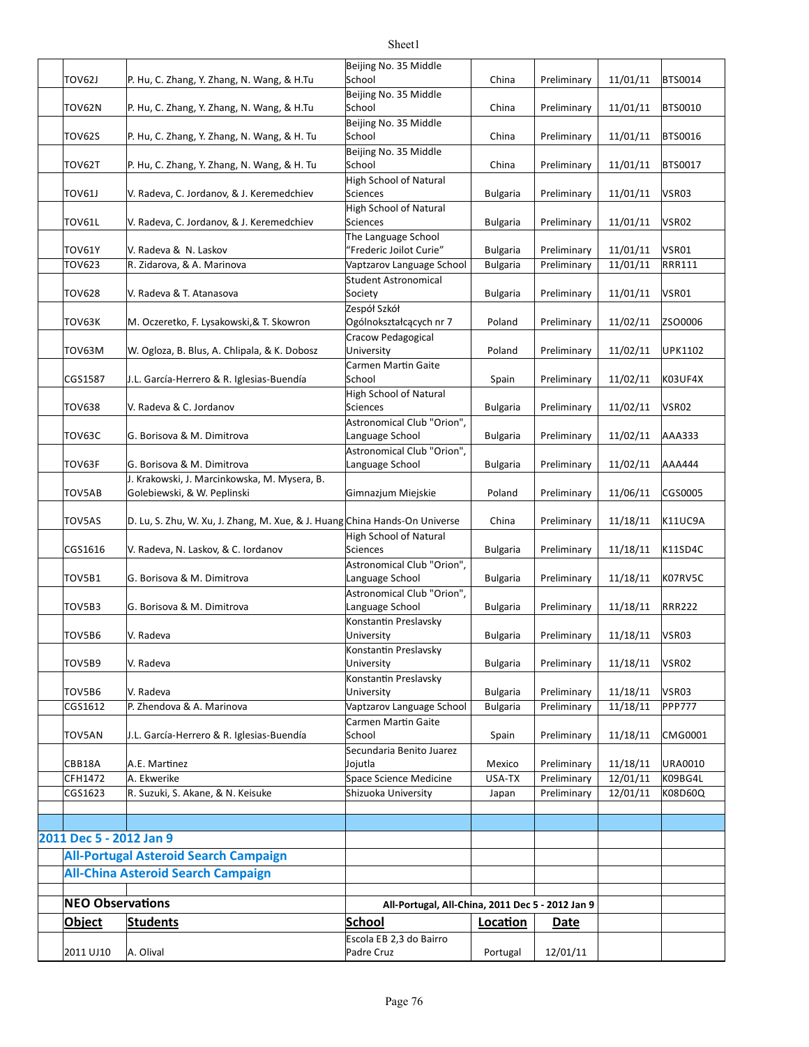|                         |                                                                            | Beijing No. 35 Middle                            |                 |             |                      |                 |
|-------------------------|----------------------------------------------------------------------------|--------------------------------------------------|-----------------|-------------|----------------------|-----------------|
| TOV62J                  | P. Hu, C. Zhang, Y. Zhang, N. Wang, & H.Tu                                 | School                                           | China           | Preliminary | 11/01/11             | BTS0014         |
| TOV62N                  | P. Hu, C. Zhang, Y. Zhang, N. Wang, & H.Tu                                 | Beijing No. 35 Middle<br>School                  | China           | Preliminary | 11/01/11             | <b>BTS0010</b>  |
|                         |                                                                            | Beijing No. 35 Middle                            |                 |             |                      |                 |
| <b>TOV62S</b>           | P. Hu, C. Zhang, Y. Zhang, N. Wang, & H. Tu                                | School                                           | China           | Preliminary | 11/01/11             | <b>BTS0016</b>  |
| TOV62T                  | P. Hu, C. Zhang, Y. Zhang, N. Wang, & H. Tu                                | Beijing No. 35 Middle<br>School                  | China           | Preliminary | 11/01/11             | <b>BTS0017</b>  |
| <b>TOV61J</b>           | V. Radeva, C. Jordanov, & J. Keremedchiev                                  | <b>High School of Natural</b><br><b>Sciences</b> | <b>Bulgaria</b> | Preliminary | 11/01/11             | VSR03           |
| TOV61L                  | V. Radeva, C. Jordanov, & J. Keremedchiev                                  | <b>High School of Natural</b><br><b>Sciences</b> | <b>Bulgaria</b> | Preliminary | 11/01/11             | VSR02           |
|                         |                                                                            | The Language School                              |                 |             |                      |                 |
| <b>TOV61Y</b>           | V. Radeva & N. Laskov                                                      | "Frederic Joilot Curie"                          | <b>Bulgaria</b> | Preliminary | 11/01/11<br>11/01/11 | VSR01<br>RRR111 |
| TOV623                  | R. Zidarova, & A. Marinova                                                 | Vaptzarov Language School                        | <b>Bulgaria</b> | Preliminary |                      |                 |
| <b>TOV628</b>           | V. Radeva & T. Atanasova                                                   | <b>Student Astronomical</b><br>Society           | <b>Bulgaria</b> | Preliminary | 11/01/11             | VSR01           |
| TOV63K                  | M. Oczeretko, F. Lysakowski, & T. Skowron                                  | Zespół Szkół<br>Ogólnokształcących nr 7          | Poland          | Preliminary | 11/02/11             | ZSO0006         |
|                         |                                                                            | Cracow Pedagogical                               |                 |             |                      |                 |
| TOV63M                  | W. Ogloza, B. Blus, A. Chlipala, & K. Dobosz                               | University                                       | Poland          | Preliminary | 11/02/11             | <b>UPK1102</b>  |
|                         |                                                                            | Carmen Martin Gaite                              |                 |             |                      |                 |
| CGS1587                 | J.L. García-Herrero & R. Iglesias-Buendía                                  | School                                           | Spain           | Preliminary | 11/02/11             | K03UF4X         |
|                         |                                                                            | <b>High School of Natural</b>                    |                 |             |                      |                 |
| <b>TOV638</b>           | V. Radeva & C. Jordanov                                                    | <b>Sciences</b><br>Astronomical Club "Orion",    | <b>Bulgaria</b> | Preliminary | 11/02/11             | VSR02           |
| TOV63C                  | G. Borisova & M. Dimitrova                                                 | Language School                                  | <b>Bulgaria</b> | Preliminary | 11/02/11             | AAA333          |
|                         |                                                                            | Astronomical Club "Orion",                       |                 |             |                      |                 |
| TOV63F                  | G. Borisova & M. Dimitrova                                                 | Language School                                  | <b>Bulgaria</b> | Preliminary | 11/02/11             | AAA444          |
|                         | J. Krakowski, J. Marcinkowska, M. Mysera, B.                               |                                                  |                 |             |                      |                 |
| TOV5AB                  | Golebiewski, & W. Peplinski                                                | Gimnazjum Miejskie                               | Poland          | Preliminary | 11/06/11             | CGS0005         |
|                         |                                                                            |                                                  |                 |             |                      |                 |
| <b>TOV5AS</b>           | D. Lu, S. Zhu, W. Xu, J. Zhang, M. Xue, & J. Huang China Hands-On Universe |                                                  | China           | Preliminary | 11/18/11             | K11UC9A         |
| CGS1616                 | V. Radeva, N. Laskov, & C. Iordanov                                        | High School of Natural<br><b>Sciences</b>        | <b>Bulgaria</b> | Preliminary | 11/18/11             | K11SD4C         |
|                         |                                                                            | Astronomical Club "Orion",                       |                 |             |                      |                 |
| TOV5B1                  | G. Borisova & M. Dimitrova                                                 | Language School                                  | <b>Bulgaria</b> | Preliminary | 11/18/11             | K07RV5C         |
|                         |                                                                            | Astronomical Club "Orion",                       |                 |             |                      |                 |
| TOV5B3                  | G. Borisova & M. Dimitrova                                                 | Language School                                  | <b>Bulgaria</b> | Preliminary | 11/18/11             | <b>RRR222</b>   |
|                         |                                                                            | Konstantin Preslavsky                            |                 |             |                      |                 |
| TOV5B6                  | V. Radeva                                                                  | University                                       | <b>Bulgaria</b> | Preliminary | 11/18/11             | VSR03           |
| TOV5B9                  | V. Radeva                                                                  | Konstantin Preslavsky<br>University              | <b>Bulgaria</b> | Preliminary | 11/18/11             | VSR02           |
|                         |                                                                            | Konstantin Preslavsky                            |                 |             |                      |                 |
| TOV5B6                  | V. Radeva                                                                  | University                                       | <b>Bulgaria</b> | Preliminary | 11/18/11             | VSR03           |
| CGS1612                 | P. Zhendova & A. Marinova                                                  | Vaptzarov Language School                        | <b>Bulgaria</b> | Preliminary | 11/18/11             | <b>PPP777</b>   |
|                         |                                                                            | Carmen Martin Gaite                              |                 |             |                      |                 |
| TOV5AN                  | J.L. García-Herrero & R. Iglesias-Buendía                                  | School                                           | Spain           | Preliminary | 11/18/11             | CMG0001         |
|                         |                                                                            | Secundaria Benito Juarez                         |                 |             |                      |                 |
| CBB18A                  | A.E. Martinez                                                              | Jojutla                                          | Mexico          | Preliminary | 11/18/11             | <b>URA0010</b>  |
| CFH1472                 | A. Ekwerike                                                                | Space Science Medicine                           | USA-TX          | Preliminary | 12/01/11             | K09BG4L         |
| CGS1623                 | R. Suzuki, S. Akane, & N. Keisuke                                          | Shizuoka University                              | Japan           | Preliminary | 12/01/11             | K08D60Q         |
|                         |                                                                            |                                                  |                 |             |                      |                 |
| 2011 Dec 5 - 2012 Jan 9 |                                                                            |                                                  |                 |             |                      |                 |
|                         | <b>All-Portugal Asteroid Search Campaign</b>                               |                                                  |                 |             |                      |                 |
|                         |                                                                            |                                                  |                 |             |                      |                 |
|                         | <b>All-China Asteroid Search Campaign</b>                                  |                                                  |                 |             |                      |                 |
| <b>NEO Observations</b> |                                                                            |                                                  |                 |             |                      |                 |
|                         |                                                                            | All-Portugal, All-China, 2011 Dec 5 - 2012 Jan 9 |                 |             |                      |                 |
| <b>Object</b>           | <b>Students</b>                                                            | <b>School</b>                                    | Location        | Date        |                      |                 |
| 2011 UJ10               | A. Olival                                                                  | Escola EB 2,3 do Bairro<br>Padre Cruz            | Portugal        | 12/01/11    |                      |                 |
|                         |                                                                            |                                                  |                 |             |                      |                 |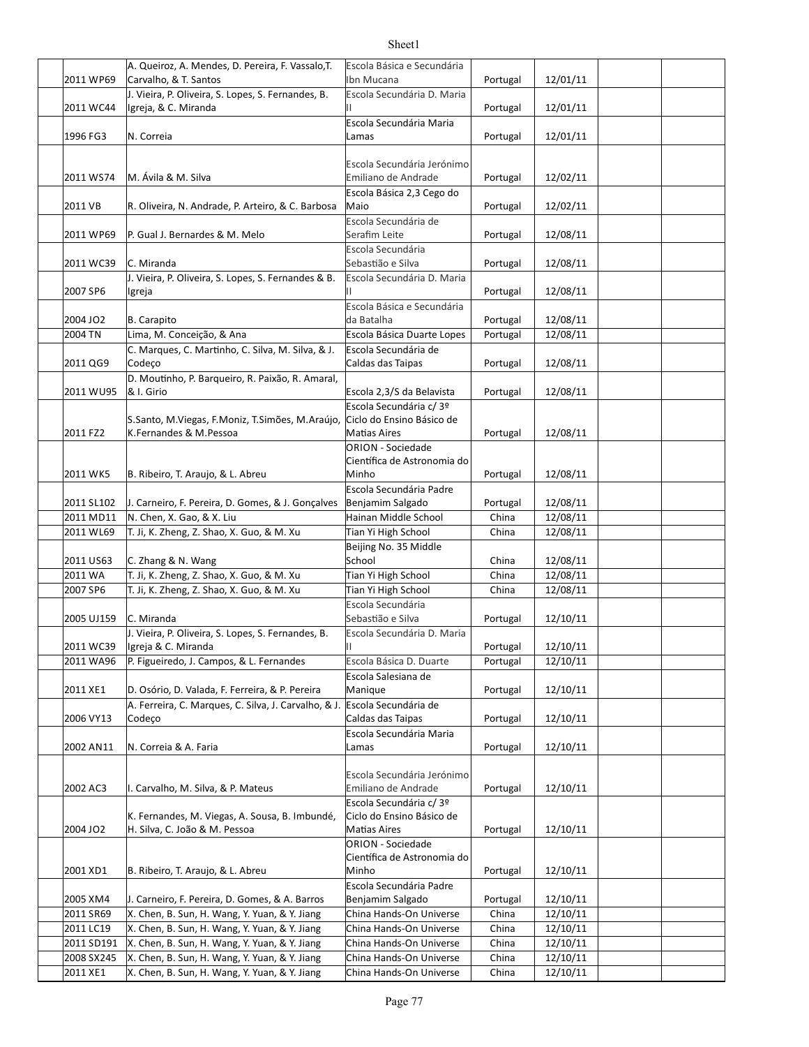| 2011 WP69                | A. Queiroz, A. Mendes, D. Pereira, F. Vassalo, T.<br>Carvalho, & T. Santos                     | Escola Básica e Secundária<br>Ibn Mucana             | Portugal       | 12/01/11             |  |
|--------------------------|------------------------------------------------------------------------------------------------|------------------------------------------------------|----------------|----------------------|--|
|                          | J. Vieira, P. Oliveira, S. Lopes, S. Fernandes, B.                                             | Escola Secundária D. Maria                           |                |                      |  |
| 2011 WC44                | Igreja, & C. Miranda                                                                           | Ш                                                    | Portugal       | 12/01/11             |  |
|                          |                                                                                                | Escola Secundária Maria                              |                |                      |  |
| 1996 FG3                 | N. Correia                                                                                     | Lamas                                                | Portugal       | 12/01/11             |  |
|                          |                                                                                                | Escola Secundária Jerónimo                           |                |                      |  |
| 2011 WS74                | M. Ávila & M. Silva                                                                            | Emiliano de Andrade                                  | Portugal       | 12/02/11             |  |
|                          |                                                                                                | Escola Básica 2,3 Cego do                            |                |                      |  |
| 2011 VB                  | R. Oliveira, N. Andrade, P. Arteiro, & C. Barbosa                                              | Maio                                                 | Portugal       | 12/02/11             |  |
|                          |                                                                                                | Escola Secundária de                                 |                |                      |  |
| 2011 WP69                | P. Gual J. Bernardes & M. Melo                                                                 | Serafim Leite                                        | Portugal       | 12/08/11             |  |
|                          | C. Miranda                                                                                     | Escola Secundária<br>Sebastião e Silva               |                | 12/08/11             |  |
| 2011 WC39                | J. Vieira, P. Oliveira, S. Lopes, S. Fernandes & B.                                            | Escola Secundária D. Maria                           | Portugal       |                      |  |
| 2007 SP6                 | Ilgreja                                                                                        |                                                      | Portugal       | 12/08/11             |  |
|                          |                                                                                                | Escola Básica e Secundária                           |                |                      |  |
| 2004 JO2                 | B. Carapito                                                                                    | da Batalha                                           | Portugal       | 12/08/11             |  |
| 2004 TN                  | Lima, M. Conceição, & Ana                                                                      | Escola Básica Duarte Lopes                           | Portugal       | 12/08/11             |  |
|                          | C. Marques, C. Martinho, C. Silva, M. Silva, & J.                                              | Escola Secundária de                                 |                |                      |  |
| 2011 QG9                 | Codeço                                                                                         | Caldas das Taipas                                    | Portugal       | 12/08/11             |  |
|                          | D. Moutinho, P. Barqueiro, R. Paixão, R. Amaral,                                               |                                                      |                |                      |  |
| 2011 WU95                | & I. Girio                                                                                     | Escola 2,3/S da Belavista                            | Portugal       | 12/08/11             |  |
|                          | S.Santo, M.Viegas, F.Moniz, T.Simões, M.Araújo,                                                | Escola Secundária c/ 3º<br>Ciclo do Ensino Básico de |                |                      |  |
| 2011 FZ2                 | K.Fernandes & M.Pessoa                                                                         | <b>Matias Aires</b>                                  | Portugal       | 12/08/11             |  |
|                          |                                                                                                | <b>ORION - Sociedade</b>                             |                |                      |  |
|                          |                                                                                                | Científica de Astronomia do                          |                |                      |  |
| 2011 WK5                 | B. Ribeiro, T. Araujo, & L. Abreu                                                              | Minho                                                | Portugal       | 12/08/11             |  |
|                          |                                                                                                | Escola Secundária Padre                              |                |                      |  |
| 2011 SL102               | J. Carneiro, F. Pereira, D. Gomes, & J. Gonçalves                                              | Benjamim Salgado                                     | Portugal       | 12/08/11             |  |
| 2011 MD11                | N. Chen, X. Gao, & X. Liu                                                                      | Hainan Middle School                                 | China          | 12/08/11             |  |
| 2011 WL69                | T. Ji, K. Zheng, Z. Shao, X. Guo, & M. Xu                                                      | Tian Yi High School<br>Beijing No. 35 Middle         | China          | 12/08/11             |  |
| 2011 US63                | C. Zhang & N. Wang                                                                             | School                                               | China          | 12/08/11             |  |
| 2011 WA                  | T. Ji, K. Zheng, Z. Shao, X. Guo, & M. Xu                                                      | Tian Yi High School                                  | China          | 12/08/11             |  |
| 2007 SP6                 | T. Ji, K. Zheng, Z. Shao, X. Guo, & M. Xu                                                      | Tian Yi High School                                  | China          | 12/08/11             |  |
|                          |                                                                                                | Escola Secundária                                    |                |                      |  |
| 2005 UJ159               | C. Miranda                                                                                     | Sebastião e Silva                                    | Portugal       | 12/10/11             |  |
|                          | J. Vieira, P. Oliveira, S. Lopes, S. Fernandes, B.                                             | Escola Secundária D. Maria                           |                |                      |  |
| 2011 WC39                | Igreja & C. Miranda                                                                            | Ш                                                    | Portugal       | 12/10/11             |  |
| 2011 WA96                | P. Figueiredo, J. Campos, & L. Fernandes                                                       | Escola Básica D. Duarte                              | Portugal       | 12/10/11             |  |
| 2011 XE1                 | D. Osório, D. Valada, F. Ferreira, & P. Pereira                                                | Escola Salesiana de                                  |                |                      |  |
|                          | A. Ferreira, C. Marques, C. Silva, J. Carvalho, & J. Escola Secundária de                      | Manique                                              | Portugal       | 12/10/11             |  |
| 2006 VY13                | Codeço                                                                                         | Caldas das Taipas                                    | Portugal       | 12/10/11             |  |
|                          |                                                                                                | Escola Secundária Maria                              |                |                      |  |
| 2002 AN11                | N. Correia & A. Faria                                                                          | Lamas                                                | Portugal       | 12/10/11             |  |
|                          |                                                                                                |                                                      |                |                      |  |
|                          |                                                                                                | Escola Secundária Jerónimo                           |                |                      |  |
| 2002 AC3                 | I. Carvalho, M. Silva, & P. Mateus                                                             | Emiliano de Andrade                                  | Portugal       | 12/10/11             |  |
|                          | K. Fernandes, M. Viegas, A. Sousa, B. Imbundé,                                                 | Escola Secundária c/ 3º<br>Ciclo do Ensino Básico de |                |                      |  |
| 2004 JO2                 | H. Silva, C. João & M. Pessoa                                                                  | <b>Matias Aires</b>                                  | Portugal       | 12/10/11             |  |
|                          |                                                                                                | ORION - Sociedade                                    |                |                      |  |
|                          |                                                                                                | Científica de Astronomia do                          |                |                      |  |
| 2001 XD1                 | B. Ribeiro, T. Araujo, & L. Abreu                                                              | Minho                                                | Portugal       | 12/10/11             |  |
|                          |                                                                                                | Escola Secundária Padre                              |                |                      |  |
| 2005 XM4                 | J. Carneiro, F. Pereira, D. Gomes, & A. Barros                                                 | Benjamim Salgado                                     | Portugal       | 12/10/11             |  |
| 2011 SR69                | X. Chen, B. Sun, H. Wang, Y. Yuan, & Y. Jiang                                                  | China Hands-On Universe                              | China          | 12/10/11             |  |
| 2011 LC19                | X. Chen, B. Sun, H. Wang, Y. Yuan, & Y. Jiang                                                  | China Hands-On Universe                              | China          | 12/10/11             |  |
| 2011 SD191<br>2008 SX245 | X. Chen, B. Sun, H. Wang, Y. Yuan, & Y. Jiang<br>X. Chen, B. Sun, H. Wang, Y. Yuan, & Y. Jiang | China Hands-On Universe<br>China Hands-On Universe   | China<br>China | 12/10/11<br>12/10/11 |  |
| 2011 XE1                 | X. Chen, B. Sun, H. Wang, Y. Yuan, & Y. Jiang                                                  | China Hands-On Universe                              | China          | 12/10/11             |  |
|                          |                                                                                                |                                                      |                |                      |  |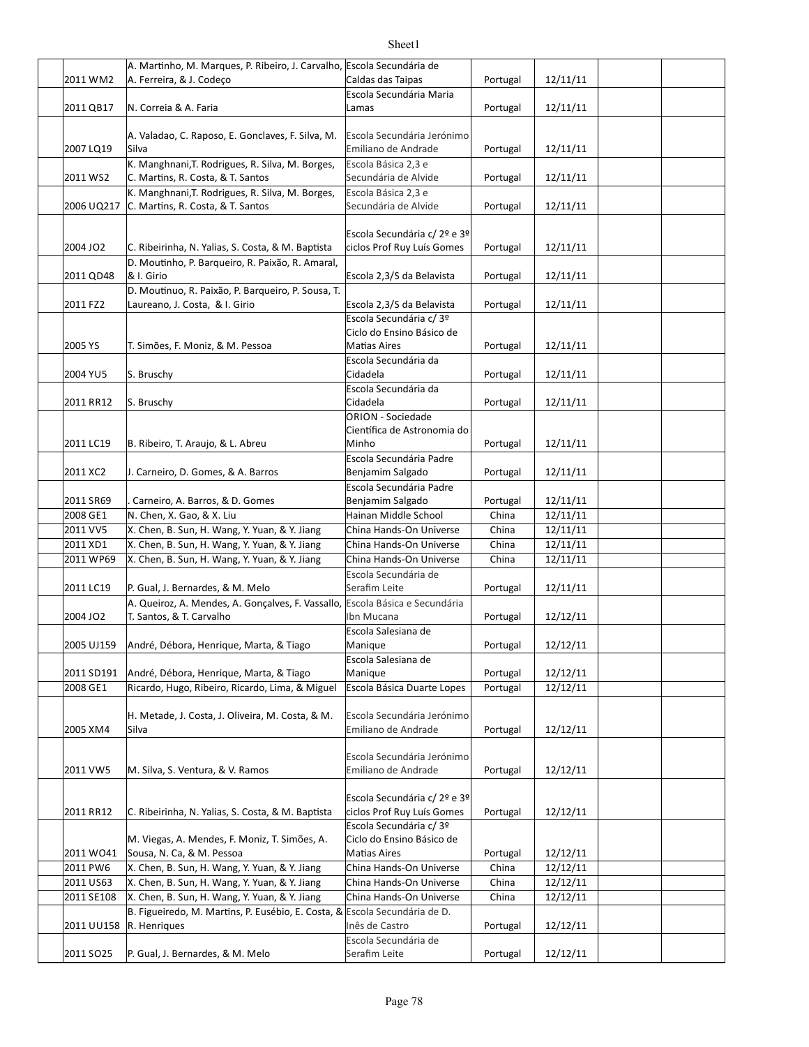| 2011 WM2              | A. Martinho, M. Marques, P. Ribeiro, J. Carvalho, Escola Secundária de<br>A. Ferreira, & J. Codeço | Caldas das Taipas                                                           | Portugal | 12/11/11 |  |
|-----------------------|----------------------------------------------------------------------------------------------------|-----------------------------------------------------------------------------|----------|----------|--|
|                       |                                                                                                    | Escola Secundária Maria                                                     |          |          |  |
| 2011 QB17             | N. Correia & A. Faria                                                                              | Lamas                                                                       | Portugal | 12/11/11 |  |
| 2007 LQ19             | A. Valadao, C. Raposo, E. Gonclaves, F. Silva, M.<br>Silva                                         | Escola Secundária Jerónimo<br>Emiliano de Andrade                           | Portugal | 12/11/11 |  |
|                       | K. Manghnani, T. Rodrigues, R. Silva, M. Borges,                                                   | Escola Básica 2,3 e                                                         |          |          |  |
| 2011 WS2              | C. Martins, R. Costa, & T. Santos<br>K. Manghnani, T. Rodrigues, R. Silva, M. Borges,              | Secundária de Alvide<br>Escola Básica 2,3 e                                 | Portugal | 12/11/11 |  |
| 2006 UQ217            | C. Martins, R. Costa, & T. Santos                                                                  | Secundária de Alvide                                                        | Portugal | 12/11/11 |  |
| 2004 JO2              | C. Ribeirinha, N. Yalias, S. Costa, & M. Baptista                                                  | Escola Secundária c/ 2º e 3º<br>ciclos Prof Ruy Luís Gomes                  | Portugal | 12/11/11 |  |
| 2011 QD48             | D. Moutinho, P. Barqueiro, R. Paixão, R. Amaral,<br>& I. Girio                                     | Escola 2,3/S da Belavista                                                   | Portugal | 12/11/11 |  |
| 2011 FZ2              | D. Moutinuo, R. Paixão, P. Barqueiro, P. Sousa, T.<br>Laureano, J. Costa, & I. Girio               | Escola 2,3/S da Belavista                                                   | Portugal | 12/11/11 |  |
|                       |                                                                                                    | Escola Secundária c/ 3º                                                     |          |          |  |
|                       |                                                                                                    | Ciclo do Ensino Básico de                                                   |          |          |  |
| 2005 YS               | T. Simões, F. Moniz, & M. Pessoa                                                                   | <b>Matias Aires</b>                                                         | Portugal | 12/11/11 |  |
| 2004 YU5              | S. Bruschy                                                                                         | Escola Secundária da<br>Cidadela                                            | Portugal | 12/11/11 |  |
| 2011 RR12             | S. Bruschy                                                                                         | Escola Secundária da<br>Cidadela                                            | Portugal | 12/11/11 |  |
|                       |                                                                                                    | ORION - Sociedade                                                           |          |          |  |
|                       |                                                                                                    | Científica de Astronomia do                                                 |          |          |  |
| 2011 LC19             | B. Ribeiro, T. Araujo, & L. Abreu                                                                  | Minho                                                                       | Portugal | 12/11/11 |  |
| 2011 XC2              | J. Carneiro, D. Gomes, & A. Barros                                                                 | Escola Secundária Padre<br>Benjamim Salgado                                 | Portugal | 12/11/11 |  |
|                       |                                                                                                    | Escola Secundária Padre                                                     |          |          |  |
| 2011 SR69             | Carneiro, A. Barros, & D. Gomes                                                                    | Benjamim Salgado                                                            | Portugal | 12/11/11 |  |
| 2008 GE1              | N. Chen, X. Gao, & X. Liu                                                                          | Hainan Middle School                                                        | China    | 12/11/11 |  |
| 2011 VV5              | X. Chen, B. Sun, H. Wang, Y. Yuan, & Y. Jiang                                                      | China Hands-On Universe                                                     | China    | 12/11/11 |  |
| 2011 XD1              | X. Chen, B. Sun, H. Wang, Y. Yuan, & Y. Jiang                                                      | China Hands-On Universe                                                     | China    | 12/11/11 |  |
| 2011 WP69             | X. Chen, B. Sun, H. Wang, Y. Yuan, & Y. Jiang                                                      | China Hands-On Universe<br>Escola Secundária de                             | China    | 12/11/11 |  |
| 2011 LC19             | P. Gual, J. Bernardes, & M. Melo                                                                   | Serafim Leite                                                               | Portugal | 12/11/11 |  |
|                       | A. Queiroz, A. Mendes, A. Gonçalves, F. Vassallo, Escola Básica e Secundária                       |                                                                             |          |          |  |
| 2004 JO2              | T. Santos, & T. Carvalho                                                                           | Ibn Mucana                                                                  | Portugal | 12/12/11 |  |
|                       | 2005 UJ159 André, Débora, Henrique, Marta, & Tiago                                                 | Escola Salesiana de<br>Manique                                              | Portugal | 12/12/11 |  |
|                       |                                                                                                    | Escola Salesiana de                                                         |          |          |  |
| 2011 SD191            | André, Débora, Henrique, Marta, & Tiago                                                            | Manique                                                                     | Portugal | 12/12/11 |  |
| 2008 GE1              | Ricardo, Hugo, Ribeiro, Ricardo, Lima, & Miguel                                                    | Escola Básica Duarte Lopes                                                  | Portugal | 12/12/11 |  |
| 2005 XM4              | H. Metade, J. Costa, J. Oliveira, M. Costa, & M.<br>Silva                                          | Escola Secundária Jerónimo<br>Emiliano de Andrade                           | Portugal | 12/12/11 |  |
| 2011 VW5              | M. Silva, S. Ventura, & V. Ramos                                                                   | Escola Secundária Jerónimo<br>Emiliano de Andrade                           | Portugal | 12/12/11 |  |
| 2011 RR12             | C. Ribeirinha, N. Yalias, S. Costa, & M. Baptista                                                  | Escola Secundária c/ 2º e 3º<br>ciclos Prof Ruy Luís Gomes                  | Portugal | 12/12/11 |  |
| 2011 WO41             | M. Viegas, A. Mendes, F. Moniz, T. Simões, A.<br>Sousa, N. Ca, & M. Pessoa                         | Escola Secundária c/ 3º<br>Ciclo do Ensino Básico de<br><b>Matias Aires</b> | Portugal | 12/12/11 |  |
| 2011 PW6              | X. Chen, B. Sun, H. Wang, Y. Yuan, & Y. Jiang                                                      | China Hands-On Universe                                                     | China    | 12/12/11 |  |
| 2011 US63             | X. Chen, B. Sun, H. Wang, Y. Yuan, & Y. Jiang                                                      | China Hands-On Universe                                                     | China    | 12/12/11 |  |
| 2011 SE108            | X. Chen, B. Sun, H. Wang, Y. Yuan, & Y. Jiang                                                      | China Hands-On Universe                                                     | China    | 12/12/11 |  |
| 2011 UU158            | B. Figueiredo, M. Martins, P. Eusébio, E. Costa, & Escola Secundária de D.<br>R. Henriques         | Inês de Castro                                                              | Portugal | 12/12/11 |  |
|                       |                                                                                                    | Escola Secundária de                                                        |          |          |  |
| 2011 SO <sub>25</sub> | P. Gual, J. Bernardes, & M. Melo                                                                   | Serafim Leite                                                               | Portugal | 12/12/11 |  |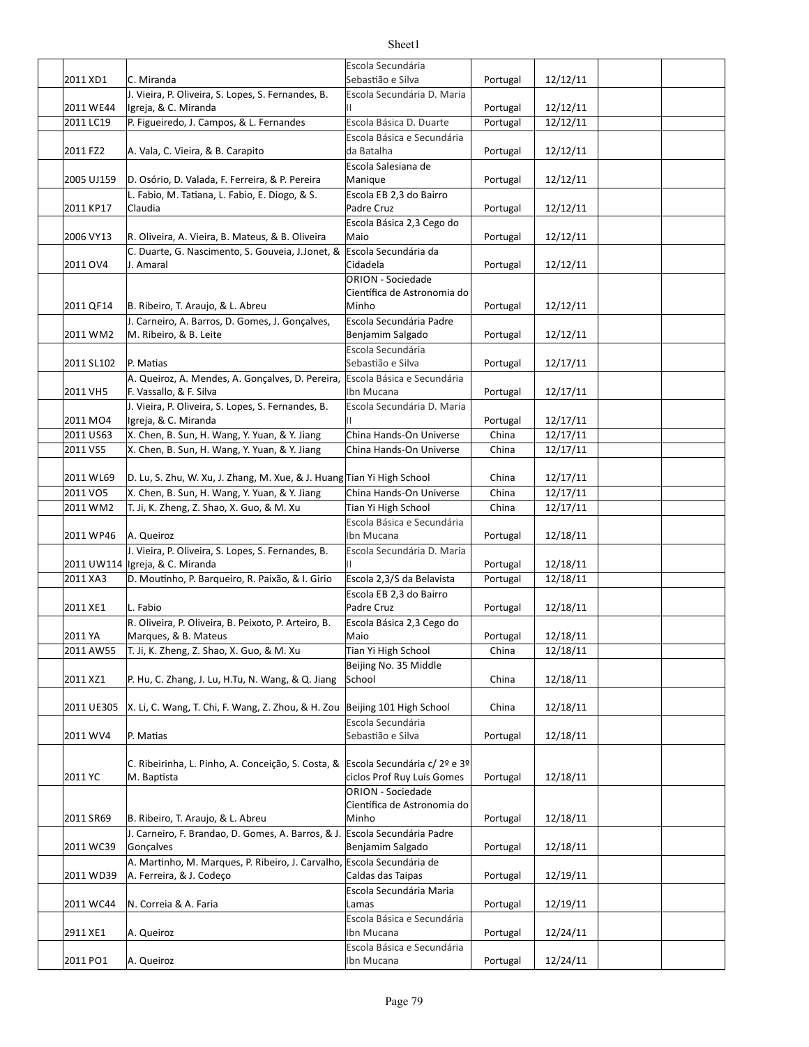|                       |                                                                              | Escola Secundária                                       |                   |          |  |
|-----------------------|------------------------------------------------------------------------------|---------------------------------------------------------|-------------------|----------|--|
| 2011 XD1              | C. Miranda                                                                   | Sebastião e Silva                                       | Portugal          | 12/12/11 |  |
| 2011 WE44             | J. Vieira, P. Oliveira, S. Lopes, S. Fernandes, B.<br>Igreja, & C. Miranda   | Escola Secundária D. Maria<br>Н.                        | Portugal          | 12/12/11 |  |
| 2011 LC19             | P. Figueiredo, J. Campos, & L. Fernandes                                     | Escola Básica D. Duarte                                 | Portugal          | 12/12/11 |  |
|                       |                                                                              | Escola Básica e Secundária                              |                   |          |  |
| 2011 FZ2              | A. Vala, C. Vieira, & B. Carapito                                            | da Batalha                                              | Portugal          | 12/12/11 |  |
|                       |                                                                              | Escola Salesiana de                                     |                   |          |  |
| 2005 UJ159            | D. Osório, D. Valada, F. Ferreira, & P. Pereira                              | Manique                                                 | Portugal          | 12/12/11 |  |
|                       | L. Fabio, M. Tatiana, L. Fabio, E. Diogo, & S.                               | Escola EB 2,3 do Bairro                                 |                   |          |  |
| 2011 KP17             | Claudia                                                                      | Padre Cruz                                              | Portugal          | 12/12/11 |  |
|                       |                                                                              | Escola Básica 2,3 Cego do                               |                   |          |  |
| 2006 VY13             | R. Oliveira, A. Vieira, B. Mateus, & B. Oliveira                             | Maio<br>Escola Secundária da                            | Portugal          | 12/12/11 |  |
| 2011 OV4              | C. Duarte, G. Nascimento, S. Gouveia, J.Jonet, &<br>J. Amaral                | Cidadela                                                | Portugal          | 12/12/11 |  |
|                       |                                                                              | <b>ORION - Sociedade</b>                                |                   |          |  |
|                       |                                                                              | Científica de Astronomia do                             |                   |          |  |
| 2011 QF14             | B. Ribeiro, T. Araujo, & L. Abreu                                            | Minho                                                   | Portugal          | 12/12/11 |  |
|                       | J. Carneiro, A. Barros, D. Gomes, J. Goncalves,                              | Escola Secundária Padre                                 |                   |          |  |
| 2011 WM2              | M. Ribeiro, & B. Leite                                                       | Benjamim Salgado                                        | Portugal          | 12/12/11 |  |
|                       |                                                                              | Escola Secundária                                       |                   |          |  |
| 2011 SL102            | P. Matias                                                                    | Sebastião e Silva                                       | Portugal          | 12/17/11 |  |
|                       | A. Queiroz, A. Mendes, A. Gonçalves, D. Pereira,                             | Escola Básica e Secundária                              |                   |          |  |
| 2011 VH5              | F. Vassallo, & F. Silva                                                      | Ibn Mucana                                              | Portugal          | 12/17/11 |  |
|                       | J. Vieira, P. Oliveira, S. Lopes, S. Fernandes, B.                           | Escola Secundária D. Maria<br>Н.                        |                   | 12/17/11 |  |
| 2011 MO4<br>2011 US63 | Igreja, & C. Miranda<br>X. Chen, B. Sun, H. Wang, Y. Yuan, & Y. Jiang        | China Hands-On Universe                                 | Portugal<br>China | 12/17/11 |  |
| 2011 VS5              | X. Chen, B. Sun, H. Wang, Y. Yuan, & Y. Jiang                                | China Hands-On Universe                                 | China             | 12/17/11 |  |
|                       |                                                                              |                                                         |                   |          |  |
| 2011 WL69             | D. Lu, S. Zhu, W. Xu, J. Zhang, M. Xue, & J. Huang Tian Yi High School       |                                                         | China             | 12/17/11 |  |
| 2011 VO5              | X. Chen, B. Sun, H. Wang, Y. Yuan, & Y. Jiang                                | China Hands-On Universe                                 | China             | 12/17/11 |  |
| 2011 WM2              | T. Ji, K. Zheng, Z. Shao, X. Guo, & M. Xu                                    | Tian Yi High School                                     | China             | 12/17/11 |  |
|                       |                                                                              | Escola Básica e Secundária                              |                   |          |  |
| 2011 WP46             | A. Queiroz                                                                   | Ibn Mucana                                              | Portugal          | 12/18/11 |  |
|                       | J. Vieira, P. Oliveira, S. Lopes, S. Fernandes, B.                           | Escola Secundária D. Maria                              |                   |          |  |
|                       | 2011 UW114 Igreja, & C. Miranda                                              | н                                                       | Portugal          | 12/18/11 |  |
| 2011 XA3              | D. Moutinho, P. Barqueiro, R. Paixão, & I. Girio                             | Escola 2,3/S da Belavista                               | Portugal          | 12/18/11 |  |
|                       |                                                                              | Escola EB 2,3 do Bairro                                 |                   |          |  |
| 2011 XE1              | L. Fabio                                                                     | Padre Cruz                                              | Portugal          | 12/18/11 |  |
| 2011 YA               | R. Oliveira, P. Oliveira, B. Peixoto, P. Arteiro, B.<br>Marques, & B. Mateus | Escola Básica 2,3 Cego do<br>Maio                       | Portugal          | 12/18/11 |  |
| 2011 AW55             | T. Ji, K. Zheng, Z. Shao, X. Guo, & M. Xu                                    | Tian Yi High School                                     | China             | 12/18/11 |  |
|                       |                                                                              | Beijing No. 35 Middle                                   |                   |          |  |
| 2011 XZ1              | P. Hu, C. Zhang, J. Lu, H.Tu, N. Wang, & Q. Jiang                            | School                                                  | China             | 12/18/11 |  |
|                       |                                                                              |                                                         |                   |          |  |
| 2011 UE305            | X. Li, C. Wang, T. Chi, F. Wang, Z. Zhou, & H. Zou                           | Beijing 101 High School                                 | China             | 12/18/11 |  |
|                       |                                                                              | Escola Secundária                                       |                   |          |  |
| 2011 WV4              | P. Matias                                                                    | Sebastião e Silva                                       | Portugal          | 12/18/11 |  |
|                       |                                                                              |                                                         |                   |          |  |
|                       | C. Ribeirinha, L. Pinho, A. Conceição, S. Costa, &                           | Escola Secundária c/ 2º e 3º                            |                   |          |  |
| 2011 YC               | M. Baptista                                                                  | ciclos Prof Ruy Luís Gomes                              | Portugal          | 12/18/11 |  |
|                       |                                                                              | <b>ORION - Sociedade</b><br>Científica de Astronomia do |                   |          |  |
| 2011 SR69             | B. Ribeiro, T. Araujo, & L. Abreu                                            | Minho                                                   | Portugal          | 12/18/11 |  |
|                       | J. Carneiro, F. Brandao, D. Gomes, A. Barros, & J.                           | Escola Secundária Padre                                 |                   |          |  |
| 2011 WC39             | Gonçalves                                                                    | Benjamim Salgado                                        | Portugal          | 12/18/11 |  |
|                       | A. Martinho, M. Marques, P. Ribeiro, J. Carvalho, Escola Secundária de       |                                                         |                   |          |  |
| 2011 WD39             | A. Ferreira, & J. Codeço                                                     | Caldas das Taipas                                       | Portugal          | 12/19/11 |  |
|                       |                                                                              | Escola Secundária Maria                                 |                   |          |  |
| 2011 WC44             | N. Correia & A. Faria                                                        | Lamas                                                   | Portugal          | 12/19/11 |  |
|                       |                                                                              | Escola Básica e Secundária                              |                   |          |  |
| 2911 XE1              | A. Queiroz                                                                   | Ibn Mucana                                              | Portugal          | 12/24/11 |  |
|                       |                                                                              | Escola Básica e Secundária                              |                   |          |  |
| 2011 PO1              | A. Queiroz                                                                   | Ibn Mucana                                              | Portugal          | 12/24/11 |  |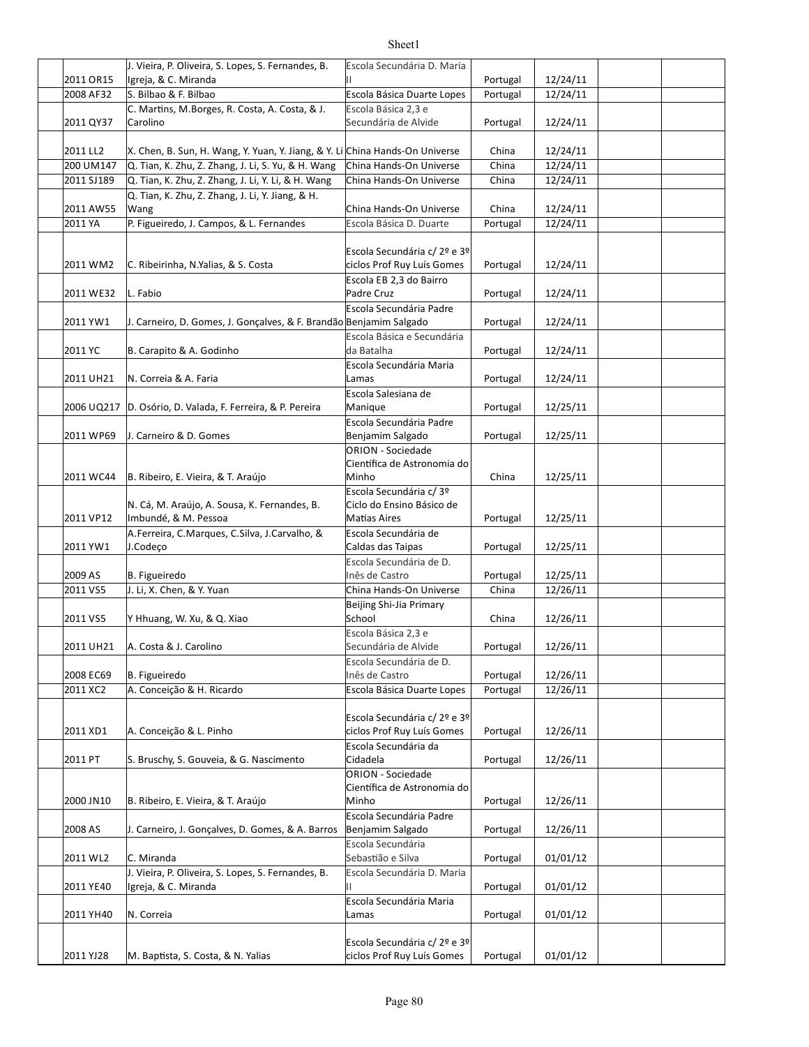|            | J. Vieira, P. Oliveira, S. Lopes, S. Fernandes, B.                           | Escola Secundária D. Maria                                 |          |          |  |
|------------|------------------------------------------------------------------------------|------------------------------------------------------------|----------|----------|--|
| 2011 OR15  | Igreja, & C. Miranda                                                         | Ш                                                          | Portugal | 12/24/11 |  |
| 2008 AF32  | S. Bilbao & F. Bilbao                                                        | Escola Básica Duarte Lopes                                 | Portugal | 12/24/11 |  |
|            | C. Martins, M.Borges, R. Costa, A. Costa, & J.                               | Escola Básica 2,3 e                                        |          |          |  |
| 2011 QY37  | Carolino                                                                     | Secundária de Alvide                                       | Portugal | 12/24/11 |  |
| 2011 LL2   | X. Chen, B. Sun, H. Wang, Y. Yuan, Y. Jiang, & Y. Li China Hands-On Universe |                                                            | China    | 12/24/11 |  |
| 200 UM147  | Q. Tian, K. Zhu, Z. Zhang, J. Li, S. Yu, & H. Wang                           | China Hands-On Universe                                    | China    | 12/24/11 |  |
| 2011 SJ189 | Q. Tian, K. Zhu, Z. Zhang, J. Li, Y. Li, & H. Wang                           | China Hands-On Universe                                    | China    | 12/24/11 |  |
|            | Q. Tian, K. Zhu, Z. Zhang, J. Li, Y. Jiang, & H.                             |                                                            |          |          |  |
| 2011 AW55  | Wang                                                                         | China Hands-On Universe                                    | China    | 12/24/11 |  |
| 2011 YA    | P. Figueiredo, J. Campos, & L. Fernandes                                     | Escola Básica D. Duarte                                    | Portugal | 12/24/11 |  |
|            |                                                                              |                                                            |          |          |  |
| 2011 WM2   | C. Ribeirinha, N.Yalias, & S. Costa                                          | Escola Secundária c/ 2º e 3º<br>ciclos Prof Ruy Luís Gomes | Portugal | 12/24/11 |  |
| 2011 WE32  | L. Fabio                                                                     | Escola EB 2,3 do Bairro<br>Padre Cruz                      | Portugal | 12/24/11 |  |
|            |                                                                              | Escola Secundária Padre                                    |          |          |  |
| 2011 YW1   | J. Carneiro, D. Gomes, J. Goncalves, & F. Brandão Benjamim Salgado           |                                                            | Portugal | 12/24/11 |  |
|            |                                                                              | Escola Básica e Secundária                                 |          |          |  |
| 2011 YC    | B. Carapito & A. Godinho                                                     | da Batalha                                                 | Portugal | 12/24/11 |  |
|            |                                                                              | Escola Secundária Maria                                    |          |          |  |
| 2011 UH21  | N. Correia & A. Faria                                                        | Lamas                                                      | Portugal | 12/24/11 |  |
|            |                                                                              | Escola Salesiana de                                        |          |          |  |
|            | 2006 UQ217 D. Osório, D. Valada, F. Ferreira, & P. Pereira                   | Manique                                                    | Portugal | 12/25/11 |  |
|            |                                                                              | Escola Secundária Padre                                    |          |          |  |
| 2011 WP69  | J. Carneiro & D. Gomes                                                       | Benjamim Salgado                                           | Portugal | 12/25/11 |  |
|            |                                                                              | ORION - Sociedade                                          |          |          |  |
|            |                                                                              | Científica de Astronomia do                                |          |          |  |
| 2011 WC44  | B. Ribeiro, E. Vieira, & T. Araújo                                           | Minho                                                      | China    | 12/25/11 |  |
|            |                                                                              | Escola Secundária c/3º                                     |          |          |  |
|            | N. Cá, M. Araújo, A. Sousa, K. Fernandes, B.                                 | Ciclo do Ensino Básico de                                  |          |          |  |
| 2011 VP12  | Imbundé, & M. Pessoa                                                         | <b>Matias Aires</b>                                        | Portugal | 12/25/11 |  |
|            | A.Ferreira, C.Marques, C.Silva, J.Carvalho, &                                | Escola Secundária de                                       |          |          |  |
| 2011 YW1   | J.Codeço                                                                     | Caldas das Taipas                                          | Portugal | 12/25/11 |  |
|            |                                                                              | Escola Secundária de D.                                    |          |          |  |
| 2009 AS    | B. Figueiredo                                                                | Inês de Castro                                             | Portugal | 12/25/11 |  |
| 2011 VS5   | J. Li, X. Chen, & Y. Yuan                                                    | China Hands-On Universe                                    | China    | 12/26/11 |  |
| 2011 VS5   | Y Hhuang, W. Xu, & Q. Xiao                                                   | Beijing Shi-Jia Primary<br>School                          | China    | 12/26/11 |  |
|            |                                                                              | Escola Básica 2,3 e                                        |          |          |  |
|            | 2011 UH21 A. Costa & J. Carolino                                             | Secundária de Alvide                                       | Portugal | 12/26/11 |  |
|            |                                                                              | Escola Secundária de D.                                    |          |          |  |
| 2008 EC69  | B. Figueiredo                                                                | Inês de Castro                                             | Portugal | 12/26/11 |  |
| 2011 XC2   | A. Conceição & H. Ricardo                                                    | Escola Básica Duarte Lopes                                 | Portugal | 12/26/11 |  |
|            |                                                                              |                                                            |          |          |  |
|            |                                                                              | Escola Secundária c/ 2º e 3º                               |          |          |  |
| 2011 XD1   | A. Conceição & L. Pinho                                                      | ciclos Prof Ruy Luís Gomes                                 | Portugal | 12/26/11 |  |
|            |                                                                              | Escola Secundária da                                       |          |          |  |
| 2011 PT    | S. Bruschy, S. Gouveia, & G. Nascimento                                      | Cidadela<br>ORION - Sociedade                              | Portugal | 12/26/11 |  |
|            |                                                                              |                                                            |          |          |  |
| 2000 JN10  | B. Ribeiro, E. Vieira, & T. Araújo                                           | Científica de Astronomia do<br>Minho                       | Portugal | 12/26/11 |  |
|            |                                                                              | Escola Secundária Padre                                    |          |          |  |
| 2008 AS    | J. Carneiro, J. Gonçalves, D. Gomes, & A. Barros                             | Benjamim Salgado                                           | Portugal | 12/26/11 |  |
|            |                                                                              | Escola Secundária                                          |          |          |  |
| 2011 WL2   | C. Miranda                                                                   | Sebastião e Silva                                          | Portugal | 01/01/12 |  |
|            | J. Vieira, P. Oliveira, S. Lopes, S. Fernandes, B.                           | Escola Secundária D. Maria                                 |          |          |  |
| 2011 YE40  | Igreja, & C. Miranda                                                         | Ш                                                          | Portugal | 01/01/12 |  |
|            |                                                                              | Escola Secundária Maria                                    |          |          |  |
| 2011 YH40  | N. Correia                                                                   | Lamas                                                      | Portugal | 01/01/12 |  |
|            |                                                                              |                                                            |          |          |  |
|            |                                                                              | Escola Secundária c/ 2º e 3º                               |          |          |  |
| 2011 YJ28  | M. Baptista, S. Costa, & N. Yalias                                           | ciclos Prof Ruy Luís Gomes                                 | Portugal | 01/01/12 |  |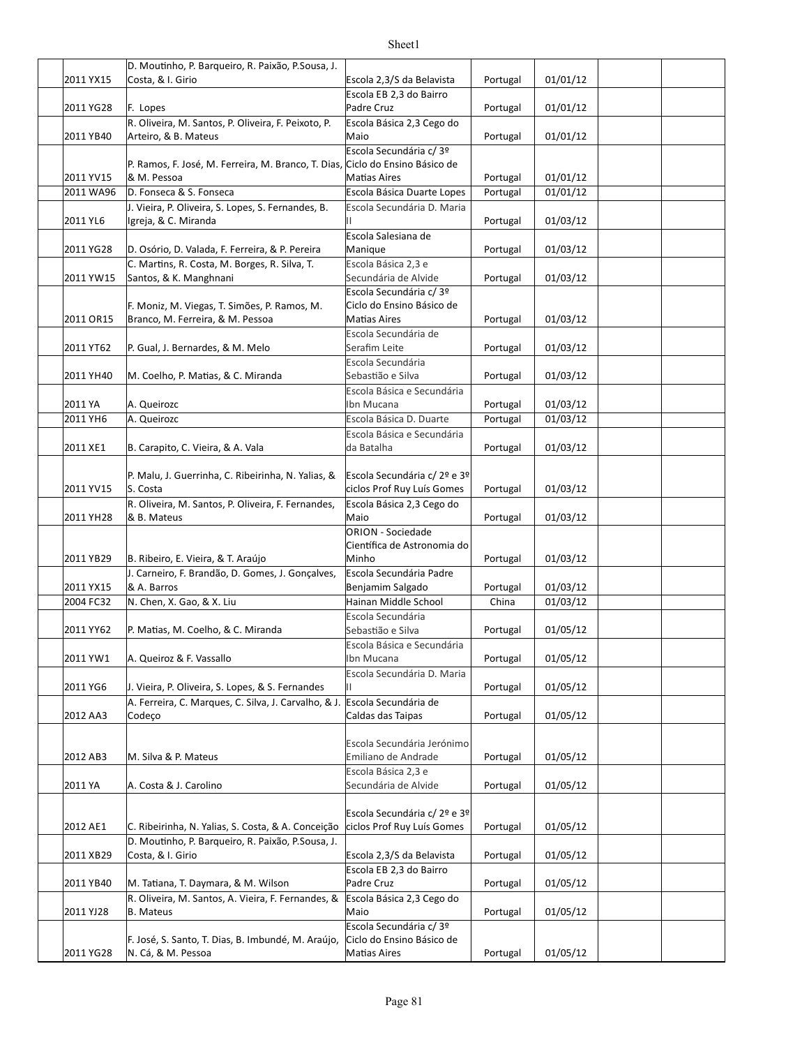|           | D. Moutinho, P. Barqueiro, R. Paixão, P. Sousa, J.                       |                                                  |          |          |  |
|-----------|--------------------------------------------------------------------------|--------------------------------------------------|----------|----------|--|
| 2011 YX15 | Costa, & I. Girio                                                        | Escola 2,3/S da Belavista                        | Portugal | 01/01/12 |  |
|           |                                                                          | Escola EB 2,3 do Bairro                          |          |          |  |
| 2011 YG28 | F. Lopes                                                                 | Padre Cruz                                       | Portugal | 01/01/12 |  |
|           | R. Oliveira, M. Santos, P. Oliveira, F. Peixoto, P.                      | Escola Básica 2,3 Cego do                        |          |          |  |
| 2011 YB40 | Arteiro, & B. Mateus                                                     | Maio                                             | Portugal | 01/01/12 |  |
|           |                                                                          | Escola Secundária c/ 3º                          |          |          |  |
|           | P. Ramos, F. José, M. Ferreira, M. Branco, T. Dias,                      | Ciclo do Ensino Básico de                        |          |          |  |
| 2011 YV15 | & M. Pessoa                                                              | <b>Matias Aires</b>                              | Portugal | 01/01/12 |  |
| 2011 WA96 | D. Fonseca & S. Fonseca                                                  | Escola Básica Duarte Lopes                       | Portugal | 01/01/12 |  |
|           | J. Vieira, P. Oliveira, S. Lopes, S. Fernandes, B.                       | Escola Secundária D. Maria                       |          |          |  |
| 2011 YL6  | Igreja, & C. Miranda                                                     | н                                                | Portugal | 01/03/12 |  |
|           |                                                                          | Escola Salesiana de                              |          |          |  |
| 2011 YG28 | D. Osório, D. Valada, F. Ferreira, & P. Pereira                          | Manique                                          | Portugal | 01/03/12 |  |
|           | C. Martins, R. Costa, M. Borges, R. Silva, T.                            | Escola Básica 2,3 e                              |          |          |  |
| 2011 YW15 | Santos, & K. Manghnani                                                   | Secundária de Alvide                             | Portugal | 01/03/12 |  |
|           |                                                                          | Escola Secundária c/ 3º                          |          |          |  |
|           | F. Moniz, M. Viegas, T. Simões, P. Ramos, M.                             | Ciclo do Ensino Básico de                        |          |          |  |
| 2011 OR15 | Branco, M. Ferreira, & M. Pessoa                                         | <b>Matias Aires</b>                              | Portugal | 01/03/12 |  |
|           |                                                                          | Escola Secundária de                             |          |          |  |
| 2011 YT62 | P. Gual, J. Bernardes, & M. Melo                                         | Serafim Leite                                    | Portugal | 01/03/12 |  |
|           |                                                                          | Escola Secundária                                |          |          |  |
| 2011 YH40 | M. Coelho, P. Matias, & C. Miranda                                       | Sebastião e Silva                                | Portugal | 01/03/12 |  |
|           |                                                                          | Escola Básica e Secundária                       |          |          |  |
| 2011 YA   | A. Queirozc                                                              | Ibn Mucana                                       | Portugal | 01/03/12 |  |
| 2011 YH6  |                                                                          | Escola Básica D. Duarte                          |          | 01/03/12 |  |
|           | A. Queirozc                                                              |                                                  | Portugal |          |  |
|           |                                                                          | Escola Básica e Secundária                       |          |          |  |
| 2011 XE1  | B. Carapito, C. Vieira, & A. Vala                                        | da Batalha                                       | Portugal | 01/03/12 |  |
|           |                                                                          |                                                  |          |          |  |
| 2011 YV15 | P. Malu, J. Guerrinha, C. Ribeirinha, N. Yalias, &<br>S. Costa           | Escola Secundária c/ 2º e 3º                     | Portugal |          |  |
|           |                                                                          | ciclos Prof Ruy Luís Gomes                       |          | 01/03/12 |  |
|           |                                                                          |                                                  |          |          |  |
|           | R. Oliveira, M. Santos, P. Oliveira, F. Fernandes,                       | Escola Básica 2,3 Cego do                        |          |          |  |
| 2011 YH28 | & B. Mateus                                                              | Maio                                             | Portugal | 01/03/12 |  |
|           |                                                                          | <b>ORION - Sociedade</b>                         |          |          |  |
|           |                                                                          | Científica de Astronomia do                      |          |          |  |
| 2011 YB29 | B. Ribeiro, E. Vieira, & T. Araújo                                       | Minho                                            | Portugal | 01/03/12 |  |
|           | J. Carneiro, F. Brandão, D. Gomes, J. Gonçalves,                         | Escola Secundária Padre                          |          |          |  |
| 2011 YX15 | & A. Barros                                                              | Benjamim Salgado                                 | Portugal | 01/03/12 |  |
| 2004 FC32 | N. Chen, X. Gao, & X. Liu                                                | Hainan Middle School                             | China    | 01/03/12 |  |
|           |                                                                          | Escola Secundária                                |          |          |  |
| 2011 YY62 | P. Matias, M. Coelho, & C. Miranda                                       | Sebastião e Silva                                | Portugal | 01/05/12 |  |
|           |                                                                          | Escola Básica e Secundária                       |          |          |  |
| 2011 YW1  | A. Queiroz & F. Vassallo                                                 | Ibn Mucana                                       | Portugal | 01/05/12 |  |
|           |                                                                          | Escola Secundária D. Maria                       |          |          |  |
| 2011 YG6  | J. Vieira, P. Oliveira, S. Lopes, & S. Fernandes                         |                                                  | Portugal | 01/05/12 |  |
|           | A. Ferreira, C. Marques, C. Silva, J. Carvalho, & J.                     | Escola Secundária de                             |          |          |  |
| 2012 AA3  | Codeço                                                                   | Caldas das Taipas                                | Portugal | 01/05/12 |  |
|           |                                                                          |                                                  |          |          |  |
|           |                                                                          | Escola Secundária Jerónimo                       |          |          |  |
| 2012 AB3  | M. Silva & P. Mateus                                                     | Emiliano de Andrade                              | Portugal | 01/05/12 |  |
|           |                                                                          | Escola Básica 2,3 e                              |          |          |  |
| 2011 YA   | A. Costa & J. Carolino                                                   | Secundária de Alvide                             | Portugal | 01/05/12 |  |
|           |                                                                          |                                                  |          |          |  |
|           |                                                                          | Escola Secundária c/ 2º e 3º                     |          |          |  |
| 2012 AE1  | C. Ribeirinha, N. Yalias, S. Costa, & A. Conceição                       | ciclos Prof Ruy Luís Gomes                       | Portugal | 01/05/12 |  |
|           | D. Moutinho, P. Barqueiro, R. Paixão, P.Sousa, J.                        |                                                  |          |          |  |
| 2011 XB29 | Costa, & I. Girio                                                        | Escola 2,3/S da Belavista                        | Portugal | 01/05/12 |  |
|           |                                                                          | Escola EB 2,3 do Bairro                          |          |          |  |
| 2011 YB40 | M. Tatiana, T. Daymara, & M. Wilson                                      | Padre Cruz                                       | Portugal | 01/05/12 |  |
|           | R. Oliveira, M. Santos, A. Vieira, F. Fernandes, &                       | Escola Básica 2,3 Cego do                        |          |          |  |
| 2011 YJ28 | <b>B.</b> Mateus                                                         | Maio                                             | Portugal | 01/05/12 |  |
|           |                                                                          | Escola Secundária c/ 3º                          |          |          |  |
| 2011 YG28 | F. José, S. Santo, T. Dias, B. Imbundé, M. Araújo,<br>N. Cá, & M. Pessoa | Ciclo do Ensino Básico de<br><b>Matias Aires</b> | Portugal | 01/05/12 |  |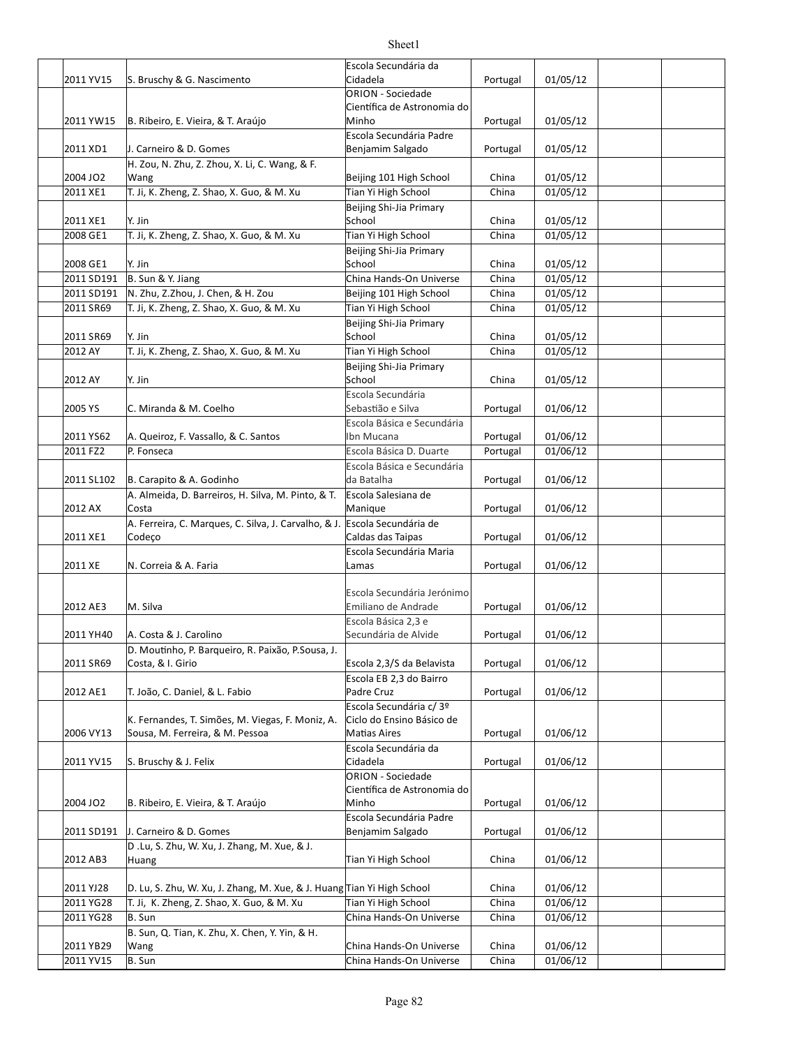|            |                                                                           | Escola Secundária da        |          |          |  |
|------------|---------------------------------------------------------------------------|-----------------------------|----------|----------|--|
|            |                                                                           |                             |          |          |  |
| 2011 YV15  | S. Bruschy & G. Nascimento                                                | Cidadela                    | Portugal | 01/05/12 |  |
|            |                                                                           | <b>ORION - Sociedade</b>    |          |          |  |
|            |                                                                           | Científica de Astronomia do |          |          |  |
| 2011 YW15  | B. Ribeiro, E. Vieira, & T. Araújo                                        | Minho                       | Portugal | 01/05/12 |  |
|            |                                                                           | Escola Secundária Padre     |          |          |  |
| 2011 XD1   | J. Carneiro & D. Gomes                                                    | Benjamim Salgado            | Portugal | 01/05/12 |  |
|            |                                                                           |                             |          |          |  |
|            | H. Zou, N. Zhu, Z. Zhou, X. Li, C. Wang, & F.                             |                             |          |          |  |
| 2004 JO2   | Wang                                                                      | Beijing 101 High School     | China    | 01/05/12 |  |
| 2011 XE1   | T. Ji, K. Zheng, Z. Shao, X. Guo, & M. Xu                                 | Tian Yi High School         | China    | 01/05/12 |  |
|            |                                                                           | Beijing Shi-Jia Primary     |          |          |  |
| 2011 XE1   | Y. Jin                                                                    | School                      | China    | 01/05/12 |  |
|            |                                                                           |                             |          |          |  |
| 2008 GE1   | T. Ji, K. Zheng, Z. Shao, X. Guo, & M. Xu                                 | Tian Yi High School         | China    | 01/05/12 |  |
|            |                                                                           | Beijing Shi-Jia Primary     |          |          |  |
| 2008 GE1   | Y. Jin                                                                    | School                      | China    | 01/05/12 |  |
| 2011 SD191 | B. Sun & Y. Jiang                                                         | China Hands-On Universe     | China    | 01/05/12 |  |
| 2011 SD191 | N. Zhu, Z.Zhou, J. Chen, & H. Zou                                         | Beijing 101 High School     | China    | 01/05/12 |  |
|            |                                                                           |                             |          |          |  |
| 2011 SR69  | T. Ji, K. Zheng, Z. Shao, X. Guo, & M. Xu                                 | Tian Yi High School         | China    | 01/05/12 |  |
|            |                                                                           | Beijing Shi-Jia Primary     |          |          |  |
| 2011 SR69  | Y. Jin                                                                    | School                      | China    | 01/05/12 |  |
| 2012 AY    | T. Ji, K. Zheng, Z. Shao, X. Guo, & M. Xu                                 | Tian Yi High School         | China    | 01/05/12 |  |
|            |                                                                           | Beijing Shi-Jia Primary     |          |          |  |
|            |                                                                           | School                      |          |          |  |
| 2012 AY    | Y. Jin                                                                    |                             | China    | 01/05/12 |  |
|            |                                                                           | Escola Secundária           |          |          |  |
| 2005 YS    | C. Miranda & M. Coelho                                                    | Sebastião e Silva           | Portugal | 01/06/12 |  |
|            |                                                                           | Escola Básica e Secundária  |          |          |  |
| 2011 YS62  | A. Queiroz, F. Vassallo, & C. Santos                                      | Ibn Mucana                  | Portugal | 01/06/12 |  |
|            |                                                                           |                             |          |          |  |
| 2011 FZ2   | P. Fonseca                                                                | Escola Básica D. Duarte     | Portugal | 01/06/12 |  |
|            |                                                                           | Escola Básica e Secundária  |          |          |  |
| 2011 SL102 | B. Carapito & A. Godinho                                                  | da Batalha                  | Portugal | 01/06/12 |  |
|            | A. Almeida, D. Barreiros, H. Silva, M. Pinto, & T.                        | Escola Salesiana de         |          |          |  |
| 2012 AX    | Costa                                                                     | Manique                     | Portugal | 01/06/12 |  |
|            | A. Ferreira, C. Marques, C. Silva, J. Carvalho, & J. Escola Secundária de |                             |          |          |  |
|            |                                                                           |                             |          |          |  |
| 2011 XE1   | Codeço                                                                    | Caldas das Taipas           | Portugal | 01/06/12 |  |
|            |                                                                           | Escola Secundária Maria     |          |          |  |
| 2011 XE    | N. Correia & A. Faria                                                     | Lamas                       | Portugal | 01/06/12 |  |
|            |                                                                           |                             |          |          |  |
|            |                                                                           | Escola Secundária Jerónimo  |          |          |  |
| 2012 AE3   | M. Silva                                                                  | Emiliano de Andrade         | Portugal | 01/06/12 |  |
|            |                                                                           |                             |          |          |  |
|            |                                                                           | Escola Básica 2,3 e         |          |          |  |
| 2011 YH40  | A. Costa & J. Carolino                                                    | Secundária de Alvide        | Portugal | 01/06/12 |  |
|            | D. Moutinho, P. Barqueiro, R. Paixão, P. Sousa, J.                        |                             |          |          |  |
| 2011 SR69  | Costa, & I. Girio                                                         | Escola 2,3/S da Belavista   | Portugal | 01/06/12 |  |
|            |                                                                           | Escola EB 2,3 do Bairro     |          |          |  |
| 2012 AE1   | T. João, C. Daniel, & L. Fabio                                            | Padre Cruz                  |          | 01/06/12 |  |
|            |                                                                           |                             | Portugal |          |  |
|            |                                                                           | Escola Secundária c/3º      |          |          |  |
|            | K. Fernandes, T. Simões, M. Viegas, F. Moniz, A.                          | Ciclo do Ensino Básico de   |          |          |  |
| 2006 VY13  | Sousa, M. Ferreira, & M. Pessoa                                           | <b>Matias Aires</b>         | Portugal | 01/06/12 |  |
|            |                                                                           | Escola Secundária da        |          |          |  |
| 2011 YV15  | S. Bruschy & J. Felix                                                     | Cidadela                    | Portugal | 01/06/12 |  |
|            |                                                                           | <b>ORION - Sociedade</b>    |          |          |  |
|            |                                                                           |                             |          |          |  |
|            |                                                                           | Científica de Astronomia do |          |          |  |
| 2004 JO2   | B. Ribeiro, E. Vieira, & T. Araújo                                        | Minho                       | Portugal | 01/06/12 |  |
|            |                                                                           | Escola Secundária Padre     |          |          |  |
| 2011 SD191 | J. Carneiro & D. Gomes                                                    | Benjamim Salgado            | Portugal | 01/06/12 |  |
|            | D.Lu, S. Zhu, W. Xu, J. Zhang, M. Xue, & J.                               |                             |          |          |  |
| 2012 AB3   |                                                                           | Tian Yi High School         | China    | 01/06/12 |  |
|            | Huang                                                                     |                             |          |          |  |
|            |                                                                           |                             |          |          |  |
| 2011 YJ28  | D. Lu, S. Zhu, W. Xu, J. Zhang, M. Xue, & J. Huang Tian Yi High School    |                             | China    | 01/06/12 |  |
| 2011 YG28  | T. Ji, K. Zheng, Z. Shao, X. Guo, & M. Xu                                 | Tian Yi High School         | China    | 01/06/12 |  |
| 2011 YG28  | B. Sun                                                                    | China Hands-On Universe     | China    | 01/06/12 |  |
|            | B. Sun, Q. Tian, K. Zhu, X. Chen, Y. Yin, & H.                            |                             |          |          |  |
|            |                                                                           |                             |          |          |  |
| 2011 YB29  | Wang                                                                      | China Hands-On Universe     | China    | 01/06/12 |  |
| 2011 YV15  | B. Sun                                                                    | China Hands-On Universe     | China    | 01/06/12 |  |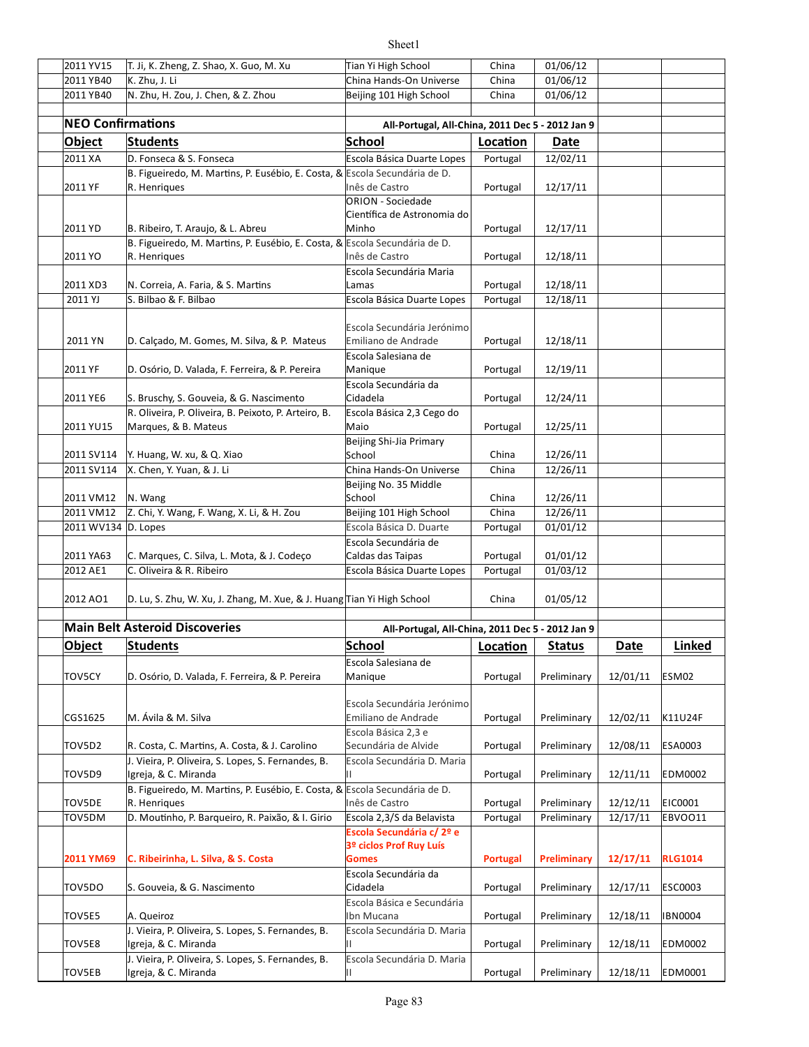| 2011 YV15                | T. Ji, K. Zheng, Z. Shao, X. Guo, M. Xu                                                             | Tian Yi High School                                                              | China           | 01/06/12      |             |                |
|--------------------------|-----------------------------------------------------------------------------------------------------|----------------------------------------------------------------------------------|-----------------|---------------|-------------|----------------|
| 2011 YB40                | K. Zhu, J. Li                                                                                       | China Hands-On Universe                                                          | China           | 01/06/12      |             |                |
| 2011 YB40                | N. Zhu, H. Zou, J. Chen, & Z. Zhou                                                                  | Beijing 101 High School                                                          | China           | 01/06/12      |             |                |
|                          |                                                                                                     |                                                                                  |                 |               |             |                |
| <b>NEO Confirmations</b> |                                                                                                     | All-Portugal, All-China, 2011 Dec 5 - 2012 Jan 9                                 |                 |               |             |                |
| Object                   | <b>Students</b>                                                                                     | School                                                                           | Location        | Date          |             |                |
| 2011 XA                  | D. Fonseca & S. Fonseca                                                                             | Escola Básica Duarte Lopes                                                       | Portugal        | 12/02/11      |             |                |
| 2011 YF                  | B. Figueiredo, M. Martins, P. Eusébio, E. Costa, & Escola Secundária de D.<br>R. Henriques          | Inês de Castro                                                                   | Portugal        | 12/17/11      |             |                |
| 2011 YD                  | B. Ribeiro, T. Araujo, & L. Abreu                                                                   | <b>ORION</b> - Sociedade<br>Científica de Astronomia do<br>Minho                 | Portugal        | 12/17/11      |             |                |
|                          | B. Figueiredo, M. Martins, P. Eusébio, E. Costa, & Escola Secundária de D.                          |                                                                                  |                 |               |             |                |
| 2011 YO                  | R. Henriques                                                                                        | Inês de Castro<br>Escola Secundária Maria                                        | Portugal        | 12/18/11      |             |                |
| 2011 XD3                 | N. Correia, A. Faria, & S. Martins                                                                  | Lamas                                                                            | Portugal        | 12/18/11      |             |                |
| 2011 YJ                  | S. Bilbao & F. Bilbao                                                                               | Escola Básica Duarte Lopes                                                       | Portugal        | 12/18/11      |             |                |
| 2011 YN                  | D. Calçado, M. Gomes, M. Silva, & P. Mateus                                                         | Escola Secundária Jerónimo<br>Emiliano de Andrade                                | Portugal        | 12/18/11      |             |                |
| 2011 YF                  | D. Osório, D. Valada, F. Ferreira, & P. Pereira                                                     | Escola Salesiana de<br>Manique                                                   | Portugal        | 12/19/11      |             |                |
| 2011 YE6                 | S. Bruschy, S. Gouveia, & G. Nascimento                                                             | Escola Secundária da<br>Cidadela                                                 | Portugal        | 12/24/11      |             |                |
| 2011 YU15                | R. Oliveira, P. Oliveira, B. Peixoto, P. Arteiro, B.<br>Marques, & B. Mateus                        | Escola Básica 2,3 Cego do<br>Maio                                                | Portugal        | 12/25/11      |             |                |
| 2011 SV114               | Y. Huang, W. xu, & Q. Xiao                                                                          | Beijing Shi-Jia Primary<br>School                                                | China           | 12/26/11      |             |                |
| 2011 SV114               | X. Chen, Y. Yuan, & J. Li                                                                           | China Hands-On Universe                                                          | China           | 12/26/11      |             |                |
| 2011 VM12                | N. Wang                                                                                             | Beijing No. 35 Middle<br>School                                                  | China           | 12/26/11      |             |                |
| 2011 VM12                | Z. Chi, Y. Wang, F. Wang, X. Li, & H. Zou                                                           | Beijing 101 High School                                                          | China           | 12/26/11      |             |                |
| 2011 WV134 D. Lopes      |                                                                                                     | Escola Básica D. Duarte                                                          | Portugal        | 01/01/12      |             |                |
| 2011 YA63                | C. Marques, C. Silva, L. Mota, & J. Codeço                                                          | Escola Secundária de<br>Caldas das Taipas                                        | Portugal        | 01/01/12      |             |                |
| 2012 AE1                 | C. Oliveira & R. Ribeiro                                                                            | Escola Básica Duarte Lopes                                                       | Portugal        | 01/03/12      |             |                |
| 2012 AO1                 | D. Lu, S. Zhu, W. Xu, J. Zhang, M. Xue, & J. Huang Tian Yi High School                              |                                                                                  | China           | 01/05/12      |             |                |
|                          | <b>Main Belt Asteroid Discoveries</b>                                                               |                                                                                  |                 |               |             |                |
|                          |                                                                                                     | All-Portugal, All-China, 2011 Dec 5 - 2012 Jan 9                                 |                 |               |             |                |
| <b>Object</b>            | <b>Students</b>                                                                                     | <b>School</b>                                                                    | Location        | <b>Status</b> | <b>Date</b> | Linked         |
| TOV5CY                   | D. Osório, D. Valada, F. Ferreira, & P. Pereira                                                     | Escola Salesiana de<br>Manique                                                   | Portugal        | Preliminary   | 12/01/11    | ESM02          |
|                          |                                                                                                     | Escola Secundária Jerónimo                                                       |                 |               |             |                |
| CGS1625                  | M. Ávila & M. Silva                                                                                 | Emiliano de Andrade<br>Escola Básica 2,3 e                                       | Portugal        | Preliminary   | 12/02/11    | K11U24F        |
| TOV5D2                   | R. Costa, C. Martins, A. Costa, & J. Carolino<br>J. Vieira, P. Oliveira, S. Lopes, S. Fernandes, B. | Secundária de Alvide<br>Escola Secundária D. Maria                               | Portugal        | Preliminary   | 12/08/11    | <b>ESA0003</b> |
| TOV5D9                   | Igreja, & C. Miranda                                                                                | Ш                                                                                | Portugal        | Preliminary   | 12/11/11    | <b>EDM0002</b> |
| TOV5DE                   | B. Figueiredo, M. Martins, P. Eusébio, E. Costa, & Escola Secundária de D.<br>R. Henriques          | Inês de Castro                                                                   | Portugal        | Preliminary   | 12/12/11    | EIC0001        |
| TOV5DM                   | D. Moutinho, P. Barqueiro, R. Paixão, & I. Girio                                                    | Escola 2,3/S da Belavista<br>Escola Secundária c/2º e<br>3º ciclos Prof Ruy Luís | Portugal        | Preliminary   | 12/17/11    | EBVOO11        |
| 2011 YM69                | C. Ribeirinha, L. Silva, & S. Costa                                                                 | <b>Gomes</b><br>Escola Secundária da                                             | <b>Portugal</b> | Preliminary   | 12/17/11    | <b>RLG1014</b> |
| TOV5DO                   | S. Gouveia, & G. Nascimento                                                                         | Cidadela<br>Escola Básica e Secundária                                           | Portugal        | Preliminary   | 12/17/11    | <b>ESC0003</b> |
| TOV5E5                   | A. Queiroz<br>J. Vieira, P. Oliveira, S. Lopes, S. Fernandes, B.                                    | Ibn Mucana<br>Escola Secundária D. Maria                                         | Portugal        | Preliminary   | 12/18/11    | <b>IBN0004</b> |
| TOV5E8                   | Igreja, & C. Miranda<br>J. Vieira, P. Oliveira, S. Lopes, S. Fernandes, B.                          | Ш<br>Escola Secundária D. Maria                                                  | Portugal        | Preliminary   | 12/18/11    | EDM0002        |
| TOV5EB                   | Igreja, & C. Miranda                                                                                | Ш                                                                                | Portugal        | Preliminary   | 12/18/11    | <b>EDM0001</b> |